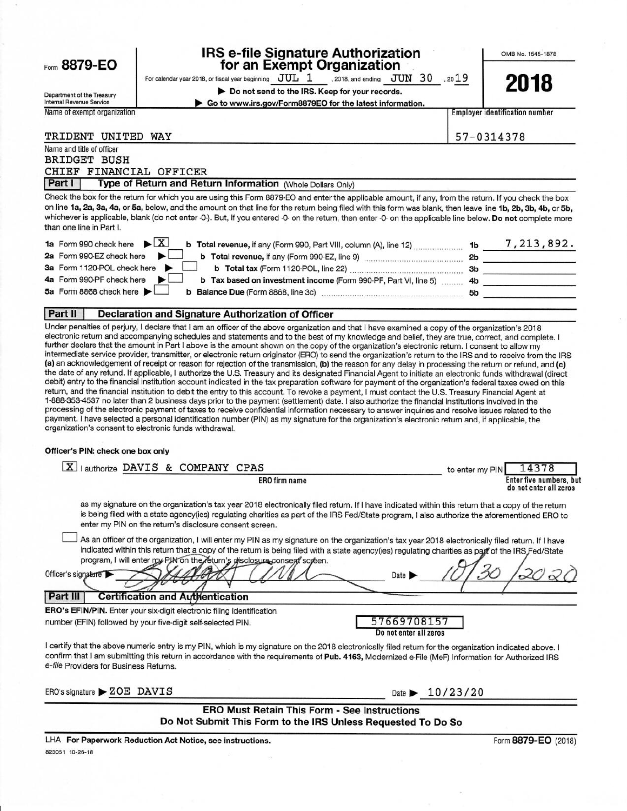|                                                               | <b>IRS e-file Signature Authorization</b>                                                                                                                                                                                                                                                                                                                                                                                                                                                                                                                                                                                                                                                                                                                                                                                                                                                                                                                 | for an Exempt Organization                                                                                                                     |                                     | OMB No. 1545-1878                                 |
|---------------------------------------------------------------|-----------------------------------------------------------------------------------------------------------------------------------------------------------------------------------------------------------------------------------------------------------------------------------------------------------------------------------------------------------------------------------------------------------------------------------------------------------------------------------------------------------------------------------------------------------------------------------------------------------------------------------------------------------------------------------------------------------------------------------------------------------------------------------------------------------------------------------------------------------------------------------------------------------------------------------------------------------|------------------------------------------------------------------------------------------------------------------------------------------------|-------------------------------------|---------------------------------------------------|
| Form 8879-EO                                                  | For calendar year 2018, or fiscal year beginning $JUL$ 1 . 2018, and ending $JUN$ 30 . 2019                                                                                                                                                                                                                                                                                                                                                                                                                                                                                                                                                                                                                                                                                                                                                                                                                                                               |                                                                                                                                                |                                     |                                                   |
|                                                               |                                                                                                                                                                                                                                                                                                                                                                                                                                                                                                                                                                                                                                                                                                                                                                                                                                                                                                                                                           | Do not send to the IRS. Keep for your records.                                                                                                 |                                     | 2018                                              |
| Department of the Treasury<br><b>Internal Revenue Service</b> |                                                                                                                                                                                                                                                                                                                                                                                                                                                                                                                                                                                                                                                                                                                                                                                                                                                                                                                                                           | Go to www.irs.gov/Form8879EO for the latest information.                                                                                       |                                     |                                                   |
| Name of exempt organization                                   |                                                                                                                                                                                                                                                                                                                                                                                                                                                                                                                                                                                                                                                                                                                                                                                                                                                                                                                                                           |                                                                                                                                                |                                     | <b>Employer identification number</b>             |
|                                                               |                                                                                                                                                                                                                                                                                                                                                                                                                                                                                                                                                                                                                                                                                                                                                                                                                                                                                                                                                           |                                                                                                                                                |                                     |                                                   |
| TRIDENT UNITED WAY                                            |                                                                                                                                                                                                                                                                                                                                                                                                                                                                                                                                                                                                                                                                                                                                                                                                                                                                                                                                                           |                                                                                                                                                |                                     | 57-0314378                                        |
| Name and title of officer                                     |                                                                                                                                                                                                                                                                                                                                                                                                                                                                                                                                                                                                                                                                                                                                                                                                                                                                                                                                                           |                                                                                                                                                |                                     |                                                   |
| <b>BRIDGET BUSH</b>                                           |                                                                                                                                                                                                                                                                                                                                                                                                                                                                                                                                                                                                                                                                                                                                                                                                                                                                                                                                                           |                                                                                                                                                |                                     |                                                   |
| CHIEF FINANCIAL OFFICER                                       |                                                                                                                                                                                                                                                                                                                                                                                                                                                                                                                                                                                                                                                                                                                                                                                                                                                                                                                                                           |                                                                                                                                                |                                     |                                                   |
| Part I                                                        | Type of Return and Return Information (Whole Dollars Only)                                                                                                                                                                                                                                                                                                                                                                                                                                                                                                                                                                                                                                                                                                                                                                                                                                                                                                |                                                                                                                                                |                                     |                                                   |
| than one line in Part I.                                      | Check the box for the return for which you are using this Form 8879-EO and enter the applicable amount, if any, from the return. If you check the box<br>on line 1a, 2a, 3a, 4a, or 5a, below, and the amount on that line for the return being filed with this form was blank, then leave line 1b, 2b, 3b, 4b, or 5b,<br>whichever is applicable, blank (do not enter -0-). But, if you entered -0- on the return, then enter -0- on the applicable line below. Do not complete more                                                                                                                                                                                                                                                                                                                                                                                                                                                                     |                                                                                                                                                |                                     |                                                   |
| 1a Form 990 check here                                        | $\blacktriangleright$ $\mid$ X $\mid$                                                                                                                                                                                                                                                                                                                                                                                                                                                                                                                                                                                                                                                                                                                                                                                                                                                                                                                     |                                                                                                                                                |                                     |                                                   |
| 2a Form 990-EZ check here                                     |                                                                                                                                                                                                                                                                                                                                                                                                                                                                                                                                                                                                                                                                                                                                                                                                                                                                                                                                                           |                                                                                                                                                |                                     |                                                   |
| 3a Form 1120-POL check here                                   |                                                                                                                                                                                                                                                                                                                                                                                                                                                                                                                                                                                                                                                                                                                                                                                                                                                                                                                                                           |                                                                                                                                                |                                     |                                                   |
| 4a Form 990-PF check here                                     |                                                                                                                                                                                                                                                                                                                                                                                                                                                                                                                                                                                                                                                                                                                                                                                                                                                                                                                                                           | b Tax based on investment income (Form 990-PF, Part VI, line 5)  4b ______________________                                                     |                                     |                                                   |
| 5a Form 8868 check here                                       |                                                                                                                                                                                                                                                                                                                                                                                                                                                                                                                                                                                                                                                                                                                                                                                                                                                                                                                                                           |                                                                                                                                                |                                     |                                                   |
|                                                               |                                                                                                                                                                                                                                                                                                                                                                                                                                                                                                                                                                                                                                                                                                                                                                                                                                                                                                                                                           |                                                                                                                                                |                                     |                                                   |
| Part II                                                       | Declaration and Signature Authorization of Officer                                                                                                                                                                                                                                                                                                                                                                                                                                                                                                                                                                                                                                                                                                                                                                                                                                                                                                        |                                                                                                                                                |                                     |                                                   |
|                                                               | intermediate service provider, transmitter, or electronic return originator (ERO) to send the organization's return to the IRS and to receive from the IRS<br>(a) an acknowledgement of receipt or reason for rejection of the transmission, (b) the reason for any delay in processing the return or refund, and (c)<br>the date of any refund. If applicable, I authorize the U.S. Treasury and its designated Financial Agent to initiate an electronic funds withdrawal (direct<br>debit) entry to the financial institution account indicated in the tax preparation software for payment of the organization's federal taxes owed on this<br>return, and the financial institution to debit the entry to this account. To revoke a payment, I must contact the U.S. Treasury Financial Agent at<br>1-888-353-4537 no later than 2 business days prior to the payment (settlement) date. I also authorize the financial institutions involved in the | further declare that the amount in Part I above is the amount shown on the copy of the organization's electronic return. I consent to allow my |                                     |                                                   |
|                                                               | processing of the electronic payment of taxes to receive confidential information necessary to answer inquiries and resolve issues related to the<br>payment. I have selected a personal identification number (PIN) as my signature for the organization's electronic return and, if applicable, the<br>organization's consent to electronic funds withdrawal.                                                                                                                                                                                                                                                                                                                                                                                                                                                                                                                                                                                           |                                                                                                                                                |                                     |                                                   |
|                                                               |                                                                                                                                                                                                                                                                                                                                                                                                                                                                                                                                                                                                                                                                                                                                                                                                                                                                                                                                                           |                                                                                                                                                |                                     |                                                   |
|                                                               | X lauthorize DAVIS & COMPANY CPAS                                                                                                                                                                                                                                                                                                                                                                                                                                                                                                                                                                                                                                                                                                                                                                                                                                                                                                                         |                                                                                                                                                | to enter my PIN                     | 14378                                             |
| Officer's PIN: check one box only                             |                                                                                                                                                                                                                                                                                                                                                                                                                                                                                                                                                                                                                                                                                                                                                                                                                                                                                                                                                           | <b>ERO</b> firm name                                                                                                                           |                                     | Enter five numbers, but<br>do not enter all zeros |
|                                                               | as my signature on the organization's tax year 2018 electronically filed return. If I have indicated within this return that a copy of the return<br>is being filed with a state agency(ies) regulating charities as part of the IRS Fed/State program, I also authorize the aforementioned ERO to<br>enter my PIN on the return's disclosure consent screen.<br>As an officer of the organization, I will enter my PIN as my signature on the organization's tax year 2018 electronically filed return. If I have<br>indicated within this return that a copy of the return is being filed with a state agency(ies) regulating charities as page of the IRS Fed/State<br>program, I will enter my PJN on the return's disclosure consent screen.                                                                                                                                                                                                         |                                                                                                                                                |                                     |                                                   |
|                                                               |                                                                                                                                                                                                                                                                                                                                                                                                                                                                                                                                                                                                                                                                                                                                                                                                                                                                                                                                                           | Date                                                                                                                                           |                                     |                                                   |
| Officer's signature<br>Part III                               | <b>Certification and Authentication</b>                                                                                                                                                                                                                                                                                                                                                                                                                                                                                                                                                                                                                                                                                                                                                                                                                                                                                                                   |                                                                                                                                                |                                     |                                                   |
|                                                               | ERO's EFIN/PIN. Enter your six-digit electronic filing identification<br>number (EFIN) followed by your five-digit self-selected PIN.                                                                                                                                                                                                                                                                                                                                                                                                                                                                                                                                                                                                                                                                                                                                                                                                                     | 57669708157<br>Do not enter all zeros                                                                                                          |                                     |                                                   |
| e-file Providers for Business Returns.                        | I certify that the above numeric entry is my PIN, which is my signature on the 2018 electronically filed return for the organization indicated above. I<br>confirm that I am submitting this return in accordance with the requirements of Pub. 4163, Modernized e-File (MeF) Information for Authorized IRS                                                                                                                                                                                                                                                                                                                                                                                                                                                                                                                                                                                                                                              |                                                                                                                                                |                                     |                                                   |
| ERO's signature > ZOE DAVIS                                   |                                                                                                                                                                                                                                                                                                                                                                                                                                                                                                                                                                                                                                                                                                                                                                                                                                                                                                                                                           |                                                                                                                                                | Date $\blacktriangleright$ 10/23/20 |                                                   |

LHA For Paperwork Reduction Act Notice, see instructions. 823051 10-26-18  $\%$ 

93

Form 8879-EO (2018)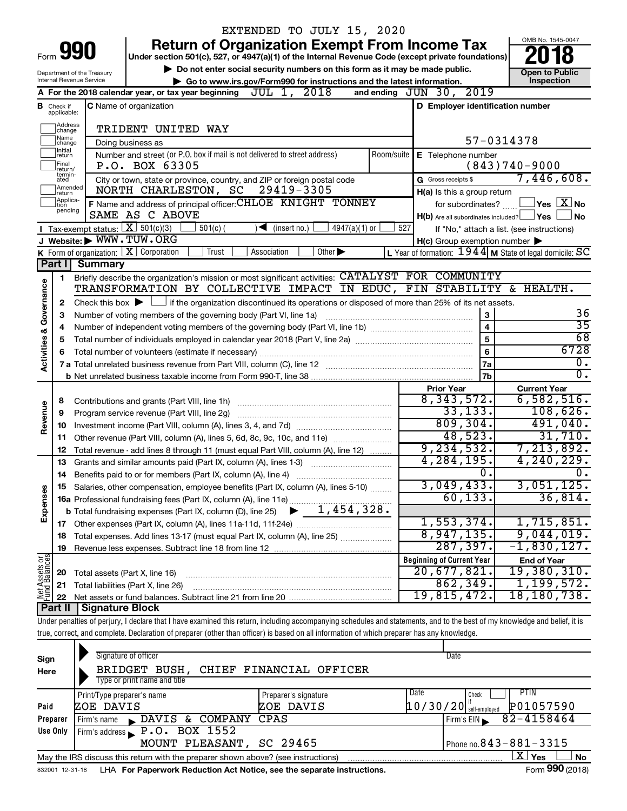|                                       |                               |                                                              | EXTENDED TO JULY 15, 2020                                                                                                                                                  |                                                                                                                    |                                                |
|---------------------------------------|-------------------------------|--------------------------------------------------------------|----------------------------------------------------------------------------------------------------------------------------------------------------------------------------|--------------------------------------------------------------------------------------------------------------------|------------------------------------------------|
|                                       |                               | Form 990                                                     | <b>Return of Organization Exempt From Income Tax</b>                                                                                                                       |                                                                                                                    | OMB No. 1545-0047                              |
|                                       |                               |                                                              | Under section 501(c), 527, or 4947(a)(1) of the Internal Revenue Code (except private foundations)                                                                         |                                                                                                                    |                                                |
|                                       |                               | Department of the Treasury<br>Internal Revenue Service       | Do not enter social security numbers on this form as it may be made public.<br>Go to www.irs.gov/Form990 for instructions and the latest information.                      |                                                                                                                    | <b>Open to Public</b><br>Inspection            |
|                                       |                               |                                                              | A For the 2018 calendar year, or tax year beginning $JUL$ 1, $2018$                                                                                                        | and ending JUN 30, 2019                                                                                            |                                                |
|                                       | <b>B</b> Check if applicable: |                                                              | <b>C</b> Name of organization                                                                                                                                              | D Employer identification number                                                                                   |                                                |
|                                       | Address<br> change            |                                                              | TRIDENT UNITED WAY                                                                                                                                                         |                                                                                                                    |                                                |
|                                       | Name<br>change                |                                                              | Doing business as                                                                                                                                                          | 57-0314378                                                                                                         |                                                |
|                                       | Initial<br>return             |                                                              | Number and street (or P.O. box if mail is not delivered to street address)<br>Room/suite                                                                                   | E Telephone number                                                                                                 |                                                |
|                                       | Final<br>return/              |                                                              | P.O. BOX 63305                                                                                                                                                             |                                                                                                                    | $(843)740 - 9000$                              |
|                                       | termin-<br>ated               |                                                              | City or town, state or province, country, and ZIP or foreign postal code                                                                                                   | G Gross receipts \$                                                                                                | 7,446,608.                                     |
|                                       | Amended<br>Ireturn            |                                                              | 29419-3305<br>NORTH CHARLESTON, SC                                                                                                                                         | H(a) Is this a group return                                                                                        |                                                |
|                                       | Applica-<br>Ition<br>pending  |                                                              | F Name and address of principal officer: CHLOE KNIGHT TONNEY                                                                                                               | for subordinates?                                                                                                  | $\mathsf{\_}$ Yes $\mathsf{\_}X\mathsf{\_}$ No |
|                                       |                               |                                                              | SAME AS C ABOVE                                                                                                                                                            | $H(b)$ Are all subordinates included? $\Box$ Yes                                                                   | <b>No</b>                                      |
|                                       |                               | Tax-exempt status: $X$ 501(c)(3)<br>J Website: WWW. TUW. ORG | $501(c)$ (<br>$4947(a)(1)$ or<br>$(\mathsf{insert}\,\mathsf{no.})$                                                                                                         | 527<br>If "No," attach a list. (see instructions)                                                                  |                                                |
|                                       |                               |                                                              | K Form of organization:   X Corporation<br>$\overline{Other}$<br>Trust<br>Association                                                                                      | $H(c)$ Group exemption number $\blacktriangleright$<br>L Year of formation: $1944$ M State of legal domicile: $SC$ |                                                |
|                                       | Part I                        | <b>Summary</b>                                               |                                                                                                                                                                            |                                                                                                                    |                                                |
|                                       | 1                             |                                                              | Briefly describe the organization's mission or most significant activities: CATALYST FOR COMMUNITY                                                                         |                                                                                                                    |                                                |
| <b>Activities &amp; Governance</b>    |                               |                                                              | TRANSFORMATION BY COLLECTIVE IMPACT IN EDUC, FIN STABILITY & HEALTH.                                                                                                       |                                                                                                                    |                                                |
|                                       | 2                             |                                                              | Check this box $\blacktriangleright$ $\Box$ if the organization discontinued its operations or disposed of more than 25% of its net assets.                                |                                                                                                                    |                                                |
|                                       | 3                             |                                                              | Number of voting members of the governing body (Part VI, line 1a)                                                                                                          | 3                                                                                                                  | 36                                             |
|                                       | 4                             |                                                              |                                                                                                                                                                            | $\overline{\mathbf{4}}$                                                                                            | $\overline{35}$                                |
|                                       | 5                             |                                                              |                                                                                                                                                                            | 5                                                                                                                  | 68                                             |
|                                       | 6                             |                                                              |                                                                                                                                                                            | 6                                                                                                                  | 6728                                           |
|                                       |                               |                                                              |                                                                                                                                                                            | 7a                                                                                                                 | $\overline{0}$ .                               |
|                                       |                               |                                                              |                                                                                                                                                                            | 7b                                                                                                                 | $\overline{0}$ .                               |
|                                       |                               |                                                              |                                                                                                                                                                            | <b>Prior Year</b>                                                                                                  | <b>Current Year</b>                            |
|                                       | 8                             |                                                              |                                                                                                                                                                            | 8,343,572.                                                                                                         | 6,582,516.                                     |
| Revenue                               | 9                             |                                                              | Program service revenue (Part VIII, line 2g)                                                                                                                               | 33, 133.                                                                                                           | 108,626.                                       |
|                                       | 10                            |                                                              |                                                                                                                                                                            | 809, 304.                                                                                                          | 491,040.                                       |
|                                       | 11                            |                                                              | Other revenue (Part VIII, column (A), lines 5, 6d, 8c, 9c, 10c, and 11e)                                                                                                   | 48,523.                                                                                                            | 31,710.                                        |
|                                       | 12                            |                                                              | Total revenue - add lines 8 through 11 (must equal Part VIII, column (A), line 12)                                                                                         | 9, 234, 532.                                                                                                       | 7, 213, 892.                                   |
|                                       | 13                            |                                                              | Grants and similar amounts paid (Part IX, column (A), lines 1-3)                                                                                                           | 4,284,195.                                                                                                         | 4, 240, 229.                                   |
|                                       | 14                            |                                                              |                                                                                                                                                                            | $\overline{0}$ .                                                                                                   | 0.                                             |
|                                       |                               |                                                              | Salaries, other compensation, employee benefits (Part IX, column (A), lines 5-10)                                                                                          | 3,049,433.                                                                                                         | 3,051,125.                                     |
| Expenses                              |                               |                                                              | 16a Professional fundraising fees (Part IX, column (A), line 11e)                                                                                                          | 60, 133.                                                                                                           | 36,814.                                        |
|                                       |                               |                                                              | 1,454,328.<br><b>b</b> Total fundraising expenses (Part IX, column (D), line 25)                                                                                           |                                                                                                                    |                                                |
|                                       | 17                            |                                                              |                                                                                                                                                                            | 1,553,374.                                                                                                         | 1,715,851.                                     |
|                                       | 18                            |                                                              | Total expenses. Add lines 13-17 (must equal Part IX, column (A), line 25)                                                                                                  | 8,947,135.                                                                                                         | 9,044,019.                                     |
|                                       | 19                            |                                                              |                                                                                                                                                                            | 287, 397.                                                                                                          | $-1,830,127$ .                                 |
| <b>Net Assets or</b><br>Fund Balances |                               |                                                              |                                                                                                                                                                            | <b>Beginning of Current Year</b>                                                                                   | <b>End of Year</b>                             |
|                                       | 20                            | Total assets (Part X, line 16)                               |                                                                                                                                                                            | 20,677,821.                                                                                                        | 19,380,310.                                    |
|                                       | 21                            |                                                              | Total liabilities (Part X, line 26)                                                                                                                                        | 862,349.                                                                                                           | 1, 199, 572.                                   |
|                                       | 22                            |                                                              |                                                                                                                                                                            | 19,815,472.                                                                                                        | 18,180,738.                                    |
|                                       | Part II                       | <b>Signature Block</b>                                       |                                                                                                                                                                            |                                                                                                                    |                                                |
|                                       |                               |                                                              | Under penalties of perjury, I declare that I have examined this return, including accompanying schedules and statements, and to the best of my knowledge and belief, it is |                                                                                                                    |                                                |
|                                       |                               |                                                              | true, correct, and complete. Declaration of preparer (other than officer) is based on all information of which preparer has any knowledge.                                 |                                                                                                                    |                                                |
|                                       |                               |                                                              |                                                                                                                                                                            |                                                                                                                    |                                                |

| Sign<br>Here | Signature of officer<br>BRIDGET BUSH, CHIEF FINANCIAL OFFICER<br>Type or print name and title |                              | Date                                  |
|--------------|-----------------------------------------------------------------------------------------------|------------------------------|---------------------------------------|
|              |                                                                                               |                              |                                       |
|              | Print/Type preparer's name                                                                    | Date<br>Preparer's signature | <b>PTIN</b><br>Check                  |
| Paid         | ZOE DAVIS                                                                                     | ZOE DAVIS                    | P01057590<br>$10/30/20$ self-employed |
| Preparer     | DAVIS & COMPANY CPAS<br>Firm's name                                                           |                              | 82-4158464<br>Firm's EIN              |
| Use Only     | Firm's address $\blacktriangleright$ P.O. BOX 1552                                            |                              |                                       |
|              | MOUNT PLEASANT, SC 29465                                                                      |                              | Phone no. $843 - 881 - 3315$          |
|              | May the IRS discuss this return with the preparer shown above? (see instructions)             |                              | X  <br>Yes<br><b>No</b>               |
|              |                                                                                               |                              |                                       |

832001 12-31-18 **For Paperwork Reduction Act Notice, see the separate instructions.** LHA Form (2018)

Form **990** (2018)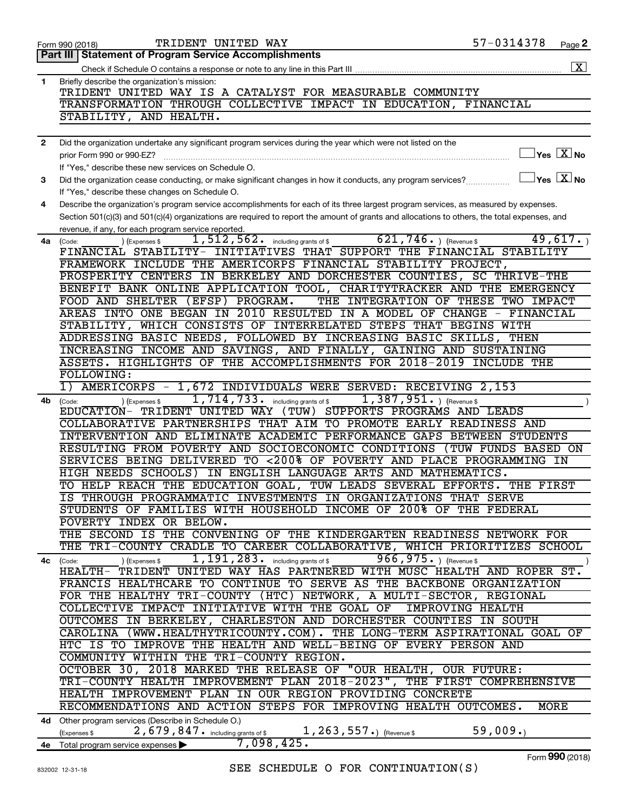|              | TRIDENT UNITED WAY<br>Form 990 (2018)                                                                                                        | 57-0314378 |                                  | Page 2                              |
|--------------|----------------------------------------------------------------------------------------------------------------------------------------------|------------|----------------------------------|-------------------------------------|
|              | Part III Statement of Program Service Accomplishments                                                                                        |            |                                  |                                     |
|              |                                                                                                                                              |            |                                  | $\boxed{\text{X}}$                  |
| 1            | Briefly describe the organization's mission:                                                                                                 |            |                                  |                                     |
|              | TRIDENT UNITED WAY IS A CATALYST FOR MEASURABLE COMMUNITY                                                                                    |            |                                  |                                     |
|              | TRANSFORMATION THROUGH COLLECTIVE IMPACT IN EDUCATION, FINANCIAL                                                                             |            |                                  |                                     |
|              |                                                                                                                                              |            |                                  |                                     |
|              | STABILITY, AND HEALTH.                                                                                                                       |            |                                  |                                     |
|              |                                                                                                                                              |            |                                  |                                     |
| $\mathbf{2}$ | Did the organization undertake any significant program services during the year which were not listed on the                                 |            |                                  |                                     |
|              | prior Form 990 or 990-EZ?                                                                                                                    |            |                                  | $\exists$ Yes $\boxed{\text{X}}$ No |
|              | If "Yes," describe these new services on Schedule O.                                                                                         |            |                                  |                                     |
| з            | Did the organization cease conducting, or make significant changes in how it conducts, any program services?                                 |            | $\Box$ Yes $\boxed{\text{X}}$ No |                                     |
|              | If "Yes," describe these changes on Schedule O.                                                                                              |            |                                  |                                     |
| 4            | Describe the organization's program service accomplishments for each of its three largest program services, as measured by expenses.         |            |                                  |                                     |
|              | Section 501(c)(3) and 501(c)(4) organizations are required to report the amount of grants and allocations to others, the total expenses, and |            |                                  |                                     |
|              | revenue, if any, for each program service reported.                                                                                          |            |                                  |                                     |
|              | $621, 746.$ ) (Revenue \$<br>$1,512,562$ and including grants of \$                                                                          |            |                                  | 49,617.                             |
| 4a l         | ) (Expenses \$<br>(Code:<br>FINANCIAL STABILITY- INITIATIVES THAT SUPPORT THE FINANCIAL STABILITY                                            |            |                                  |                                     |
|              |                                                                                                                                              |            |                                  |                                     |
|              | FRAMEWORK INCLUDE THE AMERICORPS FINANCIAL STABILITY PROJECT,                                                                                |            |                                  |                                     |
|              | PROSPERITY CENTERS IN BERKELEY AND DORCHESTER COUNTIES, SC THRIVE-THE                                                                        |            |                                  |                                     |
|              | BENEFIT BANK ONLINE APPLICATION TOOL, CHARITYTRACKER AND THE EMERGENCY                                                                       |            |                                  |                                     |
|              | FOOD AND SHELTER (EFSP) PROGRAM.<br>THE INTEGRATION OF THESE TWO IMPACT                                                                      |            |                                  |                                     |
|              | AREAS INTO ONE BEGAN IN 2010 RESULTED IN A MODEL OF CHANGE - FINANCIAL                                                                       |            |                                  |                                     |
|              | STABILITY, WHICH CONSISTS OF INTERRELATED STEPS THAT BEGINS WITH                                                                             |            |                                  |                                     |
|              | ADDRESSING BASIC NEEDS, FOLLOWED BY INCREASING BASIC SKILLS, THEN                                                                            |            |                                  |                                     |
|              | INCREASING INCOME AND SAVINGS, AND FINALLY, GAINING AND SUSTAINING                                                                           |            |                                  |                                     |
|              | ASSETS. HIGHLIGHTS OF THE ACCOMPLISHMENTS FOR 2018-2019 INCLUDE THE                                                                          |            |                                  |                                     |
|              | FOLLOWING:                                                                                                                                   |            |                                  |                                     |
|              | 1)                                                                                                                                           |            |                                  |                                     |
|              | AMERICORPS - 1,672 INDIVIDUALS WERE SERVED: RECEIVING 2,153                                                                                  |            |                                  |                                     |
| 4b           | 1,714,733. including grants of \$<br>$1,387,951.$ (Revenue \$<br>) (Expenses \$<br>(Code:                                                    |            |                                  |                                     |
|              | EDUCATION- TRIDENT UNITED WAY (TUW) SUPPORTS PROGRAMS AND LEADS                                                                              |            |                                  |                                     |
|              | COLLABORATIVE PARTNERSHIPS THAT AIM TO PROMOTE EARLY READINESS AND                                                                           |            |                                  |                                     |
|              | INTERVENTION AND ELIMINATE ACADEMIC PERFORMANCE GAPS BETWEEN STUDENTS                                                                        |            |                                  |                                     |
|              | RESULTING FROM POVERTY AND SOCIOECONOMIC CONDITIONS (TUW FUNDS BASED ON                                                                      |            |                                  |                                     |
|              | SERVICES BEING DELIVERED TO <200% OF POVERTY AND PLACE PROGRAMMING IN                                                                        |            |                                  |                                     |
|              | HIGH NEEDS SCHOOLS) IN ENGLISH LANGUAGE ARTS AND MATHEMATICS.                                                                                |            |                                  |                                     |
|              | TO HELP REACH THE EDUCATION GOAL, TUW LEADS SEVERAL EFFORTS. THE FIRST                                                                       |            |                                  |                                     |
|              | IS THROUGH PROGRAMMATIC INVESTMENTS IN ORGANIZATIONS THAT SERVE                                                                              |            |                                  |                                     |
|              | STUDENTS OF FAMILIES WITH HOUSEHOLD INCOME OF 200% OF THE FEDERAL                                                                            |            |                                  |                                     |
|              | POVERTY INDEX OR BELOW.                                                                                                                      |            |                                  |                                     |
|              | THE SECOND IS THE CONVENING OF THE KINDERGARTEN READINESS NETWORK FOR                                                                        |            |                                  |                                     |
|              | THE TRI-COUNTY CRADLE TO CAREER COLLABORATIVE, WHICH PRIORITIZES SCHOOL                                                                      |            |                                  |                                     |
|              | $966,975$ . ) (Revenue \$                                                                                                                    |            |                                  |                                     |
| 4с           | $1,191,283$ . including grants of \$<br>) (Expenses \$<br>(Code:<br>HEALTH- TRIDENT UNITED WAY HAS PARTNERED WITH MUSC HEALTH AND ROPER ST.  |            |                                  |                                     |
|              |                                                                                                                                              |            |                                  |                                     |
|              | FRANCIS HEALTHCARE TO CONTINUE TO SERVE AS THE BACKBONE ORGANIZATION                                                                         |            |                                  |                                     |
|              | FOR THE HEALTHY TRI-COUNTY (HTC) NETWORK, A MULTI-SECTOR, REGIONAL                                                                           |            |                                  |                                     |
|              | COLLECTIVE IMPACT INITIATIVE WITH THE GOAL OF IMPROVING HEALTH                                                                               |            |                                  |                                     |
|              | OUTCOMES IN BERKELEY, CHARLESTON AND DORCHESTER COUNTIES IN SOUTH                                                                            |            |                                  |                                     |
|              | CAROLINA (WWW.HEALTHYTRICOUNTY.COM). THE LONG-TERM ASPIRATIONAL GOAL OF                                                                      |            |                                  |                                     |
|              | HTC IS TO IMPROVE THE HEALTH AND WELL-BEING OF EVERY PERSON AND                                                                              |            |                                  |                                     |
|              | COMMUNITY WITHIN THE TRI-COUNTY REGION.                                                                                                      |            |                                  |                                     |
|              | OCTOBER 30, 2018 MARKED THE RELEASE OF "OUR HEALTH, OUR FUTURE:                                                                              |            |                                  |                                     |
|              | TRI-COUNTY HEALTH IMPROVEMENT PLAN 2018-2023", THE FIRST COMPREHENSIVE                                                                       |            |                                  |                                     |
|              | HEALTH IMPROVEMENT PLAN IN OUR REGION PROVIDING CONCRETE                                                                                     |            |                                  |                                     |
|              |                                                                                                                                              |            |                                  |                                     |
|              | RECOMMENDATIONS AND ACTION STEPS FOR IMPROVING HEALTH OUTCOMES.                                                                              |            | MORE                             |                                     |
|              | 4d Other program services (Describe in Schedule O.)                                                                                          |            |                                  |                                     |
|              | 2,679,847. including grants of \$1,263,557.) (Revenue \$<br>(Expenses \$                                                                     | 59,009.    |                                  |                                     |
|              | 7,098,425.<br>4e Total program service expenses                                                                                              |            |                                  |                                     |
|              |                                                                                                                                              |            |                                  | nnn.                                |

Form (2018) **990**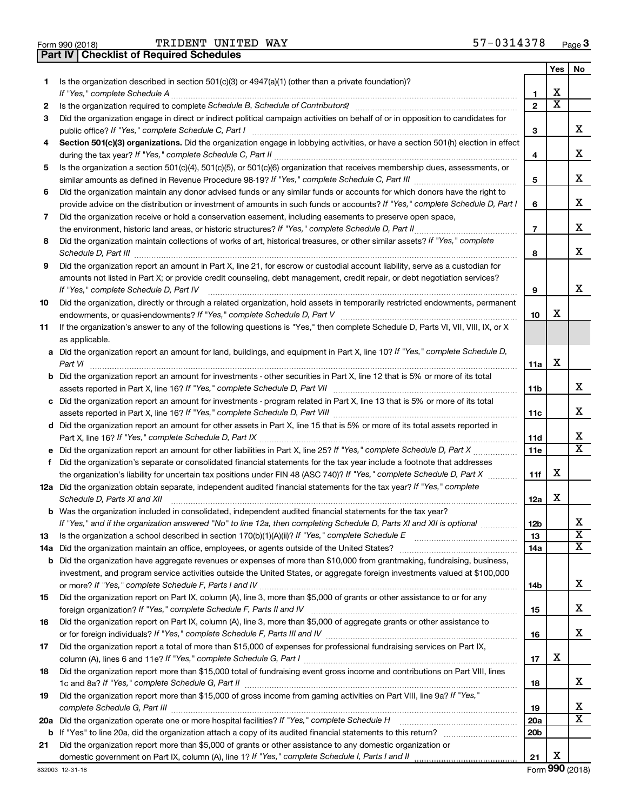| Form 990 (2018) |  |  |
|-----------------|--|--|

**Part IV Checklist of Required Schedules**

TRIDENT UNITED WAY 57-0314378

|     |                                                                                                                                                                                                                                                                                                                                                                      |                | Yes                     | No.                          |
|-----|----------------------------------------------------------------------------------------------------------------------------------------------------------------------------------------------------------------------------------------------------------------------------------------------------------------------------------------------------------------------|----------------|-------------------------|------------------------------|
| 1.  | Is the organization described in section $501(c)(3)$ or $4947(a)(1)$ (other than a private foundation)?                                                                                                                                                                                                                                                              |                |                         |                              |
|     |                                                                                                                                                                                                                                                                                                                                                                      | 1              | х                       |                              |
| 2   |                                                                                                                                                                                                                                                                                                                                                                      | $\mathbf{2}$   | $\overline{\texttt{x}}$ |                              |
| 3   | Did the organization engage in direct or indirect political campaign activities on behalf of or in opposition to candidates for                                                                                                                                                                                                                                      |                |                         |                              |
|     | public office? If "Yes," complete Schedule C, Part I                                                                                                                                                                                                                                                                                                                 | 3              |                         | x                            |
| 4   | Section 501(c)(3) organizations. Did the organization engage in lobbying activities, or have a section 501(h) election in effect                                                                                                                                                                                                                                     |                |                         |                              |
|     |                                                                                                                                                                                                                                                                                                                                                                      | 4              |                         | x                            |
| 5   | Is the organization a section 501(c)(4), 501(c)(5), or 501(c)(6) organization that receives membership dues, assessments, or                                                                                                                                                                                                                                         |                |                         |                              |
|     |                                                                                                                                                                                                                                                                                                                                                                      | 5              |                         | x                            |
| 6   | Did the organization maintain any donor advised funds or any similar funds or accounts for which donors have the right to                                                                                                                                                                                                                                            |                |                         |                              |
|     | provide advice on the distribution or investment of amounts in such funds or accounts? If "Yes," complete Schedule D, Part I                                                                                                                                                                                                                                         | 6              |                         | х                            |
| 7   | Did the organization receive or hold a conservation easement, including easements to preserve open space,                                                                                                                                                                                                                                                            |                |                         |                              |
|     |                                                                                                                                                                                                                                                                                                                                                                      | $\overline{7}$ |                         | x                            |
| 8   | Did the organization maintain collections of works of art, historical treasures, or other similar assets? If "Yes," complete                                                                                                                                                                                                                                         |                |                         |                              |
|     |                                                                                                                                                                                                                                                                                                                                                                      | 8              |                         | x                            |
| 9   | Schedule D, Part III <b>Martin Communication</b> and the Contract of Technical Communication and the Contract of Technical Communication and Contract of Technical Communication and Contract of Technical Communication and Commun<br>Did the organization report an amount in Part X, line 21, for escrow or custodial account liability, serve as a custodian for |                |                         |                              |
|     | amounts not listed in Part X; or provide credit counseling, debt management, credit repair, or debt negotiation services?                                                                                                                                                                                                                                            |                |                         |                              |
|     | If "Yes," complete Schedule D, Part IV                                                                                                                                                                                                                                                                                                                               | 9              |                         | x                            |
| 10  | Did the organization, directly or through a related organization, hold assets in temporarily restricted endowments, permanent                                                                                                                                                                                                                                        |                |                         |                              |
|     |                                                                                                                                                                                                                                                                                                                                                                      | 10             | х                       |                              |
| 11  | If the organization's answer to any of the following questions is "Yes," then complete Schedule D, Parts VI, VII, VIII, IX, or X                                                                                                                                                                                                                                     |                |                         |                              |
|     | as applicable.                                                                                                                                                                                                                                                                                                                                                       |                |                         |                              |
|     | a Did the organization report an amount for land, buildings, and equipment in Part X, line 10? If "Yes," complete Schedule D,                                                                                                                                                                                                                                        |                |                         |                              |
|     | Part VI                                                                                                                                                                                                                                                                                                                                                              | 11a            | х                       |                              |
|     | <b>b</b> Did the organization report an amount for investments - other securities in Part X, line 12 that is 5% or more of its total                                                                                                                                                                                                                                 |                |                         |                              |
|     |                                                                                                                                                                                                                                                                                                                                                                      | 11b            |                         | x                            |
|     | c Did the organization report an amount for investments - program related in Part X, line 13 that is 5% or more of its total                                                                                                                                                                                                                                         |                |                         |                              |
|     |                                                                                                                                                                                                                                                                                                                                                                      | 11c            |                         | х                            |
|     | d Did the organization report an amount for other assets in Part X, line 15 that is 5% or more of its total assets reported in                                                                                                                                                                                                                                       |                |                         |                              |
|     | Part X, line 16? If "Yes," complete Schedule D, Part IX                                                                                                                                                                                                                                                                                                              | 11d            |                         | x                            |
|     |                                                                                                                                                                                                                                                                                                                                                                      | <b>11e</b>     |                         | $\overline{\mathbf{x}}$      |
|     | f Did the organization's separate or consolidated financial statements for the tax year include a footnote that addresses                                                                                                                                                                                                                                            |                |                         |                              |
|     | the organization's liability for uncertain tax positions under FIN 48 (ASC 740)? If "Yes," complete Schedule D, Part X                                                                                                                                                                                                                                               | 11f            | х                       |                              |
|     | 12a Did the organization obtain separate, independent audited financial statements for the tax year? If "Yes," complete                                                                                                                                                                                                                                              |                |                         |                              |
|     | Schedule D, Parts XI and XII                                                                                                                                                                                                                                                                                                                                         | 12a            | х                       |                              |
|     | <b>b</b> Was the organization included in consolidated, independent audited financial statements for the tax year?                                                                                                                                                                                                                                                   |                |                         |                              |
|     | If "Yes," and if the organization answered "No" to line 12a, then completing Schedule D, Parts XI and XII is optional                                                                                                                                                                                                                                                | 12b            |                         | Χ<br>$\overline{\mathtt{x}}$ |
| 13  | Is the organization a school described in section 170(b)(1)(A)(ii)? If "Yes," complete Schedule E                                                                                                                                                                                                                                                                    | 13             |                         |                              |
| 14a |                                                                                                                                                                                                                                                                                                                                                                      | 14a            |                         | $\overline{\mathtt{x}}$      |
|     | <b>b</b> Did the organization have aggregate revenues or expenses of more than \$10,000 from grantmaking, fundraising, business,                                                                                                                                                                                                                                     |                |                         |                              |
|     | investment, and program service activities outside the United States, or aggregate foreign investments valued at \$100,000                                                                                                                                                                                                                                           |                |                         | x                            |
|     | Did the organization report on Part IX, column (A), line 3, more than \$5,000 of grants or other assistance to or for any                                                                                                                                                                                                                                            | 14b            |                         |                              |
| 15  | foreign organization? If "Yes," complete Schedule F, Parts II and IV                                                                                                                                                                                                                                                                                                 | 15             |                         | x                            |
| 16  | Did the organization report on Part IX, column (A), line 3, more than \$5,000 of aggregate grants or other assistance to                                                                                                                                                                                                                                             |                |                         |                              |
|     | or for foreign individuals? If "Yes," complete Schedule F, Parts III and IV [11] marries and intermal controller                                                                                                                                                                                                                                                     | 16             |                         | x                            |
| 17  | Did the organization report a total of more than \$15,000 of expenses for professional fundraising services on Part IX,                                                                                                                                                                                                                                              |                |                         |                              |
|     |                                                                                                                                                                                                                                                                                                                                                                      | 17             | х                       |                              |
| 18  | Did the organization report more than \$15,000 total of fundraising event gross income and contributions on Part VIII, lines                                                                                                                                                                                                                                         |                |                         |                              |
|     |                                                                                                                                                                                                                                                                                                                                                                      | 18             |                         | x                            |
| 19  | Did the organization report more than \$15,000 of gross income from gaming activities on Part VIII, line 9a? If "Yes,"                                                                                                                                                                                                                                               |                |                         |                              |
|     |                                                                                                                                                                                                                                                                                                                                                                      | 19             |                         | x                            |
|     |                                                                                                                                                                                                                                                                                                                                                                      | 20a            |                         | $\overline{\mathbf{X}}$      |
|     |                                                                                                                                                                                                                                                                                                                                                                      | 20b            |                         |                              |
| 21  | Did the organization report more than \$5,000 of grants or other assistance to any domestic organization or                                                                                                                                                                                                                                                          |                |                         |                              |
|     |                                                                                                                                                                                                                                                                                                                                                                      | 21             | x                       |                              |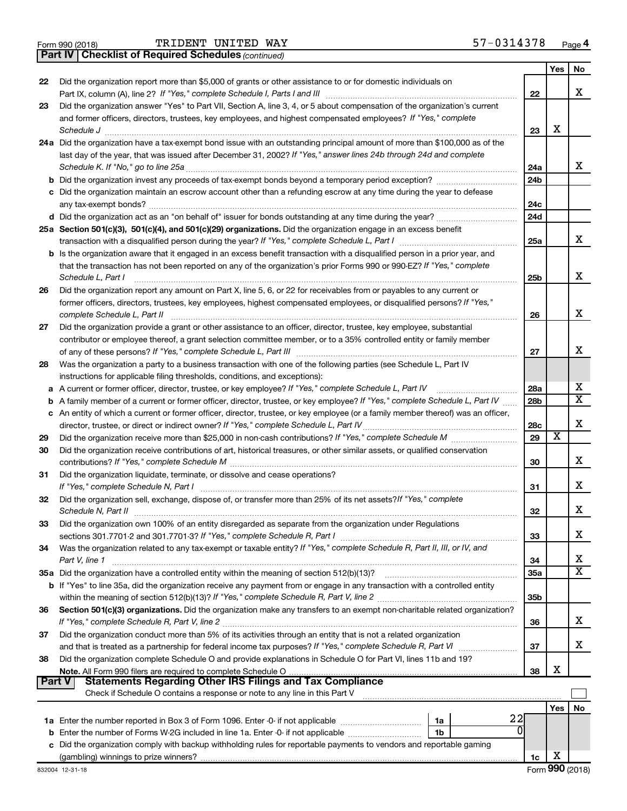|  | Form 990 (2018) |  |
|--|-----------------|--|
|  |                 |  |

TRIDENT UNITED WAY 57-0314378

|               | <b>Part IV   Checklist of Required Schedules (continued)</b>                                                                    |                 |                       |                         |
|---------------|---------------------------------------------------------------------------------------------------------------------------------|-----------------|-----------------------|-------------------------|
|               |                                                                                                                                 |                 | Yes                   | No                      |
| 22            | Did the organization report more than \$5,000 of grants or other assistance to or for domestic individuals on                   |                 |                       |                         |
|               |                                                                                                                                 | 22              |                       | X                       |
| 23            | Did the organization answer "Yes" to Part VII, Section A, line 3, 4, or 5 about compensation of the organization's current      |                 |                       |                         |
|               | and former officers, directors, trustees, key employees, and highest compensated employees? If "Yes," complete                  |                 |                       |                         |
|               |                                                                                                                                 | 23              | X                     |                         |
|               | 24a Did the organization have a tax-exempt bond issue with an outstanding principal amount of more than \$100,000 as of the     |                 |                       |                         |
|               | last day of the year, that was issued after December 31, 2002? If "Yes," answer lines 24b through 24d and complete              |                 |                       |                         |
|               |                                                                                                                                 |                 |                       | x                       |
|               |                                                                                                                                 | 24a             |                       |                         |
|               | <b>b</b> Did the organization invest any proceeds of tax-exempt bonds beyond a temporary period exception?                      | 24 <sub>b</sub> |                       |                         |
|               | c Did the organization maintain an escrow account other than a refunding escrow at any time during the year to defease          |                 |                       |                         |
|               |                                                                                                                                 | 24c             |                       |                         |
|               |                                                                                                                                 | 24d             |                       |                         |
|               | 25a Section 501(c)(3), 501(c)(4), and 501(c)(29) organizations. Did the organization engage in an excess benefit                |                 |                       | x                       |
|               |                                                                                                                                 | 25a             |                       |                         |
|               | b Is the organization aware that it engaged in an excess benefit transaction with a disqualified person in a prior year, and    |                 |                       |                         |
|               | that the transaction has not been reported on any of the organization's prior Forms 990 or 990-EZ? If "Yes," complete           |                 |                       | X                       |
|               | Schedule L, Part I                                                                                                              | 25 <sub>b</sub> |                       |                         |
| 26            | Did the organization report any amount on Part X, line 5, 6, or 22 for receivables from or payables to any current or           |                 |                       |                         |
|               | former officers, directors, trustees, key employees, highest compensated employees, or disqualified persons? If "Yes,"          |                 |                       |                         |
|               | complete Schedule L, Part II                                                                                                    | 26              |                       | x                       |
| 27            | Did the organization provide a grant or other assistance to an officer, director, trustee, key employee, substantial            |                 |                       |                         |
|               | contributor or employee thereof, a grant selection committee member, or to a 35% controlled entity or family member             |                 |                       | х                       |
|               |                                                                                                                                 | 27              |                       |                         |
| 28            | Was the organization a party to a business transaction with one of the following parties (see Schedule L, Part IV               |                 |                       |                         |
|               | instructions for applicable filing thresholds, conditions, and exceptions):                                                     |                 |                       | х                       |
| а             | A current or former officer, director, trustee, or key employee? If "Yes," complete Schedule L, Part IV                         | 28a             |                       | $\overline{\textbf{X}}$ |
| b             | A family member of a current or former officer, director, trustee, or key employee? If "Yes," complete Schedule L, Part IV      | 28 <sub>b</sub> |                       |                         |
| c             | An entity of which a current or former officer, director, trustee, or key employee (or a family member thereof) was an officer, |                 |                       | X                       |
|               | director, trustee, or direct or indirect owner? If "Yes," complete Schedule L, Part IV                                          | 28c             | $\overline{\text{x}}$ |                         |
| 29            |                                                                                                                                 | 29              |                       |                         |
| 30            | Did the organization receive contributions of art, historical treasures, or other similar assets, or qualified conservation     |                 |                       | x                       |
|               |                                                                                                                                 | 30              |                       |                         |
| 31            | Did the organization liquidate, terminate, or dissolve and cease operations?                                                    |                 |                       | х                       |
|               |                                                                                                                                 | 31              |                       |                         |
| 32            | Did the organization sell, exchange, dispose of, or transfer more than 25% of its net assets? If "Yes," complete                |                 |                       | X                       |
|               | Schedule N, Part II                                                                                                             | 32              |                       |                         |
| 33            | Did the organization own 100% of an entity disregarded as separate from the organization under Regulations                      |                 |                       | х                       |
|               |                                                                                                                                 | 33              |                       |                         |
| 34            | Was the organization related to any tax-exempt or taxable entity? If "Yes," complete Schedule R, Part II, III, or IV, and       |                 |                       | х                       |
|               | Part V, line 1                                                                                                                  | 34              |                       | X                       |
|               |                                                                                                                                 | 35a             |                       |                         |
|               | b If "Yes" to line 35a, did the organization receive any payment from or engage in any transaction with a controlled entity     | 35 <sub>b</sub> |                       |                         |
| 36            | Section 501(c)(3) organizations. Did the organization make any transfers to an exempt non-charitable related organization?      |                 |                       |                         |
|               |                                                                                                                                 | 36              |                       | х                       |
| 37            | Did the organization conduct more than 5% of its activities through an entity that is not a related organization                |                 |                       |                         |
|               |                                                                                                                                 | 37              |                       | х                       |
| 38            | Did the organization complete Schedule O and provide explanations in Schedule O for Part VI, lines 11b and 19?                  |                 |                       |                         |
|               | Note. All Form 990 filers are required to complete Schedule O                                                                   | 38              | х                     |                         |
| <b>Part V</b> | Statements Regarding Other IRS Filings and Tax Compliance                                                                       |                 |                       |                         |
|               | Check if Schedule O contains a response or note to any line in this Part V                                                      |                 |                       |                         |
|               |                                                                                                                                 |                 | Yes                   | No                      |
|               | 22<br>1a                                                                                                                        |                 |                       |                         |
| b             | Enter the number of Forms W-2G included in line 1a. Enter -0- if not applicable<br>1b                                           |                 |                       |                         |
|               | Did the organization comply with backup withholding rules for reportable payments to vendors and reportable gaming              |                 |                       |                         |
|               |                                                                                                                                 | 1c              | х                     |                         |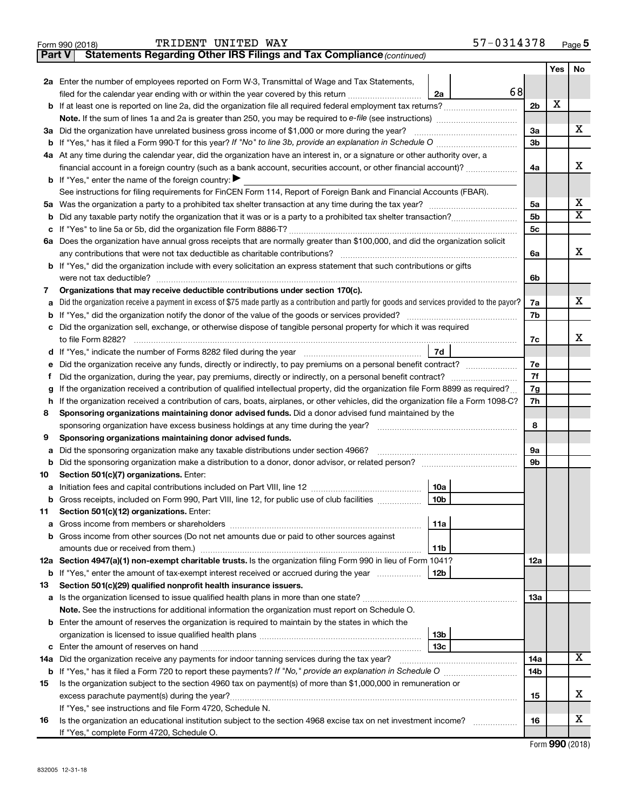|        | TRIDENT UNITED WAY<br>Form 990 (2018)                                                                                                              |                 | 57-0314378 |                |     | Page 5                |
|--------|----------------------------------------------------------------------------------------------------------------------------------------------------|-----------------|------------|----------------|-----|-----------------------|
| Part V | Statements Regarding Other IRS Filings and Tax Compliance (continued)                                                                              |                 |            |                |     |                       |
|        |                                                                                                                                                    |                 |            |                | Yes | No                    |
|        | 2a Enter the number of employees reported on Form W-3, Transmittal of Wage and Tax Statements,                                                     |                 |            |                |     |                       |
|        | filed for the calendar year ending with or within the year covered by this return                                                                  | 2a              | 68         |                |     |                       |
|        |                                                                                                                                                    |                 |            | 2 <sub>b</sub> | X   |                       |
|        | Note. If the sum of lines 1a and 2a is greater than 250, you may be required to e-file (see instructions) <i>marroummann</i>                       |                 |            |                |     |                       |
|        | 3a Did the organization have unrelated business gross income of \$1,000 or more during the year?                                                   |                 |            | За             |     | х                     |
|        | <b>b</b> If "Yes," has it filed a Form 990 T for this year? If "No" to line 3b, provide an explanation in Schedule O <i>managererry interrieum</i> |                 |            | 3b             |     |                       |
|        | 4a At any time during the calendar year, did the organization have an interest in, or a signature or other authority over, a                       |                 |            |                |     |                       |
|        | financial account in a foreign country (such as a bank account, securities account, or other financial account)?                                   |                 |            | 4a             |     | х                     |
|        | <b>b</b> If "Yes," enter the name of the foreign country: $\blacktriangleright$                                                                    |                 |            |                |     |                       |
|        | See instructions for filing requirements for FinCEN Form 114, Report of Foreign Bank and Financial Accounts (FBAR).                                |                 |            |                |     |                       |
|        |                                                                                                                                                    |                 |            | 5a             |     | х                     |
|        |                                                                                                                                                    |                 |            | 5 <sub>b</sub> |     | $\overline{\text{X}}$ |
|        |                                                                                                                                                    |                 |            | 5 <sub>c</sub> |     |                       |
|        | 6a Does the organization have annual gross receipts that are normally greater than \$100,000, and did the organization solicit                     |                 |            |                |     |                       |
|        | any contributions that were not tax deductible as charitable contributions?                                                                        |                 |            | 6a             |     | X                     |
|        | <b>b</b> If "Yes," did the organization include with every solicitation an express statement that such contributions or gifts                      |                 |            |                |     |                       |
|        |                                                                                                                                                    |                 |            | 6b             |     |                       |
| 7      | Organizations that may receive deductible contributions under section 170(c).                                                                      |                 |            |                |     |                       |
| а      | Did the organization receive a payment in excess of \$75 made partly as a contribution and partly for goods and services provided to the payor?    |                 |            | 7a             |     | x                     |
|        | <b>b</b> If "Yes," did the organization notify the donor of the value of the goods or services provided?                                           |                 |            | 7b             |     |                       |
|        | c Did the organization sell, exchange, or otherwise dispose of tangible personal property for which it was required                                |                 |            |                |     |                       |
|        | to file Form 8282?                                                                                                                                 |                 |            | 7c             |     | х                     |
|        |                                                                                                                                                    | 7d              |            |                |     |                       |
| е      | Did the organization receive any funds, directly or indirectly, to pay premiums on a personal benefit contract?                                    |                 |            | 7e             |     |                       |
| Ť      | Did the organization, during the year, pay premiums, directly or indirectly, on a personal benefit contract?                                       |                 |            | 7f             |     |                       |
| g      | If the organization received a contribution of qualified intellectual property, did the organization file Form 8899 as required?                   |                 |            | 7g             |     |                       |
|        | h If the organization received a contribution of cars, boats, airplanes, or other vehicles, did the organization file a Form 1098-C?               |                 |            | 7h             |     |                       |
| 8      | Sponsoring organizations maintaining donor advised funds. Did a donor advised fund maintained by the                                               |                 |            |                |     |                       |
|        | sponsoring organization have excess business holdings at any time during the year?                                                                 |                 |            | 8              |     |                       |
| 9      | Sponsoring organizations maintaining donor advised funds.                                                                                          |                 |            |                |     |                       |
| а      | Did the sponsoring organization make any taxable distributions under section 4966?                                                                 |                 |            | 9а             |     |                       |
| b      | Did the sponsoring organization make a distribution to a donor, donor advisor, or related person?                                                  |                 |            | 9b             |     |                       |
| 10     | Section 501(c)(7) organizations. Enter:                                                                                                            |                 |            |                |     |                       |
|        |                                                                                                                                                    | 10a             |            |                |     |                       |
| b      | Gross receipts, included on Form 990, Part VIII, line 12, for public use of club facilities                                                        | 10b             |            |                |     |                       |
| 11     | Section 501(c)(12) organizations. Enter:                                                                                                           |                 |            |                |     |                       |
| а      |                                                                                                                                                    | 11a             |            |                |     |                       |
|        | b Gross income from other sources (Do not net amounts due or paid to other sources against                                                         |                 |            |                |     |                       |
|        |                                                                                                                                                    | 11b             |            |                |     |                       |
|        | 12a Section 4947(a)(1) non-exempt charitable trusts. Is the organization filing Form 990 in lieu of Form 1041?                                     |                 |            | 12a            |     |                       |
|        | <b>b</b> If "Yes," enter the amount of tax-exempt interest received or accrued during the year                                                     | 12b             |            |                |     |                       |
| 13     | Section 501(c)(29) qualified nonprofit health insurance issuers.                                                                                   |                 |            |                |     |                       |
|        |                                                                                                                                                    |                 |            | 13a            |     |                       |
|        | Note. See the instructions for additional information the organization must report on Schedule O.                                                  |                 |            |                |     |                       |
|        | <b>b</b> Enter the amount of reserves the organization is required to maintain by the states in which the                                          |                 |            |                |     |                       |
|        |                                                                                                                                                    | 13 <sub>b</sub> |            |                |     |                       |
|        |                                                                                                                                                    | 13с             |            |                |     | X                     |
| 14a    | Did the organization receive any payments for indoor tanning services during the tax year?                                                         |                 |            | 14a            |     |                       |
|        |                                                                                                                                                    |                 |            | 14b            |     |                       |
| 15     | Is the organization subject to the section 4960 tax on payment(s) of more than \$1,000,000 in remuneration or                                      |                 |            |                |     |                       |
|        |                                                                                                                                                    |                 |            | 15             |     | х                     |
|        | If "Yes," see instructions and file Form 4720, Schedule N.                                                                                         |                 |            |                |     | х                     |
| 16     | Is the organization an educational institution subject to the section 4968 excise tax on net investment income?                                    |                 |            | 16             |     |                       |
|        | If "Yes," complete Form 4720, Schedule O.                                                                                                          |                 |            |                |     |                       |

Form (2018) **990**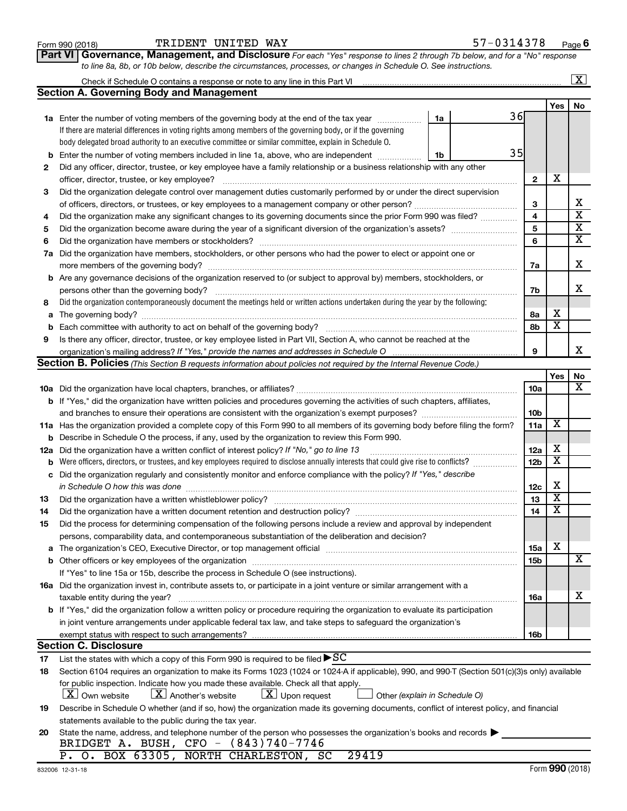Form 990 (2018) Page TRIDENT UNITED WAY 57-0314378

**Part VI** Governance, Management, and Disclosure For each "Yes" response to lines 2 through 7b below, and for a "No" response *to line 8a, 8b, or 10b below, describe the circumstances, processes, or changes in Schedule O. See instructions.*

|     |                                                                                                                                                 |    |    |                 |                         | $\overline{\text{X}}$   |
|-----|-------------------------------------------------------------------------------------------------------------------------------------------------|----|----|-----------------|-------------------------|-------------------------|
|     | <b>Section A. Governing Body and Management</b>                                                                                                 |    |    |                 |                         |                         |
|     |                                                                                                                                                 |    |    |                 | Yes                     | No                      |
|     | <b>1a</b> Enter the number of voting members of the governing body at the end of the tax year                                                   | 1a | 36 |                 |                         |                         |
|     | If there are material differences in voting rights among members of the governing body, or if the governing                                     |    |    |                 |                         |                         |
|     | body delegated broad authority to an executive committee or similar committee, explain in Schedule O.                                           |    |    |                 |                         |                         |
| b   | Enter the number of voting members included in line 1a, above, who are independent                                                              | 1b | 35 |                 |                         |                         |
| 2   | Did any officer, director, trustee, or key employee have a family relationship or a business relationship with any other                        |    |    |                 |                         |                         |
|     | officer, director, trustee, or key employee?                                                                                                    |    |    | $\mathbf{2}$    | X                       |                         |
| 3   | Did the organization delegate control over management duties customarily performed by or under the direct supervision                           |    |    |                 |                         |                         |
|     |                                                                                                                                                 |    |    | 3               |                         | х                       |
| 4   | Did the organization make any significant changes to its governing documents since the prior Form 990 was filed?                                |    |    | 4               |                         | $\overline{\textbf{x}}$ |
| 5   |                                                                                                                                                 |    |    | 5               |                         | $\overline{\mathbf{x}}$ |
| 6   |                                                                                                                                                 |    |    | 6               |                         | $\overline{\mathbf{x}}$ |
| 7a  | Did the organization have members, stockholders, or other persons who had the power to elect or appoint one or                                  |    |    |                 |                         |                         |
|     | more members of the governing body?                                                                                                             |    |    | 7a              |                         | х                       |
|     | <b>b</b> Are any governance decisions of the organization reserved to (or subject to approval by) members, stockholders, or                     |    |    |                 |                         |                         |
|     | persons other than the governing body?                                                                                                          |    |    | 7b              |                         | x                       |
| 8   | Did the organization contemporaneously document the meetings held or written actions undertaken during the year by the following:               |    |    |                 |                         |                         |
| a   |                                                                                                                                                 |    |    | 8а              | х                       |                         |
| b   |                                                                                                                                                 |    |    | 8b              | $\overline{\mathbf{x}}$ |                         |
| 9   | Is there any officer, director, trustee, or key employee listed in Part VII, Section A, who cannot be reached at the                            |    |    |                 |                         |                         |
|     |                                                                                                                                                 |    |    | 9               |                         | x                       |
|     | Section B. Policies (This Section B requests information about policies not required by the Internal Revenue Code.)                             |    |    |                 |                         |                         |
|     |                                                                                                                                                 |    |    |                 | Yes                     | No                      |
|     |                                                                                                                                                 |    |    | 10a             |                         | х                       |
|     | <b>b</b> If "Yes," did the organization have written policies and procedures governing the activities of such chapters, affiliates,             |    |    |                 |                         |                         |
|     |                                                                                                                                                 |    |    | 10 <sub>b</sub> |                         |                         |
|     | 11a Has the organization provided a complete copy of this Form 990 to all members of its governing body before filing the form?                 |    |    | 11a             | X                       |                         |
| b   | Describe in Schedule O the process, if any, used by the organization to review this Form 990.                                                   |    |    |                 |                         |                         |
| 12a | Did the organization have a written conflict of interest policy? If "No," go to line 13                                                         |    |    | 12a             | х                       |                         |
| b   | Were officers, directors, or trustees, and key employees required to disclose annually interests that could give rise to conflicts?             |    |    | 12 <sub>b</sub> | $\overline{\textbf{x}}$ |                         |
| с   | Did the organization regularly and consistently monitor and enforce compliance with the policy? If "Yes," describe                              |    |    |                 |                         |                         |
|     | in Schedule O how this was done                                                                                                                 |    |    | 12c             | х                       |                         |
| 13  | Did the organization have a written whistleblower policy?                                                                                       |    |    | 13              | $\overline{\textbf{x}}$ |                         |
| 14  |                                                                                                                                                 |    |    | 14              | $\overline{\textbf{x}}$ |                         |
| 15  | Did the process for determining compensation of the following persons include a review and approval by independent                              |    |    |                 |                         |                         |
|     | persons, comparability data, and contemporaneous substantiation of the deliberation and decision?                                               |    |    |                 |                         |                         |
| а   |                                                                                                                                                 |    |    | <b>15a</b>      | х                       |                         |
|     |                                                                                                                                                 |    |    | 15b             |                         | х                       |
|     | If "Yes" to line 15a or 15b, describe the process in Schedule O (see instructions).                                                             |    |    |                 |                         |                         |
|     | 16a Did the organization invest in, contribute assets to, or participate in a joint venture or similar arrangement with a                       |    |    |                 |                         |                         |
|     | taxable entity during the year?                                                                                                                 |    |    | 16a             |                         | x                       |
|     | b If "Yes," did the organization follow a written policy or procedure requiring the organization to evaluate its participation                  |    |    |                 |                         |                         |
|     | in joint venture arrangements under applicable federal tax law, and take steps to safeguard the organization's                                  |    |    |                 |                         |                         |
|     | exempt status with respect to such arrangements?                                                                                                |    |    | 16b             |                         |                         |
|     | <b>Section C. Disclosure</b>                                                                                                                    |    |    |                 |                         |                         |
| 17  | List the states with which a copy of this Form 990 is required to be filed $\blacktriangleright$ SC                                             |    |    |                 |                         |                         |
| 18  | Section 6104 requires an organization to make its Forms 1023 (1024 or 1024 A if applicable), 990, and 990-T (Section 501(c)(3)s only) available |    |    |                 |                         |                         |
|     | for public inspection. Indicate how you made these available. Check all that apply.                                                             |    |    |                 |                         |                         |
|     | $\lfloor x \rfloor$ Upon request<br>$\lfloor X \rfloor$ Own website<br>$\lfloor X \rfloor$ Another's website<br>Other (explain in Schedule O)   |    |    |                 |                         |                         |
| 19  | Describe in Schedule O whether (and if so, how) the organization made its governing documents, conflict of interest policy, and financial       |    |    |                 |                         |                         |
|     | statements available to the public during the tax year.                                                                                         |    |    |                 |                         |                         |
| 20  | State the name, address, and telephone number of the person who possesses the organization's books and records                                  |    |    |                 |                         |                         |
|     | BRIDGET A. BUSH, CFO - (843)740-7746                                                                                                            |    |    |                 |                         |                         |
|     | P. O. BOX 63305, NORTH CHARLESTON, SC<br>29419                                                                                                  |    |    |                 |                         |                         |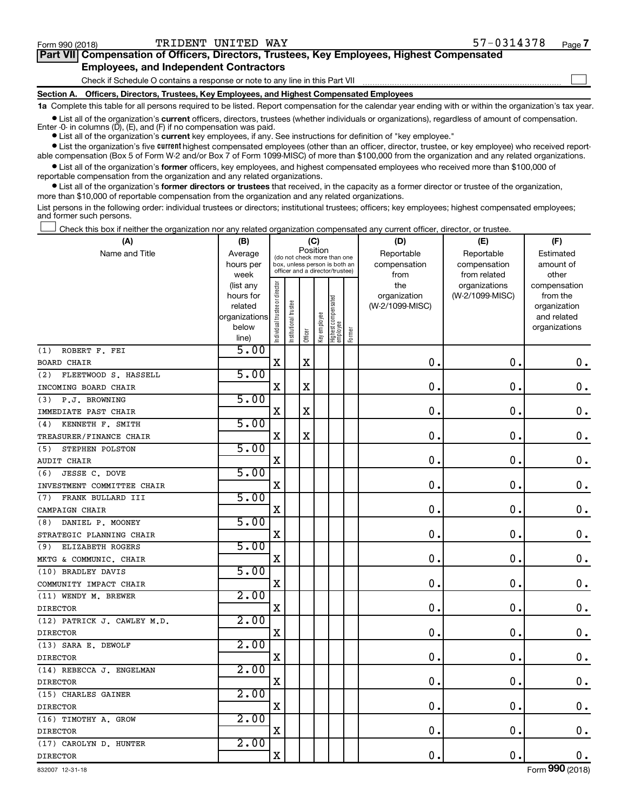$\Box$ 

| Part VII Compensation of Officers, Directors, Trustees, Key Employees, Highest Compensated |
|--------------------------------------------------------------------------------------------|
| <b>Employees, and Independent Contractors</b>                                              |

Check if Schedule O contains a response or note to any line in this Part VII

**Section A. Officers, Directors, Trustees, Key Employees, and Highest Compensated Employees**

**1a**  Complete this table for all persons required to be listed. Report compensation for the calendar year ending with or within the organization's tax year.

**•** List all of the organization's current officers, directors, trustees (whether individuals or organizations), regardless of amount of compensation. Enter -0- in columns  $(D)$ ,  $(E)$ , and  $(F)$  if no compensation was paid.

**•** List all of the organization's **current** key employees, if any. See instructions for definition of "key employee."

**•** List the organization's five current highest compensated employees (other than an officer, director, trustee, or key employee) who received reportable compensation (Box 5 of Form W-2 and/or Box 7 of Form 1099-MISC) of more than \$100,000 from the organization and any related organizations.

**•** List all of the organization's former officers, key employees, and highest compensated employees who received more than \$100,000 of reportable compensation from the organization and any related organizations.

**•** List all of the organization's former directors or trustees that received, in the capacity as a former director or trustee of the organization, more than \$10,000 of reportable compensation from the organization and any related organizations.

List persons in the following order: individual trustees or directors; institutional trustees; officers; key employees; highest compensated employees; and former such persons.

Check this box if neither the organization nor any related organization compensated any current officer, director, or trustee.  $\Box$ 

| (A)                         | (B)                                                                          |                                |                                                                                                             | (C)         |              |                                 |        | (D)                                            | (E)                                              | (F)                                                                               |
|-----------------------------|------------------------------------------------------------------------------|--------------------------------|-------------------------------------------------------------------------------------------------------------|-------------|--------------|---------------------------------|--------|------------------------------------------------|--------------------------------------------------|-----------------------------------------------------------------------------------|
| Name and Title              | Average<br>hours per                                                         |                                | Position<br>(do not check more than one<br>box, unless person is both an<br>officer and a director/trustee) |             |              |                                 |        | Reportable<br>compensation                     | Reportable<br>compensation                       | Estimated<br>amount of                                                            |
|                             | week<br>(list any<br>hours for<br>related<br>organizations<br>below<br>line) | Individual trustee or director | trustee<br>nstitutional                                                                                     | Officer     | Key employee | Highest compensated<br>employee | Former | from<br>the<br>organization<br>(W-2/1099-MISC) | from related<br>organizations<br>(W-2/1099-MISC) | other<br>compensation<br>from the<br>organization<br>and related<br>organizations |
| ROBERT F. FEI<br>(1)        | 5.00                                                                         |                                |                                                                                                             |             |              |                                 |        |                                                |                                                  |                                                                                   |
| <b>BOARD CHAIR</b>          |                                                                              | $\mathbf X$                    |                                                                                                             | $\mathbf X$ |              |                                 |        | 0.                                             | $\mathbf 0$ .                                    | 0.                                                                                |
| FLEETWOOD S. HASSELL<br>(2) | 5.00                                                                         |                                |                                                                                                             |             |              |                                 |        |                                                |                                                  |                                                                                   |
| INCOMING BOARD CHAIR        |                                                                              | $\mathbf X$                    |                                                                                                             | X           |              |                                 |        | $\mathbf 0$ .                                  | $\mathbf 0$ .                                    | $\mathbf 0$ .                                                                     |
| P.J. BROWNING<br>(3)        | 5.00                                                                         |                                |                                                                                                             |             |              |                                 |        |                                                |                                                  |                                                                                   |
| IMMEDIATE PAST CHAIR        |                                                                              | $\mathbf X$                    |                                                                                                             | $\mathbf X$ |              |                                 |        | $\mathbf 0$ .                                  | $\mathbf 0$ .                                    | $\mathbf 0$ .                                                                     |
| KENNETH F. SMITH<br>(4)     | 5.00                                                                         |                                |                                                                                                             |             |              |                                 |        |                                                |                                                  |                                                                                   |
| TREASURER/FINANCE CHAIR     |                                                                              | $\mathbf x$                    |                                                                                                             | X           |              |                                 |        | 0.                                             | $\mathbf 0$ .                                    | $\mathbf 0$ .                                                                     |
| STEPHEN POLSTON<br>(5)      | 5.00                                                                         |                                |                                                                                                             |             |              |                                 |        |                                                |                                                  |                                                                                   |
| <b>AUDIT CHAIR</b>          |                                                                              | $\mathbf X$                    |                                                                                                             |             |              |                                 |        | $\mathbf 0$ .                                  | $\mathbf 0$ .                                    | $\mathbf 0$ .                                                                     |
| JESSE C. DOVE<br>(6)        | 5.00                                                                         |                                |                                                                                                             |             |              |                                 |        |                                                |                                                  |                                                                                   |
| INVESTMENT COMMITTEE CHAIR  |                                                                              | X                              |                                                                                                             |             |              |                                 |        | $\mathbf 0$ .                                  | $\mathbf 0$ .                                    | $\mathbf 0$ .                                                                     |
| FRANK BULLARD III<br>(7)    | 5.00                                                                         |                                |                                                                                                             |             |              |                                 |        |                                                |                                                  |                                                                                   |
| CAMPAIGN CHAIR              |                                                                              | $\mathbf X$                    |                                                                                                             |             |              |                                 |        | $\mathbf 0$ .                                  | $\mathbf 0$ .                                    | $\boldsymbol{0}$ .                                                                |
| DANIEL P. MOONEY<br>(8)     | 5.00                                                                         |                                |                                                                                                             |             |              |                                 |        |                                                |                                                  |                                                                                   |
| STRATEGIC PLANNING CHAIR    |                                                                              | $\mathbf X$                    |                                                                                                             |             |              |                                 |        | $\mathbf 0$ .                                  | $\mathbf 0$ .                                    | $\mathbf 0$ .                                                                     |
| (9) ELIZABETH ROGERS        | 5.00                                                                         |                                |                                                                                                             |             |              |                                 |        |                                                |                                                  |                                                                                   |
| MKTG & COMMUNIC. CHAIR      |                                                                              | $\mathbf X$                    |                                                                                                             |             |              |                                 |        | $\mathbf 0$ .                                  | $\mathbf 0$ .                                    | $\mathbf 0$ .                                                                     |
| (10) BRADLEY DAVIS          | 5.00                                                                         |                                |                                                                                                             |             |              |                                 |        |                                                |                                                  |                                                                                   |
| COMMUNITY IMPACT CHAIR      |                                                                              | $\mathbf X$                    |                                                                                                             |             |              |                                 |        | $\mathbf 0$ .                                  | $\mathbf 0$ .                                    | $\mathbf 0$ .                                                                     |
| (11) WENDY M. BREWER        | 2.00                                                                         |                                |                                                                                                             |             |              |                                 |        |                                                |                                                  |                                                                                   |
| <b>DIRECTOR</b>             |                                                                              | $\mathbf X$                    |                                                                                                             |             |              |                                 |        | $\mathbf 0$ .                                  | 0.                                               | $\mathbf 0$ .                                                                     |
| (12) PATRICK J. CAWLEY M.D. | 2.00                                                                         |                                |                                                                                                             |             |              |                                 |        |                                                |                                                  |                                                                                   |
| <b>DIRECTOR</b>             |                                                                              | $\overline{\mathbf{X}}$        |                                                                                                             |             |              |                                 |        | $\mathbf 0$ .                                  | $\mathbf 0$ .                                    | 0.                                                                                |
| (13) SARA E. DEWOLF         | 2.00                                                                         |                                |                                                                                                             |             |              |                                 |        |                                                |                                                  |                                                                                   |
| <b>DIRECTOR</b>             |                                                                              | $\mathbf X$                    |                                                                                                             |             |              |                                 |        | $\mathbf 0$ .                                  | $\mathbf 0$ .                                    | $\mathbf 0$ .                                                                     |
| (14) REBECCA J. ENGELMAN    | 2.00                                                                         |                                |                                                                                                             |             |              |                                 |        |                                                |                                                  |                                                                                   |
| <b>DIRECTOR</b>             |                                                                              | X                              |                                                                                                             |             |              |                                 |        | $\mathbf 0$                                    | $\mathbf 0$ .                                    | 0.                                                                                |
| (15) CHARLES GAINER         | 2.00                                                                         |                                |                                                                                                             |             |              |                                 |        |                                                |                                                  |                                                                                   |
| <b>DIRECTOR</b>             |                                                                              | $\overline{\mathbf{X}}$        |                                                                                                             |             |              |                                 |        | $\mathbf 0$                                    | $\mathbf 0$ .                                    | 0.                                                                                |
| (16) TIMOTHY A. GROW        | 2.00                                                                         |                                |                                                                                                             |             |              |                                 |        |                                                |                                                  |                                                                                   |
| <b>DIRECTOR</b>             |                                                                              | $\overline{\mathbf{X}}$        |                                                                                                             |             |              |                                 |        | $\mathbf 0$ .                                  | $\mathbf 0$ .                                    | $\mathbf 0$ .                                                                     |
| (17) CAROLYN D. HUNTER      | 2.00                                                                         |                                |                                                                                                             |             |              |                                 |        |                                                |                                                  |                                                                                   |
| <b>DIRECTOR</b>             |                                                                              | $\mathbf X$                    |                                                                                                             |             |              |                                 |        | $\mathbf 0$ .                                  | $\mathbf 0$ .                                    | 0.                                                                                |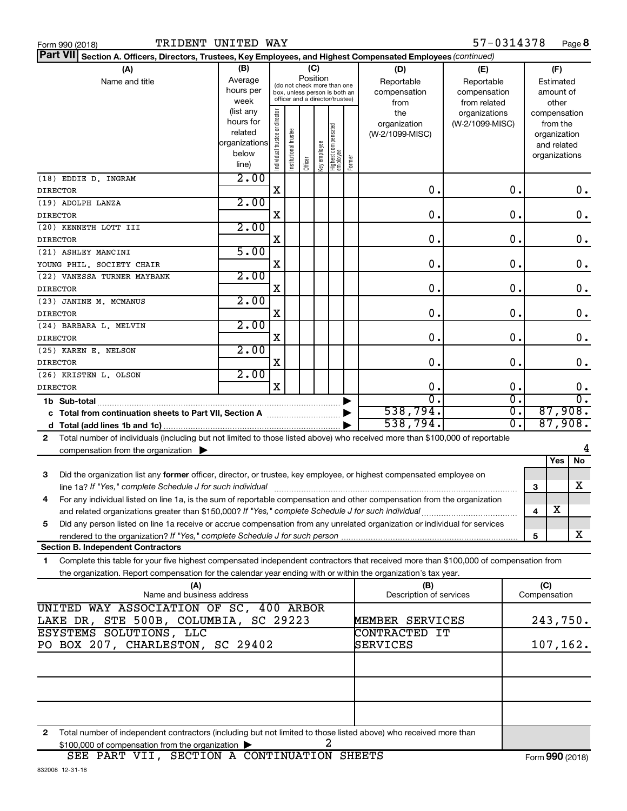| Form 990 (2018 |  |  |
|----------------|--|--|
|                |  |  |

| Part VII Section A. Officers, Directors, Trustees, Key Employees, and Highest Compensated Employees (continued)                            |                          |                                |                       |         |              |                                                              |        |                         |                 |           |               |           |                |
|--------------------------------------------------------------------------------------------------------------------------------------------|--------------------------|--------------------------------|-----------------------|---------|--------------|--------------------------------------------------------------|--------|-------------------------|-----------------|-----------|---------------|-----------|----------------|
| (A)                                                                                                                                        | (B)                      |                                |                       |         | (C)          |                                                              |        | (D)                     | (E)             |           |               | (F)       |                |
| Name and title                                                                                                                             | Average                  |                                |                       |         | Position     |                                                              |        | Reportable              | Reportable      | Estimated |               |           |                |
|                                                                                                                                            | hours per                |                                |                       |         |              | (do not check more than one<br>box, unless person is both an |        | compensation            | compensation    |           |               | amount of |                |
|                                                                                                                                            | week                     |                                |                       |         |              | officer and a director/trustee)                              |        | from                    | from related    |           |               | other     |                |
|                                                                                                                                            | (list any                |                                |                       |         |              |                                                              |        | the                     | organizations   |           | compensation  |           |                |
|                                                                                                                                            | hours for                |                                |                       |         |              |                                                              |        | organization            | (W-2/1099-MISC) |           |               | from the  |                |
|                                                                                                                                            | related<br>organizations |                                |                       |         |              |                                                              |        | (W-2/1099-MISC)         |                 |           | organization  |           |                |
|                                                                                                                                            | below                    |                                |                       |         |              |                                                              |        |                         |                 |           | and related   |           |                |
|                                                                                                                                            | line)                    | Individual trustee or director | Institutional trustee | Officer | Key employee | Highest compensated<br>employee                              | Former |                         |                 |           | organizations |           |                |
| (18) EDDIE D. INGRAM                                                                                                                       | 2.00                     |                                |                       |         |              |                                                              |        |                         |                 |           |               |           |                |
| <b>DIRECTOR</b>                                                                                                                            |                          | X                              |                       |         |              |                                                              |        | О.                      | 0.              |           |               |           | 0.             |
| (19) ADOLPH LANZA                                                                                                                          | 2.00                     |                                |                       |         |              |                                                              |        |                         |                 |           |               |           |                |
| <b>DIRECTOR</b>                                                                                                                            |                          | X                              |                       |         |              |                                                              |        | О.                      | 0.              |           |               |           | 0.             |
| (20) KENNETH LOTT III                                                                                                                      | 2.00                     |                                |                       |         |              |                                                              |        |                         |                 |           |               |           |                |
| <b>DIRECTOR</b>                                                                                                                            |                          | X                              |                       |         |              |                                                              |        | 0.                      | 0.              |           |               |           | $\mathbf 0$ .  |
| (21) ASHLEY MANCINI                                                                                                                        | 5.00                     |                                |                       |         |              |                                                              |        |                         |                 |           |               |           |                |
| YOUNG PHIL, SOCIETY CHAIR                                                                                                                  |                          | X                              |                       |         |              |                                                              |        | 0.                      | 0.              |           |               |           | 0.             |
| (22) VANESSA TURNER MAYBANK                                                                                                                | 2.00                     |                                |                       |         |              |                                                              |        |                         |                 |           |               |           |                |
| <b>DIRECTOR</b>                                                                                                                            | 2.00                     | X                              |                       |         |              |                                                              |        | 0.                      | 0.              |           |               |           | 0.             |
| (23) JANINE M. MCMANUS<br><b>DIRECTOR</b>                                                                                                  |                          | X                              |                       |         |              |                                                              |        | О.                      | 0.              |           |               |           | 0.             |
| (24) BARBARA L. MELVIN                                                                                                                     | 2.00                     |                                |                       |         |              |                                                              |        |                         |                 |           |               |           |                |
| <b>DIRECTOR</b>                                                                                                                            |                          | X                              |                       |         |              |                                                              |        | О.                      | 0.              |           |               |           | $\mathbf 0$ .  |
| (25) KAREN E. NELSON                                                                                                                       | 2.00                     |                                |                       |         |              |                                                              |        |                         |                 |           |               |           |                |
| <b>DIRECTOR</b>                                                                                                                            |                          | X                              |                       |         |              |                                                              |        | О.                      | О.              |           |               |           | 0.             |
| (26) KRISTEN L. OLSON                                                                                                                      | 2.00                     |                                |                       |         |              |                                                              |        |                         |                 |           |               |           |                |
| <b>DIRECTOR</b>                                                                                                                            |                          | X                              |                       |         |              |                                                              |        | О.                      | О.              |           |               |           | 0.             |
|                                                                                                                                            |                          |                                |                       |         |              |                                                              |        | $\overline{0}$          | σ.              |           |               |           | σ.             |
|                                                                                                                                            |                          |                                |                       |         |              |                                                              |        | 538,794.                | σ.              |           |               |           | 87,908.        |
|                                                                                                                                            |                          |                                |                       |         |              |                                                              |        | 538,794.                | Ο.              |           |               |           | 87,908.        |
| Total number of individuals (including but not limited to those listed above) who received more than \$100,000 of reportable<br>2          |                          |                                |                       |         |              |                                                              |        |                         |                 |           |               |           |                |
| compensation from the organization                                                                                                         |                          |                                |                       |         |              |                                                              |        |                         |                 |           |               | Yes       | 4<br><b>No</b> |
|                                                                                                                                            |                          |                                |                       |         |              |                                                              |        |                         |                 |           |               |           |                |
| Did the organization list any former officer, director, or trustee, key employee, or highest compensated employee on<br>3                  |                          |                                |                       |         |              |                                                              |        |                         |                 |           | 3             |           | x              |
| For any individual listed on line 1a, is the sum of reportable compensation and other compensation from the organization<br>4              |                          |                                |                       |         |              |                                                              |        |                         |                 |           |               |           |                |
|                                                                                                                                            |                          |                                |                       |         |              |                                                              |        |                         |                 |           | 4             | X         |                |
| Did any person listed on line 1a receive or accrue compensation from any unrelated organization or individual for services<br>5            |                          |                                |                       |         |              |                                                              |        |                         |                 |           |               |           |                |
|                                                                                                                                            |                          |                                |                       |         |              |                                                              |        |                         |                 |           | 5             |           | x              |
| <b>Section B. Independent Contractors</b>                                                                                                  |                          |                                |                       |         |              |                                                              |        |                         |                 |           |               |           |                |
| Complete this table for your five highest compensated independent contractors that received more than \$100,000 of compensation from<br>1. |                          |                                |                       |         |              |                                                              |        |                         |                 |           |               |           |                |
| the organization. Report compensation for the calendar year ending with or within the organization's tax year.                             |                          |                                |                       |         |              |                                                              |        |                         |                 |           |               |           |                |
| (A)                                                                                                                                        |                          |                                |                       |         |              |                                                              |        | (B)                     |                 |           | (C)           |           |                |
| Name and business address<br>UNITED WAY ASSOCIATION OF SC, 400 ARBOR                                                                       |                          |                                |                       |         |              |                                                              |        | Description of services |                 |           | Compensation  |           |                |
| LAKE DR, STE 500B, COLUMBIA, SC 29223                                                                                                      |                          |                                |                       |         |              |                                                              |        | MEMBER SERVICES         |                 |           | 243,750.      |           |                |
| ESYSTEMS SOLUTIONS, LLC                                                                                                                    |                          |                                |                       |         |              |                                                              |        | CONTRACTED IT           |                 |           |               |           |                |
| PO BOX 207, CHARLESTON, SC 29402                                                                                                           |                          |                                |                       |         |              |                                                              |        | SERVICES                |                 |           | 107, 162.     |           |                |
|                                                                                                                                            |                          |                                |                       |         |              |                                                              |        |                         |                 |           |               |           |                |
|                                                                                                                                            |                          |                                |                       |         |              |                                                              |        |                         |                 |           |               |           |                |
|                                                                                                                                            |                          |                                |                       |         |              |                                                              |        |                         |                 |           |               |           |                |
|                                                                                                                                            |                          |                                |                       |         |              |                                                              |        |                         |                 |           |               |           |                |
|                                                                                                                                            |                          |                                |                       |         |              |                                                              |        |                         |                 |           |               |           |                |
|                                                                                                                                            |                          |                                |                       |         |              |                                                              |        |                         |                 |           |               |           |                |

**2** Total number of independent contractors (including but not limited to those listed above) who received more than  $$100,000$  of compensation from the organization  $\blacktriangleright$  2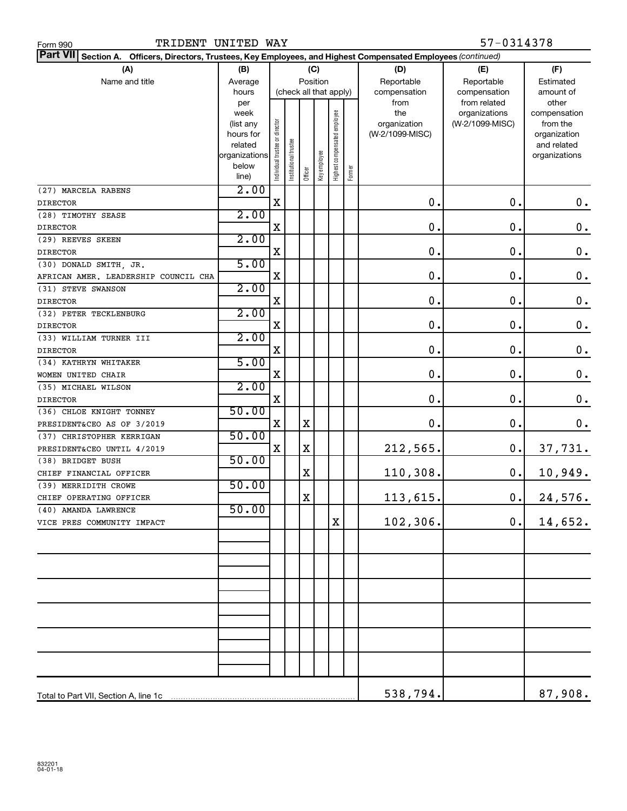| Part VII Section A. Officers, Directors, Trustees, Key Employees, and Highest Compensated Employees (continued) |                   |                                |                        |         |              |                              |        |                     |                                  |                          |
|-----------------------------------------------------------------------------------------------------------------|-------------------|--------------------------------|------------------------|---------|--------------|------------------------------|--------|---------------------|----------------------------------|--------------------------|
| (A)                                                                                                             | (B)               |                                |                        |         | (C)          |                              |        | (D)                 | (E)                              | (F)                      |
| Name and title                                                                                                  | Average           |                                |                        |         | Position     |                              |        | Reportable          | Reportable                       | Estimated                |
|                                                                                                                 | hours             |                                | (check all that apply) |         |              |                              |        | compensation        | compensation                     | amount of                |
|                                                                                                                 | per               |                                |                        |         |              |                              |        | from                | from related                     | other                    |
|                                                                                                                 | week<br>(list any |                                |                        |         |              |                              |        | the<br>organization | organizations<br>(W-2/1099-MISC) | compensation<br>from the |
|                                                                                                                 | hours for         |                                |                        |         |              |                              |        | (W-2/1099-MISC)     |                                  | organization             |
|                                                                                                                 | related           |                                |                        |         |              |                              |        |                     |                                  | and related              |
|                                                                                                                 | organizations     |                                |                        |         |              |                              |        |                     |                                  | organizations            |
|                                                                                                                 | below             | Individual trustee or director | nstitutional trustee   | Officer | Key employee | Highest compensated employee | Former |                     |                                  |                          |
|                                                                                                                 | line)             |                                |                        |         |              |                              |        |                     |                                  |                          |
| (27) MARCELA RABENS                                                                                             | 2.00              |                                |                        |         |              |                              |        |                     | 0.                               |                          |
| <b>DIRECTOR</b>                                                                                                 | 2.00              | X                              |                        |         |              |                              |        | 0.                  |                                  | 0.                       |
| (28) TIMOTHY SEASE                                                                                              |                   | X                              |                        |         |              |                              |        | 0.                  | $\mathbf 0$ .                    | $\mathbf 0$ .            |
| <b>DIRECTOR</b><br>(29) REEVES SKEEN                                                                            | 2.00              |                                |                        |         |              |                              |        |                     |                                  |                          |
| <b>DIRECTOR</b>                                                                                                 |                   | X                              |                        |         |              |                              |        | 0.                  | 0.                               | $\mathbf 0$ .            |
| (30) DONALD SMITH, JR.                                                                                          | 5.00              |                                |                        |         |              |                              |        |                     |                                  |                          |
| AFRICAN AMER. LEADERSHIP COUNCIL CHA                                                                            |                   | X                              |                        |         |              |                              |        | $\mathbf 0$ .       | $\mathbf 0$ .                    | $\mathbf 0$ .            |
| (31) STEVE SWANSON                                                                                              | 2.00              |                                |                        |         |              |                              |        |                     |                                  |                          |
| <b>DIRECTOR</b>                                                                                                 |                   | X                              |                        |         |              |                              |        | $\mathbf 0$ .       | $\mathbf 0$ .                    | $\mathbf 0$ .            |
| (32) PETER TECKLENBURG                                                                                          | 2.00              |                                |                        |         |              |                              |        |                     |                                  |                          |
| <b>DIRECTOR</b>                                                                                                 |                   | X                              |                        |         |              |                              |        | $\mathbf 0$ .       | $\mathbf 0$ .                    | $\mathbf 0$ .            |
| (33) WILLIAM TURNER III                                                                                         | 2.00              |                                |                        |         |              |                              |        |                     |                                  |                          |
| <b>DIRECTOR</b>                                                                                                 |                   | X                              |                        |         |              |                              |        | 0.                  | $\mathbf 0$ .                    | $\mathbf 0$ .            |
| (34) KATHRYN WHITAKER                                                                                           | 5.00              |                                |                        |         |              |                              |        |                     |                                  |                          |
| WOMEN UNITED CHAIR                                                                                              |                   | X                              |                        |         |              |                              |        | 0.                  | $\mathbf 0$ .                    | $\mathbf 0$ .            |
| (35) MICHAEL WILSON                                                                                             | 2.00              |                                |                        |         |              |                              |        |                     |                                  |                          |
| <b>DIRECTOR</b>                                                                                                 |                   | X                              |                        |         |              |                              |        | 0.                  | $\mathbf 0$ .                    | $\mathbf 0$ .            |
| (36) CHLOE KNIGHT TONNEY                                                                                        | 50.00             |                                |                        |         |              |                              |        |                     |                                  |                          |
| PRESIDENT&CEO AS OF 3/2019                                                                                      |                   | X                              |                        | х       |              |                              |        | 0.                  | 0.                               | $\mathbf 0$ .            |
| (37) CHRISTOPHER KERRIGAN                                                                                       | 50.00             |                                |                        |         |              |                              |        |                     |                                  |                          |
| PRESIDENT&CEO UNTIL 4/2019                                                                                      |                   | X                              |                        | х       |              |                              |        | 212,565.            | 0.                               | 37,731.                  |
| (38) BRIDGET BUSH                                                                                               | 50.00             |                                |                        |         |              |                              |        |                     |                                  |                          |
| CHIEF FINANCIAL OFFICER                                                                                         |                   |                                |                        | х       |              |                              |        | 110,308.            | 0.                               | 10,949.                  |
| (39) MERRIDITH CROWE                                                                                            | 50.00             |                                |                        |         |              |                              |        |                     |                                  |                          |
| CHIEF OPERATING OFFICER                                                                                         |                   |                                |                        | X       |              |                              |        | 113,615.            | 0.                               | 24,576.                  |
| (40) AMANDA LAWRENCE                                                                                            | 50.00             |                                |                        |         |              |                              |        |                     |                                  |                          |
| VICE PRES COMMUNITY IMPACT                                                                                      |                   |                                |                        |         |              | X                            |        | 102,306.            | $0$ .                            | 14,652.                  |
|                                                                                                                 |                   |                                |                        |         |              |                              |        |                     |                                  |                          |
|                                                                                                                 |                   |                                |                        |         |              |                              |        |                     |                                  |                          |
|                                                                                                                 |                   |                                |                        |         |              |                              |        |                     |                                  |                          |
|                                                                                                                 |                   |                                |                        |         |              |                              |        |                     |                                  |                          |
|                                                                                                                 |                   |                                |                        |         |              |                              |        |                     |                                  |                          |
|                                                                                                                 |                   |                                |                        |         |              |                              |        |                     |                                  |                          |
|                                                                                                                 |                   |                                |                        |         |              |                              |        |                     |                                  |                          |
|                                                                                                                 |                   |                                |                        |         |              |                              |        |                     |                                  |                          |
|                                                                                                                 |                   |                                |                        |         |              |                              |        |                     |                                  |                          |
|                                                                                                                 |                   |                                |                        |         |              |                              |        |                     |                                  |                          |
|                                                                                                                 |                   |                                |                        |         |              |                              |        |                     |                                  |                          |
|                                                                                                                 |                   |                                |                        |         |              |                              |        |                     |                                  |                          |
|                                                                                                                 |                   |                                |                        |         |              |                              |        | 538,794.            |                                  | 87,908.                  |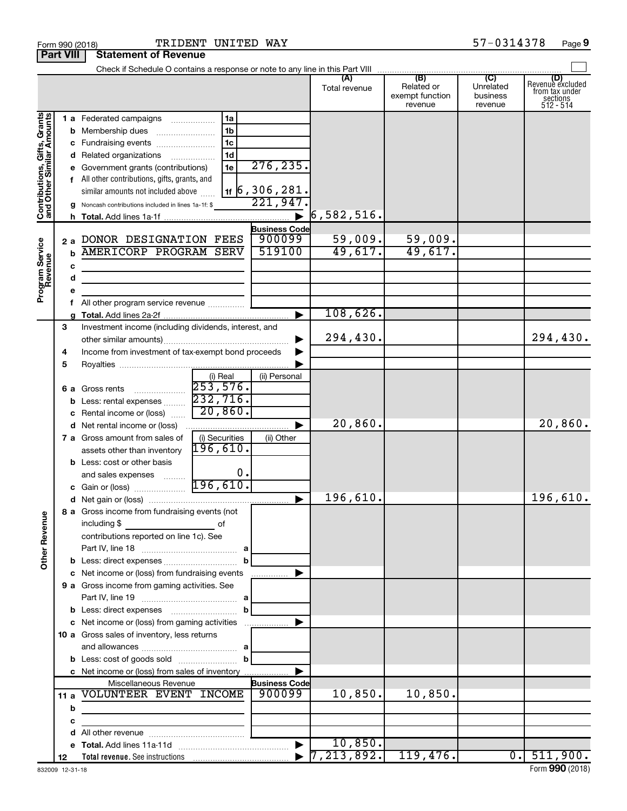|                                                           |     | Check if Schedule O contains a response or note to any line in this Part VIII      |                       |                                  |                                                 |                                         |                                                             |
|-----------------------------------------------------------|-----|------------------------------------------------------------------------------------|-----------------------|----------------------------------|-------------------------------------------------|-----------------------------------------|-------------------------------------------------------------|
|                                                           |     |                                                                                    |                       | Total revenue                    | (B)<br>Related or<br>exempt function<br>revenue | (C)<br>Unrelated<br>business<br>revenue | Revenue excluded<br>from tax under<br>sections<br>512 - 514 |
|                                                           |     | 1 a Federated campaigns<br>1a                                                      |                       |                                  |                                                 |                                         |                                                             |
|                                                           |     | 1 <sub>b</sub><br><b>b</b> Membership dues                                         |                       |                                  |                                                 |                                         |                                                             |
|                                                           |     | 1 <sub>c</sub><br><b>c</b> Fundraising events <i>manually compared</i> Fundraising |                       |                                  |                                                 |                                         |                                                             |
|                                                           |     | 1 <sub>d</sub><br>d Related organizations                                          |                       |                                  |                                                 |                                         |                                                             |
|                                                           |     | 1e<br>e Government grants (contributions)                                          | 276, 235.             |                                  |                                                 |                                         |                                                             |
|                                                           |     | f All other contributions, gifts, grants, and                                      |                       |                                  |                                                 |                                         |                                                             |
|                                                           |     | similar amounts not included above                                                 | $1$ f   6, 306, 281.  |                                  |                                                 |                                         |                                                             |
|                                                           |     | g Noncash contributions included in lines 1a-1f: \$                                | 221,947               |                                  |                                                 |                                         |                                                             |
| Contributions, Gifts, Grants<br>and Other Similar Amounts |     |                                                                                    | $\blacktriangleright$ | 6, 582, 516.                     |                                                 |                                         |                                                             |
|                                                           |     |                                                                                    | <b>Business Code</b>  |                                  |                                                 |                                         |                                                             |
|                                                           | 2a  | DONOR DESIGNATION FEES                                                             | 900099                | 59,009.                          | 59,009.                                         |                                         |                                                             |
|                                                           | b   | AMERICORP PROGRAM SERV                                                             | 519100                | 49,617.                          | 49,617.                                         |                                         |                                                             |
| Program Service<br>Revenue                                | с   |                                                                                    |                       |                                  |                                                 |                                         |                                                             |
|                                                           | d   |                                                                                    |                       |                                  |                                                 |                                         |                                                             |
|                                                           | е   |                                                                                    |                       |                                  |                                                 |                                         |                                                             |
|                                                           |     | f All other program service revenue                                                |                       |                                  |                                                 |                                         |                                                             |
|                                                           |     |                                                                                    |                       | 108,626.                         |                                                 |                                         |                                                             |
|                                                           | 3   | Investment income (including dividends, interest, and                              |                       |                                  |                                                 |                                         |                                                             |
|                                                           |     |                                                                                    |                       | 294,430.                         |                                                 |                                         | 294,430.                                                    |
|                                                           | 4   | Income from investment of tax-exempt bond proceeds                                 |                       |                                  |                                                 |                                         |                                                             |
|                                                           | 5   |                                                                                    |                       |                                  |                                                 |                                         |                                                             |
|                                                           |     | (i) Real                                                                           | (ii) Personal         |                                  |                                                 |                                         |                                                             |
|                                                           |     | 253,576.<br>6 a Gross rents                                                        |                       |                                  |                                                 |                                         |                                                             |
|                                                           |     | 232,716.<br><b>b</b> Less: rental expenses<br>20,860.                              |                       |                                  |                                                 |                                         |                                                             |
|                                                           |     | c Rental income or (loss)                                                          |                       | 20,860.                          |                                                 |                                         | 20,860.                                                     |
|                                                           |     | <b>d</b> Net rental income or (loss)                                               | ▶                     |                                  |                                                 |                                         |                                                             |
|                                                           |     | (i) Securities<br>7 a Gross amount from sales of<br>196,610.                       | (ii) Other            |                                  |                                                 |                                         |                                                             |
|                                                           |     | assets other than inventory                                                        |                       |                                  |                                                 |                                         |                                                             |
|                                                           |     | <b>b</b> Less: cost or other basis<br>0.                                           |                       |                                  |                                                 |                                         |                                                             |
|                                                           |     | and sales expenses<br>c Gain or (loss) 296,610.                                    |                       |                                  |                                                 |                                         |                                                             |
|                                                           |     |                                                                                    | ▶                     | 196,610.                         |                                                 |                                         | 196,610.                                                    |
|                                                           |     | 8 a Gross income from fundraising events (not                                      |                       |                                  |                                                 |                                         |                                                             |
| g                                                         |     | including \$                                                                       |                       |                                  |                                                 |                                         |                                                             |
|                                                           |     | contributions reported on line 1c). See                                            |                       |                                  |                                                 |                                         |                                                             |
| Other Rever                                               |     |                                                                                    |                       |                                  |                                                 |                                         |                                                             |
|                                                           |     | b                                                                                  |                       |                                  |                                                 |                                         |                                                             |
|                                                           |     | c Net income or (loss) from fundraising events                                     |                       |                                  |                                                 |                                         |                                                             |
|                                                           |     | 9 a Gross income from gaming activities. See                                       |                       |                                  |                                                 |                                         |                                                             |
|                                                           |     |                                                                                    |                       |                                  |                                                 |                                         |                                                             |
|                                                           |     | <b>b</b> Less: direct expenses <b>contained b</b> Less: direct expenses<br>b       |                       |                                  |                                                 |                                         |                                                             |
|                                                           |     | c Net income or (loss) from gaming activities                                      |                       |                                  |                                                 |                                         |                                                             |
|                                                           |     | 10 a Gross sales of inventory, less returns                                        |                       |                                  |                                                 |                                         |                                                             |
|                                                           |     |                                                                                    |                       |                                  |                                                 |                                         |                                                             |
|                                                           |     |                                                                                    |                       |                                  |                                                 |                                         |                                                             |
|                                                           |     | c Net income or (loss) from sales of inventory                                     |                       |                                  |                                                 |                                         |                                                             |
|                                                           |     | Miscellaneous Revenue                                                              | <b>Business Code</b>  |                                  |                                                 |                                         |                                                             |
|                                                           | 11a | VOLUNTEER EVENT INCOME                                                             | 900099                | 10,850.                          | 10,850.                                         |                                         |                                                             |
|                                                           | b   | the control of the control of the control of the control of                        |                       |                                  |                                                 |                                         |                                                             |
|                                                           | с   |                                                                                    |                       |                                  |                                                 |                                         |                                                             |
|                                                           |     |                                                                                    |                       |                                  |                                                 |                                         |                                                             |
|                                                           |     |                                                                                    | $\blacktriangleright$ | 10,850.                          |                                                 |                                         |                                                             |
|                                                           | 12  |                                                                                    |                       | $\blacktriangleright$ 7,213,892. | 119,476.                                        |                                         | $0.$ 511,900.                                               |

#### Form 990 (2018) Page TRIDENT UNITED WAY 57-0314378

**Part VIII Statement of Revenue**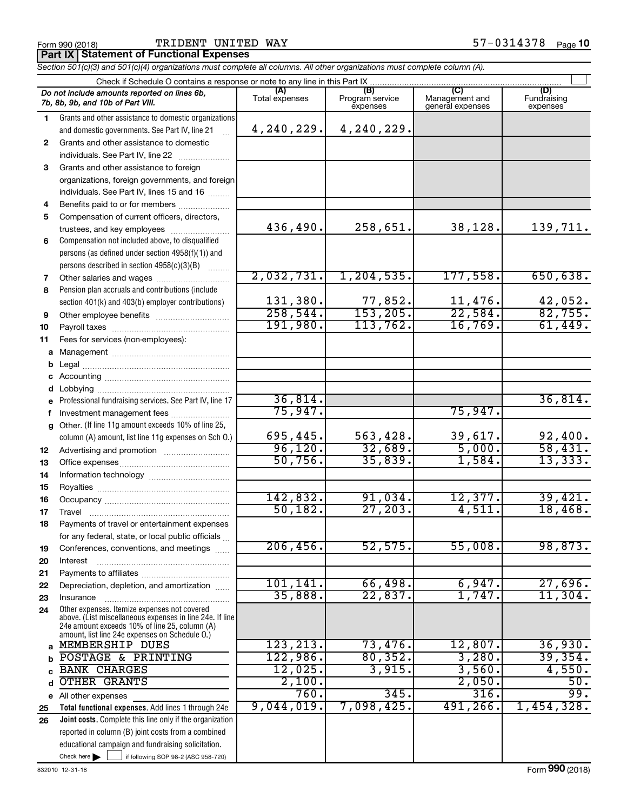Form 990 (2018) **Page 1 TRIDENT UNITED WAY** Form 990 (2018) Page 19th Page 19th Page 19th Page 19th Page 19th Page

**Part IX Statement of Functional Expenses**

*Section 501(c)(3) and 501(c)(4) organizations must complete all columns. All other organizations must complete column (A).*

|              | Check if Schedule O contains a response or note to any line in this Part IX                     |                       |                                    |                                           |                                |  |
|--------------|-------------------------------------------------------------------------------------------------|-----------------------|------------------------------------|-------------------------------------------|--------------------------------|--|
|              | Do not include amounts reported on lines 6b,<br>7b, 8b, 9b, and 10b of Part VIII.               | (A)<br>Total expenses | (B)<br>Program service<br>expenses | (C)<br>Management and<br>general expenses | (D)<br>Fundraising<br>expenses |  |
| 1.           | Grants and other assistance to domestic organizations                                           |                       |                                    |                                           |                                |  |
|              | and domestic governments. See Part IV, line 21                                                  | 4,240,229.            | 4,240,229.                         |                                           |                                |  |
| $\mathbf{2}$ | Grants and other assistance to domestic                                                         |                       |                                    |                                           |                                |  |
|              | individuals. See Part IV, line 22                                                               |                       |                                    |                                           |                                |  |
| 3            | Grants and other assistance to foreign                                                          |                       |                                    |                                           |                                |  |
|              | organizations, foreign governments, and foreign                                                 |                       |                                    |                                           |                                |  |
|              | individuals. See Part IV, lines 15 and 16                                                       |                       |                                    |                                           |                                |  |
| 4            | Benefits paid to or for members                                                                 |                       |                                    |                                           |                                |  |
| 5            | Compensation of current officers, directors,                                                    |                       |                                    |                                           |                                |  |
|              | trustees, and key employees                                                                     | 436,490.              | 258,651.                           | 38,128.                                   | 139,711.                       |  |
| 6            | Compensation not included above, to disqualified                                                |                       |                                    |                                           |                                |  |
|              | persons (as defined under section 4958(f)(1)) and                                               |                       |                                    |                                           |                                |  |
|              | persons described in section 4958(c)(3)(B)                                                      |                       |                                    |                                           |                                |  |
| 7            |                                                                                                 | 2,032,731.            | 1, 204, 535.                       | 177,558.                                  | 650,638.                       |  |
| 8            | Pension plan accruals and contributions (include                                                | 131,380.              |                                    |                                           | 42,052.                        |  |
|              | section 401(k) and 403(b) employer contributions)                                               | 258,544.              | $\frac{77,852}{153,205}$           | $\frac{11,476}{22,584}$                   | 82,755.                        |  |
| 9            |                                                                                                 | 191,980.              | 113,762.                           | 16,769.                                   | 61,449.                        |  |
| 10<br>11     | Fees for services (non-employees):                                                              |                       |                                    |                                           |                                |  |
| а            |                                                                                                 |                       |                                    |                                           |                                |  |
| b            |                                                                                                 |                       |                                    |                                           |                                |  |
| с            |                                                                                                 |                       |                                    |                                           |                                |  |
| d            |                                                                                                 |                       |                                    |                                           |                                |  |
|              | Professional fundraising services. See Part IV, line 17                                         | 36,814.               |                                    |                                           | 36,814.                        |  |
| f            | Investment management fees                                                                      | 75,947.               |                                    | 75,947.                                   |                                |  |
| g            | Other. (If line 11g amount exceeds 10% of line 25,                                              |                       |                                    |                                           |                                |  |
|              | column (A) amount, list line 11g expenses on Sch O.)                                            | 695,445.              | 563,428.                           | 39,617.                                   | 92,400.                        |  |
| 12           |                                                                                                 | 96, 120.              | 32,689.                            | 5,000.                                    | 58,431.                        |  |
| 13           |                                                                                                 | 50,756.               | 35,839.                            | 1,584.                                    | 13,333.                        |  |
| 14           |                                                                                                 |                       |                                    |                                           |                                |  |
| 15           |                                                                                                 |                       |                                    |                                           |                                |  |
| 16           |                                                                                                 | 142,832.              | 91,034.                            | 12,377.                                   | 39,421.                        |  |
| 17           |                                                                                                 | 50, 182.              | 27, 203.                           | 4,511.                                    | 18,468.                        |  |
| 18           | Payments of travel or entertainment expenses                                                    |                       |                                    |                                           |                                |  |
|              | for any federal, state, or local public officials                                               |                       |                                    |                                           |                                |  |
| 19           | Conferences, conventions, and meetings                                                          | 206, 456.             | 52,575.                            | 55,008                                    | 98,873.                        |  |
| 20           | Interest                                                                                        |                       |                                    |                                           |                                |  |
| 21           |                                                                                                 | 101, 141.             | 66,498.                            | 6,947.                                    | 27,696.                        |  |
| 22           | Depreciation, depletion, and amortization                                                       | 35,888                | 22,837.                            | 1,747.                                    | 11,304.                        |  |
| 23<br>24     | Insurance<br>Other expenses. Itemize expenses not covered                                       |                       |                                    |                                           |                                |  |
|              | above. (List miscellaneous expenses in line 24e. If line                                        |                       |                                    |                                           |                                |  |
|              | 24e amount exceeds 10% of line 25, column (A)<br>amount, list line 24e expenses on Schedule O.) |                       |                                    |                                           |                                |  |
| a            | MEMBERSHIP DUES                                                                                 | 123, 213.             | 73,476.                            | 12,807.                                   | 36,930.                        |  |
| b            | POSTAGE & PRINTING                                                                              | 122,986.              | 80, 352.                           | 3,280.                                    | 39,354.                        |  |
|              | <b>BANK CHARGES</b>                                                                             | 12,025.               | 3,915.                             | 3,560.                                    | 4,550.                         |  |
| d            | <b>OTHER GRANTS</b>                                                                             | 2,100.                |                                    | 2,050.                                    | 50.                            |  |
|              | e All other expenses                                                                            | 760.                  | 345.                               | 316.                                      | 99.                            |  |
| 25           | Total functional expenses. Add lines 1 through 24e                                              | 9,044,019.            | 7,098,425.                         | 491,266.                                  | 1,454,328.                     |  |
| 26           | <b>Joint costs.</b> Complete this line only if the organization                                 |                       |                                    |                                           |                                |  |
|              | reported in column (B) joint costs from a combined                                              |                       |                                    |                                           |                                |  |
|              | educational campaign and fundraising solicitation.                                              |                       |                                    |                                           |                                |  |
|              | Check here $\blacktriangleright$<br>if following SOP 98-2 (ASC 958-720)                         |                       |                                    |                                           |                                |  |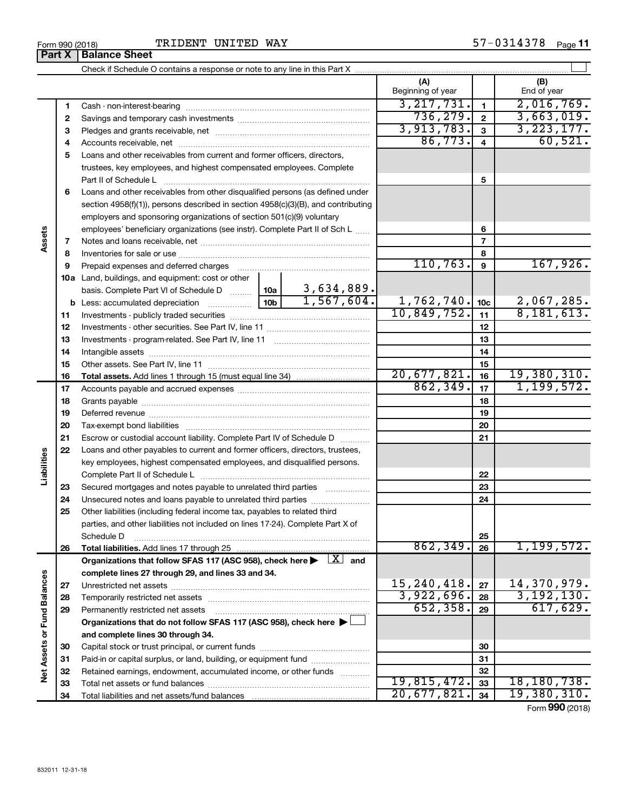|                             |              |                                                                                                                                                                                                                               |                   | (A)               |                         | (B)           |
|-----------------------------|--------------|-------------------------------------------------------------------------------------------------------------------------------------------------------------------------------------------------------------------------------|-------------------|-------------------|-------------------------|---------------|
|                             |              |                                                                                                                                                                                                                               |                   | Beginning of year |                         | End of year   |
|                             | 1            |                                                                                                                                                                                                                               |                   | 3, 217, 731.      | $\mathbf{1}$            | 2,016,769.    |
|                             | $\mathbf{2}$ |                                                                                                                                                                                                                               |                   | 736, 279.         | $\mathbf{2}$            | 3,663,019.    |
|                             | 3            |                                                                                                                                                                                                                               |                   | 3,913,783.        | 3                       | 3, 223, 177.  |
|                             | 4            |                                                                                                                                                                                                                               |                   | 86,773.           | $\overline{\mathbf{4}}$ | 60,521.       |
|                             | 5            | Loans and other receivables from current and former officers, directors,                                                                                                                                                      |                   |                   |                         |               |
|                             |              | trustees, key employees, and highest compensated employees. Complete                                                                                                                                                          |                   |                   |                         |               |
|                             |              | Part II of Schedule L                                                                                                                                                                                                         |                   |                   | 5                       |               |
|                             | 6            | Loans and other receivables from other disqualified persons (as defined under                                                                                                                                                 |                   |                   |                         |               |
|                             |              | section $4958(f)(1)$ , persons described in section $4958(c)(3)(B)$ , and contributing                                                                                                                                        |                   |                   |                         |               |
|                             |              | employers and sponsoring organizations of section 501(c)(9) voluntary                                                                                                                                                         |                   |                   |                         |               |
|                             |              | employees' beneficiary organizations (see instr). Complete Part II of Sch L                                                                                                                                                   |                   |                   | 6                       |               |
| Assets                      | 7            |                                                                                                                                                                                                                               |                   |                   | $\overline{7}$          |               |
|                             | 8            |                                                                                                                                                                                                                               |                   |                   | 8                       |               |
|                             | 9            | Prepaid expenses and deferred charges [11] [11] Prepaid expenses and deferred charges [11] [11] Martin Marian Marian Marian Marian Marian Marian Marian Marian Marian Marian Marian Marian Marian Marian Marian Marian Marian |                   | 110, 763.         | 9                       | 167,926.      |
|                             |              | 10a Land, buildings, and equipment: cost or other                                                                                                                                                                             |                   |                   |                         |               |
|                             |              | basis. Complete Part VI of Schedule D    10a   3,634,889.                                                                                                                                                                     |                   |                   |                         |               |
|                             |              |                                                                                                                                                                                                                               | 1,567,604.        | 1,762,740.        | 10 <sub>c</sub>         | 2,067,285.    |
|                             | 11           |                                                                                                                                                                                                                               |                   | 10,849,752.       | 11                      | 8,181,613.    |
|                             | 12           |                                                                                                                                                                                                                               |                   |                   | 12                      |               |
|                             | 13           |                                                                                                                                                                                                                               |                   |                   | 13                      |               |
|                             | 14           |                                                                                                                                                                                                                               |                   |                   | 14                      |               |
|                             | 15           |                                                                                                                                                                                                                               |                   |                   | 15                      |               |
|                             | 16           |                                                                                                                                                                                                                               |                   | 20,677,821.       | 16                      | 19,380,310.   |
|                             | 17           |                                                                                                                                                                                                                               |                   | 862, 349.         | 17                      | 1, 199, 572.  |
|                             | 18           |                                                                                                                                                                                                                               |                   |                   | 18                      |               |
|                             | 19           |                                                                                                                                                                                                                               |                   |                   | 19                      |               |
|                             | 20           |                                                                                                                                                                                                                               |                   |                   | 20                      |               |
|                             | 21           | Escrow or custodial account liability. Complete Part IV of Schedule D                                                                                                                                                         |                   |                   | 21                      |               |
|                             | 22           | Loans and other payables to current and former officers, directors, trustees,                                                                                                                                                 |                   |                   |                         |               |
|                             |              | key employees, highest compensated employees, and disqualified persons.                                                                                                                                                       |                   |                   |                         |               |
| Liabilities                 |              |                                                                                                                                                                                                                               |                   |                   | 22                      |               |
|                             | 23           | Secured mortgages and notes payable to unrelated third parties                                                                                                                                                                |                   |                   | 23                      |               |
|                             | 24           | Unsecured notes and loans payable to unrelated third parties                                                                                                                                                                  |                   |                   | 24                      |               |
|                             | 25           | Other liabilities (including federal income tax, payables to related third                                                                                                                                                    |                   |                   |                         |               |
|                             |              | parties, and other liabilities not included on lines 17-24). Complete Part X of                                                                                                                                               |                   |                   |                         |               |
|                             |              | Schedule D                                                                                                                                                                                                                    |                   |                   | 25                      |               |
|                             | 26           |                                                                                                                                                                                                                               |                   | 862, 349.         | 26                      | 1, 199, 572.  |
|                             |              | Organizations that follow SFAS 117 (ASC 958), check here $\blacktriangleright \begin{array}{c} \boxed{X} \\ \end{array}$ and                                                                                                  |                   |                   |                         |               |
|                             |              | complete lines 27 through 29, and lines 33 and 34.                                                                                                                                                                            |                   |                   |                         |               |
|                             | 27           |                                                                                                                                                                                                                               |                   | 15, 240, 418.     | 27                      | 14,370,979.   |
|                             | 28           |                                                                                                                                                                                                                               |                   | 3,922,696.        | 28                      | 3, 192, 130.  |
|                             | 29           | Permanently restricted net assets                                                                                                                                                                                             |                   | 652, 358.         | 29                      | 617,629.      |
|                             |              | Organizations that do not follow SFAS 117 (ASC 958), check here $\blacktriangleright$                                                                                                                                         |                   |                   |                         |               |
|                             |              | and complete lines 30 through 34.                                                                                                                                                                                             |                   |                   |                         |               |
|                             | 30           |                                                                                                                                                                                                                               |                   |                   | 30                      |               |
|                             | 31           | Paid-in or capital surplus, or land, building, or equipment fund                                                                                                                                                              |                   |                   | 31                      |               |
| Net Assets or Fund Balances | 32           | Retained earnings, endowment, accumulated income, or other funds                                                                                                                                                              | 1.1.1.1.1.1.1.1.1 |                   | 32                      |               |
|                             | 33           |                                                                                                                                                                                                                               |                   | 19,815,472.       | 33                      | 18, 180, 738. |
|                             | 34           |                                                                                                                                                                                                                               |                   | 20,677,821.       | 34                      | 19,380,310.   |

Form (2018) **990**

# **Part X Balance Sheet**

| Form 990 (2018 |  |  |
|----------------|--|--|
|                |  |  |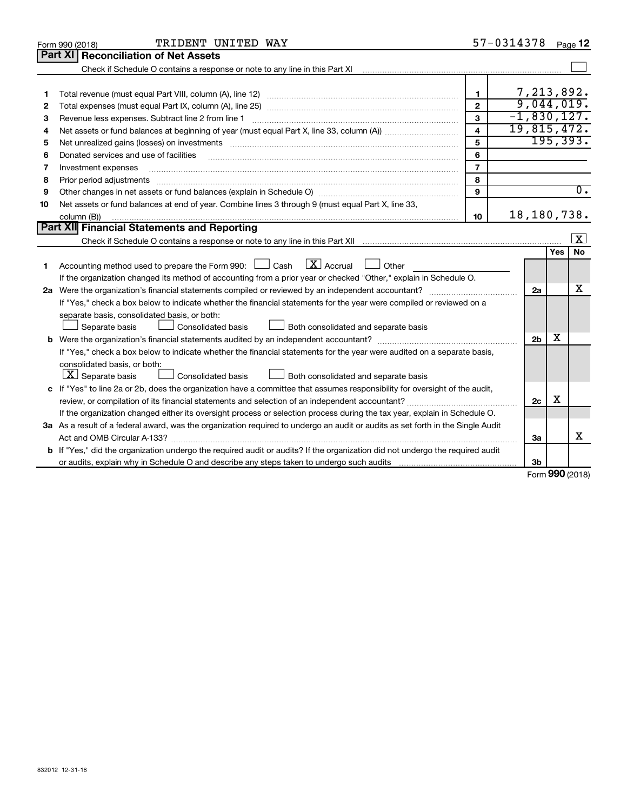|    | TRIDENT UNITED WAY<br>Form 990 (2018)                                                                                                |                         | 57-0314378 |                |                       | Page 12                 |  |
|----|--------------------------------------------------------------------------------------------------------------------------------------|-------------------------|------------|----------------|-----------------------|-------------------------|--|
|    | Part XI<br><b>Reconciliation of Net Assets</b>                                                                                       |                         |            |                |                       |                         |  |
|    |                                                                                                                                      |                         |            |                |                       |                         |  |
|    |                                                                                                                                      |                         |            |                |                       |                         |  |
| 1  |                                                                                                                                      | $\mathbf{1}$            |            |                |                       | 7,213,892.              |  |
| 2  |                                                                                                                                      | $\overline{2}$          |            |                |                       | 9,044,019.              |  |
| 3  | $-1,830,127.$<br>3<br>Revenue less expenses. Subtract line 2 from line 1                                                             |                         |            |                |                       |                         |  |
| 4  |                                                                                                                                      | $\overline{\mathbf{4}}$ |            |                |                       | 19,815,472.             |  |
| 5  |                                                                                                                                      | 5                       |            |                |                       | 195, 393.               |  |
| 6  | Donated services and use of facilities                                                                                               | 6                       |            |                |                       |                         |  |
| 7  | Investment expenses                                                                                                                  | $\overline{7}$          |            |                |                       |                         |  |
| 8  | Prior period adjustments                                                                                                             | 8                       |            |                |                       |                         |  |
| 9  |                                                                                                                                      | 9                       |            |                |                       | $\overline{0}$ .        |  |
| 10 | Net assets or fund balances at end of year. Combine lines 3 through 9 (must equal Part X, line 33,                                   |                         |            |                |                       |                         |  |
|    | column (B))                                                                                                                          | 10                      |            |                |                       | 18, 180, 738.           |  |
|    | Part XII Financial Statements and Reporting                                                                                          |                         |            |                |                       |                         |  |
|    |                                                                                                                                      |                         |            |                |                       | $\overline{\mathbf{x}}$ |  |
|    |                                                                                                                                      |                         |            |                | Yes                   | No.                     |  |
| 1  | Accounting method used to prepare the Form 990: $\Box$ Cash $\Box X$ Accrual $\Box$<br>Other                                         |                         |            |                |                       |                         |  |
|    | If the organization changed its method of accounting from a prior year or checked "Other," explain in Schedule O.                    |                         |            |                |                       |                         |  |
|    |                                                                                                                                      |                         |            | 2a             |                       | х                       |  |
|    | If "Yes," check a box below to indicate whether the financial statements for the year were compiled or reviewed on a                 |                         |            |                |                       |                         |  |
|    | separate basis, consolidated basis, or both:                                                                                         |                         |            |                |                       |                         |  |
|    | Both consolidated and separate basis<br>Separate basis<br>Consolidated basis                                                         |                         |            |                |                       |                         |  |
|    |                                                                                                                                      |                         |            | 2 <sub>b</sub> | х                     |                         |  |
|    | If "Yes," check a box below to indicate whether the financial statements for the year were audited on a separate basis,              |                         |            |                |                       |                         |  |
|    | consolidated basis, or both:                                                                                                         |                         |            |                |                       |                         |  |
|    | $ \mathbf{X} $ Separate basis<br><b>Consolidated basis</b><br>Both consolidated and separate basis                                   |                         |            |                |                       |                         |  |
|    | c If "Yes" to line 2a or 2b, does the organization have a committee that assumes responsibility for oversight of the audit,          |                         |            |                |                       |                         |  |
|    |                                                                                                                                      |                         |            | 2 <sub>c</sub> | X                     |                         |  |
|    | If the organization changed either its oversight process or selection process during the tax year, explain in Schedule O.            |                         |            |                |                       |                         |  |
|    | 3a As a result of a federal award, was the organization required to undergo an audit or audits as set forth in the Single Audit      |                         |            |                |                       |                         |  |
|    |                                                                                                                                      |                         |            | За             |                       | х                       |  |
|    | <b>b</b> If "Yes," did the organization undergo the required audit or audits? If the organization did not undergo the required audit |                         |            |                |                       |                         |  |
|    |                                                                                                                                      |                         |            | 3b             |                       |                         |  |
|    |                                                                                                                                      |                         |            |                | $0.00 \times 10^{-1}$ |                         |  |

Form (2018) **990**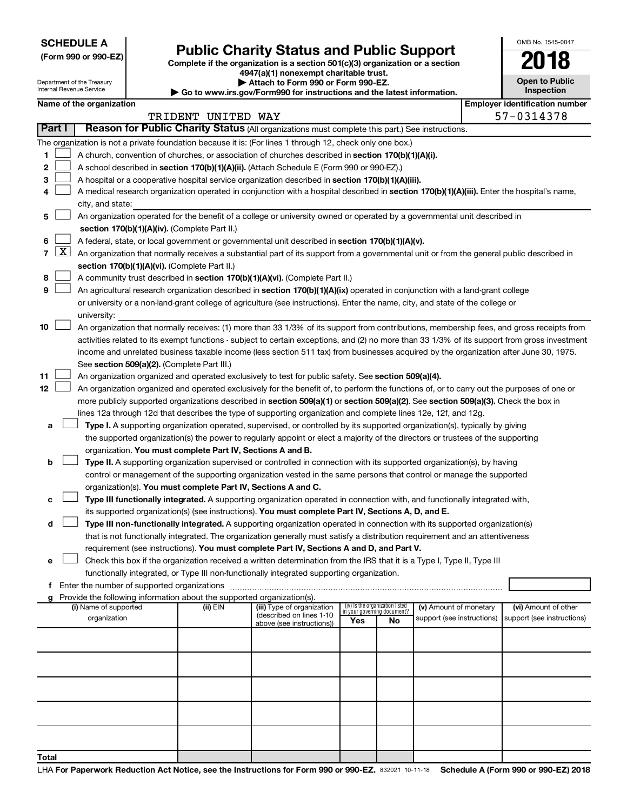**SCHEDULE A**

Department of the Treasury Internal Revenue Service

**Total**

# Form 990 or 990-EZ)<br>
Complete if the organization is a section 501(c)(3) organization or a section<br> **Public Charity Status and Public Support**

**4947(a)(1) nonexempt charitable trust. | Attach to Form 990 or Form 990-EZ.** 

**| Go to www.irs.gov/Form990 for instructions and the latest information.**

| OMB No. 1545-0047                     |
|---------------------------------------|
| 2018                                  |
| <b>Open to Public</b><br>Inspection   |
| <b>Employer identification number</b> |

|  | Name of the organization |
|--|--------------------------|

|    |               |                                                                                                                                                                                                                                               | TRIDENT UNITED WAY |                                                        |                                                                |    |                            | 57-0314378                 |
|----|---------------|-----------------------------------------------------------------------------------------------------------------------------------------------------------------------------------------------------------------------------------------------|--------------------|--------------------------------------------------------|----------------------------------------------------------------|----|----------------------------|----------------------------|
|    | <b>Part I</b> | Reason for Public Charity Status (All organizations must complete this part.) See instructions.                                                                                                                                               |                    |                                                        |                                                                |    |                            |                            |
|    |               | The organization is not a private foundation because it is: (For lines 1 through 12, check only one box.)                                                                                                                                     |                    |                                                        |                                                                |    |                            |                            |
| 1  |               | A church, convention of churches, or association of churches described in section 170(b)(1)(A)(i).                                                                                                                                            |                    |                                                        |                                                                |    |                            |                            |
| 2  |               | A school described in section 170(b)(1)(A)(ii). (Attach Schedule E (Form 990 or 990-EZ).)                                                                                                                                                     |                    |                                                        |                                                                |    |                            |                            |
| 3  |               | A hospital or a cooperative hospital service organization described in section 170(b)(1)(A)(iii).                                                                                                                                             |                    |                                                        |                                                                |    |                            |                            |
| 4  |               | A medical research organization operated in conjunction with a hospital described in section 170(b)(1)(A)(iii). Enter the hospital's name,                                                                                                    |                    |                                                        |                                                                |    |                            |                            |
|    |               | city, and state:                                                                                                                                                                                                                              |                    |                                                        |                                                                |    |                            |                            |
| 5  |               | An organization operated for the benefit of a college or university owned or operated by a governmental unit described in                                                                                                                     |                    |                                                        |                                                                |    |                            |                            |
|    |               | section 170(b)(1)(A)(iv). (Complete Part II.)                                                                                                                                                                                                 |                    |                                                        |                                                                |    |                            |                            |
| 6  |               | A federal, state, or local government or governmental unit described in section 170(b)(1)(A)(v).                                                                                                                                              |                    |                                                        |                                                                |    |                            |                            |
| 7  | X             | An organization that normally receives a substantial part of its support from a governmental unit or from the general public described in                                                                                                     |                    |                                                        |                                                                |    |                            |                            |
|    |               | section 170(b)(1)(A)(vi). (Complete Part II.)                                                                                                                                                                                                 |                    |                                                        |                                                                |    |                            |                            |
| 8  |               | A community trust described in section 170(b)(1)(A)(vi). (Complete Part II.)                                                                                                                                                                  |                    |                                                        |                                                                |    |                            |                            |
| 9  |               | An agricultural research organization described in section 170(b)(1)(A)(ix) operated in conjunction with a land-grant college                                                                                                                 |                    |                                                        |                                                                |    |                            |                            |
|    |               | or university or a non-land-grant college of agriculture (see instructions). Enter the name, city, and state of the college or                                                                                                                |                    |                                                        |                                                                |    |                            |                            |
|    |               | university:                                                                                                                                                                                                                                   |                    |                                                        |                                                                |    |                            |                            |
| 10 |               | An organization that normally receives: (1) more than 33 1/3% of its support from contributions, membership fees, and gross receipts from                                                                                                     |                    |                                                        |                                                                |    |                            |                            |
|    |               | activities related to its exempt functions - subject to certain exceptions, and (2) no more than 33 1/3% of its support from gross investment                                                                                                 |                    |                                                        |                                                                |    |                            |                            |
|    |               | income and unrelated business taxable income (less section 511 tax) from businesses acquired by the organization after June 30, 1975.                                                                                                         |                    |                                                        |                                                                |    |                            |                            |
|    |               | See section 509(a)(2). (Complete Part III.)                                                                                                                                                                                                   |                    |                                                        |                                                                |    |                            |                            |
| 11 |               | An organization organized and operated exclusively to test for public safety. See section 509(a)(4).                                                                                                                                          |                    |                                                        |                                                                |    |                            |                            |
| 12 |               | An organization organized and operated exclusively for the benefit of, to perform the functions of, or to carry out the purposes of one or                                                                                                    |                    |                                                        |                                                                |    |                            |                            |
|    |               | more publicly supported organizations described in section 509(a)(1) or section 509(a)(2). See section 509(a)(3). Check the box in                                                                                                            |                    |                                                        |                                                                |    |                            |                            |
|    |               | lines 12a through 12d that describes the type of supporting organization and complete lines 12e, 12f, and 12g.<br>Type I. A supporting organization operated, supervised, or controlled by its supported organization(s), typically by giving |                    |                                                        |                                                                |    |                            |                            |
| а  |               | the supported organization(s) the power to regularly appoint or elect a majority of the directors or trustees of the supporting                                                                                                               |                    |                                                        |                                                                |    |                            |                            |
|    |               | organization. You must complete Part IV, Sections A and B.                                                                                                                                                                                    |                    |                                                        |                                                                |    |                            |                            |
| b  |               | Type II. A supporting organization supervised or controlled in connection with its supported organization(s), by having                                                                                                                       |                    |                                                        |                                                                |    |                            |                            |
|    |               | control or management of the supporting organization vested in the same persons that control or manage the supported                                                                                                                          |                    |                                                        |                                                                |    |                            |                            |
|    |               | organization(s). You must complete Part IV, Sections A and C.                                                                                                                                                                                 |                    |                                                        |                                                                |    |                            |                            |
| с  |               | Type III functionally integrated. A supporting organization operated in connection with, and functionally integrated with,                                                                                                                    |                    |                                                        |                                                                |    |                            |                            |
|    |               | its supported organization(s) (see instructions). You must complete Part IV, Sections A, D, and E.                                                                                                                                            |                    |                                                        |                                                                |    |                            |                            |
| d  |               | Type III non-functionally integrated. A supporting organization operated in connection with its supported organization(s)                                                                                                                     |                    |                                                        |                                                                |    |                            |                            |
|    |               | that is not functionally integrated. The organization generally must satisfy a distribution requirement and an attentiveness                                                                                                                  |                    |                                                        |                                                                |    |                            |                            |
|    |               | requirement (see instructions). You must complete Part IV, Sections A and D, and Part V.                                                                                                                                                      |                    |                                                        |                                                                |    |                            |                            |
| е  |               | Check this box if the organization received a written determination from the IRS that it is a Type I, Type II, Type III                                                                                                                       |                    |                                                        |                                                                |    |                            |                            |
|    |               | functionally integrated, or Type III non-functionally integrated supporting organization.                                                                                                                                                     |                    |                                                        |                                                                |    |                            |                            |
| f  |               | Enter the number of supported organizations                                                                                                                                                                                                   |                    |                                                        |                                                                |    |                            |                            |
| g  |               | Provide the following information about the supported organization(s).                                                                                                                                                                        |                    |                                                        |                                                                |    |                            |                            |
|    |               | (i) Name of supported                                                                                                                                                                                                                         | (ii) EIN           | (iii) Type of organization<br>(described on lines 1-10 | (iv) Is the organization listed<br>in your governing document? |    | (v) Amount of monetary     | (vi) Amount of other       |
|    |               | organization                                                                                                                                                                                                                                  |                    | above (see instructions))                              | Yes                                                            | No | support (see instructions) | support (see instructions) |
|    |               |                                                                                                                                                                                                                                               |                    |                                                        |                                                                |    |                            |                            |
|    |               |                                                                                                                                                                                                                                               |                    |                                                        |                                                                |    |                            |                            |
|    |               |                                                                                                                                                                                                                                               |                    |                                                        |                                                                |    |                            |                            |
|    |               |                                                                                                                                                                                                                                               |                    |                                                        |                                                                |    |                            |                            |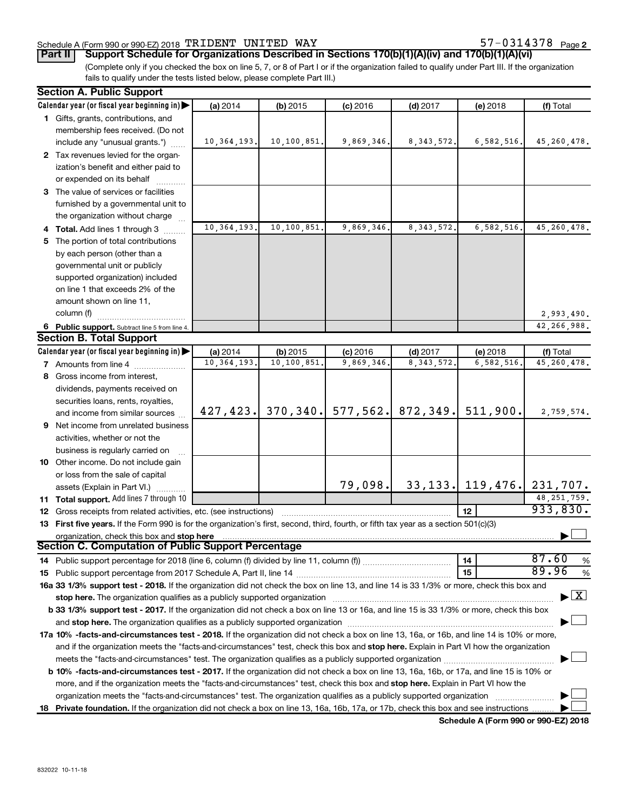## Schedule A (Form 990 or 990-EZ) 2018  $\rm TRIDENT$   $\rm UNITED$   $\rm WAY$   $\rm 57-0314378$   $\rm Page$

**Part II Support Schedule for Organizations Described in Sections 170(b)(1)(A)(iv) and 170(b)(1)(A)(vi)**

(Complete only if you checked the box on line 5, 7, or 8 of Part I or if the organization failed to qualify under Part III. If the organization fails to qualify under the tests listed below, please complete Part III.)

| <b>Section A. Public Support</b>                                                                                                               |                          |                        |                         |                           |                       |                                    |
|------------------------------------------------------------------------------------------------------------------------------------------------|--------------------------|------------------------|-------------------------|---------------------------|-----------------------|------------------------------------|
| Calendar year (or fiscal year beginning in)                                                                                                    | (a) 2014                 | (b) 2015               | $(c)$ 2016              | $(d)$ 2017                | (e) 2018              | (f) Total                          |
| 1 Gifts, grants, contributions, and                                                                                                            |                          |                        |                         |                           |                       |                                    |
| membership fees received. (Do not                                                                                                              |                          |                        |                         |                           |                       |                                    |
| include any "unusual grants.")                                                                                                                 | 10, 364, 193.            | 10,100,851.            | 9,869,346.              | 8, 343, 572.              | 6,582,516.            | 45, 260, 478.                      |
| 2 Tax revenues levied for the organ-                                                                                                           |                          |                        |                         |                           |                       |                                    |
| ization's benefit and either paid to                                                                                                           |                          |                        |                         |                           |                       |                                    |
| or expended on its behalf                                                                                                                      |                          |                        |                         |                           |                       |                                    |
| 3 The value of services or facilities                                                                                                          |                          |                        |                         |                           |                       |                                    |
| furnished by a governmental unit to                                                                                                            |                          |                        |                         |                           |                       |                                    |
| the organization without charge                                                                                                                |                          |                        |                         |                           |                       |                                    |
| 4 Total. Add lines 1 through 3                                                                                                                 | 10, 364, 193.            | 10,100,851.            | 9,869,346               | 8, 343, 572.              | 6,582,516             | 45, 260, 478.                      |
| 5 The portion of total contributions                                                                                                           |                          |                        |                         |                           |                       |                                    |
| by each person (other than a                                                                                                                   |                          |                        |                         |                           |                       |                                    |
| governmental unit or publicly                                                                                                                  |                          |                        |                         |                           |                       |                                    |
| supported organization) included                                                                                                               |                          |                        |                         |                           |                       |                                    |
| on line 1 that exceeds 2% of the                                                                                                               |                          |                        |                         |                           |                       |                                    |
| amount shown on line 11,                                                                                                                       |                          |                        |                         |                           |                       |                                    |
| column (f)                                                                                                                                     |                          |                        |                         |                           |                       | 2,993,490.                         |
|                                                                                                                                                |                          |                        |                         |                           |                       | 42,266,988.                        |
| 6 Public support. Subtract line 5 from line 4.<br><b>Section B. Total Support</b>                                                              |                          |                        |                         |                           |                       |                                    |
|                                                                                                                                                |                          |                        |                         |                           |                       |                                    |
| Calendar year (or fiscal year beginning in)                                                                                                    | (a) 2014<br>10, 364, 193 | (b) 2015<br>10,100,851 | $(c)$ 2016<br>9,869,346 | $(d)$ 2017<br>8, 343, 572 | (e) 2018<br>6,582,516 | (f) Total<br>45, 260, 478.         |
| <b>7</b> Amounts from line 4                                                                                                                   |                          |                        |                         |                           |                       |                                    |
| 8 Gross income from interest,                                                                                                                  |                          |                        |                         |                           |                       |                                    |
| dividends, payments received on                                                                                                                |                          |                        |                         |                           |                       |                                    |
| securities loans, rents, royalties,                                                                                                            |                          |                        |                         |                           |                       |                                    |
| and income from similar sources                                                                                                                | 427, 423.                | 370, 340.              |                         | $577, 562.$ 872, 349.     | 511,900.              | 2,759,574.                         |
| <b>9</b> Net income from unrelated business                                                                                                    |                          |                        |                         |                           |                       |                                    |
| activities, whether or not the                                                                                                                 |                          |                        |                         |                           |                       |                                    |
| business is regularly carried on                                                                                                               |                          |                        |                         |                           |                       |                                    |
| 10 Other income. Do not include gain                                                                                                           |                          |                        |                         |                           |                       |                                    |
| or loss from the sale of capital                                                                                                               |                          |                        |                         |                           |                       |                                    |
| assets (Explain in Part VI.)                                                                                                                   |                          |                        | 79,098.                 |                           | $33, 133$ , 119, 476. | 231,707.                           |
| 11 Total support. Add lines 7 through 10                                                                                                       |                          |                        |                         |                           |                       | 48, 251, 759.                      |
| <b>12</b> Gross receipts from related activities, etc. (see instructions)                                                                      |                          |                        |                         |                           | 12                    | 933,830.                           |
| 13 First five years. If the Form 990 is for the organization's first, second, third, fourth, or fifth tax year as a section 501(c)(3)          |                          |                        |                         |                           |                       |                                    |
| organization, check this box and stop here                                                                                                     |                          |                        |                         |                           |                       |                                    |
| <b>Section C. Computation of Public Support Percentage</b>                                                                                     |                          |                        |                         |                           |                       |                                    |
|                                                                                                                                                |                          |                        |                         |                           | 14                    | 87.60<br>%                         |
|                                                                                                                                                |                          |                        |                         |                           | 15                    | 89.96<br>%                         |
| 16a 33 1/3% support test - 2018. If the organization did not check the box on line 13, and line 14 is 33 1/3% or more, check this box and      |                          |                        |                         |                           |                       |                                    |
|                                                                                                                                                |                          |                        |                         |                           |                       | $\blacktriangleright$ $\mathbf{X}$ |
| b 33 1/3% support test - 2017. If the organization did not check a box on line 13 or 16a, and line 15 is 33 1/3% or more, check this box       |                          |                        |                         |                           |                       |                                    |
|                                                                                                                                                |                          |                        |                         |                           |                       |                                    |
| 17a 10% -facts-and-circumstances test - 2018. If the organization did not check a box on line 13, 16a, or 16b, and line 14 is 10% or more,     |                          |                        |                         |                           |                       |                                    |
| and if the organization meets the "facts-and-circumstances" test, check this box and stop here. Explain in Part VI how the organization        |                          |                        |                         |                           |                       |                                    |
|                                                                                                                                                |                          |                        |                         |                           |                       |                                    |
| <b>b 10%</b> -facts-and-circumstances test - 2017. If the organization did not check a box on line 13, 16a, 16b, or 17a, and line 15 is 10% or |                          |                        |                         |                           |                       |                                    |
| more, and if the organization meets the "facts-and-circumstances" test, check this box and stop here. Explain in Part VI how the               |                          |                        |                         |                           |                       |                                    |
| organization meets the "facts-and-circumstances" test. The organization qualifies as a publicly supported organization                         |                          |                        |                         |                           |                       |                                    |
| 18 Private foundation. If the organization did not check a box on line 13, 16a, 16b, 17a, or 17b, check this box and see instructions          |                          |                        |                         |                           |                       |                                    |
|                                                                                                                                                |                          |                        |                         |                           |                       |                                    |

**Schedule A (Form 990 or 990-EZ) 2018**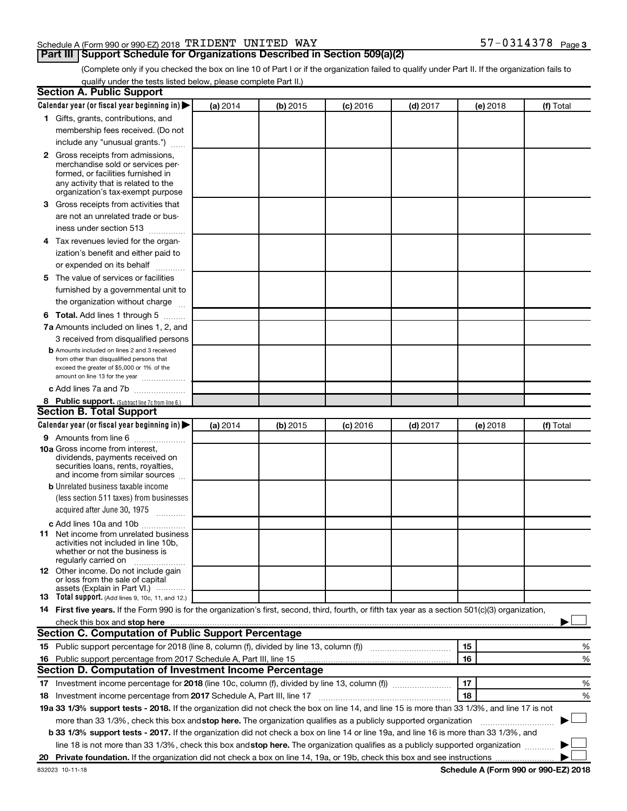## Schedule A (Form 990 or 990-EZ) 2018  $\rm TRIDENT$   $\rm UNITED$   $\rm WAY$   $\rm 57-0314378$   $\rm Page$

## **Part III Support Schedule for Organizations Described in Section 509(a)(2)**

57-0314378 Page 3

(Complete only if you checked the box on line 10 of Part I or if the organization failed to qualify under Part II. If the organization fails to qualify under the tests listed below, please complete Part II.)

| <b>Section A. Public Support</b>                                                                                                                                                                                              |          |          |            |            |          |           |
|-------------------------------------------------------------------------------------------------------------------------------------------------------------------------------------------------------------------------------|----------|----------|------------|------------|----------|-----------|
| Calendar year (or fiscal year beginning in)                                                                                                                                                                                   | (a) 2014 | (b) 2015 | $(c)$ 2016 | $(d)$ 2017 | (e) 2018 | (f) Total |
| 1 Gifts, grants, contributions, and                                                                                                                                                                                           |          |          |            |            |          |           |
| membership fees received. (Do not                                                                                                                                                                                             |          |          |            |            |          |           |
| include any "unusual grants.")                                                                                                                                                                                                |          |          |            |            |          |           |
| 2 Gross receipts from admissions,                                                                                                                                                                                             |          |          |            |            |          |           |
| merchandise sold or services per-                                                                                                                                                                                             |          |          |            |            |          |           |
| formed, or facilities furnished in                                                                                                                                                                                            |          |          |            |            |          |           |
| any activity that is related to the<br>organization's tax-exempt purpose                                                                                                                                                      |          |          |            |            |          |           |
| 3 Gross receipts from activities that                                                                                                                                                                                         |          |          |            |            |          |           |
|                                                                                                                                                                                                                               |          |          |            |            |          |           |
| are not an unrelated trade or bus-                                                                                                                                                                                            |          |          |            |            |          |           |
| iness under section 513                                                                                                                                                                                                       |          |          |            |            |          |           |
| 4 Tax revenues levied for the organ-                                                                                                                                                                                          |          |          |            |            |          |           |
| ization's benefit and either paid to                                                                                                                                                                                          |          |          |            |            |          |           |
| or expended on its behalf                                                                                                                                                                                                     |          |          |            |            |          |           |
| 5 The value of services or facilities                                                                                                                                                                                         |          |          |            |            |          |           |
| furnished by a governmental unit to                                                                                                                                                                                           |          |          |            |            |          |           |
| the organization without charge                                                                                                                                                                                               |          |          |            |            |          |           |
| 6 Total. Add lines 1 through 5                                                                                                                                                                                                |          |          |            |            |          |           |
| 7a Amounts included on lines 1, 2, and                                                                                                                                                                                        |          |          |            |            |          |           |
| 3 received from disqualified persons                                                                                                                                                                                          |          |          |            |            |          |           |
| <b>b</b> Amounts included on lines 2 and 3 received                                                                                                                                                                           |          |          |            |            |          |           |
| from other than disqualified persons that<br>exceed the greater of \$5,000 or 1% of the                                                                                                                                       |          |          |            |            |          |           |
| amount on line 13 for the year                                                                                                                                                                                                |          |          |            |            |          |           |
| c Add lines 7a and 7b                                                                                                                                                                                                         |          |          |            |            |          |           |
| 8 Public support. (Subtract line 7c from line 6.)                                                                                                                                                                             |          |          |            |            |          |           |
| <b>Section B. Total Support</b>                                                                                                                                                                                               |          |          |            |            |          |           |
| Calendar year (or fiscal year beginning in)                                                                                                                                                                                   | (a) 2014 | (b) 2015 | $(c)$ 2016 | $(d)$ 2017 | (e) 2018 | (f) Total |
| 9 Amounts from line 6                                                                                                                                                                                                         |          |          |            |            |          |           |
| <b>10a</b> Gross income from interest,                                                                                                                                                                                        |          |          |            |            |          |           |
| dividends, payments received on                                                                                                                                                                                               |          |          |            |            |          |           |
| securities loans, rents, royalties,<br>and income from similar sources                                                                                                                                                        |          |          |            |            |          |           |
| <b>b</b> Unrelated business taxable income                                                                                                                                                                                    |          |          |            |            |          |           |
| (less section 511 taxes) from businesses                                                                                                                                                                                      |          |          |            |            |          |           |
| acquired after June 30, 1975                                                                                                                                                                                                  |          |          |            |            |          |           |
| $\overline{\phantom{a}}$<br>c Add lines 10a and 10b                                                                                                                                                                           |          |          |            |            |          |           |
| <b>11</b> Net income from unrelated business                                                                                                                                                                                  |          |          |            |            |          |           |
| activities not included in line 10b.                                                                                                                                                                                          |          |          |            |            |          |           |
| whether or not the business is                                                                                                                                                                                                |          |          |            |            |          |           |
| regularly carried on<br>12 Other income. Do not include gain                                                                                                                                                                  |          |          |            |            |          |           |
| or loss from the sale of capital                                                                                                                                                                                              |          |          |            |            |          |           |
| assets (Explain in Part VI.)                                                                                                                                                                                                  |          |          |            |            |          |           |
| <b>13</b> Total support. (Add lines 9, 10c, 11, and 12.)                                                                                                                                                                      |          |          |            |            |          |           |
| 14 First five years. If the Form 990 is for the organization's first, second, third, fourth, or fifth tax year as a section 501(c)(3) organization,                                                                           |          |          |            |            |          |           |
| check this box and stop here manufactured and stop here and stop here are constructed and stop here and stop here and stop here and stop here and stop here and stop here and stop here and stop here are all the stop of the |          |          |            |            |          |           |
| <b>Section C. Computation of Public Support Percentage</b>                                                                                                                                                                    |          |          |            |            |          |           |
|                                                                                                                                                                                                                               |          |          |            |            | 15       | %         |
|                                                                                                                                                                                                                               |          |          |            |            | 16       | %         |
| Section D. Computation of Investment Income Percentage                                                                                                                                                                        |          |          |            |            |          |           |
| 17 Investment income percentage for 2018 (line 10c, column (f), divided by line 13, column (f))                                                                                                                               |          |          |            |            | 17       | %         |
| 18 Investment income percentage from 2017 Schedule A, Part III, line 17                                                                                                                                                       |          |          |            |            | 18       | %         |
| 19a 33 1/3% support tests - 2018. If the organization did not check the box on line 14, and line 15 is more than 33 1/3%, and line 17 is not                                                                                  |          |          |            |            |          |           |
| more than 33 1/3%, check this box and stop here. The organization qualifies as a publicly supported organization                                                                                                              |          |          |            |            |          |           |
| b 33 1/3% support tests - 2017. If the organization did not check a box on line 14 or line 19a, and line 16 is more than 33 1/3%, and                                                                                         |          |          |            |            |          |           |
| line 18 is not more than 33 1/3%, check this box and stop here. The organization qualifies as a publicly supported organization                                                                                               |          |          |            |            |          |           |
|                                                                                                                                                                                                                               |          |          |            |            |          |           |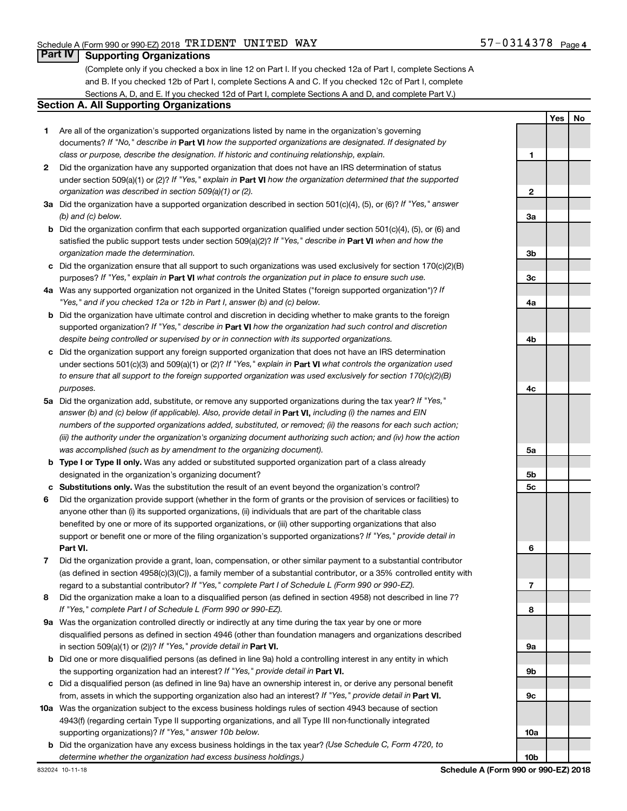## **Part IV Supporting Organizations**

(Complete only if you checked a box in line 12 on Part I. If you checked 12a of Part I, complete Sections A and B. If you checked 12b of Part I, complete Sections A and C. If you checked 12c of Part I, complete Sections A, D, and E. If you checked 12d of Part I, complete Sections A and D, and complete Part V.)

## **Section A. All Supporting Organizations**

- **1** Are all of the organization's supported organizations listed by name in the organization's governing documents? If "No," describe in Part VI how the supported organizations are designated. If designated by *class or purpose, describe the designation. If historic and continuing relationship, explain.*
- **2** Did the organization have any supported organization that does not have an IRS determination of status under section 509(a)(1) or (2)? If "Yes," explain in Part **VI** how the organization determined that the supported *organization was described in section 509(a)(1) or (2).*
- **3a** Did the organization have a supported organization described in section 501(c)(4), (5), or (6)? If "Yes," answer *(b) and (c) below.*
- **b** Did the organization confirm that each supported organization qualified under section 501(c)(4), (5), or (6) and satisfied the public support tests under section 509(a)(2)? If "Yes," describe in Part VI when and how the *organization made the determination.*
- **c** Did the organization ensure that all support to such organizations was used exclusively for section 170(c)(2)(B) purposes? If "Yes," explain in Part VI what controls the organization put in place to ensure such use.
- **4 a** *If* Was any supported organization not organized in the United States ("foreign supported organization")? *"Yes," and if you checked 12a or 12b in Part I, answer (b) and (c) below.*
- **b** Did the organization have ultimate control and discretion in deciding whether to make grants to the foreign supported organization? If "Yes," describe in Part VI how the organization had such control and discretion *despite being controlled or supervised by or in connection with its supported organizations.*
- **c** Did the organization support any foreign supported organization that does not have an IRS determination under sections 501(c)(3) and 509(a)(1) or (2)? If "Yes," explain in Part VI what controls the organization used *to ensure that all support to the foreign supported organization was used exclusively for section 170(c)(2)(B) purposes.*
- **5a** Did the organization add, substitute, or remove any supported organizations during the tax year? If "Yes," answer (b) and (c) below (if applicable). Also, provide detail in **Part VI,** including (i) the names and EIN *numbers of the supported organizations added, substituted, or removed; (ii) the reasons for each such action; (iii) the authority under the organization's organizing document authorizing such action; and (iv) how the action was accomplished (such as by amendment to the organizing document).*
- **b** Type I or Type II only. Was any added or substituted supported organization part of a class already designated in the organization's organizing document?
- **c Substitutions only.**  Was the substitution the result of an event beyond the organization's control?
- **6** Did the organization provide support (whether in the form of grants or the provision of services or facilities) to **Part VI.** support or benefit one or more of the filing organization's supported organizations? If "Yes," provide detail in anyone other than (i) its supported organizations, (ii) individuals that are part of the charitable class benefited by one or more of its supported organizations, or (iii) other supporting organizations that also
- **7** Did the organization provide a grant, loan, compensation, or other similar payment to a substantial contributor regard to a substantial contributor? If "Yes," complete Part I of Schedule L (Form 990 or 990-EZ). (as defined in section 4958(c)(3)(C)), a family member of a substantial contributor, or a 35% controlled entity with
- **8** Did the organization make a loan to a disqualified person (as defined in section 4958) not described in line 7? *If "Yes," complete Part I of Schedule L (Form 990 or 990-EZ).*
- **9 a** Was the organization controlled directly or indirectly at any time during the tax year by one or more in section 509(a)(1) or (2))? If "Yes," provide detail in **Part VI.** disqualified persons as defined in section 4946 (other than foundation managers and organizations described
- **b** Did one or more disqualified persons (as defined in line 9a) hold a controlling interest in any entity in which the supporting organization had an interest? If "Yes," provide detail in Part VI.
- **c** Did a disqualified person (as defined in line 9a) have an ownership interest in, or derive any personal benefit from, assets in which the supporting organization also had an interest? If "Yes," provide detail in Part VI.
- **10 a** Was the organization subject to the excess business holdings rules of section 4943 because of section supporting organizations)? If "Yes," answer 10b below. 4943(f) (regarding certain Type II supporting organizations, and all Type III non-functionally integrated
	- **b** Did the organization have any excess business holdings in the tax year? (Use Schedule C, Form 4720, to *determine whether the organization had excess business holdings.)*

**Yes No 1 2 3a 3b 3c 4a 4b 4c 5a 5b 5c 6 7 8 9a 9b 9c 10a 10b**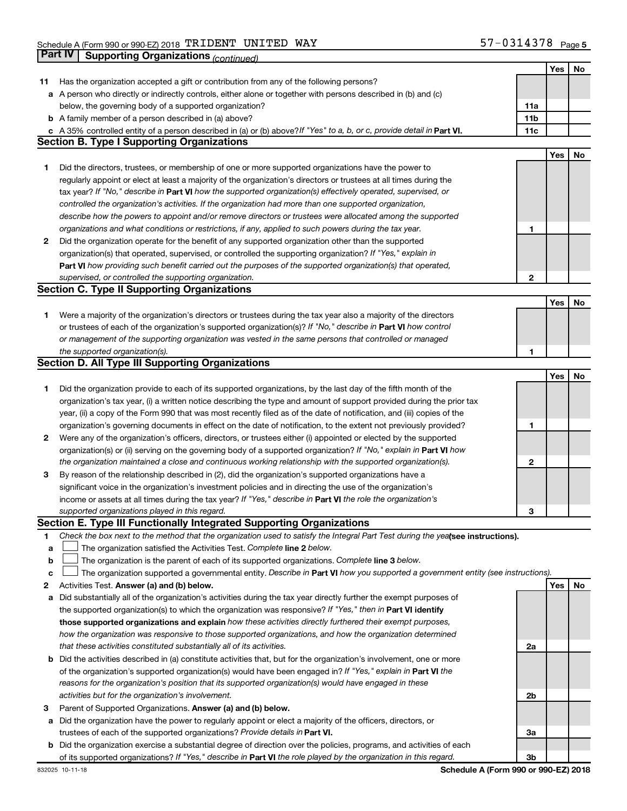|    |                                                                                                                                 |              | Yes | No |
|----|---------------------------------------------------------------------------------------------------------------------------------|--------------|-----|----|
| 11 | Has the organization accepted a gift or contribution from any of the following persons?                                         |              |     |    |
|    | a A person who directly or indirectly controls, either alone or together with persons described in (b) and (c)                  |              |     |    |
|    | below, the governing body of a supported organization?                                                                          | 11a          |     |    |
|    | <b>b</b> A family member of a person described in (a) above?                                                                    | 11b          |     |    |
|    | c A 35% controlled entity of a person described in (a) or (b) above? If "Yes" to a, b, or c, provide detail in Part VI.         | 11c          |     |    |
|    | <b>Section B. Type I Supporting Organizations</b>                                                                               |              |     |    |
|    |                                                                                                                                 |              | Yes | No |
| 1  | Did the directors, trustees, or membership of one or more supported organizations have the power to                             |              |     |    |
|    | regularly appoint or elect at least a majority of the organization's directors or trustees at all times during the              |              |     |    |
|    | tax year? If "No," describe in Part VI how the supported organization(s) effectively operated, supervised, or                   |              |     |    |
|    | controlled the organization's activities. If the organization had more than one supported organization,                         |              |     |    |
|    | describe how the powers to appoint and/or remove directors or trustees were allocated among the supported                       |              |     |    |
|    | organizations and what conditions or restrictions, if any, applied to such powers during the tax year.                          | 1            |     |    |
|    |                                                                                                                                 |              |     |    |
| 2  | Did the organization operate for the benefit of any supported organization other than the supported                             |              |     |    |
|    | organization(s) that operated, supervised, or controlled the supporting organization? If "Yes," explain in                      |              |     |    |
|    | Part VI how providing such benefit carried out the purposes of the supported organization(s) that operated,                     |              |     |    |
|    | supervised, or controlled the supporting organization.                                                                          | $\mathbf{2}$ |     |    |
|    | <b>Section C. Type II Supporting Organizations</b>                                                                              |              |     |    |
|    |                                                                                                                                 |              | Yes | No |
| 1. | Were a majority of the organization's directors or trustees during the tax year also a majority of the directors                |              |     |    |
|    | or trustees of each of the organization's supported organization(s)? If "No," describe in Part VI how control                   |              |     |    |
|    | or management of the supporting organization was vested in the same persons that controlled or managed                          |              |     |    |
|    | the supported organization(s).                                                                                                  | 1            |     |    |
|    | <b>Section D. All Type III Supporting Organizations</b>                                                                         |              |     |    |
|    |                                                                                                                                 |              | Yes | No |
| 1  | Did the organization provide to each of its supported organizations, by the last day of the fifth month of the                  |              |     |    |
|    | organization's tax year, (i) a written notice describing the type and amount of support provided during the prior tax           |              |     |    |
|    | year, (ii) a copy of the Form 990 that was most recently filed as of the date of notification, and (iii) copies of the          |              |     |    |
|    | organization's governing documents in effect on the date of notification, to the extent not previously provided?                | 1            |     |    |
| 2  | Were any of the organization's officers, directors, or trustees either (i) appointed or elected by the supported                |              |     |    |
|    | organization(s) or (ii) serving on the governing body of a supported organization? If "No," explain in Part VI how              |              |     |    |
|    | the organization maintained a close and continuous working relationship with the supported organization(s).                     | 2            |     |    |
| 3  | By reason of the relationship described in (2), did the organization's supported organizations have a                           |              |     |    |
|    | significant voice in the organization's investment policies and in directing the use of the organization's                      |              |     |    |
|    | income or assets at all times during the tax year? If "Yes," describe in Part VI the role the organization's                    |              |     |    |
|    | supported organizations played in this regard.                                                                                  | З            |     |    |
|    | Section E. Type III Functionally Integrated Supporting Organizations                                                            |              |     |    |
| 1. | Check the box next to the method that the organization used to satisfy the Integral Part Test during the yealsee instructions). |              |     |    |
| а  | The organization satisfied the Activities Test. Complete line 2 below.                                                          |              |     |    |
| b  | The organization is the parent of each of its supported organizations. Complete line 3 below.                                   |              |     |    |
| с  | The organization supported a governmental entity. Describe in Part VI how you supported a government entity (see instructions). |              |     |    |
| 2  | Activities Test. Answer (a) and (b) below.                                                                                      |              | Yes | No |
|    | Did substantially all of the organization's activities during the tax year directly further the exempt purposes of              |              |     |    |
| а  | the supported organization(s) to which the organization was responsive? If "Yes," then in Part VI identify                      |              |     |    |
|    | those supported organizations and explain how these activities directly furthered their exempt purposes,                        |              |     |    |
|    |                                                                                                                                 |              |     |    |
|    | how the organization was responsive to those supported organizations, and how the organization determined                       |              |     |    |
|    | that these activities constituted substantially all of its activities.                                                          | 2a           |     |    |
| b  | Did the activities described in (a) constitute activities that, but for the organization's involvement, one or more             |              |     |    |
|    | of the organization's supported organization(s) would have been engaged in? If "Yes," explain in Part VI the                    |              |     |    |
|    | reasons for the organization's position that its supported organization(s) would have engaged in these                          |              |     |    |
|    | activities but for the organization's involvement.                                                                              | 2b           |     |    |
| з  | Parent of Supported Organizations. Answer (a) and (b) below.                                                                    |              |     |    |
| а  | Did the organization have the power to regularly appoint or elect a majority of the officers, directors, or                     |              |     |    |
|    | trustees of each of the supported organizations? Provide details in Part VI.                                                    | За           |     |    |
| b  | Did the organization exercise a substantial degree of direction over the policies, programs, and activities of each             |              |     |    |
|    | of its supported organizations? If "Yes," describe in Part VI the role played by the organization in this regard.               | 3b           |     |    |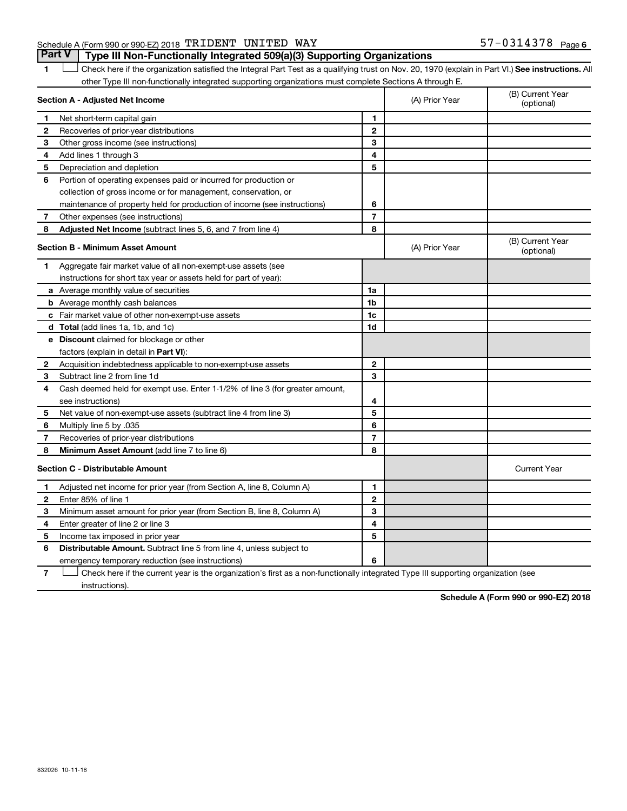## Schedule A (Form 990 or 990-EZ) 2018  $\rm TRIDENT$   $\rm UNITED$   $\rm WAY$   $\rm 57-0314378$   $\rm Page$

1 **Letter See instructions.** All Check here if the organization satisfied the Integral Part Test as a qualifying trust on Nov. 20, 1970 (explain in Part VI.) See instructions. All other Type III non-functionally integrated supporting organizations must complete Sections A through E. **Part V Type III Non-Functionally Integrated 509(a)(3) Supporting Organizations** 

|              | Section A - Adjusted Net Income                                              |                | (A) Prior Year | (B) Current Year<br>(optional) |
|--------------|------------------------------------------------------------------------------|----------------|----------------|--------------------------------|
| 1            | Net short-term capital gain                                                  | 1              |                |                                |
| $\mathbf{2}$ | Recoveries of prior-year distributions                                       | $\mathbf{2}$   |                |                                |
| З            | Other gross income (see instructions)                                        | 3              |                |                                |
| 4            | Add lines 1 through 3                                                        | 4              |                |                                |
| 5            | Depreciation and depletion                                                   | 5              |                |                                |
| 6            | Portion of operating expenses paid or incurred for production or             |                |                |                                |
|              | collection of gross income or for management, conservation, or               |                |                |                                |
|              | maintenance of property held for production of income (see instructions)     | 6              |                |                                |
| 7            | Other expenses (see instructions)                                            | $\overline{7}$ |                |                                |
| 8            | Adjusted Net Income (subtract lines 5, 6, and 7 from line 4)                 | 8              |                |                                |
|              | Section B - Minimum Asset Amount                                             |                | (A) Prior Year | (B) Current Year<br>(optional) |
| 1            | Aggregate fair market value of all non-exempt-use assets (see                |                |                |                                |
|              | instructions for short tax year or assets held for part of year):            |                |                |                                |
|              | a Average monthly value of securities                                        | 1a             |                |                                |
|              | <b>b</b> Average monthly cash balances                                       | 1b             |                |                                |
|              | <b>c</b> Fair market value of other non-exempt-use assets                    | 1c             |                |                                |
|              | d Total (add lines 1a, 1b, and 1c)                                           | 1d             |                |                                |
|              | e Discount claimed for blockage or other                                     |                |                |                                |
|              | factors (explain in detail in Part VI):                                      |                |                |                                |
| 2            | Acquisition indebtedness applicable to non-exempt-use assets                 | $\mathbf{2}$   |                |                                |
| 3            | Subtract line 2 from line 1d                                                 | 3              |                |                                |
| 4            | Cash deemed held for exempt use. Enter 1-1/2% of line 3 (for greater amount, |                |                |                                |
|              | see instructions)                                                            | 4              |                |                                |
| 5            | Net value of non-exempt-use assets (subtract line 4 from line 3)             | 5              |                |                                |
| 6            | Multiply line 5 by .035                                                      | 6              |                |                                |
| 7            | Recoveries of prior-year distributions                                       | $\overline{7}$ |                |                                |
| 8            | Minimum Asset Amount (add line 7 to line 6)                                  | 8              |                |                                |
|              | <b>Section C - Distributable Amount</b>                                      |                |                | <b>Current Year</b>            |
| 1            | Adjusted net income for prior year (from Section A, line 8, Column A)        | 1              |                |                                |
| $\mathbf{2}$ | Enter 85% of line 1                                                          | $\mathbf{2}$   |                |                                |
| 3            | Minimum asset amount for prior year (from Section B, line 8, Column A)       | 3              |                |                                |
| 4            | Enter greater of line 2 or line 3                                            | 4              |                |                                |
| 5            | Income tax imposed in prior year                                             | 5              |                |                                |
| 6            | <b>Distributable Amount.</b> Subtract line 5 from line 4, unless subject to  |                |                |                                |
|              | emergency temporary reduction (see instructions)                             | 6              |                |                                |

**7** Let Check here if the current year is the organization's first as a non-functionally integrated Type III supporting organization (see instructions).

**Schedule A (Form 990 or 990-EZ) 2018**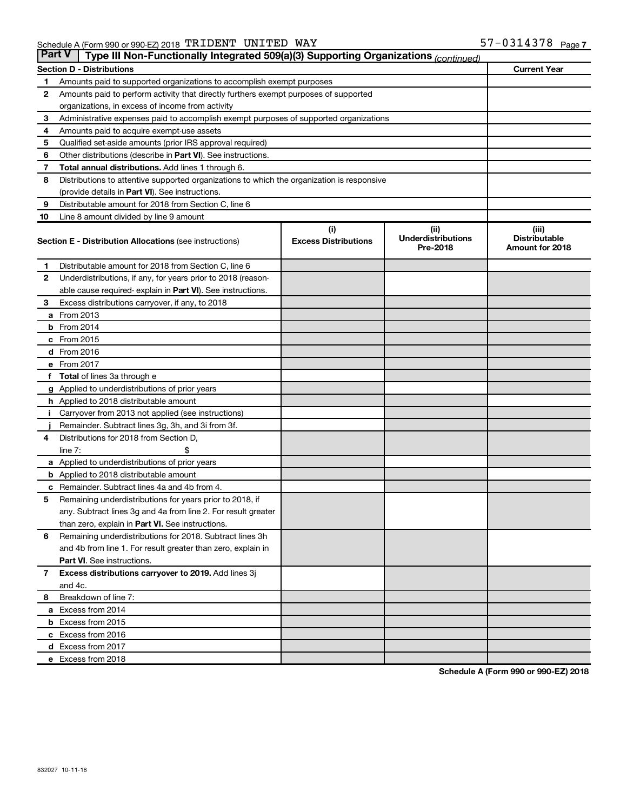| <b>Part V</b><br>Type III Non-Functionally Integrated 509(a)(3) Supporting Organizations (continued) |                                                                                            |                             |                                       |                                         |  |  |  |
|------------------------------------------------------------------------------------------------------|--------------------------------------------------------------------------------------------|-----------------------------|---------------------------------------|-----------------------------------------|--|--|--|
|                                                                                                      | <b>Section D - Distributions</b>                                                           |                             |                                       | <b>Current Year</b>                     |  |  |  |
| 1                                                                                                    | Amounts paid to supported organizations to accomplish exempt purposes                      |                             |                                       |                                         |  |  |  |
| $\mathbf{2}$                                                                                         | Amounts paid to perform activity that directly furthers exempt purposes of supported       |                             |                                       |                                         |  |  |  |
|                                                                                                      | organizations, in excess of income from activity                                           |                             |                                       |                                         |  |  |  |
| 3                                                                                                    | Administrative expenses paid to accomplish exempt purposes of supported organizations      |                             |                                       |                                         |  |  |  |
| 4                                                                                                    | Amounts paid to acquire exempt-use assets                                                  |                             |                                       |                                         |  |  |  |
| 5                                                                                                    | Qualified set-aside amounts (prior IRS approval required)                                  |                             |                                       |                                         |  |  |  |
| 6                                                                                                    | Other distributions (describe in <b>Part VI</b> ). See instructions.                       |                             |                                       |                                         |  |  |  |
| 7                                                                                                    | Total annual distributions. Add lines 1 through 6.                                         |                             |                                       |                                         |  |  |  |
| 8                                                                                                    | Distributions to attentive supported organizations to which the organization is responsive |                             |                                       |                                         |  |  |  |
|                                                                                                      | (provide details in Part VI). See instructions.                                            |                             |                                       |                                         |  |  |  |
| 9                                                                                                    | Distributable amount for 2018 from Section C, line 6                                       |                             |                                       |                                         |  |  |  |
| 10                                                                                                   | Line 8 amount divided by line 9 amount                                                     |                             |                                       |                                         |  |  |  |
|                                                                                                      |                                                                                            | (i)                         | (ii)                                  | (iii)                                   |  |  |  |
|                                                                                                      | <b>Section E - Distribution Allocations (see instructions)</b>                             | <b>Excess Distributions</b> | <b>Underdistributions</b><br>Pre-2018 | <b>Distributable</b><br>Amount for 2018 |  |  |  |
| 1                                                                                                    | Distributable amount for 2018 from Section C, line 6                                       |                             |                                       |                                         |  |  |  |
| $\mathbf{2}$                                                                                         | Underdistributions, if any, for years prior to 2018 (reason-                               |                             |                                       |                                         |  |  |  |
|                                                                                                      | able cause required-explain in Part VI). See instructions.                                 |                             |                                       |                                         |  |  |  |
| 3                                                                                                    | Excess distributions carryover, if any, to 2018                                            |                             |                                       |                                         |  |  |  |
|                                                                                                      | <b>a</b> From 2013                                                                         |                             |                                       |                                         |  |  |  |
|                                                                                                      | <b>b</b> From 2014                                                                         |                             |                                       |                                         |  |  |  |
|                                                                                                      | c From 2015                                                                                |                             |                                       |                                         |  |  |  |
|                                                                                                      | d From 2016                                                                                |                             |                                       |                                         |  |  |  |
|                                                                                                      | e From 2017                                                                                |                             |                                       |                                         |  |  |  |
|                                                                                                      | f Total of lines 3a through e                                                              |                             |                                       |                                         |  |  |  |
|                                                                                                      | g Applied to underdistributions of prior years                                             |                             |                                       |                                         |  |  |  |
|                                                                                                      | h Applied to 2018 distributable amount                                                     |                             |                                       |                                         |  |  |  |
| Ť.                                                                                                   | Carryover from 2013 not applied (see instructions)                                         |                             |                                       |                                         |  |  |  |
|                                                                                                      | Remainder. Subtract lines 3g, 3h, and 3i from 3f.                                          |                             |                                       |                                         |  |  |  |
| 4                                                                                                    | Distributions for 2018 from Section D,                                                     |                             |                                       |                                         |  |  |  |
|                                                                                                      | line $7:$                                                                                  |                             |                                       |                                         |  |  |  |
|                                                                                                      | a Applied to underdistributions of prior years                                             |                             |                                       |                                         |  |  |  |
|                                                                                                      | <b>b</b> Applied to 2018 distributable amount                                              |                             |                                       |                                         |  |  |  |
| с                                                                                                    | Remainder. Subtract lines 4a and 4b from 4.                                                |                             |                                       |                                         |  |  |  |
| 5                                                                                                    | Remaining underdistributions for years prior to 2018, if                                   |                             |                                       |                                         |  |  |  |
|                                                                                                      | any. Subtract lines 3g and 4a from line 2. For result greater                              |                             |                                       |                                         |  |  |  |
|                                                                                                      | than zero, explain in Part VI. See instructions.                                           |                             |                                       |                                         |  |  |  |
| 6                                                                                                    | Remaining underdistributions for 2018. Subtract lines 3h                                   |                             |                                       |                                         |  |  |  |
|                                                                                                      | and 4b from line 1. For result greater than zero, explain in                               |                             |                                       |                                         |  |  |  |
|                                                                                                      | <b>Part VI.</b> See instructions.                                                          |                             |                                       |                                         |  |  |  |
| $\mathbf{7}$                                                                                         | Excess distributions carryover to 2019. Add lines 3j                                       |                             |                                       |                                         |  |  |  |
|                                                                                                      | and 4c.                                                                                    |                             |                                       |                                         |  |  |  |
| 8                                                                                                    | Breakdown of line 7:                                                                       |                             |                                       |                                         |  |  |  |
|                                                                                                      | a Excess from 2014                                                                         |                             |                                       |                                         |  |  |  |
|                                                                                                      | <b>b</b> Excess from 2015                                                                  |                             |                                       |                                         |  |  |  |
|                                                                                                      | c Excess from 2016                                                                         |                             |                                       |                                         |  |  |  |
|                                                                                                      | d Excess from 2017                                                                         |                             |                                       |                                         |  |  |  |
|                                                                                                      | e Excess from 2018                                                                         |                             |                                       |                                         |  |  |  |

**Schedule A (Form 990 or 990-EZ) 2018**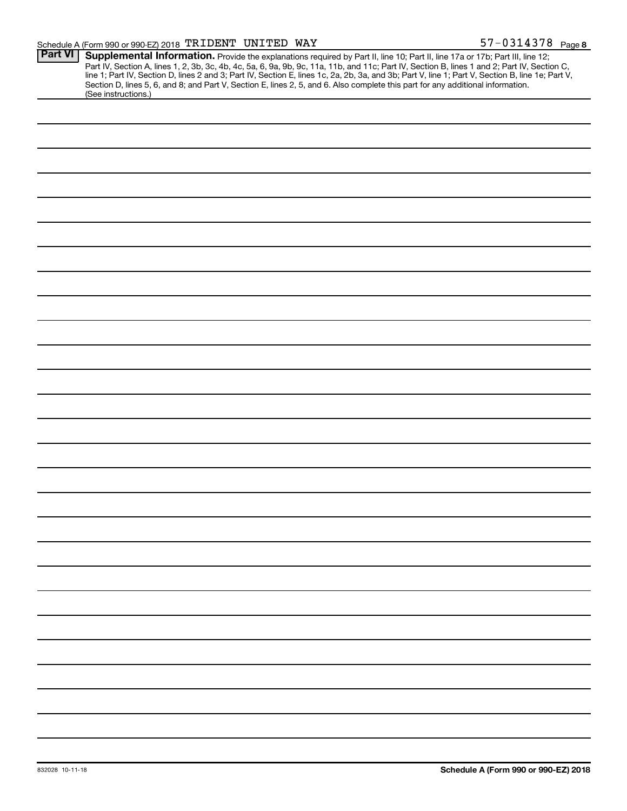| <b>Part VI</b> | Supplemental Information. Provide the explanations required by Part II, line 10; Part II, line 17a or 17b; Part III, line 12;                    |  |  |  |
|----------------|--------------------------------------------------------------------------------------------------------------------------------------------------|--|--|--|
|                | Part IV, Section A, lines 1, 2, 3b, 3c, 4b, 4c, 5a, 6, 9a, 9b, 9c, 11a, 11b, and 11c; Part IV, Section B, lines 1 and 2; Part IV, Section C,     |  |  |  |
|                | line 1; Part IV, Section D, lines 2 and 3; Part IV, Section E, lines 1c, 2a, 2b, 3a, and 3b; Part V, line 1; Part V, Section B, line 1e; Part V, |  |  |  |
|                | Section D, lines 5, 6, and 8; and Part V, Section E, lines 2, 5, and 6. Also complete this part for any additional information.                  |  |  |  |
|                | (See instructions.)                                                                                                                              |  |  |  |
|                |                                                                                                                                                  |  |  |  |
|                |                                                                                                                                                  |  |  |  |
|                |                                                                                                                                                  |  |  |  |
|                |                                                                                                                                                  |  |  |  |
|                |                                                                                                                                                  |  |  |  |
|                |                                                                                                                                                  |  |  |  |
|                |                                                                                                                                                  |  |  |  |
|                |                                                                                                                                                  |  |  |  |
|                |                                                                                                                                                  |  |  |  |
|                |                                                                                                                                                  |  |  |  |
|                |                                                                                                                                                  |  |  |  |
|                |                                                                                                                                                  |  |  |  |
|                |                                                                                                                                                  |  |  |  |
|                |                                                                                                                                                  |  |  |  |
|                |                                                                                                                                                  |  |  |  |
|                |                                                                                                                                                  |  |  |  |
|                |                                                                                                                                                  |  |  |  |
|                |                                                                                                                                                  |  |  |  |
|                |                                                                                                                                                  |  |  |  |
|                |                                                                                                                                                  |  |  |  |
|                |                                                                                                                                                  |  |  |  |
|                |                                                                                                                                                  |  |  |  |
|                |                                                                                                                                                  |  |  |  |
|                |                                                                                                                                                  |  |  |  |
|                |                                                                                                                                                  |  |  |  |
|                |                                                                                                                                                  |  |  |  |
|                |                                                                                                                                                  |  |  |  |
|                |                                                                                                                                                  |  |  |  |
|                |                                                                                                                                                  |  |  |  |
|                |                                                                                                                                                  |  |  |  |
|                |                                                                                                                                                  |  |  |  |
|                |                                                                                                                                                  |  |  |  |
|                |                                                                                                                                                  |  |  |  |
|                |                                                                                                                                                  |  |  |  |
|                |                                                                                                                                                  |  |  |  |
|                |                                                                                                                                                  |  |  |  |
|                |                                                                                                                                                  |  |  |  |
|                |                                                                                                                                                  |  |  |  |
|                |                                                                                                                                                  |  |  |  |
|                |                                                                                                                                                  |  |  |  |
|                |                                                                                                                                                  |  |  |  |
|                |                                                                                                                                                  |  |  |  |
|                |                                                                                                                                                  |  |  |  |
|                |                                                                                                                                                  |  |  |  |
|                |                                                                                                                                                  |  |  |  |
|                |                                                                                                                                                  |  |  |  |
|                |                                                                                                                                                  |  |  |  |
|                |                                                                                                                                                  |  |  |  |
|                |                                                                                                                                                  |  |  |  |
|                |                                                                                                                                                  |  |  |  |
|                |                                                                                                                                                  |  |  |  |
|                |                                                                                                                                                  |  |  |  |
|                |                                                                                                                                                  |  |  |  |
|                |                                                                                                                                                  |  |  |  |
|                |                                                                                                                                                  |  |  |  |
|                |                                                                                                                                                  |  |  |  |
|                |                                                                                                                                                  |  |  |  |
|                |                                                                                                                                                  |  |  |  |
|                |                                                                                                                                                  |  |  |  |
|                |                                                                                                                                                  |  |  |  |
|                |                                                                                                                                                  |  |  |  |
|                |                                                                                                                                                  |  |  |  |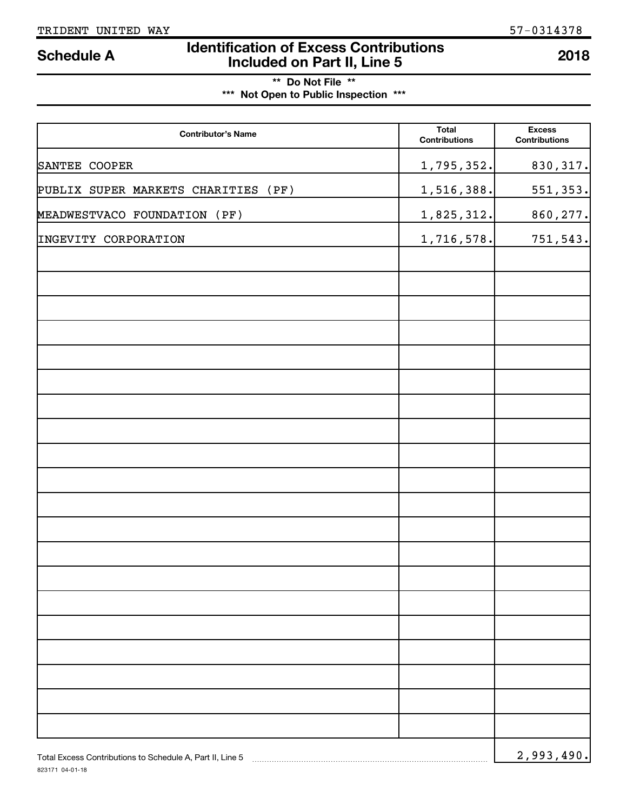# **Identification of Excess Contributions Included on Part II, Line 5 Schedule A <sup>2018</sup>**

**\*\* Do Not File \*\* \*\*\* Not Open to Public Inspection \*\*\***

| <b>Contributor's Name</b>                                 | <b>Total</b><br><b>Contributions</b> | <b>Excess</b><br><b>Contributions</b> |
|-----------------------------------------------------------|--------------------------------------|---------------------------------------|
| SANTEE COOPER                                             | 1,795,352.                           | 830, 317.                             |
| PUBLIX SUPER MARKETS CHARITIES (PF)                       | 1,516,388.                           | 551, 353.                             |
| MEADWESTVACO FOUNDATION (PF)                              | 1,825,312.                           | 860, 277.                             |
| INGEVITY CORPORATION                                      | 1,716,578.                           | 751,543.                              |
|                                                           |                                      |                                       |
|                                                           |                                      |                                       |
|                                                           |                                      |                                       |
|                                                           |                                      |                                       |
|                                                           |                                      |                                       |
|                                                           |                                      |                                       |
|                                                           |                                      |                                       |
|                                                           |                                      |                                       |
|                                                           |                                      |                                       |
|                                                           |                                      |                                       |
|                                                           |                                      |                                       |
|                                                           |                                      |                                       |
|                                                           |                                      |                                       |
|                                                           |                                      |                                       |
|                                                           |                                      |                                       |
|                                                           |                                      |                                       |
|                                                           |                                      |                                       |
|                                                           |                                      |                                       |
|                                                           |                                      |                                       |
|                                                           |                                      |                                       |
| Total Excess Contributions to Schedule A, Part II, Line 5 |                                      | 2,993,490.                            |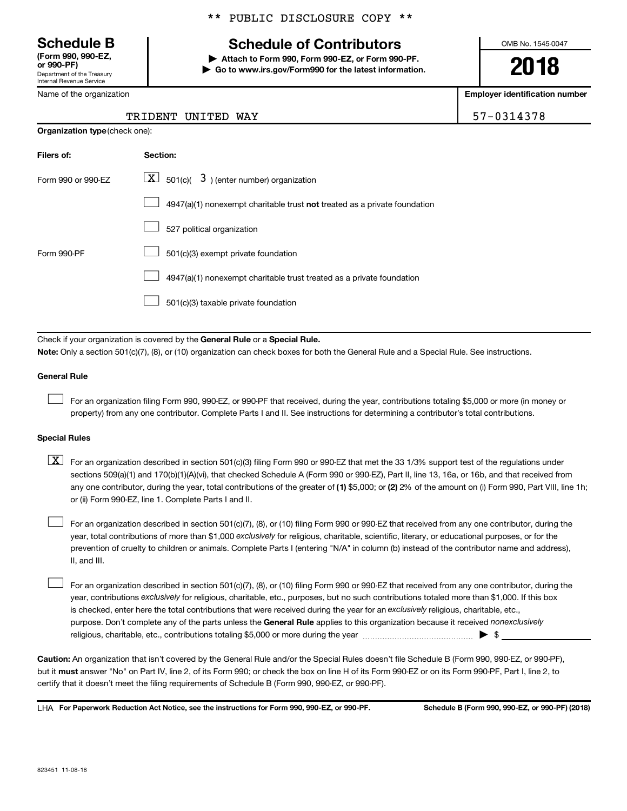Department of the Treasury Internal Revenue Service **(Form 990, 990-EZ,**

Name of the organization

# **Schedule B Schedule of Contributors**

**or 990-PF) | Attach to Form 990, Form 990-EZ, or Form 990-PF. | Go to www.irs.gov/Form990 for the latest information.** OMB No. 1545-0047

**2018**

**Employer identification number**

57-0314378

| TRIDENT UNITED WAY |  |  |
|--------------------|--|--|
|--------------------|--|--|

| <b>Organization type (check one):</b> |                                                                             |  |  |  |  |
|---------------------------------------|-----------------------------------------------------------------------------|--|--|--|--|
| Filers of:                            | Section:                                                                    |  |  |  |  |
| Form 990 or 990-EZ                    | $\underline{\mathbf{X}}$ 501(c)( 3) (enter number) organization             |  |  |  |  |
|                                       | $4947(a)(1)$ nonexempt charitable trust not treated as a private foundation |  |  |  |  |
|                                       | 527 political organization                                                  |  |  |  |  |
| Form 990-PF                           | 501(c)(3) exempt private foundation                                         |  |  |  |  |
|                                       | 4947(a)(1) nonexempt charitable trust treated as a private foundation       |  |  |  |  |
|                                       | 501(c)(3) taxable private foundation                                        |  |  |  |  |

Check if your organization is covered by the General Rule or a Special Rule. **Note:**  Only a section 501(c)(7), (8), or (10) organization can check boxes for both the General Rule and a Special Rule. See instructions.

## **General Rule**

 $\Box$ 

For an organization filing Form 990, 990-EZ, or 990-PF that received, during the year, contributions totaling \$5,000 or more (in money or property) from any one contributor. Complete Parts I and II. See instructions for determining a contributor's total contributions.

## **Special Rules**

any one contributor, during the year, total contributions of the greater of (1) \$5,000; or (2) 2% of the amount on (i) Form 990, Part VIII, line 1h;  $\boxed{\text{X}}$  For an organization described in section 501(c)(3) filing Form 990 or 990-EZ that met the 33 1/3% support test of the regulations under sections 509(a)(1) and 170(b)(1)(A)(vi), that checked Schedule A (Form 990 or 990-EZ), Part II, line 13, 16a, or 16b, and that received from or (ii) Form 990-EZ, line 1. Complete Parts I and II.

year, total contributions of more than \$1,000 *exclusively* for religious, charitable, scientific, literary, or educational purposes, or for the For an organization described in section 501(c)(7), (8), or (10) filing Form 990 or 990-EZ that received from any one contributor, during the prevention of cruelty to children or animals. Complete Parts I (entering "N/A" in column (b) instead of the contributor name and address), II, and III.  $\Box$ 

purpose. Don't complete any of the parts unless the General Rule applies to this organization because it received nonexclusively year, contributions exclusively for religious, charitable, etc., purposes, but no such contributions totaled more than \$1,000. If this box is checked, enter here the total contributions that were received during the year for an exclusively religious, charitable, etc., For an organization described in section 501(c)(7), (8), or (10) filing Form 990 or 990-EZ that received from any one contributor, during the religious, charitable, etc., contributions totaling \$5,000 or more during the year  $\ldots$  $\ldots$  $\ldots$  $\ldots$  $\ldots$  $\ldots$  $\Box$ 

**Caution:**  An organization that isn't covered by the General Rule and/or the Special Rules doesn't file Schedule B (Form 990, 990-EZ, or 990-PF),  **must** but it answer "No" on Part IV, line 2, of its Form 990; or check the box on line H of its Form 990-EZ or on its Form 990-PF, Part I, line 2, to certify that it doesn't meet the filing requirements of Schedule B (Form 990, 990-EZ, or 990-PF).

**For Paperwork Reduction Act Notice, see the instructions for Form 990, 990-EZ, or 990-PF. Schedule B (Form 990, 990-EZ, or 990-PF) (2018)** LHA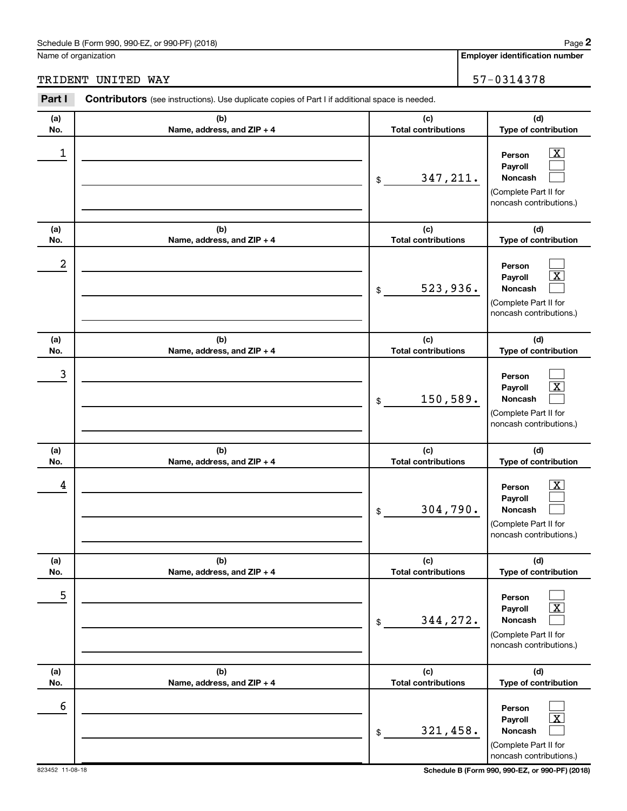## Schedule B (Form 990, 990-EZ, or 990-PF) (2018)

Name of organization

**Employer identification number 2**

TRIDENT UNITED WAY 57-0314378

#### **(a) No. (b) Name, address, and ZIP + 4 (c) Total contributions (d) Type of contribution Person Payroll Noncash (a) No. (b) Name, address, and ZIP + 4 (c) Total contributions (d) Type of contribution Person Payroll Noncash (a) No. (b) Name, address, and ZIP + 4 (c) Total contributions (d) Type of contribution Person Payroll Noncash (a) No. (b) Name, address, and ZIP + 4 (c) Total contributions (d) Type of contribution Person Payroll Noncash (a) No. (b) Name, address, and ZIP + 4 (c) Total contributions (d) Type of contribution Person Payroll Noncash (a) No. (b) Name, address, and ZIP + 4 (c) Total contributions (d) Type of contribution Person Payroll Noncash Part I** Contributors (see instructions). Use duplicate copies of Part I if additional space is needed. \$ (Complete Part II for noncash contributions.) \$ (Complete Part II for noncash contributions.) \$ (Complete Part II for noncash contributions.) \$ (Complete Part II for noncash contributions.) \$ (Complete Part II for noncash contributions.) \$ (Complete Part II for noncash contributions.)  $\boxed{\textbf{X}}$  $\Box$  $\Box$  $\Box$  $\boxed{\text{X}}$  $\Box$  $\Box$  $\boxed{\text{X}}$  $\Box$  $\boxed{\text{X}}$  $\Box$  $\Box$  $\Box$  $\boxed{\text{X}}$  $\Box$  $\Box$  $\boxed{\text{X}}$  $\Box$  $\begin{array}{|c|c|c|c|c|}\hline \ \text{1} & \text{Person} & \text{X} \ \hline \end{array}$ 347,211. 2 523,936. 3 150,589.  $\begin{array}{|c|c|c|c|c|}\hline \text{4} & \text{Person} & \text{\textbf{X}}\ \hline \end{array}$ 304,790. 5 344,272. 6 321,458.

823452 11-08-18 **Schedule B (Form 990, 990-EZ, or 990-PF) (2018)**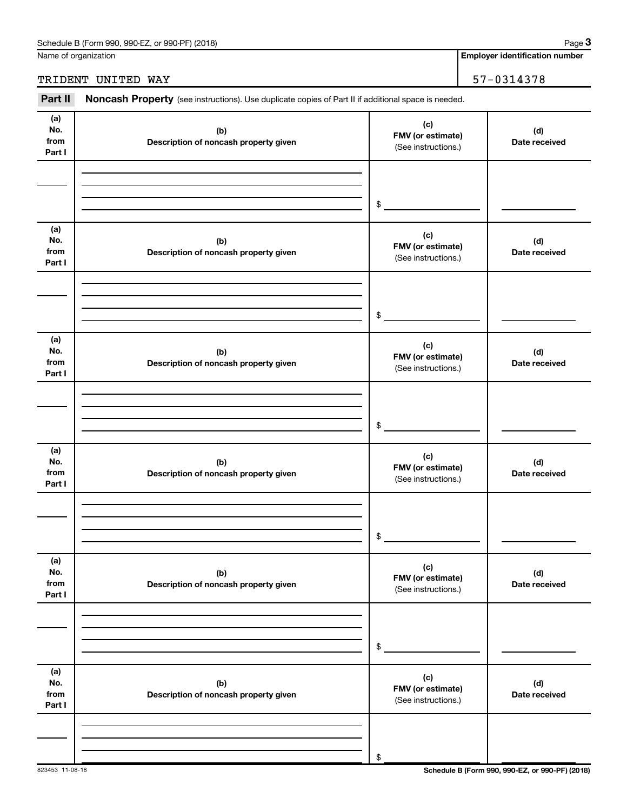| Schedule B (Form 990,<br>(2018)<br>or 990-PF)<br>990-EZ<br>Page |  |
|-----------------------------------------------------------------|--|
|-----------------------------------------------------------------|--|

Name of organization

## TRIDENT UNITED WAY 57-0314378

Part II Noncash Property (see instructions). Use duplicate copies of Part II if additional space is needed.

| (a)<br>No.<br>from<br>Part I | (b)<br>Description of noncash property given | (c)<br>FMV (or estimate)<br>(See instructions.) | (d)<br>Date received |
|------------------------------|----------------------------------------------|-------------------------------------------------|----------------------|
|                              |                                              | $\$$                                            |                      |
| (a)<br>No.<br>from<br>Part I | (b)<br>Description of noncash property given | (c)<br>FMV (or estimate)<br>(See instructions.) | (d)<br>Date received |
|                              |                                              | \$                                              |                      |
| (a)<br>No.<br>from<br>Part I | (b)<br>Description of noncash property given | (c)<br>FMV (or estimate)<br>(See instructions.) | (d)<br>Date received |
|                              |                                              | $\$$                                            |                      |
| (a)<br>No.<br>from<br>Part I | (b)<br>Description of noncash property given | (c)<br>FMV (or estimate)<br>(See instructions.) | (d)<br>Date received |
|                              |                                              | \$                                              |                      |
| (a)<br>No.<br>from<br>Part I | (b)<br>Description of noncash property given | (c)<br>FMV (or estimate)<br>(See instructions.) | (d)<br>Date received |
|                              |                                              | $\,$                                            |                      |
| (a)<br>No.<br>from<br>Part I | (b)<br>Description of noncash property given | (c)<br>FMV (or estimate)<br>(See instructions.) | (d)<br>Date received |
|                              |                                              | \$                                              |                      |

823453 11-08-18 **Schedule B (Form 990, 990-EZ, or 990-PF) (2018)**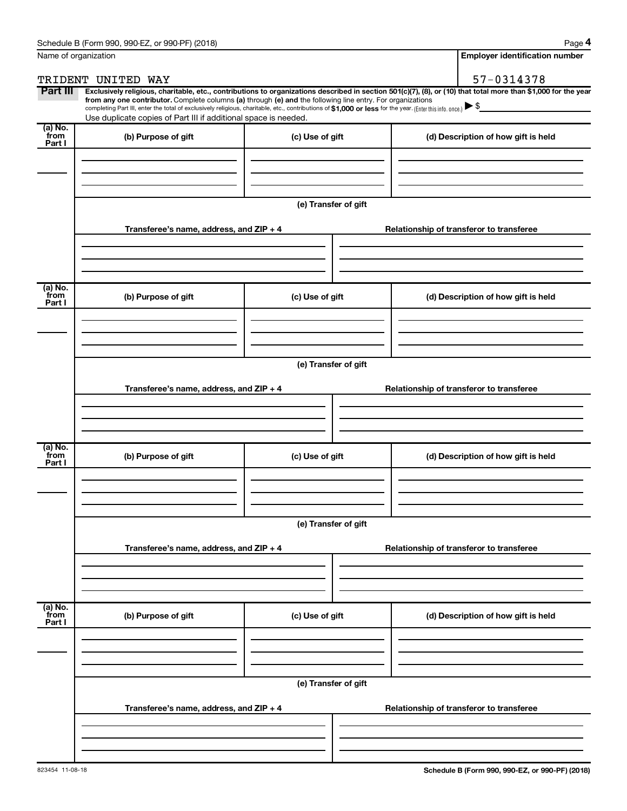| Name of organization      |                                                                                                                                                                                                                                                                                                                                                |                      | <b>Employer identification number</b>                                                                                                                          |  |
|---------------------------|------------------------------------------------------------------------------------------------------------------------------------------------------------------------------------------------------------------------------------------------------------------------------------------------------------------------------------------------|----------------------|----------------------------------------------------------------------------------------------------------------------------------------------------------------|--|
|                           | TRIDENT UNITED WAY                                                                                                                                                                                                                                                                                                                             |                      | 57-0314378                                                                                                                                                     |  |
| Part III                  | from any one contributor. Complete columns (a) through (e) and the following line entry. For organizations<br>completing Part III, enter the total of exclusively religious, charitable, etc., contributions of \$1,000 or less for the year. (Enter this info. once.) ▶ \$<br>Use duplicate copies of Part III if additional space is needed. |                      | Exclusively religious, charitable, etc., contributions to organizations described in section 501(c)(7), (8), or (10) that total more than \$1,000 for the year |  |
| (a) No.<br>from           | (b) Purpose of gift                                                                                                                                                                                                                                                                                                                            | (c) Use of gift      | (d) Description of how gift is held                                                                                                                            |  |
| Part I                    |                                                                                                                                                                                                                                                                                                                                                |                      |                                                                                                                                                                |  |
|                           |                                                                                                                                                                                                                                                                                                                                                | (e) Transfer of gift |                                                                                                                                                                |  |
|                           | Transferee's name, address, and $ZIP + 4$                                                                                                                                                                                                                                                                                                      |                      | Relationship of transferor to transferee                                                                                                                       |  |
| (a) No.<br>from           | (b) Purpose of gift                                                                                                                                                                                                                                                                                                                            | (c) Use of gift      | (d) Description of how gift is held                                                                                                                            |  |
| Part I                    |                                                                                                                                                                                                                                                                                                                                                |                      |                                                                                                                                                                |  |
|                           |                                                                                                                                                                                                                                                                                                                                                | (e) Transfer of gift |                                                                                                                                                                |  |
|                           | Transferee's name, address, and $ZIP + 4$                                                                                                                                                                                                                                                                                                      |                      | Relationship of transferor to transferee                                                                                                                       |  |
| $(a)$ No.                 |                                                                                                                                                                                                                                                                                                                                                |                      |                                                                                                                                                                |  |
| from<br>Part I            | (b) Purpose of gift                                                                                                                                                                                                                                                                                                                            | (c) Use of gift      | (d) Description of how gift is held                                                                                                                            |  |
|                           |                                                                                                                                                                                                                                                                                                                                                |                      |                                                                                                                                                                |  |
|                           | Transferee's name, address, and ZIP + 4                                                                                                                                                                                                                                                                                                        | (e) Transfer of gift | Relationship of transferor to transferee                                                                                                                       |  |
|                           |                                                                                                                                                                                                                                                                                                                                                |                      |                                                                                                                                                                |  |
| (a) No.<br>from<br>Part I | (b) Purpose of gift                                                                                                                                                                                                                                                                                                                            | (c) Use of gift      | (d) Description of how gift is held                                                                                                                            |  |
|                           |                                                                                                                                                                                                                                                                                                                                                |                      |                                                                                                                                                                |  |
|                           |                                                                                                                                                                                                                                                                                                                                                | (e) Transfer of gift |                                                                                                                                                                |  |
|                           | Transferee's name, address, and $ZIP + 4$                                                                                                                                                                                                                                                                                                      |                      | Relationship of transferor to transferee                                                                                                                       |  |
|                           |                                                                                                                                                                                                                                                                                                                                                |                      |                                                                                                                                                                |  |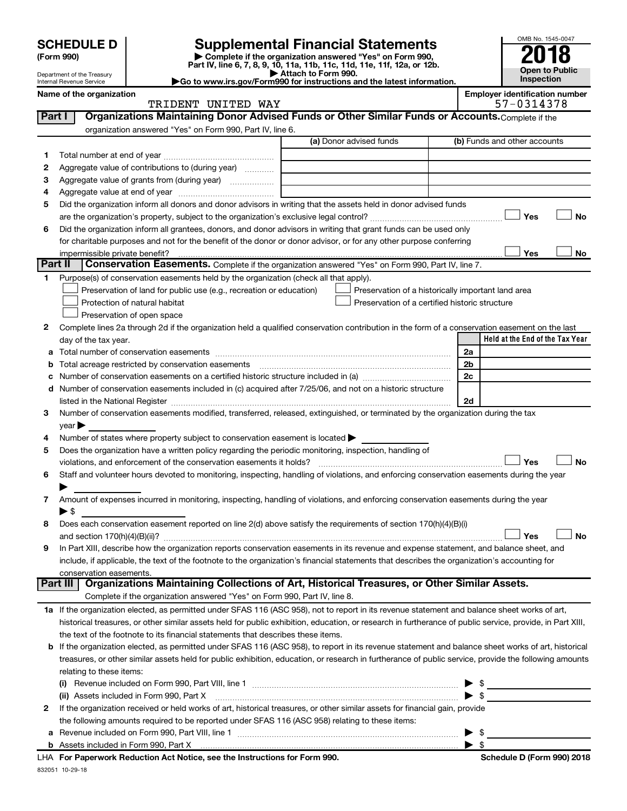# **SCHEDULE D Supplemental Financial Statements**<br> **Form 990 2018**<br> **Part IV** line 6.7.8.9.10, 11a, 11b, 11d, 11d, 11d, 11d, 11d, 12a, 0r, 12b

**(Form 990) | Complete if the organization answered "Yes" on Form 990, Part IV, line 6, 7, 8, 9, 10, 11a, 11b, 11c, 11d, 11e, 11f, 12a, or 12b.**

**| Attach to Form 990. |Go to www.irs.gov/Form990 for instructions and the latest information.**



Department of the Treasury Internal Revenue Service **Name of the organization Employer identification number**

| nployer identification numbe |  |  |  |             |  |
|------------------------------|--|--|--|-------------|--|
|                              |  |  |  | 0דכו רכה דם |  |

|         | TRIDENT UNITED WAY                                                                                                                                        |                                                    | 57-0314378                      |
|---------|-----------------------------------------------------------------------------------------------------------------------------------------------------------|----------------------------------------------------|---------------------------------|
| Part I  | Organizations Maintaining Donor Advised Funds or Other Similar Funds or Accounts. Complete if the                                                         |                                                    |                                 |
|         | organization answered "Yes" on Form 990, Part IV, line 6.                                                                                                 |                                                    |                                 |
|         |                                                                                                                                                           | (a) Donor advised funds                            | (b) Funds and other accounts    |
| 1.      |                                                                                                                                                           |                                                    |                                 |
| 2       | Aggregate value of contributions to (during year)                                                                                                         |                                                    |                                 |
| з       |                                                                                                                                                           |                                                    |                                 |
| 4       |                                                                                                                                                           |                                                    |                                 |
| 5       | Did the organization inform all donors and donor advisors in writing that the assets held in donor advised funds                                          |                                                    |                                 |
|         |                                                                                                                                                           |                                                    | Yes<br><b>No</b>                |
| 6       | Did the organization inform all grantees, donors, and donor advisors in writing that grant funds can be used only                                         |                                                    |                                 |
|         | for charitable purposes and not for the benefit of the donor or donor advisor, or for any other purpose conferring                                        |                                                    |                                 |
|         | impermissible private benefit?                                                                                                                            |                                                    | Yes<br>No                       |
| Part II | <b>Conservation Easements.</b> Complete if the organization answered "Yes" on Form 990, Part IV, line 7.                                                  |                                                    |                                 |
| 1       | Purpose(s) of conservation easements held by the organization (check all that apply).                                                                     |                                                    |                                 |
|         | Preservation of land for public use (e.g., recreation or education)                                                                                       | Preservation of a historically important land area |                                 |
|         | Protection of natural habitat                                                                                                                             | Preservation of a certified historic structure     |                                 |
|         | Preservation of open space                                                                                                                                |                                                    |                                 |
| 2       | Complete lines 2a through 2d if the organization held a qualified conservation contribution in the form of a conservation easement on the last            |                                                    |                                 |
|         | day of the tax year.                                                                                                                                      |                                                    | Held at the End of the Tax Year |
| а       |                                                                                                                                                           |                                                    | 2a                              |
|         | Total acreage restricted by conservation easements                                                                                                        |                                                    | 2 <sub>b</sub>                  |
|         | Number of conservation easements on a certified historic structure included in (a) manufacture included in (a)                                            |                                                    | 2c                              |
| d       | Number of conservation easements included in (c) acquired after 7/25/06, and not on a historic structure                                                  |                                                    |                                 |
|         |                                                                                                                                                           |                                                    | 2d                              |
| 3       | Number of conservation easements modified, transferred, released, extinguished, or terminated by the organization during the tax                          |                                                    |                                 |
|         | year                                                                                                                                                      |                                                    |                                 |
| 4       | Number of states where property subject to conservation easement is located >                                                                             |                                                    |                                 |
| 5       | Does the organization have a written policy regarding the periodic monitoring, inspection, handling of                                                    |                                                    |                                 |
|         | violations, and enforcement of the conservation easements it holds?                                                                                       |                                                    | Yes<br><b>No</b>                |
| 6       | Staff and volunteer hours devoted to monitoring, inspecting, handling of violations, and enforcing conservation easements during the year                 |                                                    |                                 |
|         |                                                                                                                                                           |                                                    |                                 |
| 7       | Amount of expenses incurred in monitoring, inspecting, handling of violations, and enforcing conservation easements during the year                       |                                                    |                                 |
|         | $\blacktriangleright$ s                                                                                                                                   |                                                    |                                 |
| 8       | Does each conservation easement reported on line 2(d) above satisfy the requirements of section 170(h)(4)(B)(i)                                           |                                                    |                                 |
|         |                                                                                                                                                           |                                                    | <b>No</b><br>Yes                |
| 9       | In Part XIII, describe how the organization reports conservation easements in its revenue and expense statement, and balance sheet, and                   |                                                    |                                 |
|         | include, if applicable, the text of the footnote to the organization's financial statements that describes the organization's accounting for              |                                                    |                                 |
|         | conservation easements.                                                                                                                                   |                                                    |                                 |
|         | Organizations Maintaining Collections of Art, Historical Treasures, or Other Similar Assets.<br>Part III                                                  |                                                    |                                 |
|         | Complete if the organization answered "Yes" on Form 990, Part IV, line 8.                                                                                 |                                                    |                                 |
|         | 1a If the organization elected, as permitted under SFAS 116 (ASC 958), not to report in its revenue statement and balance sheet works of art,             |                                                    |                                 |
|         | historical treasures, or other similar assets held for public exhibition, education, or research in furtherance of public service, provide, in Part XIII, |                                                    |                                 |
|         | the text of the footnote to its financial statements that describes these items.                                                                          |                                                    |                                 |
|         | b If the organization elected, as permitted under SFAS 116 (ASC 958), to report in its revenue statement and balance sheet works of art, historical       |                                                    |                                 |
|         | treasures, or other similar assets held for public exhibition, education, or research in furtherance of public service, provide the following amounts     |                                                    |                                 |
|         | relating to these items:                                                                                                                                  |                                                    |                                 |
|         |                                                                                                                                                           |                                                    | $\frac{1}{2}$                   |
|         | (ii) Assets included in Form 990, Part X                                                                                                                  |                                                    | $\blacktriangleright$ \$        |
| 2       | If the organization received or held works of art, historical treasures, or other similar assets for financial gain, provide                              |                                                    |                                 |
|         | the following amounts required to be reported under SFAS 116 (ASC 958) relating to these items:                                                           |                                                    |                                 |
|         | a Revenue included on Form 990, Part VIII, line 1                                                                                                         |                                                    | $\blacktriangleright$ \$        |

| \$

**b** Assets included in Form 990, Part X

| LHA For Paperwork Reduction Act Notice, see the Instructions for Form 990. |  |
|----------------------------------------------------------------------------|--|
| 832051 10-29-18                                                            |  |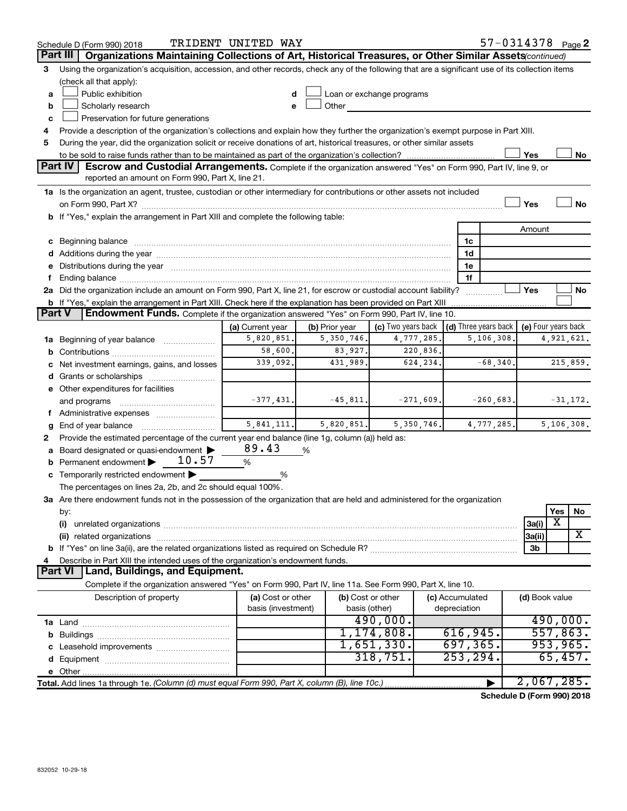|               | Schedule D (Form 990) 2018                                                                                                                                                                                                     | TRIDENT UNITED WAY                      |                |                           |                                      |              | 57-0314378 Page 2   |          |                      |
|---------------|--------------------------------------------------------------------------------------------------------------------------------------------------------------------------------------------------------------------------------|-----------------------------------------|----------------|---------------------------|--------------------------------------|--------------|---------------------|----------|----------------------|
|               | Part III<br>Organizations Maintaining Collections of Art, Historical Treasures, or Other Similar Assets(continued)                                                                                                             |                                         |                |                           |                                      |              |                     |          |                      |
| 3             | Using the organization's acquisition, accession, and other records, check any of the following that are a significant use of its collection items                                                                              |                                         |                |                           |                                      |              |                     |          |                      |
|               | (check all that apply):                                                                                                                                                                                                        |                                         |                |                           |                                      |              |                     |          |                      |
| a             | Public exhibition                                                                                                                                                                                                              |                                         |                | Loan or exchange programs |                                      |              |                     |          |                      |
| b             | Scholarly research                                                                                                                                                                                                             |                                         | Other          |                           |                                      |              |                     |          |                      |
| c             | Preservation for future generations                                                                                                                                                                                            |                                         |                |                           |                                      |              |                     |          |                      |
| 4             | Provide a description of the organization's collections and explain how they further the organization's exempt purpose in Part XIII.                                                                                           |                                         |                |                           |                                      |              |                     |          |                      |
| 5             | During the year, did the organization solicit or receive donations of art, historical treasures, or other similar assets                                                                                                       |                                         |                |                           |                                      |              |                     |          |                      |
|               |                                                                                                                                                                                                                                |                                         |                |                           |                                      |              | Yes                 |          | No                   |
|               | <b>Part IV</b><br>Escrow and Custodial Arrangements. Complete if the organization answered "Yes" on Form 990, Part IV, line 9, or                                                                                              |                                         |                |                           |                                      |              |                     |          |                      |
|               | reported an amount on Form 990, Part X, line 21.                                                                                                                                                                               |                                         |                |                           |                                      |              |                     |          |                      |
|               | 1a Is the organization an agent, trustee, custodian or other intermediary for contributions or other assets not included                                                                                                       |                                         |                |                           |                                      |              |                     |          |                      |
|               |                                                                                                                                                                                                                                |                                         |                |                           |                                      |              | Yes                 |          | No                   |
|               | b If "Yes," explain the arrangement in Part XIII and complete the following table:                                                                                                                                             |                                         |                |                           |                                      |              |                     |          |                      |
|               |                                                                                                                                                                                                                                |                                         |                |                           |                                      |              | Amount              |          |                      |
|               | c Beginning balance measurements and the contract of the contract of the contract of the contract of the contract of the contract of the contract of the contract of the contract of the contract of the contract of the contr |                                         |                |                           | 1c                                   |              |                     |          |                      |
|               |                                                                                                                                                                                                                                |                                         |                |                           | 1d                                   |              |                     |          |                      |
|               | e Distributions during the year manufactured and continuum and contact the year manufactured and contact the year manufactured and contact the year manufactured and contact the year manufactured and contact the year manufa |                                         |                |                           | 1e                                   |              |                     |          |                      |
|               | 2a Did the organization include an amount on Form 990, Part X, line 21, for escrow or custodial account liability?                                                                                                             |                                         |                |                           | 1f                                   |              | Yes                 |          | No                   |
|               | <b>b</b> If "Yes," explain the arrangement in Part XIII. Check here if the explanation has been provided on Part XIII                                                                                                          |                                         |                |                           |                                      |              |                     |          |                      |
| <b>Part V</b> | Endowment Funds. Complete if the organization answered "Yes" on Form 990, Part IV, line 10.                                                                                                                                    |                                         |                |                           |                                      |              |                     |          |                      |
|               |                                                                                                                                                                                                                                | (a) Current year                        | (b) Prior year | (c) Two years back        | $\vert$ (d) Three years back $\vert$ |              | (e) Four years back |          |                      |
|               | <b>1a</b> Beginning of year balance                                                                                                                                                                                            | 5,820,851.                              | 5, 350, 746.   | 4,777,285.                |                                      | 5, 106, 308. |                     |          | 4,921,621.           |
| b             |                                                                                                                                                                                                                                | 58,600.                                 | 83,927.        | 220,836.                  |                                      |              |                     |          |                      |
|               | Net investment earnings, gains, and losses                                                                                                                                                                                     | 339,092.                                | 431,989.       | 624,234.                  |                                      | $-68,340.$   |                     |          | 215,859.             |
|               |                                                                                                                                                                                                                                |                                         |                |                           |                                      |              |                     |          |                      |
|               | e Other expenditures for facilities                                                                                                                                                                                            |                                         |                |                           |                                      |              |                     |          |                      |
|               | and programs                                                                                                                                                                                                                   | $-377,431.$                             | $-45,811.$     | $-271,609.$               |                                      | $-260,683.$  |                     |          | $-31,172.$           |
|               | Administrative expenses                                                                                                                                                                                                        |                                         |                |                           |                                      |              |                     |          |                      |
|               | End of year balance                                                                                                                                                                                                            | 5,841,111.                              | 5,820,851.     | 5,350,746.                |                                      | 4,777,285.   |                     |          | 5,106,308.           |
| 2             | Provide the estimated percentage of the current year end balance (line 1g, column (a)) held as:                                                                                                                                |                                         |                |                           |                                      |              |                     |          |                      |
|               | Board designated or quasi-endowment                                                                                                                                                                                            | 89.43                                   | %              |                           |                                      |              |                     |          |                      |
|               | 10.57<br><b>b</b> Permanent endowment $\blacktriangleright$                                                                                                                                                                    | $\%$                                    |                |                           |                                      |              |                     |          |                      |
|               | c Temporarily restricted endowment $\blacktriangleright$                                                                                                                                                                       | %                                       |                |                           |                                      |              |                     |          |                      |
|               | The percentages on lines 2a, 2b, and 2c should equal 100%.                                                                                                                                                                     |                                         |                |                           |                                      |              |                     |          |                      |
|               | 3a Are there endowment funds not in the possession of the organization that are held and administered for the organization                                                                                                     |                                         |                |                           |                                      |              |                     |          |                      |
|               | by:                                                                                                                                                                                                                            |                                         |                |                           |                                      |              |                     | Yes      | No                   |
|               | (i)                                                                                                                                                                                                                            |                                         |                |                           |                                      |              | 3a(i)               | х        |                      |
|               | (ii) related organizations                                                                                                                                                                                                     |                                         |                |                           |                                      |              | 3a(ii)              |          | х                    |
|               |                                                                                                                                                                                                                                |                                         |                |                           |                                      |              | 3b                  |          |                      |
|               | Describe in Part XIII the intended uses of the organization's endowment funds.                                                                                                                                                 |                                         |                |                           |                                      |              |                     |          |                      |
|               | Land, Buildings, and Equipment.<br><b>Part VI</b>                                                                                                                                                                              |                                         |                |                           |                                      |              |                     |          |                      |
|               | Complete if the organization answered "Yes" on Form 990, Part IV, line 11a. See Form 990, Part X, line 10.                                                                                                                     |                                         |                |                           |                                      |              |                     |          |                      |
|               | Description of property                                                                                                                                                                                                        | (a) Cost or other<br>basis (investment) |                | (b) Cost or other         | (c) Accumulated                      |              | (d) Book value      |          |                      |
|               |                                                                                                                                                                                                                                |                                         | basis (other)  |                           | depreciation                         |              |                     |          |                      |
|               |                                                                                                                                                                                                                                |                                         |                | 490,000.                  | 616,945.                             |              |                     |          | 490,000.<br>557,863. |
|               |                                                                                                                                                                                                                                |                                         |                | 1,174,808.<br>1,651,330.  | 697, 365.                            |              |                     | 953,965. |                      |
|               |                                                                                                                                                                                                                                |                                         |                | 318,751.                  | 253, 294.                            |              |                     |          | 65,457.              |
|               |                                                                                                                                                                                                                                |                                         |                |                           |                                      |              |                     |          |                      |
|               |                                                                                                                                                                                                                                |                                         |                |                           |                                      |              | 2,067,285.          |          |                      |
|               | Total. Add lines 1a through 1e. (Column (d) must equal Form 990, Part X, column (B), line 10c.)                                                                                                                                |                                         |                |                           |                                      |              |                     |          |                      |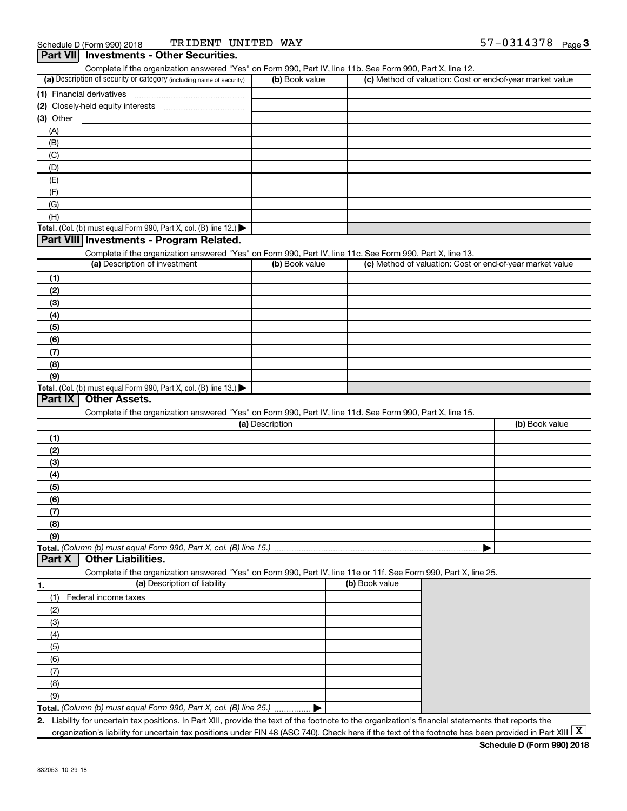| (a) Description of security or category (including name of security)                                              | (b) Book value  | Complete if the organization answered "Yes" on Form 990, Part IV, line 11b. See Form 990, Part X, line 12. | (c) Method of valuation: Cost or end-of-year market value |
|-------------------------------------------------------------------------------------------------------------------|-----------------|------------------------------------------------------------------------------------------------------------|-----------------------------------------------------------|
|                                                                                                                   |                 |                                                                                                            |                                                           |
| (1) Financial derivatives                                                                                         |                 |                                                                                                            |                                                           |
|                                                                                                                   |                 |                                                                                                            |                                                           |
| (3) Other                                                                                                         |                 |                                                                                                            |                                                           |
| (A)                                                                                                               |                 |                                                                                                            |                                                           |
| (B)                                                                                                               |                 |                                                                                                            |                                                           |
| (C)                                                                                                               |                 |                                                                                                            |                                                           |
| (D)                                                                                                               |                 |                                                                                                            |                                                           |
| (E)                                                                                                               |                 |                                                                                                            |                                                           |
| (F)                                                                                                               |                 |                                                                                                            |                                                           |
| (G)                                                                                                               |                 |                                                                                                            |                                                           |
| (H)                                                                                                               |                 |                                                                                                            |                                                           |
| Total. (Col. (b) must equal Form 990, Part X, col. (B) line 12.)                                                  |                 |                                                                                                            |                                                           |
| Part VIII Investments - Program Related.                                                                          |                 |                                                                                                            |                                                           |
| Complete if the organization answered "Yes" on Form 990, Part IV, line 11c. See Form 990, Part X, line 13.        |                 |                                                                                                            |                                                           |
| (a) Description of investment                                                                                     | (b) Book value  |                                                                                                            | (c) Method of valuation: Cost or end-of-year market value |
| (1)                                                                                                               |                 |                                                                                                            |                                                           |
|                                                                                                                   |                 |                                                                                                            |                                                           |
| (2)                                                                                                               |                 |                                                                                                            |                                                           |
| (3)                                                                                                               |                 |                                                                                                            |                                                           |
| (4)                                                                                                               |                 |                                                                                                            |                                                           |
| (5)                                                                                                               |                 |                                                                                                            |                                                           |
| (6)                                                                                                               |                 |                                                                                                            |                                                           |
| (7)                                                                                                               |                 |                                                                                                            |                                                           |
| (8)                                                                                                               |                 |                                                                                                            |                                                           |
|                                                                                                                   |                 |                                                                                                            |                                                           |
| (9)                                                                                                               |                 |                                                                                                            |                                                           |
| Total. (Col. (b) must equal Form 990, Part X, col. (B) line 13.)                                                  |                 |                                                                                                            |                                                           |
| Part IX<br><b>Other Assets.</b>                                                                                   |                 |                                                                                                            |                                                           |
| Complete if the organization answered "Yes" on Form 990, Part IV, line 11d. See Form 990, Part X, line 15.        |                 |                                                                                                            |                                                           |
|                                                                                                                   | (a) Description |                                                                                                            | (b) Book value                                            |
| (1)                                                                                                               |                 |                                                                                                            |                                                           |
|                                                                                                                   |                 |                                                                                                            |                                                           |
| (2)                                                                                                               |                 |                                                                                                            |                                                           |
| (3)                                                                                                               |                 |                                                                                                            |                                                           |
| (4)                                                                                                               |                 |                                                                                                            |                                                           |
| (5)                                                                                                               |                 |                                                                                                            |                                                           |
| (6)                                                                                                               |                 |                                                                                                            |                                                           |
| (7)                                                                                                               |                 |                                                                                                            |                                                           |
| (8)                                                                                                               |                 |                                                                                                            |                                                           |
| (9)                                                                                                               |                 |                                                                                                            |                                                           |
|                                                                                                                   |                 |                                                                                                            |                                                           |
| <b>Other Liabilities.</b>                                                                                         |                 |                                                                                                            |                                                           |
| Complete if the organization answered "Yes" on Form 990, Part IV, line 11e or 11f. See Form 990, Part X, line 25. |                 |                                                                                                            |                                                           |
| (a) Description of liability                                                                                      |                 | (b) Book value                                                                                             |                                                           |
| Federal income taxes<br>(1)                                                                                       |                 |                                                                                                            |                                                           |
|                                                                                                                   |                 |                                                                                                            |                                                           |
| (2)                                                                                                               |                 |                                                                                                            |                                                           |
| (3)                                                                                                               |                 |                                                                                                            |                                                           |
| (4)                                                                                                               |                 |                                                                                                            |                                                           |
| (5)                                                                                                               |                 |                                                                                                            |                                                           |
| (6)                                                                                                               |                 |                                                                                                            |                                                           |
| (7)                                                                                                               |                 |                                                                                                            |                                                           |
| Total. (Column (b) must equal Form 990, Part X, col. (B) line 15.).<br>Part X<br>(8)<br>(9)                       |                 |                                                                                                            |                                                           |

organization's liability for uncertain tax positions under FIN 48 (ASC 740). Check here if the text of the footnote has been provided in Part XIII  $\boxed{\text{X}}$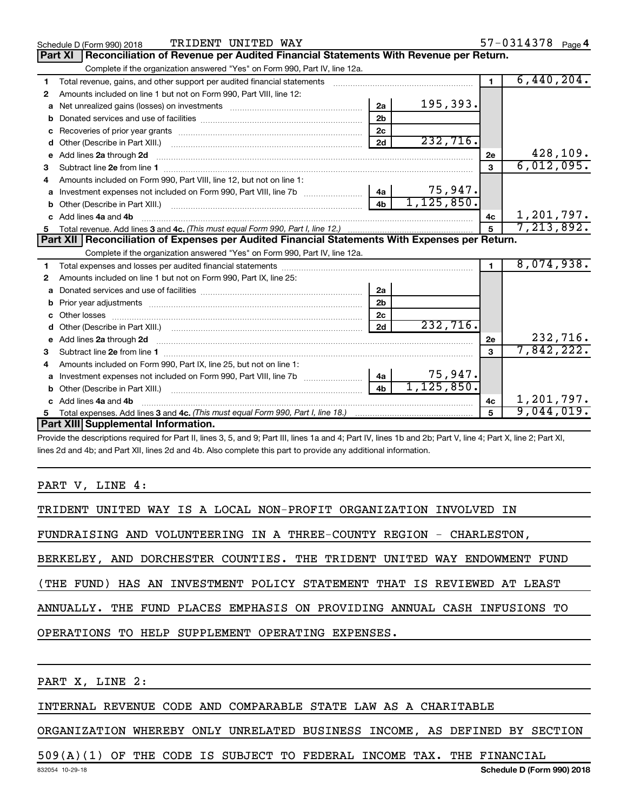|    | TRIDENT UNITED WAY<br>Schedule D (Form 990) 2018                                                                                                                                                                                     |                |              |                | $57 - 0314378$ Page 4    |
|----|--------------------------------------------------------------------------------------------------------------------------------------------------------------------------------------------------------------------------------------|----------------|--------------|----------------|--------------------------|
|    | Reconciliation of Revenue per Audited Financial Statements With Revenue per Return.<br><b>Part XI</b>                                                                                                                                |                |              |                |                          |
|    | Complete if the organization answered "Yes" on Form 990, Part IV, line 12a.                                                                                                                                                          |                |              |                |                          |
| 1  | Total revenue, gains, and other support per audited financial statements [111] [11] Total revenue, gains, and other support per audited financial statements                                                                         |                |              | $\blacksquare$ | 6,440,204.               |
| 2  | Amounts included on line 1 but not on Form 990, Part VIII, line 12:                                                                                                                                                                  |                |              |                |                          |
| a  |                                                                                                                                                                                                                                      | 2a             | 195,393.     |                |                          |
| b  |                                                                                                                                                                                                                                      | 2 <sub>b</sub> |              |                |                          |
| c  |                                                                                                                                                                                                                                      | 2 <sub>c</sub> |              |                |                          |
| d  |                                                                                                                                                                                                                                      | 2d             | 232,716.     |                |                          |
| e  | Add lines 2a through 2d <b>continuum continuum contract and all the contract and all the contract and all the contract and all the contract of the contract of the contract of the contract of the contract of the contract of t</b> |                |              | 2e             | 428,109.                 |
| 3  |                                                                                                                                                                                                                                      |                |              | 3              | 6,012,095.               |
|    | Amounts included on Form 990, Part VIII, line 12, but not on line 1:                                                                                                                                                                 |                |              |                |                          |
| a  | Investment expenses not included on Form 990, Part VIII, line 7b [11, 11, 11, 11, 11]                                                                                                                                                | 4a             | 75,947.      |                |                          |
|    |                                                                                                                                                                                                                                      | 4 <sub>b</sub> | 1, 125, 850. |                |                          |
|    | Add lines 4a and 4b                                                                                                                                                                                                                  |                |              | 4 <sub>c</sub> | 1,201,797.<br>7,213,892. |
| 5  |                                                                                                                                                                                                                                      |                |              | $\overline{5}$ |                          |
|    | Part XII   Reconciliation of Expenses per Audited Financial Statements With Expenses per Return.                                                                                                                                     |                |              |                |                          |
|    | Complete if the organization answered "Yes" on Form 990, Part IV, line 12a.                                                                                                                                                          |                |              |                |                          |
| 1. |                                                                                                                                                                                                                                      |                |              |                | 8,074,938.               |
| 2  | Amounts included on line 1 but not on Form 990, Part IX, line 25:                                                                                                                                                                    |                |              |                |                          |
| a  |                                                                                                                                                                                                                                      | 2a             |              |                |                          |
| b  |                                                                                                                                                                                                                                      | 2 <sub>b</sub> |              |                |                          |
| c  |                                                                                                                                                                                                                                      | 2 <sub>c</sub> |              |                |                          |
|    |                                                                                                                                                                                                                                      | 2d             | 232,716.     |                |                          |
|    | e Add lines 2a through 2d [11] manual contract and a set of the set of the Add lines 2a through 2d                                                                                                                                   |                |              | 2e             | 232,716.                 |
| 3  |                                                                                                                                                                                                                                      |                |              | 3              | 7,842,222.               |
| 4  | Amounts included on Form 990, Part IX, line 25, but not on line 1:                                                                                                                                                                   |                |              |                |                          |
| a  |                                                                                                                                                                                                                                      | 4a             | 75,947.      |                |                          |
|    | b Other (Describe in Part XIII.) [100] [100] [100] [100] [100] [100] [100] [100] [100] [100] [100] [100] [100] [100] [100] [100] [100] [100] [100] [100] [100] [100] [100] [100] [100] [100] [100] [100] [100] [100] [100] [10       | 4 <sub>h</sub> | 1, 125, 850. |                |                          |
|    | Add lines 4a and 4b                                                                                                                                                                                                                  |                |              | 4c             | 1,201,797.               |
|    |                                                                                                                                                                                                                                      |                |              | $\overline{5}$ | 9,044,019.               |
|    | Part XIII Supplemental Information.                                                                                                                                                                                                  |                |              |                |                          |

Provide the descriptions required for Part II, lines 3, 5, and 9; Part III, lines 1a and 4; Part IV, lines 1b and 2b; Part V, line 4; Part X, line 2; Part XI, lines 2d and 4b; and Part XII, lines 2d and 4b. Also complete this part to provide any additional information.

PART V, LINE 4:

|  |  |  | TRIDENT UNITED WAY IS A LOCAL NON-PROFIT ORGANIZATION INVOLVED IN |  |  |
|--|--|--|-------------------------------------------------------------------|--|--|
|  |  |  |                                                                   |  |  |

FUNDRAISING AND VOLUNTEERING IN A THREE-COUNTY REGION - CHARLESTON,

BERKELEY, AND DORCHESTER COUNTIES. THE TRIDENT UNITED WAY ENDOWMENT FUND

(THE FUND) HAS AN INVESTMENT POLICY STATEMENT THAT IS REVIEWED AT LEAST

ANNUALLY. THE FUND PLACES EMPHASIS ON PROVIDING ANNUAL CASH INFUSIONS TO

OPERATIONS TO HELP SUPPLEMENT OPERATING EXPENSES.

PART X, LINE 2:

## INTERNAL REVENUE CODE AND COMPARABLE STATE LAW AS A CHARITABLE

ORGANIZATION WHEREBY ONLY UNRELATED BUSINESS INCOME, AS DEFINED BY SECTION

## 509(A)(1) OF THE CODE IS SUBJECT TO FEDERAL INCOME TAX. THE FINANCIAL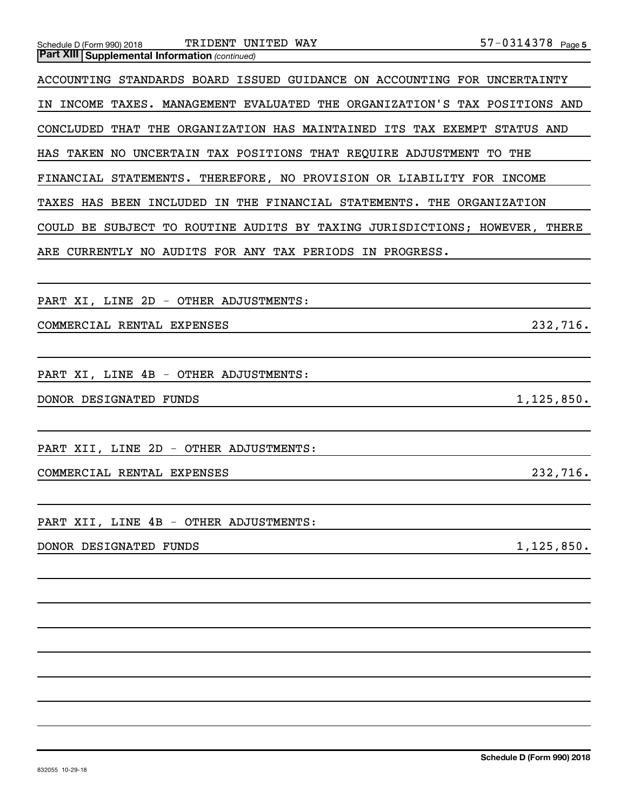| TRIDENT UNITED WAY<br>Schedule D (Form 990) 2018                           | 57-0314378 Page 5 |
|----------------------------------------------------------------------------|-------------------|
| <b>Part XIII Supplemental Information (continued)</b>                      |                   |
| ACCOUNTING STANDARDS BOARD ISSUED GUIDANCE ON ACCOUNTING FOR UNCERTAINTY   |                   |
| IN INCOME TAXES. MANAGEMENT EVALUATED THE ORGANIZATION'S TAX POSITIONS AND |                   |
| CONCLUDED THAT THE ORGANIZATION HAS MAINTAINED ITS TAX EXEMPT STATUS AND   |                   |
| HAS TAKEN NO UNCERTAIN TAX POSITIONS THAT REQUIRE ADJUSTMENT TO THE        |                   |
| FINANCIAL STATEMENTS. THEREFORE, NO PROVISION OR LIABILITY FOR INCOME      |                   |
| TAXES HAS BEEN INCLUDED IN THE FINANCIAL STATEMENTS. THE ORGANIZATION      |                   |
| COULD BE SUBJECT TO ROUTINE AUDITS BY TAXING JURISDICTIONS; HOWEVER, THERE |                   |
| ARE CURRENTLY NO AUDITS FOR ANY TAX PERIODS IN PROGRESS.                   |                   |
|                                                                            |                   |
| PART XI, LINE 2D - OTHER ADJUSTMENTS:                                      |                   |
| COMMERCIAL RENTAL EXPENSES                                                 | 232,716.          |
|                                                                            |                   |
| PART XI, LINE 4B - OTHER ADJUSTMENTS:                                      |                   |
| DONOR DESIGNATED FUNDS                                                     | 1,125,850.        |
|                                                                            |                   |
| PART XII, LINE 2D - OTHER ADJUSTMENTS:                                     |                   |
| COMMERCIAL RENTAL EXPENSES                                                 | 232,716.          |
|                                                                            |                   |
| PART XII, LINE 4B - OTHER ADJUSTMENTS:                                     |                   |
| DONOR DESIGNATED FUNDS                                                     | 1, 125, 850.      |
|                                                                            |                   |
|                                                                            |                   |
|                                                                            |                   |
|                                                                            |                   |
|                                                                            |                   |
|                                                                            |                   |
|                                                                            |                   |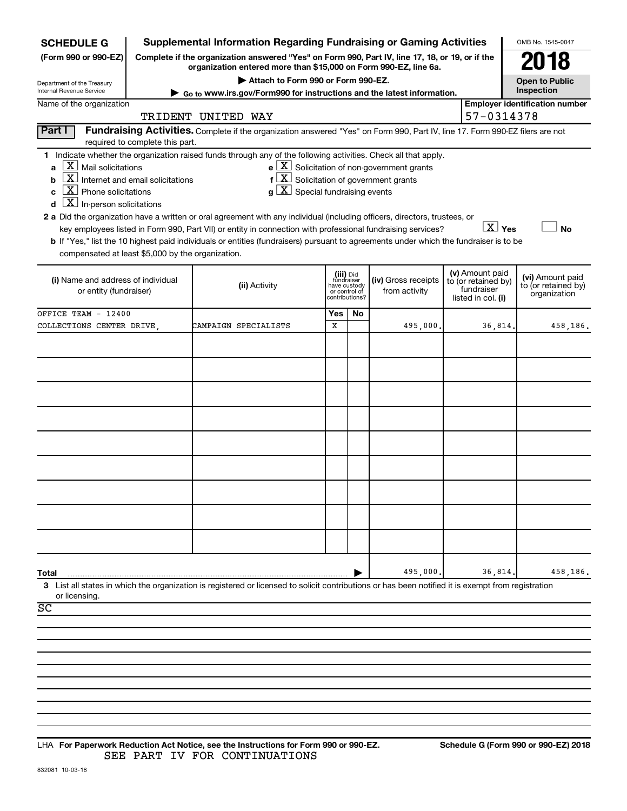| <b>SCHEDULE G</b>                                      |                                                       | <b>Supplemental Information Regarding Fundraising or Gaming Activities</b>                                                                                          |                         |                                                 |                                                       |                                  |                                        | OMB No. 1545-0047                     |
|--------------------------------------------------------|-------------------------------------------------------|---------------------------------------------------------------------------------------------------------------------------------------------------------------------|-------------------------|-------------------------------------------------|-------------------------------------------------------|----------------------------------|----------------------------------------|---------------------------------------|
| (Form 990 or 990-EZ)                                   |                                                       | Complete if the organization answered "Yes" on Form 990, Part IV, line 17, 18, or 19, or if the<br>organization entered more than \$15,000 on Form 990-EZ, line 6a. |                         |                                                 |                                                       |                                  |                                        | 018                                   |
| Department of the Treasury<br>Internal Revenue Service |                                                       | Attach to Form 990 or Form 990-EZ.                                                                                                                                  |                         |                                                 |                                                       |                                  |                                        | <b>Open to Public</b><br>Inspection   |
| Name of the organization                               |                                                       | ► Go to www.irs.gov/Form990 for instructions and the latest information.                                                                                            |                         |                                                 |                                                       |                                  |                                        | <b>Employer identification number</b> |
|                                                        |                                                       | TRIDENT UNITED WAY                                                                                                                                                  |                         |                                                 |                                                       |                                  | 57-0314378                             |                                       |
| Part I                                                 |                                                       | Fundraising Activities. Complete if the organization answered "Yes" on Form 990, Part IV, line 17. Form 990-EZ filers are not                                       |                         |                                                 |                                                       |                                  |                                        |                                       |
|                                                        | required to complete this part.                       | 1 Indicate whether the organization raised funds through any of the following activities. Check all that apply.                                                     |                         |                                                 |                                                       |                                  |                                        |                                       |
| $\lfloor x \rfloor$ Mail solicitations                 |                                                       |                                                                                                                                                                     |                         |                                                 | $e$ $\boxed{X}$ Solicitation of non-government grants |                                  |                                        |                                       |
| b                                                      | $\boxed{\textbf{X}}$ Internet and email solicitations | $f\left[\frac{X}{X}\right]$ Solicitation of government grants                                                                                                       |                         |                                                 |                                                       |                                  |                                        |                                       |
| $\boxed{\text{X}}$ Phone solicitations<br>C            |                                                       | $g\mid X$ Special fundraising events                                                                                                                                |                         |                                                 |                                                       |                                  |                                        |                                       |
| $\boxed{\textbf{X}}$ In-person solicitations<br>d      |                                                       |                                                                                                                                                                     |                         |                                                 |                                                       |                                  |                                        |                                       |
|                                                        |                                                       | 2 a Did the organization have a written or oral agreement with any individual (including officers, directors, trustees, or                                          |                         |                                                 |                                                       |                                  |                                        |                                       |
|                                                        |                                                       | key employees listed in Form 990, Part VII) or entity in connection with professional fundraising services?                                                         |                         |                                                 |                                                       |                                  | $\boxed{\text{X}}$ Yes                 | <b>No</b>                             |
| compensated at least \$5,000 by the organization.      |                                                       | b If "Yes," list the 10 highest paid individuals or entities (fundraisers) pursuant to agreements under which the fundraiser is to be                               |                         |                                                 |                                                       |                                  |                                        |                                       |
|                                                        |                                                       |                                                                                                                                                                     |                         |                                                 |                                                       |                                  |                                        |                                       |
| (i) Name and address of individual                     |                                                       |                                                                                                                                                                     | (iii) Did<br>fundraiser |                                                 | (iv) Gross receipts                                   |                                  | (v) Amount paid<br>to (or retained by) | (vi) Amount paid                      |
| or entity (fundraiser)                                 |                                                       | (ii) Activity                                                                                                                                                       |                         | have custody<br>or control of<br>contributions? | from activity                                         | fundraiser<br>listed in col. (i) |                                        | to (or retained by)<br>organization   |
|                                                        |                                                       |                                                                                                                                                                     |                         |                                                 |                                                       |                                  |                                        |                                       |
| OFFICE TEAM - 12400                                    |                                                       |                                                                                                                                                                     | Yes<br>X                | No                                              | 495,000.                                              |                                  |                                        |                                       |
| COLLECTIONS CENTER DRIVE                               |                                                       | CAMPAIGN SPECIALISTS                                                                                                                                                |                         |                                                 |                                                       |                                  | 36,814                                 | 458,186.                              |
|                                                        |                                                       |                                                                                                                                                                     |                         |                                                 |                                                       |                                  |                                        |                                       |
|                                                        |                                                       |                                                                                                                                                                     |                         |                                                 |                                                       |                                  |                                        |                                       |
|                                                        |                                                       |                                                                                                                                                                     |                         |                                                 |                                                       |                                  |                                        |                                       |
|                                                        |                                                       |                                                                                                                                                                     |                         |                                                 |                                                       |                                  |                                        |                                       |
|                                                        |                                                       |                                                                                                                                                                     |                         |                                                 |                                                       |                                  |                                        |                                       |
|                                                        |                                                       |                                                                                                                                                                     |                         |                                                 |                                                       |                                  |                                        |                                       |
|                                                        |                                                       |                                                                                                                                                                     |                         |                                                 |                                                       |                                  |                                        |                                       |
|                                                        |                                                       |                                                                                                                                                                     |                         |                                                 |                                                       |                                  |                                        |                                       |
|                                                        |                                                       |                                                                                                                                                                     |                         |                                                 |                                                       |                                  |                                        |                                       |
|                                                        |                                                       |                                                                                                                                                                     |                         |                                                 |                                                       |                                  |                                        |                                       |
|                                                        |                                                       |                                                                                                                                                                     |                         |                                                 |                                                       |                                  |                                        |                                       |
|                                                        |                                                       |                                                                                                                                                                     |                         |                                                 |                                                       |                                  |                                        |                                       |
|                                                        |                                                       |                                                                                                                                                                     |                         |                                                 |                                                       |                                  |                                        |                                       |
|                                                        |                                                       |                                                                                                                                                                     |                         |                                                 |                                                       |                                  |                                        |                                       |
|                                                        |                                                       |                                                                                                                                                                     |                         |                                                 |                                                       |                                  |                                        |                                       |
| Total                                                  |                                                       |                                                                                                                                                                     |                         |                                                 | 495,000                                               |                                  | 36,814                                 | 458,186.                              |
| or licensing.                                          |                                                       | 3 List all states in which the organization is registered or licensed to solicit contributions or has been notified it is exempt from registration                  |                         |                                                 |                                                       |                                  |                                        |                                       |
| SC                                                     |                                                       |                                                                                                                                                                     |                         |                                                 |                                                       |                                  |                                        |                                       |
|                                                        |                                                       |                                                                                                                                                                     |                         |                                                 |                                                       |                                  |                                        |                                       |
|                                                        |                                                       |                                                                                                                                                                     |                         |                                                 |                                                       |                                  |                                        |                                       |
|                                                        |                                                       |                                                                                                                                                                     |                         |                                                 |                                                       |                                  |                                        |                                       |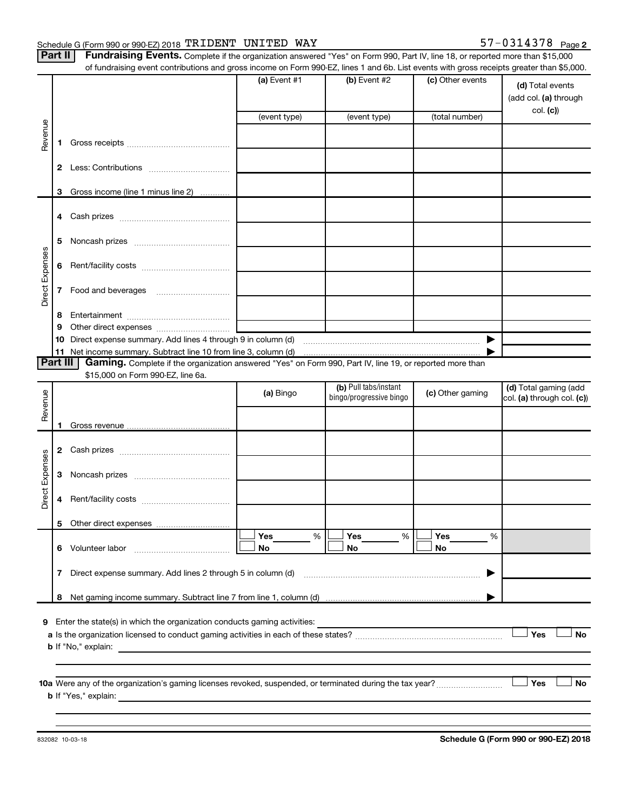**Part** 

| II   Fundraising Events. Complete if the organization answered "Yes" on Form 990, Part IV, line 18, or reported more than \$15,000        |
|-------------------------------------------------------------------------------------------------------------------------------------------|
| of fundraising event contributions and gross income on Form 990-EZ, lines 1 and 6b. List events with gross receipts greater than \$5,000. |

|                 |    | anaraonig event continuations and gross income on riomiroso EE, illico ir and ob. Elst events with gross receipts groater than \$0,000. |                |                         |                  |                                           |
|-----------------|----|-----------------------------------------------------------------------------------------------------------------------------------------|----------------|-------------------------|------------------|-------------------------------------------|
|                 |    |                                                                                                                                         | (a) Event $#1$ | (b) Event #2            | (c) Other events | (d) Total events<br>(add col. (a) through |
|                 |    |                                                                                                                                         | (event type)   | (event type)            | (total number)   | col. (c)                                  |
| Revenue         |    |                                                                                                                                         |                |                         |                  |                                           |
|                 | 1. |                                                                                                                                         |                |                         |                  |                                           |
|                 |    |                                                                                                                                         |                |                         |                  |                                           |
|                 |    | 3 Gross income (line 1 minus line 2)                                                                                                    |                |                         |                  |                                           |
|                 |    |                                                                                                                                         |                |                         |                  |                                           |
|                 |    |                                                                                                                                         |                |                         |                  |                                           |
|                 |    |                                                                                                                                         |                |                         |                  |                                           |
|                 | 5  |                                                                                                                                         |                |                         |                  |                                           |
| Direct Expenses | 6  |                                                                                                                                         |                |                         |                  |                                           |
|                 |    |                                                                                                                                         |                |                         |                  |                                           |
|                 | 7  |                                                                                                                                         |                |                         |                  |                                           |
|                 |    |                                                                                                                                         |                |                         |                  |                                           |
|                 | 8  |                                                                                                                                         |                |                         |                  |                                           |
|                 | 9  |                                                                                                                                         |                |                         |                  |                                           |
|                 |    |                                                                                                                                         |                |                         |                  |                                           |
| <b>Part III</b> |    | Gaming. Complete if the organization answered "Yes" on Form 990, Part IV, line 19, or reported more than                                |                |                         |                  |                                           |
|                 |    | \$15,000 on Form 990-EZ, line 6a.                                                                                                       |                |                         |                  |                                           |
|                 |    |                                                                                                                                         | (a) Bingo      | (b) Pull tabs/instant   | (c) Other gaming | (d) Total gaming (add                     |
| Revenue         |    |                                                                                                                                         |                | bingo/progressive bingo |                  | col. (a) through col. (c))                |
|                 |    |                                                                                                                                         |                |                         |                  |                                           |
|                 | 1. |                                                                                                                                         |                |                         |                  |                                           |
|                 |    |                                                                                                                                         |                |                         |                  |                                           |
|                 | 3  |                                                                                                                                         |                |                         |                  |                                           |
|                 |    |                                                                                                                                         |                |                         |                  |                                           |
| Direct Expenses | 4  |                                                                                                                                         |                |                         |                  |                                           |
|                 |    |                                                                                                                                         |                |                         |                  |                                           |
|                 |    |                                                                                                                                         | Yes<br>%       | Yes<br>%                | Yes<br>%         |                                           |
|                 | 6  | Volunteer labor                                                                                                                         | No             | No                      | No               |                                           |
|                 | 7  | Direct expense summary. Add lines 2 through 5 in column (d)                                                                             |                |                         |                  |                                           |
|                 | 8  |                                                                                                                                         |                |                         |                  |                                           |
|                 |    |                                                                                                                                         |                |                         |                  |                                           |
| 9               |    | Enter the state(s) in which the organization conducts gaming activities:                                                                |                |                         |                  |                                           |
|                 |    |                                                                                                                                         |                |                         |                  | Yes<br>No                                 |
|                 |    | <b>b</b> If "No," explain:                                                                                                              |                |                         |                  |                                           |
|                 |    |                                                                                                                                         |                |                         |                  |                                           |
|                 |    |                                                                                                                                         |                |                         |                  | Yes<br>No                                 |
|                 |    | <b>b</b> If "Yes," explain:                                                                                                             |                |                         |                  |                                           |
|                 |    |                                                                                                                                         |                |                         |                  |                                           |
|                 |    |                                                                                                                                         |                |                         |                  |                                           |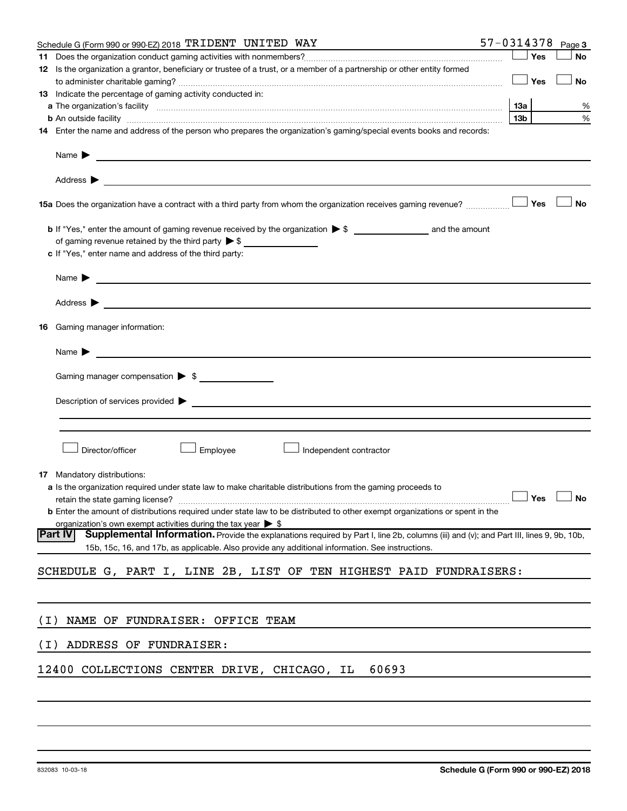|       | Schedule G (Form 990 or 990-EZ) 2018 TRIDENT UNITED WAY                                                                                                                                                                                                            | 57-0314378      |     | Page 3               |
|-------|--------------------------------------------------------------------------------------------------------------------------------------------------------------------------------------------------------------------------------------------------------------------|-----------------|-----|----------------------|
|       |                                                                                                                                                                                                                                                                    |                 | Yes | <b>No</b>            |
|       | 12 Is the organization a grantor, beneficiary or trustee of a trust, or a member of a partnership or other entity formed                                                                                                                                           |                 | Yes | <b>No</b>            |
|       | <b>13</b> Indicate the percentage of gaming activity conducted in:                                                                                                                                                                                                 |                 |     |                      |
|       |                                                                                                                                                                                                                                                                    | 13а             |     | %                    |
|       | <b>b</b> An outside facility <b>contract and the contract of the contract of the contract of the contract of the contract of the contract of the contract of the contract of the contract of the contract of the contract of the cont</b>                          | 13 <sub>b</sub> |     | %                    |
|       | 14 Enter the name and address of the person who prepares the organization's gaming/special events books and records:                                                                                                                                               |                 |     |                      |
|       | Name $\blacktriangleright$<br><u>and the state of the state of the state of the state of the state of the state of the state of the state of the state of the state of the state of the state of the state of the state of the state of the state of the state</u> |                 |     |                      |
|       |                                                                                                                                                                                                                                                                    |                 |     |                      |
|       | 15a Does the organization have a contract with a third party from whom the organization receives gaming revenue?                                                                                                                                                   |                 | Yes | <b>No</b>            |
|       | of gaming revenue retained by the third party $\triangleright$ \$                                                                                                                                                                                                  |                 |     |                      |
|       | c If "Yes," enter name and address of the third party:                                                                                                                                                                                                             |                 |     |                      |
|       | Name $\blacktriangleright$<br><u>and the state of the state of the state of the state of the state of the state of the state of the state of the state of the state of the state of the state of the state of the state of the state of the state of the state</u> |                 |     |                      |
|       | Address $\blacktriangleright$<br><u>and the contract of the contract of the contract of the contract of the contract of the contract of the contract of</u>                                                                                                        |                 |     |                      |
| 16    | Gaming manager information:                                                                                                                                                                                                                                        |                 |     |                      |
|       | <u> 1990 - Johann Barbara, martin amerikan basar da</u><br>Name $\blacktriangleright$                                                                                                                                                                              |                 |     |                      |
|       |                                                                                                                                                                                                                                                                    |                 |     |                      |
|       | Gaming manager compensation > \$                                                                                                                                                                                                                                   |                 |     |                      |
|       |                                                                                                                                                                                                                                                                    |                 |     |                      |
|       |                                                                                                                                                                                                                                                                    |                 |     |                      |
|       | Employee<br>Director/officer<br>Independent contractor                                                                                                                                                                                                             |                 |     |                      |
|       | <b>17</b> Mandatory distributions:                                                                                                                                                                                                                                 |                 |     |                      |
|       | a Is the organization required under state law to make charitable distributions from the gaming proceeds to                                                                                                                                                        |                 |     |                      |
|       | <b>b</b> Enter the amount of distributions required under state law to be distributed to other exempt organizations or spent in the                                                                                                                                |                 |     | $\Box$ Yes $\Box$ No |
|       | organization's own exempt activities during the tax year $\triangleright$ \$                                                                                                                                                                                       |                 |     |                      |
|       | Part IV<br>Supplemental Information. Provide the explanations required by Part I, line 2b, columns (iii) and (v); and Part III, lines 9, 9b, 10b,                                                                                                                  |                 |     |                      |
|       | 15b, 15c, 16, and 17b, as applicable. Also provide any additional information. See instructions.                                                                                                                                                                   |                 |     |                      |
|       | SCHEDULE G, PART I, LINE 2B, LIST OF TEN HIGHEST PAID FUNDRAISERS:                                                                                                                                                                                                 |                 |     |                      |
|       |                                                                                                                                                                                                                                                                    |                 |     |                      |
| ( I ) | NAME OF FUNDRAISER: OFFICE TEAM                                                                                                                                                                                                                                    |                 |     |                      |
| ( I ) | ADDRESS OF FUNDRAISER:                                                                                                                                                                                                                                             |                 |     |                      |
|       | 12400 COLLECTIONS CENTER DRIVE, CHICAGO, IL<br>60693                                                                                                                                                                                                               |                 |     |                      |
|       |                                                                                                                                                                                                                                                                    |                 |     |                      |
|       |                                                                                                                                                                                                                                                                    |                 |     |                      |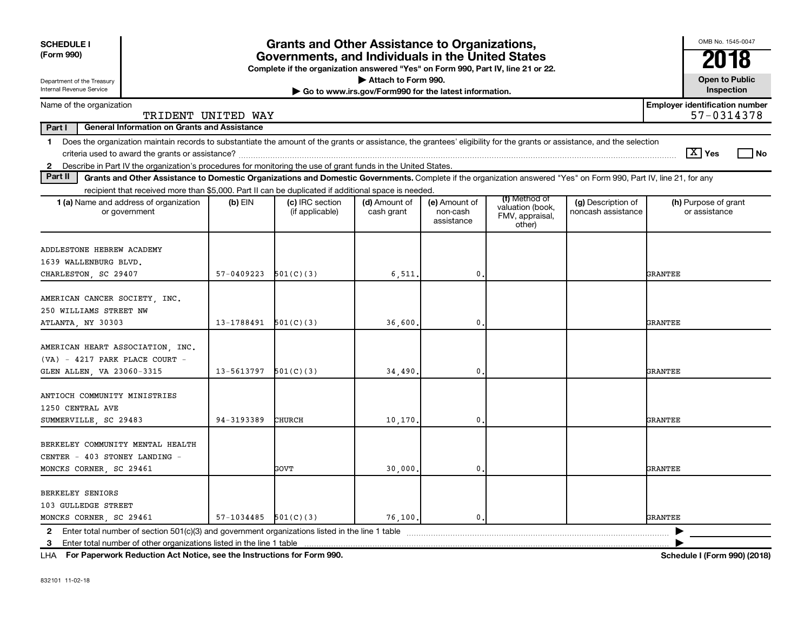| <b>SCHEDULE I</b><br>(Form 990)                        |                                                                                                                                                                                                                                                                                       |                          | <b>Grants and Other Assistance to Organizations,</b>                                                                                  |                                                                              |                                         |                                                                |                                          |                | OMB No. 1545-0047                                   |  |
|--------------------------------------------------------|---------------------------------------------------------------------------------------------------------------------------------------------------------------------------------------------------------------------------------------------------------------------------------------|--------------------------|---------------------------------------------------------------------------------------------------------------------------------------|------------------------------------------------------------------------------|-----------------------------------------|----------------------------------------------------------------|------------------------------------------|----------------|-----------------------------------------------------|--|
|                                                        |                                                                                                                                                                                                                                                                                       |                          | Governments, and Individuals in the United States<br>Complete if the organization answered "Yes" on Form 990, Part IV, line 21 or 22. |                                                                              |                                         |                                                                |                                          |                | 2018                                                |  |
| Department of the Treasury<br>Internal Revenue Service |                                                                                                                                                                                                                                                                                       |                          |                                                                                                                                       | Attach to Form 990.<br>Go to www.irs.gov/Form990 for the latest information. |                                         |                                                                |                                          |                | <b>Open to Public</b><br>Inspection                 |  |
| Name of the organization                               | TRIDENT UNITED WAY                                                                                                                                                                                                                                                                    |                          |                                                                                                                                       |                                                                              |                                         |                                                                |                                          |                | <b>Employer identification number</b><br>57-0314378 |  |
| Part I                                                 | <b>General Information on Grants and Assistance</b>                                                                                                                                                                                                                                   |                          |                                                                                                                                       |                                                                              |                                         |                                                                |                                          |                |                                                     |  |
|                                                        | 1 Does the organization maintain records to substantiate the amount of the grants or assistance, the grantees' eligibility for the grants or assistance, and the selection                                                                                                            |                          |                                                                                                                                       |                                                                              |                                         |                                                                |                                          |                | $\boxed{\text{X}}$ Yes<br>l No                      |  |
| Part II                                                | 2 Describe in Part IV the organization's procedures for monitoring the use of grant funds in the United States.<br>Grants and Other Assistance to Domestic Organizations and Domestic Governments. Complete if the organization answered "Yes" on Form 990, Part IV, line 21, for any |                          |                                                                                                                                       |                                                                              |                                         |                                                                |                                          |                |                                                     |  |
|                                                        | recipient that received more than \$5,000. Part II can be duplicated if additional space is needed.                                                                                                                                                                                   |                          |                                                                                                                                       |                                                                              |                                         |                                                                |                                          |                |                                                     |  |
|                                                        | <b>1 (a)</b> Name and address of organization<br>or government                                                                                                                                                                                                                        | $(b)$ EIN                | (c) IRC section<br>(if applicable)                                                                                                    | (d) Amount of<br>cash grant                                                  | (e) Amount of<br>non-cash<br>assistance | (f) Method of<br>valuation (book,<br>FMV, appraisal,<br>other) | (g) Description of<br>noncash assistance |                | (h) Purpose of grant<br>or assistance               |  |
|                                                        | ADDLESTONE HEBREW ACADEMY<br>1639 WALLENBURG BLVD.<br>CHARLESTON, SC 29407                                                                                                                                                                                                            | 57-0409223               | 501(C)(3)                                                                                                                             | 6,511,                                                                       | $\mathbf 0$                             |                                                                |                                          | <b>GRANTEE</b> |                                                     |  |
| ATLANTA, NY 30303                                      | AMERICAN CANCER SOCIETY, INC.<br>250 WILLIAMS STREET NW                                                                                                                                                                                                                               | 13-1788491               | 501(C)(3)                                                                                                                             | 36,600,                                                                      | $\mathbf 0$                             |                                                                |                                          | GRANTEE        |                                                     |  |
|                                                        | AMERICAN HEART ASSOCIATION, INC.<br>$(VA) - 4217$ PARK PLACE COURT -<br>GLEN ALLEN, VA 23060-3315                                                                                                                                                                                     | 13-5613797               | 501(C)(3)                                                                                                                             | 34,490.                                                                      | $\mathbf 0$                             |                                                                |                                          | <b>GRANTEE</b> |                                                     |  |
| 1250 CENTRAL AVE                                       | ANTIOCH COMMUNITY MINISTRIES<br>SUMMERVILLE, SC 29483                                                                                                                                                                                                                                 | 94-3193389               | CHURCH                                                                                                                                | 10,170                                                                       | $\mathbf{0}$                            |                                                                |                                          | GRANTEE        |                                                     |  |
|                                                        | BERKELEY COMMUNITY MENTAL HEALTH<br>CENTER - 403 STONEY LANDING -<br>MONCKS CORNER, SC 29461                                                                                                                                                                                          |                          | GOVT                                                                                                                                  | 30,000,                                                                      | $\mathbf{0}$                            |                                                                |                                          | GRANTEE        |                                                     |  |
| <b>BERKELEY SENIORS</b><br>103 GULLEDGE STREET         | MONCKS CORNER, SC 29461                                                                                                                                                                                                                                                               | $57-1034485$ $501(C)(3)$ |                                                                                                                                       | 76.100.                                                                      | 0.                                      |                                                                |                                          | <b>GRANTEE</b> |                                                     |  |
|                                                        | 2 Enter total number of section $501(c)(3)$ and government organizations listed in the line 1 table<br>3 Enter total number of other organizations listed in the line 1 table                                                                                                         |                          |                                                                                                                                       |                                                                              |                                         |                                                                |                                          |                |                                                     |  |
|                                                        |                                                                                                                                                                                                                                                                                       |                          |                                                                                                                                       |                                                                              |                                         |                                                                |                                          |                |                                                     |  |

**For Paperwork Reduction Act Notice, see the Instructions for Form 990. Schedule I (Form 990) (2018)** LHA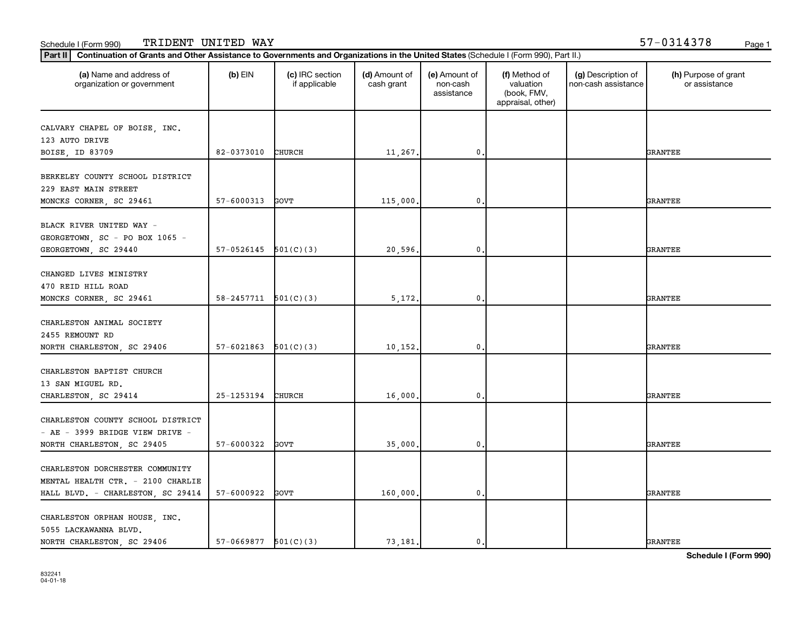| (a) Name and address of<br>organization or government                | $(b)$ EIN                  | (c) IRC section<br>if applicable | (d) Amount of<br>cash grant | (e) Amount of<br>non-cash<br>assistance | (f) Method of<br>valuation<br>(book, FMV,<br>appraisal, other) | (g) Description of<br>non-cash assistance | (h) Purpose of grant<br>or assistance |
|----------------------------------------------------------------------|----------------------------|----------------------------------|-----------------------------|-----------------------------------------|----------------------------------------------------------------|-------------------------------------------|---------------------------------------|
| CALVARY CHAPEL OF BOISE, INC.                                        |                            |                                  |                             |                                         |                                                                |                                           |                                       |
| 123 AUTO DRIVE                                                       |                            |                                  |                             |                                         |                                                                |                                           |                                       |
| BOISE, ID 83709                                                      | 82-0373010                 | <b>CHURCH</b>                    | 11,267.                     | $\mathbf 0$                             |                                                                |                                           | <b>GRANTEE</b>                        |
| BERKELEY COUNTY SCHOOL DISTRICT<br>229 EAST MAIN STREET              |                            |                                  |                             |                                         |                                                                |                                           |                                       |
| MONCKS CORNER, SC 29461                                              | 57-6000313                 | GOVT                             | 115,000                     | 0                                       |                                                                |                                           | <b>GRANTEE</b>                        |
| BLACK RIVER UNITED WAY -<br>GEORGETOWN, SC - PO BOX 1065 -           |                            |                                  |                             |                                         |                                                                |                                           |                                       |
| GEORGETOWN, SC 29440                                                 | 57-0526145                 | 501(C)(3)                        | 20,596.                     | $\mathbf 0$                             |                                                                |                                           | <b>GRANTEE</b>                        |
| CHANGED LIVES MINISTRY<br>470 REID HILL ROAD                         |                            |                                  |                             |                                         |                                                                |                                           |                                       |
| MONCKS CORNER, SC 29461                                              | $58 - 2457711$ $501(C)(3)$ |                                  | 5,172.                      | $\mathbf 0$                             |                                                                |                                           | <b>GRANTEE</b>                        |
| CHARLESTON ANIMAL SOCIETY<br>2455 REMOUNT RD                         |                            |                                  |                             |                                         |                                                                |                                           |                                       |
| NORTH CHARLESTON, SC 29406                                           | 57-6021863                 | 501(C)(3)                        | 10, 152.                    | 0                                       |                                                                |                                           | <b>GRANTEE</b>                        |
| CHARLESTON BAPTIST CHURCH<br>13 SAN MIGUEL RD.                       |                            |                                  |                             |                                         |                                                                |                                           |                                       |
| CHARLESTON, SC 29414                                                 | 25-1253194                 | <b>CHURCH</b>                    | 16,000                      | 0                                       |                                                                |                                           | <b>GRANTEE</b>                        |
| CHARLESTON COUNTY SCHOOL DISTRICT<br>- AE - 3999 BRIDGE VIEW DRIVE - |                            |                                  |                             |                                         |                                                                |                                           |                                       |
| NORTH CHARLESTON, SC 29405                                           | 57-6000322                 | GOVT                             | 35,000.                     | 0.                                      |                                                                |                                           | <b>GRANTEE</b>                        |
| CHARLESTON DORCHESTER COMMUNITY<br>MENTAL HEALTH CTR. - 2100 CHARLIE |                            |                                  |                             |                                         |                                                                |                                           |                                       |
| HALL BLVD. - CHARLESTON, SC 29414                                    | 57-6000922                 | GOVT                             | 160,000.                    | 0.                                      |                                                                |                                           | <b>GRANTEE</b>                        |
| CHARLESTON ORPHAN HOUSE, INC.<br>5055 LACKAWANNA BLVD.               |                            |                                  |                             |                                         |                                                                |                                           |                                       |
| NORTH CHARLESTON, SC 29406                                           | $57-0669877$ $501(C)(3)$   |                                  | 73.181.                     | $\mathbf 0$ .                           |                                                                |                                           | <b>GRANTEE</b>                        |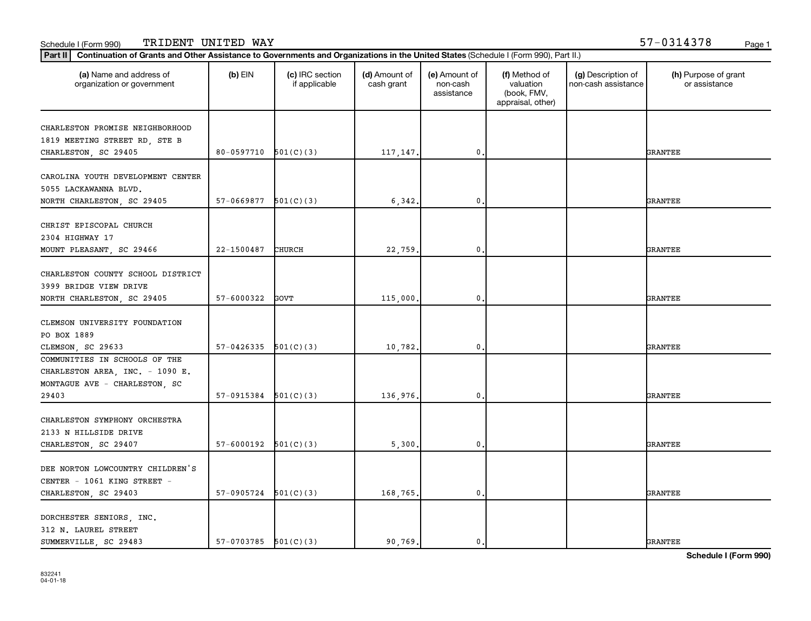| (a) Name and address of<br>organization or government | $(b)$ EIN                | (c) IRC section<br>if applicable | (d) Amount of<br>cash grant | (e) Amount of<br>non-cash<br>assistance | (f) Method of<br>valuation<br>(book, FMV,<br>appraisal, other) | (g) Description of<br>non-cash assistance | (h) Purpose of grant<br>or assistance |
|-------------------------------------------------------|--------------------------|----------------------------------|-----------------------------|-----------------------------------------|----------------------------------------------------------------|-------------------------------------------|---------------------------------------|
| CHARLESTON PROMISE NEIGHBORHOOD                       |                          |                                  |                             |                                         |                                                                |                                           |                                       |
| 1819 MEETING STREET RD, STE B                         |                          |                                  |                             |                                         |                                                                |                                           |                                       |
| CHARLESTON, SC 29405                                  | 80-0597710               | 501(C)(3)                        | 117,147.                    | $\mathbf 0$                             |                                                                |                                           | <b>GRANTEE</b>                        |
|                                                       |                          |                                  |                             |                                         |                                                                |                                           |                                       |
| CAROLINA YOUTH DEVELOPMENT CENTER                     |                          |                                  |                             |                                         |                                                                |                                           |                                       |
| 5055 LACKAWANNA BLVD.                                 |                          |                                  |                             |                                         |                                                                |                                           |                                       |
| NORTH CHARLESTON, SC 29405                            | 57-0669877               | 501(C)(3)                        | 6,342.                      | $\mathbf 0$                             |                                                                |                                           | <b>GRANTEE</b>                        |
|                                                       |                          |                                  |                             |                                         |                                                                |                                           |                                       |
| CHRIST EPISCOPAL CHURCH                               |                          |                                  |                             |                                         |                                                                |                                           |                                       |
| 2304 HIGHWAY 17                                       |                          |                                  |                             |                                         |                                                                |                                           |                                       |
| MOUNT PLEASANT, SC 29466                              | 22-1500487               | CHURCH                           | 22,759.                     | 0.                                      |                                                                |                                           | <b>GRANTEE</b>                        |
|                                                       |                          |                                  |                             |                                         |                                                                |                                           |                                       |
| CHARLESTON COUNTY SCHOOL DISTRICT                     |                          |                                  |                             |                                         |                                                                |                                           |                                       |
| 3999 BRIDGE VIEW DRIVE                                |                          |                                  |                             |                                         |                                                                |                                           |                                       |
| NORTH CHARLESTON, SC 29405                            | 57-6000322               | GOVT                             | 115,000.                    | $\mathbf 0$                             |                                                                |                                           | <b>GRANTEE</b>                        |
|                                                       |                          |                                  |                             |                                         |                                                                |                                           |                                       |
| CLEMSON UNIVERSITY FOUNDATION                         |                          |                                  |                             |                                         |                                                                |                                           |                                       |
| PO BOX 1889                                           |                          |                                  |                             |                                         |                                                                |                                           |                                       |
| CLEMSON, SC 29633                                     | 57-0426335               | 501(C)(3)                        | 10,782.                     | $\mathbf 0$                             |                                                                |                                           | <b>GRANTEE</b>                        |
| COMMUNITIES IN SCHOOLS OF THE                         |                          |                                  |                             |                                         |                                                                |                                           |                                       |
| CHARLESTON AREA, INC. - 1090 E.                       |                          |                                  |                             |                                         |                                                                |                                           |                                       |
| MONTAGUE AVE - CHARLESTON, SC                         |                          |                                  |                             |                                         |                                                                |                                           |                                       |
| 29403                                                 | 57-0915384               | 501(C)(3)                        | 136,976.                    | $\mathbf 0$                             |                                                                |                                           | <b>GRANTEE</b>                        |
|                                                       |                          |                                  |                             |                                         |                                                                |                                           |                                       |
| CHARLESTON SYMPHONY ORCHESTRA                         |                          |                                  |                             |                                         |                                                                |                                           |                                       |
| 2133 N HILLSIDE DRIVE                                 |                          |                                  |                             |                                         |                                                                |                                           |                                       |
| CHARLESTON, SC 29407                                  | 57-6000192               | 501(C)(3)                        | 5,300.                      | 0,                                      |                                                                |                                           | <b>GRANTEE</b>                        |
| DEE NORTON LOWCOUNTRY CHILDREN'S                      |                          |                                  |                             |                                         |                                                                |                                           |                                       |
|                                                       |                          |                                  |                             |                                         |                                                                |                                           |                                       |
| CENTER - 1061 KING STREET -                           |                          |                                  |                             |                                         |                                                                |                                           |                                       |
| CHARLESTON, SC 29403                                  | 57-0905724               | 501(C)(3)                        | 168,765.                    | $\mathbf 0$                             |                                                                |                                           | <b>GRANTEE</b>                        |
| DORCHESTER SENIORS, INC.                              |                          |                                  |                             |                                         |                                                                |                                           |                                       |
| 312 N. LAUREL STREET                                  |                          |                                  |                             |                                         |                                                                |                                           |                                       |
| SUMMERVILLE, SC 29483                                 | $57-0703785$ $501(C)(3)$ |                                  | 90.769.                     | 0.                                      |                                                                |                                           | <b>GRANTEE</b>                        |
|                                                       |                          |                                  |                             |                                         |                                                                |                                           |                                       |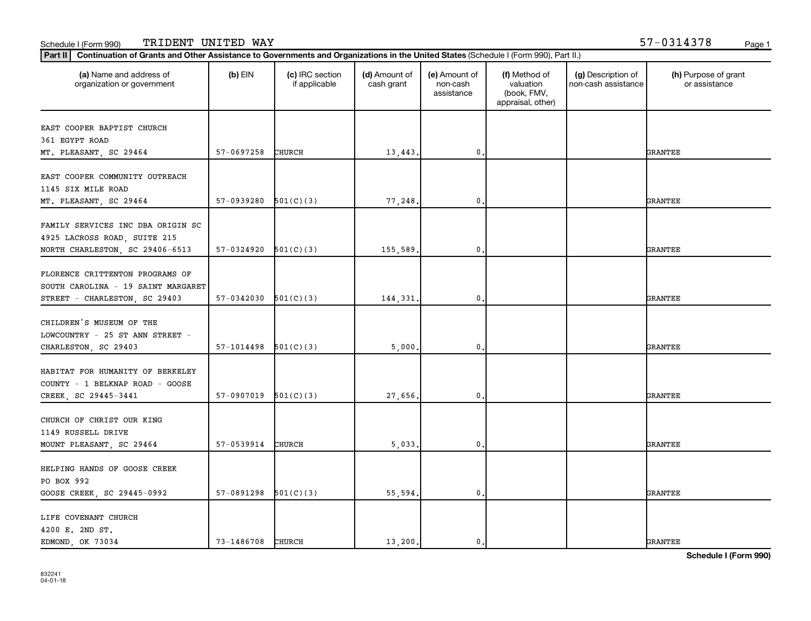### **Part III Continuation of Grants and Other Assistance to Governments and Organizations in the United States (Schi<br>Rect III, Continuation of Grants and Other Assistance to Governments and Organizations in the United State** Schedule I (Form 990) TRIDENT UNITED WAY 57-0314378 <sub>Page 1</sub>

| Part II   Continuation of Grants and Other Assistance to Governments and Organizations in the United States (Schedule I (Form 990), Part II.) |                          |                                  |                             |                                         |                                                                |                                           |                                       |
|-----------------------------------------------------------------------------------------------------------------------------------------------|--------------------------|----------------------------------|-----------------------------|-----------------------------------------|----------------------------------------------------------------|-------------------------------------------|---------------------------------------|
| (a) Name and address of<br>organization or government                                                                                         | $(b)$ EIN                | (c) IRC section<br>if applicable | (d) Amount of<br>cash grant | (e) Amount of<br>non-cash<br>assistance | (f) Method of<br>valuation<br>(book, FMV,<br>appraisal, other) | (g) Description of<br>non-cash assistance | (h) Purpose of grant<br>or assistance |
| EAST COOPER BAPTIST CHURCH<br>361 EGYPT ROAD<br>MT. PLEASANT, SC 29464                                                                        | 57-0697258               | CHURCH                           | 13,443.                     | 0.                                      |                                                                |                                           | <b>GRANTEE</b>                        |
| EAST COOPER COMMUNITY OUTREACH<br>1145 SIX MILE ROAD<br>MT. PLEASANT, SC 29464                                                                | $57-0939280$ $501(C)(3)$ |                                  | 77,248                      | $\mathbf 0$                             |                                                                |                                           | GRANTEE                               |
| FAMILY SERVICES INC DBA ORIGIN SC<br>4925 LACROSS ROAD, SUITE 215<br>NORTH CHARLESTON, SC 29406-6513                                          | 57-0324920               | 501(C)(3)                        | 155,589.                    | $\mathbf 0$                             |                                                                |                                           | GRANTEE                               |
| FLORENCE CRITTENTON PROGRAMS OF<br>SOUTH CAROLINA - 19 SAINT MARGARET<br>STREET - CHARLESTON, SC 29403                                        | $57-0342030$ $501(C)(3)$ |                                  | 144,331.                    | 0.                                      |                                                                |                                           | GRANTEE                               |
| CHILDREN'S MUSEUM OF THE<br>LOWCOUNTRY - 25 ST ANN STREET -<br>CHARLESTON, SC 29403                                                           | $57-1014498$ $501(C)(3)$ |                                  | 5,000.                      | $\mathbf{0}$ .                          |                                                                |                                           | GRANTEE                               |
| HABITAT FOR HUMANITY OF BERKELEY<br>COUNTY - 1 BELKNAP ROAD - GOOSE<br>CREEK, SC 29445-3441                                                   | 57-0907019               | 501(C)(3)                        | 27,656                      | $\mathbf{0}$                            |                                                                |                                           | GRANTEE                               |
| CHURCH OF CHRIST OUR KING<br>1149 RUSSELL DRIVE<br>MOUNT PLEASANT, SC 29464                                                                   | 57-0539914               | CHURCH                           | 5,033.                      | 0.                                      |                                                                |                                           | GRANTEE                               |
| HELPING HANDS OF GOOSE CREEK<br>PO BOX 992<br>GOOSE CREEK, SC 29445-0992                                                                      | $57-0891298$ $501(C)(3)$ |                                  | 55,594.                     | 0.                                      |                                                                |                                           | GRANTEE                               |
| LIFE COVENANT CHURCH<br>4200 E. 2ND ST.<br>EDMOND, OK 73034                                                                                   | 73-1486708 CHURCH        |                                  | 13,200.                     | $\mathbf{0}$ .                          |                                                                |                                           | <b>GRANTEE</b>                        |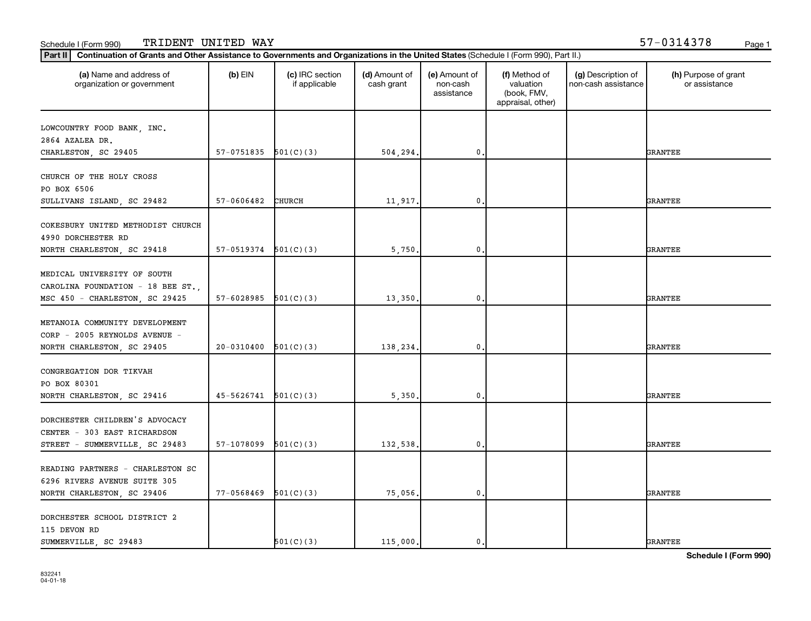| (a) Name and address of<br>organization or government | $(b)$ EIN                | (c) IRC section<br>if applicable | (d) Amount of<br>cash grant | (e) Amount of<br>non-cash<br>assistance | (f) Method of<br>valuation<br>(book, FMV,<br>appraisal, other) | (g) Description of<br>non-cash assistance | (h) Purpose of grant<br>or assistance |
|-------------------------------------------------------|--------------------------|----------------------------------|-----------------------------|-----------------------------------------|----------------------------------------------------------------|-------------------------------------------|---------------------------------------|
| LOWCOUNTRY FOOD BANK, INC.                            |                          |                                  |                             |                                         |                                                                |                                           |                                       |
| 2864 AZALEA DR.                                       |                          |                                  |                             |                                         |                                                                |                                           |                                       |
| CHARLESTON, SC 29405                                  | 57-0751835               | 501(C)(3)                        | 504,294.                    | $\mathbf{0}$                            |                                                                |                                           | <b>GRANTEE</b>                        |
|                                                       |                          |                                  |                             |                                         |                                                                |                                           |                                       |
| CHURCH OF THE HOLY CROSS                              |                          |                                  |                             |                                         |                                                                |                                           |                                       |
| PO BOX 6506                                           |                          |                                  |                             |                                         |                                                                |                                           |                                       |
| SULLIVANS ISLAND, SC 29482                            | 57-0606482               | CHURCH                           | 11,917.                     | 0                                       |                                                                |                                           | GRANTEE                               |
|                                                       |                          |                                  |                             |                                         |                                                                |                                           |                                       |
| COKESBURY UNITED METHODIST CHURCH                     |                          |                                  |                             |                                         |                                                                |                                           |                                       |
| 4990 DORCHESTER RD                                    |                          |                                  |                             |                                         |                                                                |                                           |                                       |
| NORTH CHARLESTON, SC 29418                            | $57-0519374$ $501(C)(3)$ |                                  | 5,750                       | 0                                       |                                                                |                                           | <b>GRANTEE</b>                        |
| MEDICAL UNIVERSITY OF SOUTH                           |                          |                                  |                             |                                         |                                                                |                                           |                                       |
| CAROLINA FOUNDATION - 18 BEE ST.,                     |                          |                                  |                             |                                         |                                                                |                                           |                                       |
| MSC 450 - CHARLESTON, SC 29425                        | 57-6028985               | 501(C)(3)                        | 13,350                      | $\mathbf 0$                             |                                                                |                                           | <b>GRANTEE</b>                        |
|                                                       |                          |                                  |                             |                                         |                                                                |                                           |                                       |
| METANOIA COMMUNITY DEVELOPMENT                        |                          |                                  |                             |                                         |                                                                |                                           |                                       |
| CORP - 2005 REYNOLDS AVENUE -                         |                          |                                  |                             |                                         |                                                                |                                           |                                       |
| NORTH CHARLESTON, SC 29405                            | 20-0310400               | 501(C)(3)                        | 138,234.                    | $\mathbf 0$                             |                                                                |                                           | <b>GRANTEE</b>                        |
|                                                       |                          |                                  |                             |                                         |                                                                |                                           |                                       |
| CONGREGATION DOR TIKVAH                               |                          |                                  |                             |                                         |                                                                |                                           |                                       |
| PO BOX 80301                                          |                          |                                  |                             |                                         |                                                                |                                           |                                       |
| NORTH CHARLESTON, SC 29416                            | 45-5626741               | 501(C)(3)                        | 5,350                       | $\mathbf 0$                             |                                                                |                                           | <b>GRANTEE</b>                        |
|                                                       |                          |                                  |                             |                                         |                                                                |                                           |                                       |
| DORCHESTER CHILDREN'S ADVOCACY                        |                          |                                  |                             |                                         |                                                                |                                           |                                       |
| CENTER - 303 EAST RICHARDSON                          |                          |                                  |                             |                                         |                                                                |                                           |                                       |
| STREET - SUMMERVILLE, SC 29483                        | 57-1078099               | 501(C)(3)                        | 132,538                     | $\mathbf 0$                             |                                                                |                                           | <b>GRANTEE</b>                        |
|                                                       |                          |                                  |                             |                                         |                                                                |                                           |                                       |
| READING PARTNERS - CHARLESTON SC                      |                          |                                  |                             |                                         |                                                                |                                           |                                       |
| 6296 RIVERS AVENUE SUITE 305                          |                          |                                  |                             |                                         |                                                                |                                           |                                       |
| NORTH CHARLESTON, SC 29406                            | 77-0568469               | 501(C)(3)                        | 75,056.                     | 0                                       |                                                                |                                           | GRANTEE                               |
| DORCHESTER SCHOOL DISTRICT 2                          |                          |                                  |                             |                                         |                                                                |                                           |                                       |
| 115 DEVON RD                                          |                          |                                  |                             |                                         |                                                                |                                           |                                       |
| SUMMERVILLE, SC 29483                                 |                          | 501(C)(3)                        | 115,000.                    | 0.                                      |                                                                |                                           | <b>GRANTEE</b>                        |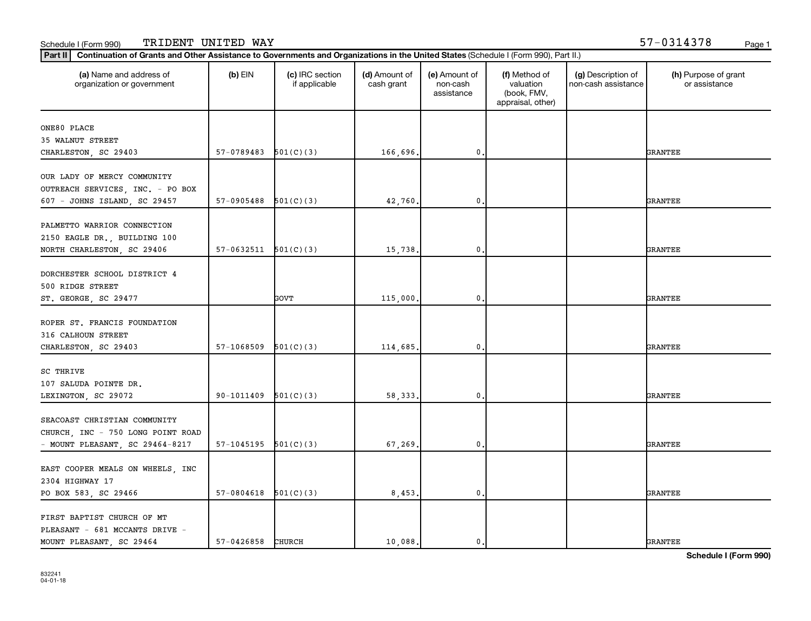| (a) Name and address of<br>organization or government | $(b)$ EIN                | (c) IRC section<br>if applicable | (d) Amount of<br>cash grant | (e) Amount of<br>non-cash<br>assistance | (f) Method of<br>valuation<br>(book, FMV,<br>appraisal, other) | (g) Description of<br>non-cash assistance | (h) Purpose of grant<br>or assistance |
|-------------------------------------------------------|--------------------------|----------------------------------|-----------------------------|-----------------------------------------|----------------------------------------------------------------|-------------------------------------------|---------------------------------------|
| ONE80 PLACE                                           |                          |                                  |                             |                                         |                                                                |                                           |                                       |
| 35 WALNUT STREET                                      |                          |                                  |                             |                                         |                                                                |                                           |                                       |
| CHARLESTON, SC 29403                                  | 57-0789483               | 501(C)(3)                        | 166,696.                    | $\mathbf{0}$                            |                                                                |                                           | <b>GRANTEE</b>                        |
| OUR LADY OF MERCY COMMUNITY                           |                          |                                  |                             |                                         |                                                                |                                           |                                       |
| OUTREACH SERVICES, INC. - PO BOX                      |                          |                                  |                             |                                         |                                                                |                                           |                                       |
| 607 - JOHNS ISLAND, SC 29457                          | 57-0905488               | 501(C)(3)                        | 42,760.                     | $\mathbf 0$                             |                                                                |                                           | <b>GRANTEE</b>                        |
|                                                       |                          |                                  |                             |                                         |                                                                |                                           |                                       |
| PALMETTO WARRIOR CONNECTION                           |                          |                                  |                             |                                         |                                                                |                                           |                                       |
| 2150 EAGLE DR., BUILDING 100                          |                          |                                  |                             |                                         |                                                                |                                           |                                       |
| NORTH CHARLESTON, SC 29406                            | $57-0632511$ $501(C)(3)$ |                                  | 15,738.                     | 0,                                      |                                                                |                                           | <b>GRANTEE</b>                        |
| DORCHESTER SCHOOL DISTRICT 4                          |                          |                                  |                             |                                         |                                                                |                                           |                                       |
| 500 RIDGE STREET                                      |                          |                                  |                             |                                         |                                                                |                                           |                                       |
| ST. GEORGE, SC 29477                                  |                          | GOVT                             | 115,000.                    | $\mathbf{0}$                            |                                                                |                                           | <b>GRANTEE</b>                        |
|                                                       |                          |                                  |                             |                                         |                                                                |                                           |                                       |
| ROPER ST. FRANCIS FOUNDATION                          |                          |                                  |                             |                                         |                                                                |                                           |                                       |
| 316 CALHOUN STREET                                    |                          |                                  |                             |                                         |                                                                |                                           |                                       |
| CHARLESTON, SC 29403                                  | 57-1068509               | 501(C)(3)                        | 114,685.                    | $\mathbf 0$                             |                                                                |                                           | <b>GRANTEE</b>                        |
|                                                       |                          |                                  |                             |                                         |                                                                |                                           |                                       |
| SC THRIVE                                             |                          |                                  |                             |                                         |                                                                |                                           |                                       |
| 107 SALUDA POINTE DR.                                 |                          |                                  |                             |                                         |                                                                |                                           |                                       |
| LEXINGTON, SC 29072                                   | 90-1011409               | 501(C)(3)                        | 58, 333.                    | $\mathbf 0$                             |                                                                |                                           | <b>GRANTEE</b>                        |
| SEACOAST CHRISTIAN COMMUNITY                          |                          |                                  |                             |                                         |                                                                |                                           |                                       |
|                                                       |                          |                                  |                             |                                         |                                                                |                                           |                                       |
| CHURCH, INC - 750 LONG POINT ROAD                     |                          |                                  |                             |                                         |                                                                |                                           | <b>GRANTEE</b>                        |
| - MOUNT PLEASANT, SC 29464-8217                       | $57-1045195$ $501(C)(3)$ |                                  | 67,269.                     | 0.                                      |                                                                |                                           |                                       |
| EAST COOPER MEALS ON WHEELS, INC                      |                          |                                  |                             |                                         |                                                                |                                           |                                       |
| 2304 HIGHWAY 17                                       |                          |                                  |                             |                                         |                                                                |                                           |                                       |
| PO BOX 583, SC 29466                                  | $57-0804618$ $501(C)(3)$ |                                  | 8,453.                      | 0.                                      |                                                                |                                           | <b>GRANTEE</b>                        |
|                                                       |                          |                                  |                             |                                         |                                                                |                                           |                                       |
| FIRST BAPTIST CHURCH OF MT                            |                          |                                  |                             |                                         |                                                                |                                           |                                       |
| PLEASANT - 681 MCCANTS DRIVE -                        |                          |                                  |                             |                                         |                                                                |                                           |                                       |
| MOUNT PLEASANT, SC 29464                              | 57-0426858               | CHURCH                           | 10,088.                     | 0.                                      |                                                                |                                           | <b>GRANTEE</b>                        |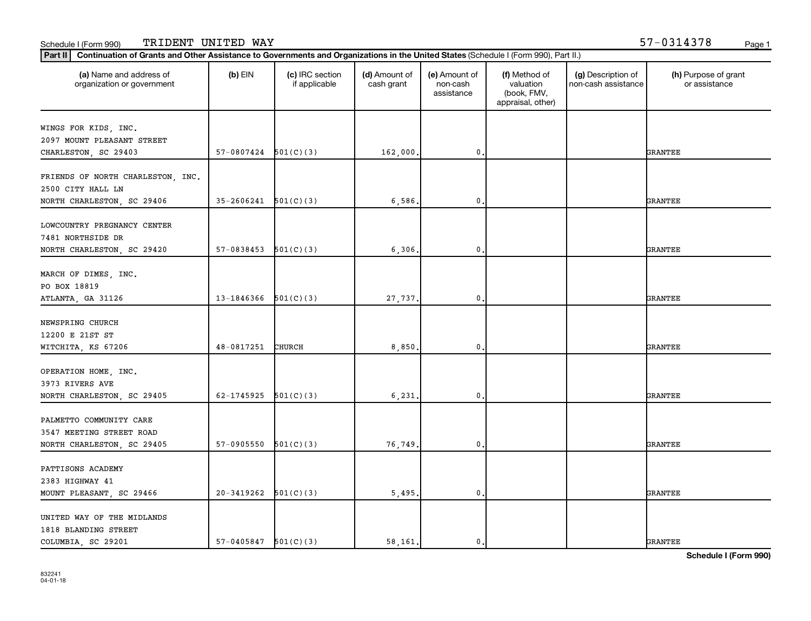| (a) Name and address of<br>organization or government | $(b)$ EIN                | (c) IRC section<br>if applicable | (d) Amount of<br>cash grant | (e) Amount of<br>non-cash<br>assistance | (f) Method of<br>valuation<br>(book, FMV,<br>appraisal, other) | (g) Description of<br>non-cash assistance | (h) Purpose of grant<br>or assistance |
|-------------------------------------------------------|--------------------------|----------------------------------|-----------------------------|-----------------------------------------|----------------------------------------------------------------|-------------------------------------------|---------------------------------------|
| WINGS FOR KIDS, INC.                                  |                          |                                  |                             |                                         |                                                                |                                           |                                       |
| 2097 MOUNT PLEASANT STREET                            |                          |                                  |                             |                                         |                                                                |                                           |                                       |
| CHARLESTON, SC 29403                                  | $57-0807424$ $501(C)(3)$ |                                  | 162,000.                    | 0                                       |                                                                |                                           | <b>GRANTEE</b>                        |
|                                                       |                          |                                  |                             |                                         |                                                                |                                           |                                       |
| FRIENDS OF NORTH CHARLESTON, INC.                     |                          |                                  |                             |                                         |                                                                |                                           |                                       |
| 2500 CITY HALL LN                                     |                          |                                  |                             |                                         |                                                                |                                           |                                       |
| NORTH CHARLESTON, SC 29406                            | 35-2606241               | 501(C)(3)                        | 6,586.                      | 0                                       |                                                                |                                           | <b>GRANTEE</b>                        |
|                                                       |                          |                                  |                             |                                         |                                                                |                                           |                                       |
| LOWCOUNTRY PREGNANCY CENTER                           |                          |                                  |                             |                                         |                                                                |                                           |                                       |
| 7481 NORTHSIDE DR                                     |                          |                                  |                             |                                         |                                                                |                                           |                                       |
| NORTH CHARLESTON, SC 29420                            | $57-0838453$ $501(C)(3)$ |                                  | 6, 306.                     | $\mathbf{0}$                            |                                                                |                                           | <b>GRANTEE</b>                        |
|                                                       |                          |                                  |                             |                                         |                                                                |                                           |                                       |
| MARCH OF DIMES, INC.                                  |                          |                                  |                             |                                         |                                                                |                                           |                                       |
| PO BOX 18819                                          |                          |                                  |                             |                                         |                                                                |                                           |                                       |
| ATLANTA, GA 31126                                     | 13-1846366               | 501(C)(3)                        | 27,737.                     | 0                                       |                                                                |                                           | <b>GRANTEE</b>                        |
| NEWSPRING CHURCH                                      |                          |                                  |                             |                                         |                                                                |                                           |                                       |
| 12200 E 21ST ST                                       |                          |                                  |                             |                                         |                                                                |                                           |                                       |
|                                                       | 48-0817251               | <b>CHURCH</b>                    | 8,850.                      | 0                                       |                                                                |                                           | <b>GRANTEE</b>                        |
| WITCHITA, KS 67206                                    |                          |                                  |                             |                                         |                                                                |                                           |                                       |
| OPERATION HOME, INC.                                  |                          |                                  |                             |                                         |                                                                |                                           |                                       |
| 3973 RIVERS AVE                                       |                          |                                  |                             |                                         |                                                                |                                           |                                       |
| NORTH CHARLESTON, SC 29405                            | 62-1745925               | 501(C)(3)                        | 6, 231.                     | 0                                       |                                                                |                                           | <b>GRANTEE</b>                        |
|                                                       |                          |                                  |                             |                                         |                                                                |                                           |                                       |
| PALMETTO COMMUNITY CARE                               |                          |                                  |                             |                                         |                                                                |                                           |                                       |
| 3547 MEETING STREET ROAD                              |                          |                                  |                             |                                         |                                                                |                                           |                                       |
| NORTH CHARLESTON, SC 29405                            | 57-0905550               | 501(C)(3)                        | 76,749.                     | $\mathbf 0$                             |                                                                |                                           | <b>GRANTEE</b>                        |
|                                                       |                          |                                  |                             |                                         |                                                                |                                           |                                       |
| PATTISONS ACADEMY                                     |                          |                                  |                             |                                         |                                                                |                                           |                                       |
| 2383 HIGHWAY 41                                       |                          |                                  |                             |                                         |                                                                |                                           |                                       |
| MOUNT PLEASANT, SC 29466                              | 20-3419262               | 501(C)(3)                        | 5,495.                      | 0                                       |                                                                |                                           | <b>GRANTEE</b>                        |
|                                                       |                          |                                  |                             |                                         |                                                                |                                           |                                       |
| UNITED WAY OF THE MIDLANDS                            |                          |                                  |                             |                                         |                                                                |                                           |                                       |
| 1818 BLANDING STREET                                  |                          |                                  |                             |                                         |                                                                |                                           |                                       |
| COLUMBIA, SC 29201                                    | $57-0405847$ $501(C)(3)$ |                                  | 58,161.                     | 0.                                      |                                                                |                                           | <b>GRANTEE</b>                        |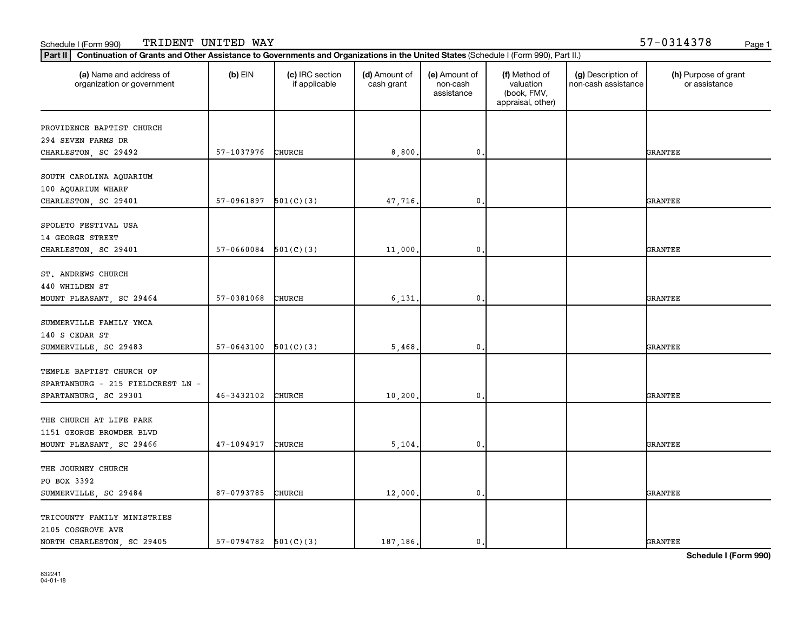| (a) Name and address of<br>organization or government            | $(b)$ EIN                | (c) IRC section<br>if applicable | (d) Amount of<br>cash grant | (e) Amount of<br>non-cash<br>assistance | (f) Method of<br>valuation<br>(book, FMV,<br>appraisal, other) | (g) Description of<br>non-cash assistance | (h) Purpose of grant<br>or assistance |
|------------------------------------------------------------------|--------------------------|----------------------------------|-----------------------------|-----------------------------------------|----------------------------------------------------------------|-------------------------------------------|---------------------------------------|
| PROVIDENCE BAPTIST CHURCH                                        |                          |                                  |                             |                                         |                                                                |                                           |                                       |
| 294 SEVEN FARMS DR                                               |                          |                                  |                             |                                         |                                                                |                                           |                                       |
| CHARLESTON, SC 29492                                             | 57-1037976               | CHURCH                           | 8,800.                      | $\mathbf 0$                             |                                                                |                                           | <b>GRANTEE</b>                        |
| SOUTH CAROLINA AQUARIUM<br>100 AQUARIUM WHARF                    |                          |                                  |                             |                                         |                                                                |                                           |                                       |
| CHARLESTON, SC 29401                                             | 57-0961897               | 501(C)(3)                        | 47,716.                     | $\mathbf 0$                             |                                                                |                                           | <b>GRANTEE</b>                        |
| SPOLETO FESTIVAL USA<br>14 GEORGE STREET<br>CHARLESTON, SC 29401 | 57-0660084               | 501(C)(3)                        | 11,000.                     | 0,                                      |                                                                |                                           | <b>GRANTEE</b>                        |
|                                                                  |                          |                                  |                             |                                         |                                                                |                                           |                                       |
| ST. ANDREWS CHURCH                                               |                          |                                  |                             |                                         |                                                                |                                           |                                       |
| 440 WHILDEN ST                                                   |                          |                                  |                             |                                         |                                                                |                                           |                                       |
| MOUNT PLEASANT, SC 29464                                         | 57-0381068               | CHURCH                           | 6,131.                      | $\mathbf{0}$                            |                                                                |                                           | GRANTEE                               |
| SUMMERVILLE FAMILY YMCA<br>140 S CEDAR ST                        |                          |                                  |                             |                                         |                                                                |                                           |                                       |
| SUMMERVILLE, SC 29483                                            | 57-0643100               | 501(C)(3)                        | 5,468.                      | $\mathbf 0$                             |                                                                |                                           | <b>GRANTEE</b>                        |
| TEMPLE BAPTIST CHURCH OF<br>SPARTANBURG - 215 FIELDCREST LN -    |                          |                                  |                             |                                         |                                                                |                                           |                                       |
| SPARTANBURG, SC 29301                                            | 46-3432102               | CHURCH                           | 10, 200.                    | $\mathbf 0$                             |                                                                |                                           | <b>GRANTEE</b>                        |
| THE CHURCH AT LIFE PARK<br>1151 GEORGE BROWDER BLVD              |                          |                                  |                             |                                         |                                                                |                                           |                                       |
| MOUNT PLEASANT, SC 29466                                         | 47-1094917               | CHURCH                           | 5,104.                      | 0.                                      |                                                                |                                           | <b>GRANTEE</b>                        |
| THE JOURNEY CHURCH                                               |                          |                                  |                             |                                         |                                                                |                                           |                                       |
| PO BOX 3392                                                      |                          |                                  |                             |                                         |                                                                |                                           |                                       |
| SUMMERVILLE, SC 29484                                            | 87-0793785               | CHURCH                           | 12,000.                     | 0.                                      |                                                                |                                           | <b>GRANTEE</b>                        |
| TRICOUNTY FAMILY MINISTRIES<br>2105 COSGROVE AVE                 |                          |                                  |                             |                                         |                                                                |                                           |                                       |
| NORTH CHARLESTON, SC 29405                                       | $57-0794782$ $501(C)(3)$ |                                  | 187.186.                    | 0.                                      |                                                                |                                           | <b>GRANTEE</b>                        |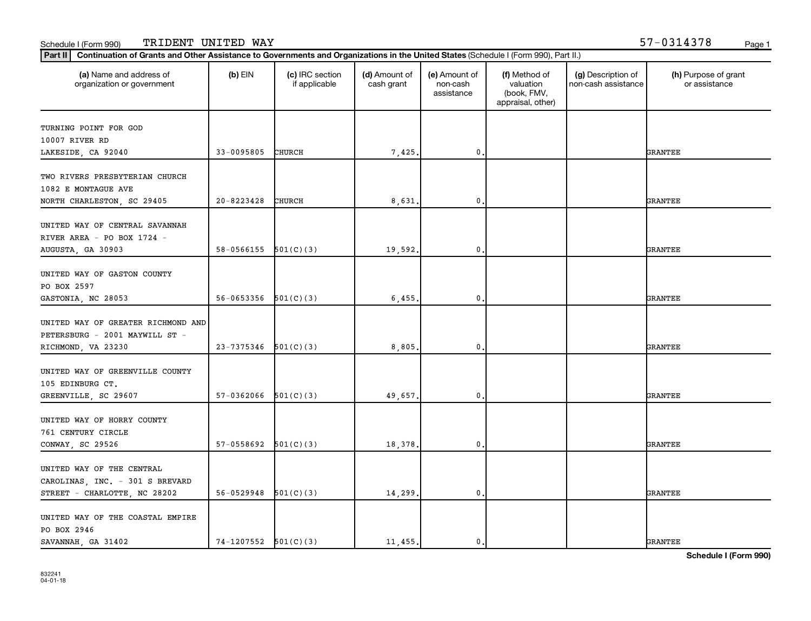| (a) Name and address of<br>organization or government                | $(b)$ EIN                | (c) IRC section<br>if applicable | (d) Amount of<br>cash grant | (e) Amount of<br>non-cash<br>assistance | (f) Method of<br>valuation<br>(book, FMV,<br>appraisal, other) | (g) Description of<br>non-cash assistance | (h) Purpose of grant<br>or assistance |
|----------------------------------------------------------------------|--------------------------|----------------------------------|-----------------------------|-----------------------------------------|----------------------------------------------------------------|-------------------------------------------|---------------------------------------|
| TURNING POINT FOR GOD                                                |                          |                                  |                             |                                         |                                                                |                                           |                                       |
| 10007 RIVER RD                                                       |                          |                                  |                             |                                         |                                                                |                                           |                                       |
| LAKESIDE, CA 92040                                                   | 33-0095805               | CHURCH                           | 7,425.                      | $\mathbf 0$                             |                                                                |                                           | <b>GRANTEE</b>                        |
| TWO RIVERS PRESBYTERIAN CHURCH<br>1082 E MONTAGUE AVE                |                          |                                  |                             |                                         |                                                                |                                           |                                       |
| NORTH CHARLESTON, SC 29405                                           | 20-8223428               | CHURCH                           | 8,631                       | $\mathbf 0$                             |                                                                |                                           | <b>GRANTEE</b>                        |
| UNITED WAY OF CENTRAL SAVANNAH<br>RIVER AREA - PO BOX 1724 -         |                          |                                  |                             |                                         |                                                                |                                           |                                       |
| AUGUSTA, GA 30903                                                    | $58-0566155$ $501(C)(3)$ |                                  | 19,592.                     | $\mathbf{0}$                            |                                                                |                                           | <b>GRANTEE</b>                        |
| UNITED WAY OF GASTON COUNTY<br>PO BOX 2597                           |                          |                                  |                             |                                         |                                                                |                                           |                                       |
| GASTONIA, NC 28053                                                   | 56-0653356               | 501(C)(3)                        | 6,455.                      | $\mathbf 0$                             |                                                                |                                           | <b>GRANTEE</b>                        |
| UNITED WAY OF GREATER RICHMOND AND<br>PETERSBURG - 2001 MAYWILL ST - |                          |                                  |                             |                                         |                                                                |                                           |                                       |
| RICHMOND, VA 23230                                                   | 23-7375346               | 501(C)(3)                        | 8,805.                      | $\mathbf 0$                             |                                                                |                                           | <b>GRANTEE</b>                        |
| UNITED WAY OF GREENVILLE COUNTY<br>105 EDINBURG CT.                  |                          |                                  |                             |                                         |                                                                |                                           |                                       |
| GREENVILLE, SC 29607                                                 | 57-0362066               | 501(C)(3)                        | 49,657.                     | $\mathbf 0$                             |                                                                |                                           | <b>GRANTEE</b>                        |
| UNITED WAY OF HORRY COUNTY<br>761 CENTURY CIRCLE                     |                          |                                  |                             |                                         |                                                                |                                           |                                       |
| CONWAY, SC 29526                                                     | $57-0558692$ $501(C)(3)$ |                                  | 18,378.                     | $\mathbf 0$ .                           |                                                                |                                           | <b>GRANTEE</b>                        |
| UNITED WAY OF THE CENTRAL<br>CAROLINAS, INC. - 301 S BREVARD         |                          |                                  |                             |                                         |                                                                |                                           |                                       |
| STREET - CHARLOTTE, NC 28202                                         | 56-0529948               | 501(C)(3)                        | 14,299.                     | $\mathbf{0}$                            |                                                                |                                           | <b>GRANTEE</b>                        |
| UNITED WAY OF THE COASTAL EMPIRE<br>PO BOX 2946                      |                          |                                  |                             |                                         |                                                                |                                           |                                       |
| SAVANNAH GA 31402                                                    | $74-1207552$ $501(C)(3)$ |                                  | 11,455.                     | 0.                                      |                                                                |                                           | <b>GRANTEE</b>                        |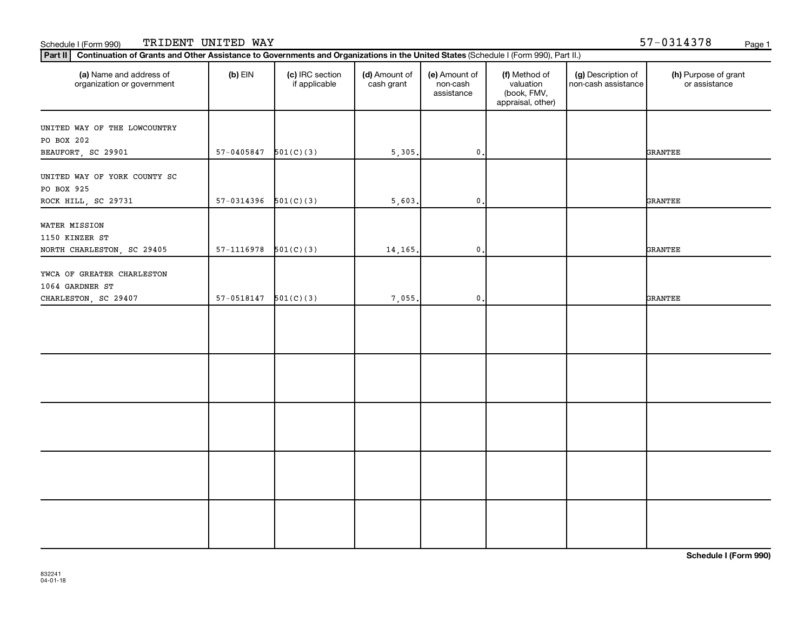| (a) Name and address of<br>organization or government | $(b)$ EIN                | (c) IRC section<br>if applicable | (d) Amount of<br>cash grant | (e) Amount of<br>non-cash<br>assistance | (f) Method of<br>valuation<br>(book, FMV,<br>appraisal, other) | (g) Description of<br>non-cash assistance | (h) Purpose of grant<br>or assistance |
|-------------------------------------------------------|--------------------------|----------------------------------|-----------------------------|-----------------------------------------|----------------------------------------------------------------|-------------------------------------------|---------------------------------------|
| UNITED WAY OF THE LOWCOUNTRY                          |                          |                                  |                             |                                         |                                                                |                                           |                                       |
| PO BOX 202                                            |                          |                                  |                             |                                         |                                                                |                                           |                                       |
| BEAUFORT, SC 29901                                    | $57 - 0405847$           | 501(C)(3)                        | 5,305.                      | $\mathbf{0}$                            |                                                                |                                           | <b>GRANTEE</b>                        |
| UNITED WAY OF YORK COUNTY SC<br>PO BOX 925            |                          |                                  |                             |                                         |                                                                |                                           |                                       |
| ROCK HILL, SC 29731                                   | $57-0314396$ $501(C)(3)$ |                                  | 5,603.                      | $\mathbf 0$ .                           |                                                                |                                           | <b>GRANTEE</b>                        |
| WATER MISSION<br>1150 KINZER ST                       |                          |                                  |                             |                                         |                                                                |                                           |                                       |
| NORTH CHARLESTON, SC 29405                            | 57-1116978               | 501(C)(3)                        | 14,165.                     | $\mathbf{0}$ .                          |                                                                |                                           | <b>GRANTEE</b>                        |
| YWCA OF GREATER CHARLESTON<br>1064 GARDNER ST         |                          |                                  |                             |                                         |                                                                |                                           |                                       |
| CHARLESTON, SC 29407                                  | $57-0518147$ $501(C)(3)$ |                                  | 7,055.                      | $\mathbf 0$ .                           |                                                                |                                           | GRANTEE                               |
|                                                       |                          |                                  |                             |                                         |                                                                |                                           |                                       |
|                                                       |                          |                                  |                             |                                         |                                                                |                                           |                                       |
|                                                       |                          |                                  |                             |                                         |                                                                |                                           |                                       |
|                                                       |                          |                                  |                             |                                         |                                                                |                                           |                                       |
|                                                       |                          |                                  |                             |                                         |                                                                |                                           |                                       |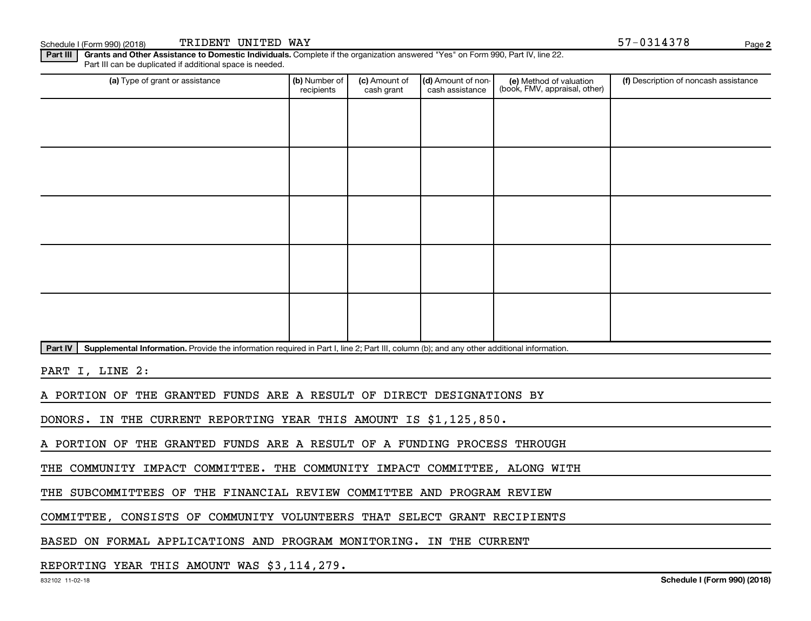Schedule I (Form 990) (2018) TRIDENT UNITED WAY Page 3 (Schedule I (Form 990) (2018) Page

**2**

Part III | Grants and Other Assistance to Domestic Individuals. Complete if the organization answered "Yes" on Form 990, Part IV, line 22. Part III can be duplicated if additional space is needed.

| (a) Type of grant or assistance | (b) Number of<br>recipients | (c) Amount of<br>cash grant | (d) Amount of non-<br>cash assistance | (e) Method of valuation<br>(book, FMV, appraisal, other) | (f) Description of noncash assistance |
|---------------------------------|-----------------------------|-----------------------------|---------------------------------------|----------------------------------------------------------|---------------------------------------|
|                                 |                             |                             |                                       |                                                          |                                       |
|                                 |                             |                             |                                       |                                                          |                                       |
|                                 |                             |                             |                                       |                                                          |                                       |
|                                 |                             |                             |                                       |                                                          |                                       |
|                                 |                             |                             |                                       |                                                          |                                       |
|                                 |                             |                             |                                       |                                                          |                                       |
|                                 |                             |                             |                                       |                                                          |                                       |
|                                 |                             |                             |                                       |                                                          |                                       |
|                                 |                             |                             |                                       |                                                          |                                       |
|                                 |                             |                             |                                       |                                                          |                                       |

Part IV | Supplemental Information. Provide the information required in Part I, line 2; Part III, column (b); and any other additional information.

PART I, LINE 2:

A PORTION OF THE GRANTED FUNDS ARE A RESULT OF DIRECT DESIGNATIONS BY

DONORS. IN THE CURRENT REPORTING YEAR THIS AMOUNT IS \$1,125,850.

A PORTION OF THE GRANTED FUNDS ARE A RESULT OF A FUNDING PROCESS THROUGH

THE COMMUNITY IMPACT COMMITTEE. THE COMMUNITY IMPACT COMMITTEE, ALONG WITH

THE SUBCOMMITTEES OF THE FINANCIAL REVIEW COMMITTEE AND PROGRAM REVIEW

COMMITTEE, CONSISTS OF COMMUNITY VOLUNTEERS THAT SELECT GRANT RECIPIENTS

BASED ON FORMAL APPLICATIONS AND PROGRAM MONITORING. IN THE CURRENT

REPORTING YEAR THIS AMOUNT WAS \$3,114,279.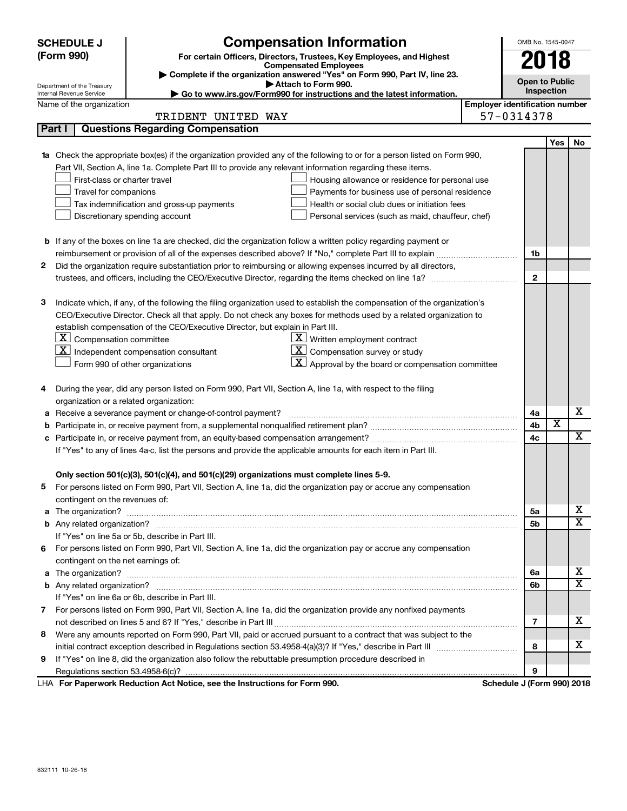| (Form 990)<br>For certain Officers, Directors, Trustees, Key Employees, and Highest<br>2018<br><b>Compensated Employees</b><br>Complete if the organization answered "Yes" on Form 990, Part IV, line 23.<br><b>Open to Public</b><br>Attach to Form 990.<br>Department of the Treasury<br>Inspection<br>► Go to www.irs.gov/Form990 for instructions and the latest information.<br>Internal Revenue Service<br><b>Employer identification number</b><br>Name of the organization<br>57-0314378<br>TRIDENT UNITED WAY<br><b>Questions Regarding Compensation</b><br>Part I<br>Yes<br>No<br>Check the appropriate box(es) if the organization provided any of the following to or for a person listed on Form 990,<br>1a<br>Part VII, Section A, line 1a. Complete Part III to provide any relevant information regarding these items.<br>First-class or charter travel<br>Housing allowance or residence for personal use<br>Travel for companions<br>Payments for business use of personal residence<br>Health or social club dues or initiation fees<br>Tax indemnification and gross-up payments<br>Discretionary spending account<br>Personal services (such as maid, chauffeur, chef)<br><b>b</b> If any of the boxes on line 1a are checked, did the organization follow a written policy regarding payment or<br>1b<br>Did the organization require substantiation prior to reimbursing or allowing expenses incurred by all directors,<br>$\mathbf{2}$<br>$\mathbf{2}$<br>Indicate which, if any, of the following the filing organization used to establish the compensation of the organization's<br>з<br>CEO/Executive Director. Check all that apply. Do not check any boxes for methods used by a related organization to<br>establish compensation of the CEO/Executive Director, but explain in Part III.<br> X <br>Compensation committee<br>$\underline{\mathbf{X}}$ Written employment contract<br>$\underline{\mathbf{X}}$ Compensation survey or study<br>  X  <br>Independent compensation consultant<br><u>x  </u><br>Approval by the board or compensation committee<br>Form 990 of other organizations<br>During the year, did any person listed on Form 990, Part VII, Section A, line 1a, with respect to the filing<br>4<br>organization or a related organization:<br>х<br>Receive a severance payment or change-of-control payment?<br>4a<br>а<br>X<br>4b<br>b<br>$\overline{\textbf{X}}$<br>4c<br>с<br>If "Yes" to any of lines 4a-c, list the persons and provide the applicable amounts for each item in Part III.<br>Only section 501(c)(3), 501(c)(4), and 501(c)(29) organizations must complete lines 5-9.<br>5 For persons listed on Form 990, Part VII, Section A, line 1a, did the organization pay or accrue any compensation<br>contingent on the revenues of:<br>x<br>5a<br>$\overline{\textbf{X}}$<br>5b<br>If "Yes" on line 5a or 5b, describe in Part III.<br>For persons listed on Form 990, Part VII, Section A, line 1a, did the organization pay or accrue any compensation<br>6<br>contingent on the net earnings of:<br>х<br>6a<br>a<br>X<br>6b<br>If "Yes" on line 6a or 6b, describe in Part III.<br>7 For persons listed on Form 990, Part VII, Section A, line 1a, did the organization provide any nonfixed payments<br>х<br>7<br>Were any amounts reported on Form 990, Part VII, paid or accrued pursuant to a contract that was subject to the<br>8<br>х<br>8<br>If "Yes" on line 8, did the organization also follow the rebuttable presumption procedure described in<br>9<br>9<br>Schedule J (Form 990) 2018<br>LHA For Paperwork Reduction Act Notice, see the Instructions for Form 990. |  | <b>Compensation Information</b><br><b>SCHEDULE J</b> |  | OMB No. 1545-0047 |  |  |  |
|-----------------------------------------------------------------------------------------------------------------------------------------------------------------------------------------------------------------------------------------------------------------------------------------------------------------------------------------------------------------------------------------------------------------------------------------------------------------------------------------------------------------------------------------------------------------------------------------------------------------------------------------------------------------------------------------------------------------------------------------------------------------------------------------------------------------------------------------------------------------------------------------------------------------------------------------------------------------------------------------------------------------------------------------------------------------------------------------------------------------------------------------------------------------------------------------------------------------------------------------------------------------------------------------------------------------------------------------------------------------------------------------------------------------------------------------------------------------------------------------------------------------------------------------------------------------------------------------------------------------------------------------------------------------------------------------------------------------------------------------------------------------------------------------------------------------------------------------------------------------------------------------------------------------------------------------------------------------------------------------------------------------------------------------------------------------------------------------------------------------------------------------------------------------------------------------------------------------------------------------------------------------------------------------------------------------------------------------------------------------------------------------------------------------------------------------------------------------------------------------------------------------------------------------------------------------------------------------------------------------------------------------------------------------------------------------------------------------------------------------------------------------------------------------------------------------------------------------------------------------------------------------------------------------------------------------------------------------------------------------------------------------------------------------------------------------------------------------------------------------------------------------------------------------------------------------------------------------------------------------------------------------------------------------------------------------------------------------------------------------------------------------------------------------------------------------------------------------------------------------------------------------------------------------------------------------------------------------------------------------------------------------------------------|--|------------------------------------------------------|--|-------------------|--|--|--|
|                                                                                                                                                                                                                                                                                                                                                                                                                                                                                                                                                                                                                                                                                                                                                                                                                                                                                                                                                                                                                                                                                                                                                                                                                                                                                                                                                                                                                                                                                                                                                                                                                                                                                                                                                                                                                                                                                                                                                                                                                                                                                                                                                                                                                                                                                                                                                                                                                                                                                                                                                                                                                                                                                                                                                                                                                                                                                                                                                                                                                                                                                                                                                                                                                                                                                                                                                                                                                                                                                                                                                                                                                                                           |  |                                                      |  |                   |  |  |  |
|                                                                                                                                                                                                                                                                                                                                                                                                                                                                                                                                                                                                                                                                                                                                                                                                                                                                                                                                                                                                                                                                                                                                                                                                                                                                                                                                                                                                                                                                                                                                                                                                                                                                                                                                                                                                                                                                                                                                                                                                                                                                                                                                                                                                                                                                                                                                                                                                                                                                                                                                                                                                                                                                                                                                                                                                                                                                                                                                                                                                                                                                                                                                                                                                                                                                                                                                                                                                                                                                                                                                                                                                                                                           |  |                                                      |  |                   |  |  |  |
|                                                                                                                                                                                                                                                                                                                                                                                                                                                                                                                                                                                                                                                                                                                                                                                                                                                                                                                                                                                                                                                                                                                                                                                                                                                                                                                                                                                                                                                                                                                                                                                                                                                                                                                                                                                                                                                                                                                                                                                                                                                                                                                                                                                                                                                                                                                                                                                                                                                                                                                                                                                                                                                                                                                                                                                                                                                                                                                                                                                                                                                                                                                                                                                                                                                                                                                                                                                                                                                                                                                                                                                                                                                           |  |                                                      |  |                   |  |  |  |
|                                                                                                                                                                                                                                                                                                                                                                                                                                                                                                                                                                                                                                                                                                                                                                                                                                                                                                                                                                                                                                                                                                                                                                                                                                                                                                                                                                                                                                                                                                                                                                                                                                                                                                                                                                                                                                                                                                                                                                                                                                                                                                                                                                                                                                                                                                                                                                                                                                                                                                                                                                                                                                                                                                                                                                                                                                                                                                                                                                                                                                                                                                                                                                                                                                                                                                                                                                                                                                                                                                                                                                                                                                                           |  |                                                      |  |                   |  |  |  |
|                                                                                                                                                                                                                                                                                                                                                                                                                                                                                                                                                                                                                                                                                                                                                                                                                                                                                                                                                                                                                                                                                                                                                                                                                                                                                                                                                                                                                                                                                                                                                                                                                                                                                                                                                                                                                                                                                                                                                                                                                                                                                                                                                                                                                                                                                                                                                                                                                                                                                                                                                                                                                                                                                                                                                                                                                                                                                                                                                                                                                                                                                                                                                                                                                                                                                                                                                                                                                                                                                                                                                                                                                                                           |  |                                                      |  |                   |  |  |  |
|                                                                                                                                                                                                                                                                                                                                                                                                                                                                                                                                                                                                                                                                                                                                                                                                                                                                                                                                                                                                                                                                                                                                                                                                                                                                                                                                                                                                                                                                                                                                                                                                                                                                                                                                                                                                                                                                                                                                                                                                                                                                                                                                                                                                                                                                                                                                                                                                                                                                                                                                                                                                                                                                                                                                                                                                                                                                                                                                                                                                                                                                                                                                                                                                                                                                                                                                                                                                                                                                                                                                                                                                                                                           |  |                                                      |  |                   |  |  |  |
|                                                                                                                                                                                                                                                                                                                                                                                                                                                                                                                                                                                                                                                                                                                                                                                                                                                                                                                                                                                                                                                                                                                                                                                                                                                                                                                                                                                                                                                                                                                                                                                                                                                                                                                                                                                                                                                                                                                                                                                                                                                                                                                                                                                                                                                                                                                                                                                                                                                                                                                                                                                                                                                                                                                                                                                                                                                                                                                                                                                                                                                                                                                                                                                                                                                                                                                                                                                                                                                                                                                                                                                                                                                           |  |                                                      |  |                   |  |  |  |
|                                                                                                                                                                                                                                                                                                                                                                                                                                                                                                                                                                                                                                                                                                                                                                                                                                                                                                                                                                                                                                                                                                                                                                                                                                                                                                                                                                                                                                                                                                                                                                                                                                                                                                                                                                                                                                                                                                                                                                                                                                                                                                                                                                                                                                                                                                                                                                                                                                                                                                                                                                                                                                                                                                                                                                                                                                                                                                                                                                                                                                                                                                                                                                                                                                                                                                                                                                                                                                                                                                                                                                                                                                                           |  |                                                      |  |                   |  |  |  |
|                                                                                                                                                                                                                                                                                                                                                                                                                                                                                                                                                                                                                                                                                                                                                                                                                                                                                                                                                                                                                                                                                                                                                                                                                                                                                                                                                                                                                                                                                                                                                                                                                                                                                                                                                                                                                                                                                                                                                                                                                                                                                                                                                                                                                                                                                                                                                                                                                                                                                                                                                                                                                                                                                                                                                                                                                                                                                                                                                                                                                                                                                                                                                                                                                                                                                                                                                                                                                                                                                                                                                                                                                                                           |  |                                                      |  |                   |  |  |  |
|                                                                                                                                                                                                                                                                                                                                                                                                                                                                                                                                                                                                                                                                                                                                                                                                                                                                                                                                                                                                                                                                                                                                                                                                                                                                                                                                                                                                                                                                                                                                                                                                                                                                                                                                                                                                                                                                                                                                                                                                                                                                                                                                                                                                                                                                                                                                                                                                                                                                                                                                                                                                                                                                                                                                                                                                                                                                                                                                                                                                                                                                                                                                                                                                                                                                                                                                                                                                                                                                                                                                                                                                                                                           |  |                                                      |  |                   |  |  |  |
|                                                                                                                                                                                                                                                                                                                                                                                                                                                                                                                                                                                                                                                                                                                                                                                                                                                                                                                                                                                                                                                                                                                                                                                                                                                                                                                                                                                                                                                                                                                                                                                                                                                                                                                                                                                                                                                                                                                                                                                                                                                                                                                                                                                                                                                                                                                                                                                                                                                                                                                                                                                                                                                                                                                                                                                                                                                                                                                                                                                                                                                                                                                                                                                                                                                                                                                                                                                                                                                                                                                                                                                                                                                           |  |                                                      |  |                   |  |  |  |
|                                                                                                                                                                                                                                                                                                                                                                                                                                                                                                                                                                                                                                                                                                                                                                                                                                                                                                                                                                                                                                                                                                                                                                                                                                                                                                                                                                                                                                                                                                                                                                                                                                                                                                                                                                                                                                                                                                                                                                                                                                                                                                                                                                                                                                                                                                                                                                                                                                                                                                                                                                                                                                                                                                                                                                                                                                                                                                                                                                                                                                                                                                                                                                                                                                                                                                                                                                                                                                                                                                                                                                                                                                                           |  |                                                      |  |                   |  |  |  |
|                                                                                                                                                                                                                                                                                                                                                                                                                                                                                                                                                                                                                                                                                                                                                                                                                                                                                                                                                                                                                                                                                                                                                                                                                                                                                                                                                                                                                                                                                                                                                                                                                                                                                                                                                                                                                                                                                                                                                                                                                                                                                                                                                                                                                                                                                                                                                                                                                                                                                                                                                                                                                                                                                                                                                                                                                                                                                                                                                                                                                                                                                                                                                                                                                                                                                                                                                                                                                                                                                                                                                                                                                                                           |  |                                                      |  |                   |  |  |  |
|                                                                                                                                                                                                                                                                                                                                                                                                                                                                                                                                                                                                                                                                                                                                                                                                                                                                                                                                                                                                                                                                                                                                                                                                                                                                                                                                                                                                                                                                                                                                                                                                                                                                                                                                                                                                                                                                                                                                                                                                                                                                                                                                                                                                                                                                                                                                                                                                                                                                                                                                                                                                                                                                                                                                                                                                                                                                                                                                                                                                                                                                                                                                                                                                                                                                                                                                                                                                                                                                                                                                                                                                                                                           |  |                                                      |  |                   |  |  |  |
|                                                                                                                                                                                                                                                                                                                                                                                                                                                                                                                                                                                                                                                                                                                                                                                                                                                                                                                                                                                                                                                                                                                                                                                                                                                                                                                                                                                                                                                                                                                                                                                                                                                                                                                                                                                                                                                                                                                                                                                                                                                                                                                                                                                                                                                                                                                                                                                                                                                                                                                                                                                                                                                                                                                                                                                                                                                                                                                                                                                                                                                                                                                                                                                                                                                                                                                                                                                                                                                                                                                                                                                                                                                           |  |                                                      |  |                   |  |  |  |
|                                                                                                                                                                                                                                                                                                                                                                                                                                                                                                                                                                                                                                                                                                                                                                                                                                                                                                                                                                                                                                                                                                                                                                                                                                                                                                                                                                                                                                                                                                                                                                                                                                                                                                                                                                                                                                                                                                                                                                                                                                                                                                                                                                                                                                                                                                                                                                                                                                                                                                                                                                                                                                                                                                                                                                                                                                                                                                                                                                                                                                                                                                                                                                                                                                                                                                                                                                                                                                                                                                                                                                                                                                                           |  |                                                      |  |                   |  |  |  |
|                                                                                                                                                                                                                                                                                                                                                                                                                                                                                                                                                                                                                                                                                                                                                                                                                                                                                                                                                                                                                                                                                                                                                                                                                                                                                                                                                                                                                                                                                                                                                                                                                                                                                                                                                                                                                                                                                                                                                                                                                                                                                                                                                                                                                                                                                                                                                                                                                                                                                                                                                                                                                                                                                                                                                                                                                                                                                                                                                                                                                                                                                                                                                                                                                                                                                                                                                                                                                                                                                                                                                                                                                                                           |  |                                                      |  |                   |  |  |  |
|                                                                                                                                                                                                                                                                                                                                                                                                                                                                                                                                                                                                                                                                                                                                                                                                                                                                                                                                                                                                                                                                                                                                                                                                                                                                                                                                                                                                                                                                                                                                                                                                                                                                                                                                                                                                                                                                                                                                                                                                                                                                                                                                                                                                                                                                                                                                                                                                                                                                                                                                                                                                                                                                                                                                                                                                                                                                                                                                                                                                                                                                                                                                                                                                                                                                                                                                                                                                                                                                                                                                                                                                                                                           |  |                                                      |  |                   |  |  |  |
|                                                                                                                                                                                                                                                                                                                                                                                                                                                                                                                                                                                                                                                                                                                                                                                                                                                                                                                                                                                                                                                                                                                                                                                                                                                                                                                                                                                                                                                                                                                                                                                                                                                                                                                                                                                                                                                                                                                                                                                                                                                                                                                                                                                                                                                                                                                                                                                                                                                                                                                                                                                                                                                                                                                                                                                                                                                                                                                                                                                                                                                                                                                                                                                                                                                                                                                                                                                                                                                                                                                                                                                                                                                           |  |                                                      |  |                   |  |  |  |
|                                                                                                                                                                                                                                                                                                                                                                                                                                                                                                                                                                                                                                                                                                                                                                                                                                                                                                                                                                                                                                                                                                                                                                                                                                                                                                                                                                                                                                                                                                                                                                                                                                                                                                                                                                                                                                                                                                                                                                                                                                                                                                                                                                                                                                                                                                                                                                                                                                                                                                                                                                                                                                                                                                                                                                                                                                                                                                                                                                                                                                                                                                                                                                                                                                                                                                                                                                                                                                                                                                                                                                                                                                                           |  |                                                      |  |                   |  |  |  |
|                                                                                                                                                                                                                                                                                                                                                                                                                                                                                                                                                                                                                                                                                                                                                                                                                                                                                                                                                                                                                                                                                                                                                                                                                                                                                                                                                                                                                                                                                                                                                                                                                                                                                                                                                                                                                                                                                                                                                                                                                                                                                                                                                                                                                                                                                                                                                                                                                                                                                                                                                                                                                                                                                                                                                                                                                                                                                                                                                                                                                                                                                                                                                                                                                                                                                                                                                                                                                                                                                                                                                                                                                                                           |  |                                                      |  |                   |  |  |  |
|                                                                                                                                                                                                                                                                                                                                                                                                                                                                                                                                                                                                                                                                                                                                                                                                                                                                                                                                                                                                                                                                                                                                                                                                                                                                                                                                                                                                                                                                                                                                                                                                                                                                                                                                                                                                                                                                                                                                                                                                                                                                                                                                                                                                                                                                                                                                                                                                                                                                                                                                                                                                                                                                                                                                                                                                                                                                                                                                                                                                                                                                                                                                                                                                                                                                                                                                                                                                                                                                                                                                                                                                                                                           |  |                                                      |  |                   |  |  |  |
|                                                                                                                                                                                                                                                                                                                                                                                                                                                                                                                                                                                                                                                                                                                                                                                                                                                                                                                                                                                                                                                                                                                                                                                                                                                                                                                                                                                                                                                                                                                                                                                                                                                                                                                                                                                                                                                                                                                                                                                                                                                                                                                                                                                                                                                                                                                                                                                                                                                                                                                                                                                                                                                                                                                                                                                                                                                                                                                                                                                                                                                                                                                                                                                                                                                                                                                                                                                                                                                                                                                                                                                                                                                           |  |                                                      |  |                   |  |  |  |
|                                                                                                                                                                                                                                                                                                                                                                                                                                                                                                                                                                                                                                                                                                                                                                                                                                                                                                                                                                                                                                                                                                                                                                                                                                                                                                                                                                                                                                                                                                                                                                                                                                                                                                                                                                                                                                                                                                                                                                                                                                                                                                                                                                                                                                                                                                                                                                                                                                                                                                                                                                                                                                                                                                                                                                                                                                                                                                                                                                                                                                                                                                                                                                                                                                                                                                                                                                                                                                                                                                                                                                                                                                                           |  |                                                      |  |                   |  |  |  |
|                                                                                                                                                                                                                                                                                                                                                                                                                                                                                                                                                                                                                                                                                                                                                                                                                                                                                                                                                                                                                                                                                                                                                                                                                                                                                                                                                                                                                                                                                                                                                                                                                                                                                                                                                                                                                                                                                                                                                                                                                                                                                                                                                                                                                                                                                                                                                                                                                                                                                                                                                                                                                                                                                                                                                                                                                                                                                                                                                                                                                                                                                                                                                                                                                                                                                                                                                                                                                                                                                                                                                                                                                                                           |  |                                                      |  |                   |  |  |  |
|                                                                                                                                                                                                                                                                                                                                                                                                                                                                                                                                                                                                                                                                                                                                                                                                                                                                                                                                                                                                                                                                                                                                                                                                                                                                                                                                                                                                                                                                                                                                                                                                                                                                                                                                                                                                                                                                                                                                                                                                                                                                                                                                                                                                                                                                                                                                                                                                                                                                                                                                                                                                                                                                                                                                                                                                                                                                                                                                                                                                                                                                                                                                                                                                                                                                                                                                                                                                                                                                                                                                                                                                                                                           |  |                                                      |  |                   |  |  |  |
|                                                                                                                                                                                                                                                                                                                                                                                                                                                                                                                                                                                                                                                                                                                                                                                                                                                                                                                                                                                                                                                                                                                                                                                                                                                                                                                                                                                                                                                                                                                                                                                                                                                                                                                                                                                                                                                                                                                                                                                                                                                                                                                                                                                                                                                                                                                                                                                                                                                                                                                                                                                                                                                                                                                                                                                                                                                                                                                                                                                                                                                                                                                                                                                                                                                                                                                                                                                                                                                                                                                                                                                                                                                           |  |                                                      |  |                   |  |  |  |
|                                                                                                                                                                                                                                                                                                                                                                                                                                                                                                                                                                                                                                                                                                                                                                                                                                                                                                                                                                                                                                                                                                                                                                                                                                                                                                                                                                                                                                                                                                                                                                                                                                                                                                                                                                                                                                                                                                                                                                                                                                                                                                                                                                                                                                                                                                                                                                                                                                                                                                                                                                                                                                                                                                                                                                                                                                                                                                                                                                                                                                                                                                                                                                                                                                                                                                                                                                                                                                                                                                                                                                                                                                                           |  |                                                      |  |                   |  |  |  |
|                                                                                                                                                                                                                                                                                                                                                                                                                                                                                                                                                                                                                                                                                                                                                                                                                                                                                                                                                                                                                                                                                                                                                                                                                                                                                                                                                                                                                                                                                                                                                                                                                                                                                                                                                                                                                                                                                                                                                                                                                                                                                                                                                                                                                                                                                                                                                                                                                                                                                                                                                                                                                                                                                                                                                                                                                                                                                                                                                                                                                                                                                                                                                                                                                                                                                                                                                                                                                                                                                                                                                                                                                                                           |  |                                                      |  |                   |  |  |  |
|                                                                                                                                                                                                                                                                                                                                                                                                                                                                                                                                                                                                                                                                                                                                                                                                                                                                                                                                                                                                                                                                                                                                                                                                                                                                                                                                                                                                                                                                                                                                                                                                                                                                                                                                                                                                                                                                                                                                                                                                                                                                                                                                                                                                                                                                                                                                                                                                                                                                                                                                                                                                                                                                                                                                                                                                                                                                                                                                                                                                                                                                                                                                                                                                                                                                                                                                                                                                                                                                                                                                                                                                                                                           |  |                                                      |  |                   |  |  |  |
|                                                                                                                                                                                                                                                                                                                                                                                                                                                                                                                                                                                                                                                                                                                                                                                                                                                                                                                                                                                                                                                                                                                                                                                                                                                                                                                                                                                                                                                                                                                                                                                                                                                                                                                                                                                                                                                                                                                                                                                                                                                                                                                                                                                                                                                                                                                                                                                                                                                                                                                                                                                                                                                                                                                                                                                                                                                                                                                                                                                                                                                                                                                                                                                                                                                                                                                                                                                                                                                                                                                                                                                                                                                           |  |                                                      |  |                   |  |  |  |
|                                                                                                                                                                                                                                                                                                                                                                                                                                                                                                                                                                                                                                                                                                                                                                                                                                                                                                                                                                                                                                                                                                                                                                                                                                                                                                                                                                                                                                                                                                                                                                                                                                                                                                                                                                                                                                                                                                                                                                                                                                                                                                                                                                                                                                                                                                                                                                                                                                                                                                                                                                                                                                                                                                                                                                                                                                                                                                                                                                                                                                                                                                                                                                                                                                                                                                                                                                                                                                                                                                                                                                                                                                                           |  |                                                      |  |                   |  |  |  |
|                                                                                                                                                                                                                                                                                                                                                                                                                                                                                                                                                                                                                                                                                                                                                                                                                                                                                                                                                                                                                                                                                                                                                                                                                                                                                                                                                                                                                                                                                                                                                                                                                                                                                                                                                                                                                                                                                                                                                                                                                                                                                                                                                                                                                                                                                                                                                                                                                                                                                                                                                                                                                                                                                                                                                                                                                                                                                                                                                                                                                                                                                                                                                                                                                                                                                                                                                                                                                                                                                                                                                                                                                                                           |  |                                                      |  |                   |  |  |  |
|                                                                                                                                                                                                                                                                                                                                                                                                                                                                                                                                                                                                                                                                                                                                                                                                                                                                                                                                                                                                                                                                                                                                                                                                                                                                                                                                                                                                                                                                                                                                                                                                                                                                                                                                                                                                                                                                                                                                                                                                                                                                                                                                                                                                                                                                                                                                                                                                                                                                                                                                                                                                                                                                                                                                                                                                                                                                                                                                                                                                                                                                                                                                                                                                                                                                                                                                                                                                                                                                                                                                                                                                                                                           |  |                                                      |  |                   |  |  |  |
|                                                                                                                                                                                                                                                                                                                                                                                                                                                                                                                                                                                                                                                                                                                                                                                                                                                                                                                                                                                                                                                                                                                                                                                                                                                                                                                                                                                                                                                                                                                                                                                                                                                                                                                                                                                                                                                                                                                                                                                                                                                                                                                                                                                                                                                                                                                                                                                                                                                                                                                                                                                                                                                                                                                                                                                                                                                                                                                                                                                                                                                                                                                                                                                                                                                                                                                                                                                                                                                                                                                                                                                                                                                           |  |                                                      |  |                   |  |  |  |
|                                                                                                                                                                                                                                                                                                                                                                                                                                                                                                                                                                                                                                                                                                                                                                                                                                                                                                                                                                                                                                                                                                                                                                                                                                                                                                                                                                                                                                                                                                                                                                                                                                                                                                                                                                                                                                                                                                                                                                                                                                                                                                                                                                                                                                                                                                                                                                                                                                                                                                                                                                                                                                                                                                                                                                                                                                                                                                                                                                                                                                                                                                                                                                                                                                                                                                                                                                                                                                                                                                                                                                                                                                                           |  |                                                      |  |                   |  |  |  |
|                                                                                                                                                                                                                                                                                                                                                                                                                                                                                                                                                                                                                                                                                                                                                                                                                                                                                                                                                                                                                                                                                                                                                                                                                                                                                                                                                                                                                                                                                                                                                                                                                                                                                                                                                                                                                                                                                                                                                                                                                                                                                                                                                                                                                                                                                                                                                                                                                                                                                                                                                                                                                                                                                                                                                                                                                                                                                                                                                                                                                                                                                                                                                                                                                                                                                                                                                                                                                                                                                                                                                                                                                                                           |  |                                                      |  |                   |  |  |  |
|                                                                                                                                                                                                                                                                                                                                                                                                                                                                                                                                                                                                                                                                                                                                                                                                                                                                                                                                                                                                                                                                                                                                                                                                                                                                                                                                                                                                                                                                                                                                                                                                                                                                                                                                                                                                                                                                                                                                                                                                                                                                                                                                                                                                                                                                                                                                                                                                                                                                                                                                                                                                                                                                                                                                                                                                                                                                                                                                                                                                                                                                                                                                                                                                                                                                                                                                                                                                                                                                                                                                                                                                                                                           |  |                                                      |  |                   |  |  |  |
|                                                                                                                                                                                                                                                                                                                                                                                                                                                                                                                                                                                                                                                                                                                                                                                                                                                                                                                                                                                                                                                                                                                                                                                                                                                                                                                                                                                                                                                                                                                                                                                                                                                                                                                                                                                                                                                                                                                                                                                                                                                                                                                                                                                                                                                                                                                                                                                                                                                                                                                                                                                                                                                                                                                                                                                                                                                                                                                                                                                                                                                                                                                                                                                                                                                                                                                                                                                                                                                                                                                                                                                                                                                           |  |                                                      |  |                   |  |  |  |
|                                                                                                                                                                                                                                                                                                                                                                                                                                                                                                                                                                                                                                                                                                                                                                                                                                                                                                                                                                                                                                                                                                                                                                                                                                                                                                                                                                                                                                                                                                                                                                                                                                                                                                                                                                                                                                                                                                                                                                                                                                                                                                                                                                                                                                                                                                                                                                                                                                                                                                                                                                                                                                                                                                                                                                                                                                                                                                                                                                                                                                                                                                                                                                                                                                                                                                                                                                                                                                                                                                                                                                                                                                                           |  |                                                      |  |                   |  |  |  |
|                                                                                                                                                                                                                                                                                                                                                                                                                                                                                                                                                                                                                                                                                                                                                                                                                                                                                                                                                                                                                                                                                                                                                                                                                                                                                                                                                                                                                                                                                                                                                                                                                                                                                                                                                                                                                                                                                                                                                                                                                                                                                                                                                                                                                                                                                                                                                                                                                                                                                                                                                                                                                                                                                                                                                                                                                                                                                                                                                                                                                                                                                                                                                                                                                                                                                                                                                                                                                                                                                                                                                                                                                                                           |  |                                                      |  |                   |  |  |  |
|                                                                                                                                                                                                                                                                                                                                                                                                                                                                                                                                                                                                                                                                                                                                                                                                                                                                                                                                                                                                                                                                                                                                                                                                                                                                                                                                                                                                                                                                                                                                                                                                                                                                                                                                                                                                                                                                                                                                                                                                                                                                                                                                                                                                                                                                                                                                                                                                                                                                                                                                                                                                                                                                                                                                                                                                                                                                                                                                                                                                                                                                                                                                                                                                                                                                                                                                                                                                                                                                                                                                                                                                                                                           |  |                                                      |  |                   |  |  |  |
|                                                                                                                                                                                                                                                                                                                                                                                                                                                                                                                                                                                                                                                                                                                                                                                                                                                                                                                                                                                                                                                                                                                                                                                                                                                                                                                                                                                                                                                                                                                                                                                                                                                                                                                                                                                                                                                                                                                                                                                                                                                                                                                                                                                                                                                                                                                                                                                                                                                                                                                                                                                                                                                                                                                                                                                                                                                                                                                                                                                                                                                                                                                                                                                                                                                                                                                                                                                                                                                                                                                                                                                                                                                           |  |                                                      |  |                   |  |  |  |
|                                                                                                                                                                                                                                                                                                                                                                                                                                                                                                                                                                                                                                                                                                                                                                                                                                                                                                                                                                                                                                                                                                                                                                                                                                                                                                                                                                                                                                                                                                                                                                                                                                                                                                                                                                                                                                                                                                                                                                                                                                                                                                                                                                                                                                                                                                                                                                                                                                                                                                                                                                                                                                                                                                                                                                                                                                                                                                                                                                                                                                                                                                                                                                                                                                                                                                                                                                                                                                                                                                                                                                                                                                                           |  |                                                      |  |                   |  |  |  |
|                                                                                                                                                                                                                                                                                                                                                                                                                                                                                                                                                                                                                                                                                                                                                                                                                                                                                                                                                                                                                                                                                                                                                                                                                                                                                                                                                                                                                                                                                                                                                                                                                                                                                                                                                                                                                                                                                                                                                                                                                                                                                                                                                                                                                                                                                                                                                                                                                                                                                                                                                                                                                                                                                                                                                                                                                                                                                                                                                                                                                                                                                                                                                                                                                                                                                                                                                                                                                                                                                                                                                                                                                                                           |  |                                                      |  |                   |  |  |  |
|                                                                                                                                                                                                                                                                                                                                                                                                                                                                                                                                                                                                                                                                                                                                                                                                                                                                                                                                                                                                                                                                                                                                                                                                                                                                                                                                                                                                                                                                                                                                                                                                                                                                                                                                                                                                                                                                                                                                                                                                                                                                                                                                                                                                                                                                                                                                                                                                                                                                                                                                                                                                                                                                                                                                                                                                                                                                                                                                                                                                                                                                                                                                                                                                                                                                                                                                                                                                                                                                                                                                                                                                                                                           |  |                                                      |  |                   |  |  |  |
|                                                                                                                                                                                                                                                                                                                                                                                                                                                                                                                                                                                                                                                                                                                                                                                                                                                                                                                                                                                                                                                                                                                                                                                                                                                                                                                                                                                                                                                                                                                                                                                                                                                                                                                                                                                                                                                                                                                                                                                                                                                                                                                                                                                                                                                                                                                                                                                                                                                                                                                                                                                                                                                                                                                                                                                                                                                                                                                                                                                                                                                                                                                                                                                                                                                                                                                                                                                                                                                                                                                                                                                                                                                           |  |                                                      |  |                   |  |  |  |
|                                                                                                                                                                                                                                                                                                                                                                                                                                                                                                                                                                                                                                                                                                                                                                                                                                                                                                                                                                                                                                                                                                                                                                                                                                                                                                                                                                                                                                                                                                                                                                                                                                                                                                                                                                                                                                                                                                                                                                                                                                                                                                                                                                                                                                                                                                                                                                                                                                                                                                                                                                                                                                                                                                                                                                                                                                                                                                                                                                                                                                                                                                                                                                                                                                                                                                                                                                                                                                                                                                                                                                                                                                                           |  |                                                      |  |                   |  |  |  |
|                                                                                                                                                                                                                                                                                                                                                                                                                                                                                                                                                                                                                                                                                                                                                                                                                                                                                                                                                                                                                                                                                                                                                                                                                                                                                                                                                                                                                                                                                                                                                                                                                                                                                                                                                                                                                                                                                                                                                                                                                                                                                                                                                                                                                                                                                                                                                                                                                                                                                                                                                                                                                                                                                                                                                                                                                                                                                                                                                                                                                                                                                                                                                                                                                                                                                                                                                                                                                                                                                                                                                                                                                                                           |  |                                                      |  |                   |  |  |  |
|                                                                                                                                                                                                                                                                                                                                                                                                                                                                                                                                                                                                                                                                                                                                                                                                                                                                                                                                                                                                                                                                                                                                                                                                                                                                                                                                                                                                                                                                                                                                                                                                                                                                                                                                                                                                                                                                                                                                                                                                                                                                                                                                                                                                                                                                                                                                                                                                                                                                                                                                                                                                                                                                                                                                                                                                                                                                                                                                                                                                                                                                                                                                                                                                                                                                                                                                                                                                                                                                                                                                                                                                                                                           |  |                                                      |  |                   |  |  |  |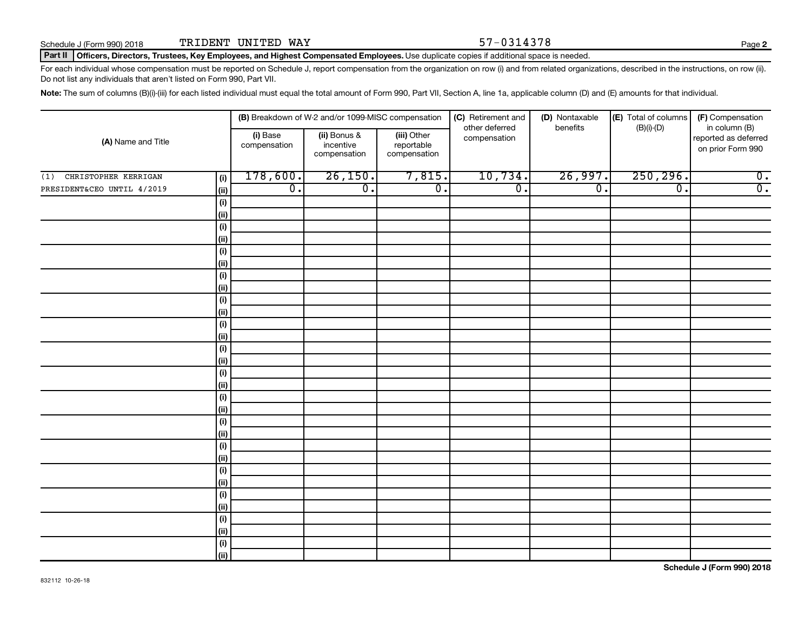**2**

### Part II | Officers, Directors, Trustees, Key Employees, and Highest Compensated Employees. Use duplicate copies if additional space is needed.

For each individual whose compensation must be reported on Schedule J, report compensation from the organization on row (i) and from related organizations, described in the instructions, on row (ii). Do not list any individuals that aren't listed on Form 990, Part VII.

Note: The sum of columns (B)(i)-(iii) for each listed individual must equal the total amount of Form 990, Part VII, Section A, line 1a, applicable column (D) and (E) amounts for that individual.

| (A) Name and Title          |                    |                          | (B) Breakdown of W-2 and/or 1099-MISC compensation |                                           | (C) Retirement and             | (D) Nontaxable   | (E) Total of columns        |                                                            |  |
|-----------------------------|--------------------|--------------------------|----------------------------------------------------|-------------------------------------------|--------------------------------|------------------|-----------------------------|------------------------------------------------------------|--|
|                             |                    | (i) Base<br>compensation | (ii) Bonus &<br>incentive<br>compensation          | (iii) Other<br>reportable<br>compensation | other deferred<br>compensation | benefits         | $(B)(i)-(D)$                | in column (B)<br>reported as deferred<br>on prior Form 990 |  |
| CHRISTOPHER KERRIGAN<br>(1) | (i)                | 178,600.                 | 26,150.                                            | 7,815.                                    | 10,734.                        | 26,997.          | 250, 296.                   | $\overline{0}$ .                                           |  |
| PRESIDENT&CEO UNTIL 4/2019  | (ii)               | $\overline{0}$ .         | $\overline{0}$ .                                   | $\overline{0}$ .                          | $\overline{0}$ .               | $\overline{0}$ . | $\overline{\mathfrak{o}}$ . | $\overline{0}$ .                                           |  |
|                             | $(\sf{i})$         |                          |                                                    |                                           |                                |                  |                             |                                                            |  |
|                             | (ii)               |                          |                                                    |                                           |                                |                  |                             |                                                            |  |
|                             | $(\sf{i})$         |                          |                                                    |                                           |                                |                  |                             |                                                            |  |
|                             | (ii)               |                          |                                                    |                                           |                                |                  |                             |                                                            |  |
|                             | $(\sf{i})$         |                          |                                                    |                                           |                                |                  |                             |                                                            |  |
|                             | (ii)               |                          |                                                    |                                           |                                |                  |                             |                                                            |  |
|                             | $(\sf{i})$         |                          |                                                    |                                           |                                |                  |                             |                                                            |  |
|                             | (ii)               |                          |                                                    |                                           |                                |                  |                             |                                                            |  |
|                             | $(\sf{i})$<br>(ii) |                          |                                                    |                                           |                                |                  |                             |                                                            |  |
|                             | $(\sf{i})$         |                          |                                                    |                                           |                                |                  |                             |                                                            |  |
|                             | (ii)               |                          |                                                    |                                           |                                |                  |                             |                                                            |  |
|                             | $(\sf{i})$         |                          |                                                    |                                           |                                |                  |                             |                                                            |  |
|                             | (ii)               |                          |                                                    |                                           |                                |                  |                             |                                                            |  |
|                             | $(\sf{i})$         |                          |                                                    |                                           |                                |                  |                             |                                                            |  |
|                             | (ii)               |                          |                                                    |                                           |                                |                  |                             |                                                            |  |
|                             | $(\sf{i})$         |                          |                                                    |                                           |                                |                  |                             |                                                            |  |
|                             | (ii)               |                          |                                                    |                                           |                                |                  |                             |                                                            |  |
|                             | $(\sf{i})$         |                          |                                                    |                                           |                                |                  |                             |                                                            |  |
|                             | (i)                |                          |                                                    |                                           |                                |                  |                             |                                                            |  |
|                             | $(\sf{i})$         |                          |                                                    |                                           |                                |                  |                             |                                                            |  |
|                             | (i)                |                          |                                                    |                                           |                                |                  |                             |                                                            |  |
|                             | $(\sf{i})$<br>(i)  |                          |                                                    |                                           |                                |                  |                             |                                                            |  |
|                             | $(\sf{i})$         |                          |                                                    |                                           |                                |                  |                             |                                                            |  |
|                             | (ii)               |                          |                                                    |                                           |                                |                  |                             |                                                            |  |
|                             | $(\sf{i})$         |                          |                                                    |                                           |                                |                  |                             |                                                            |  |
|                             | (ii)               |                          |                                                    |                                           |                                |                  |                             |                                                            |  |
|                             | $(\sf{i})$         |                          |                                                    |                                           |                                |                  |                             |                                                            |  |
|                             | (ii)               |                          |                                                    |                                           |                                |                  |                             |                                                            |  |
|                             |                    |                          |                                                    |                                           |                                |                  |                             |                                                            |  |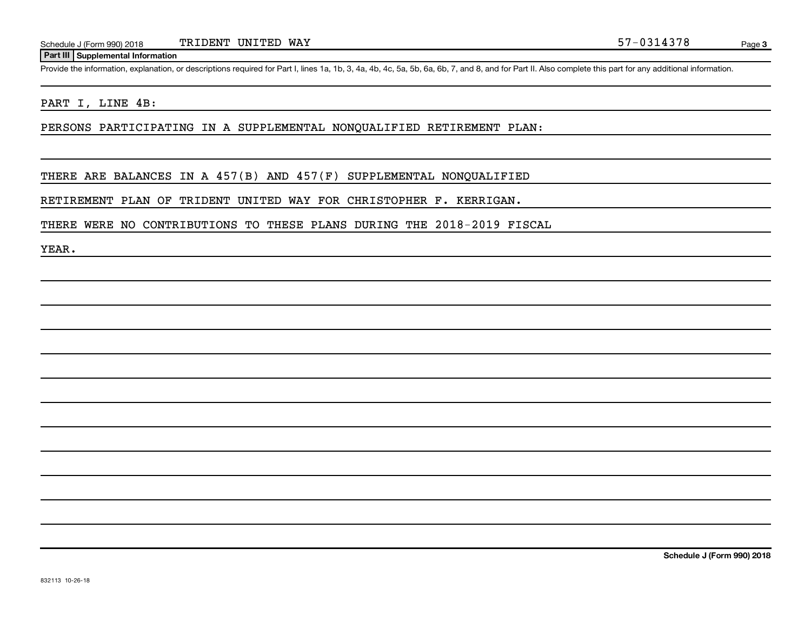## **Part III Supplemental Information**

Provide the information, explanation, or descriptions required for Part I, lines 1a, 1b, 3, 4a, 4b, 4c, 5a, 5b, 6a, 6b, 7, and 8, and for Part II. Also complete this part for any additional information.

## PART I, LINE 4B:

PERSONS PARTICIPATING IN A SUPPLEMENTAL NONQUALIFIED RETIREMENT PLAN:

THERE ARE BALANCES IN A 457(B) AND 457(F) SUPPLEMENTAL NONQUALIFIED

RETIREMENT PLAN OF TRIDENT UNITED WAY FOR CHRISTOPHER F. KERRIGAN.

THERE WERE NO CONTRIBUTIONS TO THESE PLANS DURING THE 2018-2019 FISCAL

YEAR.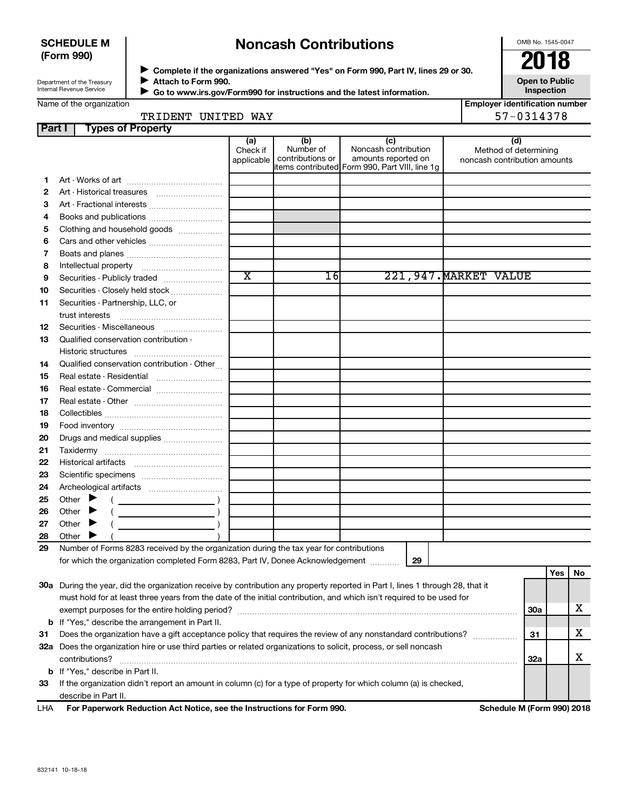## **SCHEDULE M (Form 990)**

# **Noncash Contributions**

OMB No. 1545-0047

Department of the Treasury Internal Revenue Service

◆ Complete if the organizations answered "Yes" on Form 990, Part IV, lines 29 or 30.<br>▶ Complete if the organizations answered "Yes" on Form 990, Part IV, lines 29 or 30. **Attach to Form 990.**  $\blacktriangleright$ 

 **Go to www.irs.gov/Form990 for instructions and the latest information.**

**Open to Public Inspection**

| Name of the organization |  |
|--------------------------|--|

J

| <b>Employer identification number</b> |  |  |                     |  |
|---------------------------------------|--|--|---------------------|--|
|                                       |  |  | -- ^^ <i>^</i> *^-^ |  |

| TRIDENT UNITED WAY |  | 57-0314378                    |
|--------------------|--|-------------------------------|
|                    |  | l Emplover identification nul |

| Part I |                                         | <b>Types of Property</b>                                                                                                       |                               |                                      |                                                                                                      |                                                              |            |     |    |
|--------|-----------------------------------------|--------------------------------------------------------------------------------------------------------------------------------|-------------------------------|--------------------------------------|------------------------------------------------------------------------------------------------------|--------------------------------------------------------------|------------|-----|----|
|        |                                         |                                                                                                                                | (a)<br>Check if<br>applicable | (b)<br>Number of<br>contributions or | (c)<br>Noncash contribution<br>amounts reported on<br>items contributed Form 990, Part VIII, line 1g | (d)<br>Method of determining<br>noncash contribution amounts |            |     |    |
| 1.     |                                         |                                                                                                                                |                               |                                      |                                                                                                      |                                                              |            |     |    |
| 2      |                                         |                                                                                                                                |                               |                                      |                                                                                                      |                                                              |            |     |    |
| 3      |                                         | Art - Fractional interests                                                                                                     |                               |                                      |                                                                                                      |                                                              |            |     |    |
| 4      |                                         | Books and publications                                                                                                         |                               |                                      |                                                                                                      |                                                              |            |     |    |
| 5      |                                         | Clothing and household goods                                                                                                   |                               |                                      |                                                                                                      |                                                              |            |     |    |
| 6      |                                         | Cars and other vehicles                                                                                                        |                               |                                      |                                                                                                      |                                                              |            |     |    |
| 7      |                                         |                                                                                                                                |                               |                                      |                                                                                                      |                                                              |            |     |    |
| 8      |                                         |                                                                                                                                |                               |                                      |                                                                                                      |                                                              |            |     |    |
| 9      |                                         | Securities - Publicly traded                                                                                                   | $\overline{\text{x}}$         | 16                                   |                                                                                                      | 221,947. MARKET VALUE                                        |            |     |    |
| 10     |                                         | Securities - Closely held stock                                                                                                |                               |                                      |                                                                                                      |                                                              |            |     |    |
| 11     |                                         | Securities - Partnership, LLC, or                                                                                              |                               |                                      |                                                                                                      |                                                              |            |     |    |
|        | trust interests                         |                                                                                                                                |                               |                                      |                                                                                                      |                                                              |            |     |    |
| 12     |                                         | Securities - Miscellaneous                                                                                                     |                               |                                      |                                                                                                      |                                                              |            |     |    |
| 13     |                                         | Qualified conservation contribution -                                                                                          |                               |                                      |                                                                                                      |                                                              |            |     |    |
|        |                                         |                                                                                                                                |                               |                                      |                                                                                                      |                                                              |            |     |    |
| 14     |                                         | Qualified conservation contribution - Other                                                                                    |                               |                                      |                                                                                                      |                                                              |            |     |    |
| 15     |                                         | Real estate - Residential                                                                                                      |                               |                                      |                                                                                                      |                                                              |            |     |    |
| 16     |                                         | Real estate - Commercial                                                                                                       |                               |                                      |                                                                                                      |                                                              |            |     |    |
| 17     |                                         |                                                                                                                                |                               |                                      |                                                                                                      |                                                              |            |     |    |
| 18     |                                         |                                                                                                                                |                               |                                      |                                                                                                      |                                                              |            |     |    |
| 19     |                                         |                                                                                                                                |                               |                                      |                                                                                                      |                                                              |            |     |    |
| 20     |                                         | Drugs and medical supplies                                                                                                     |                               |                                      |                                                                                                      |                                                              |            |     |    |
| 21     |                                         |                                                                                                                                |                               |                                      |                                                                                                      |                                                              |            |     |    |
| 22     |                                         |                                                                                                                                |                               |                                      |                                                                                                      |                                                              |            |     |    |
| 23     |                                         |                                                                                                                                |                               |                                      |                                                                                                      |                                                              |            |     |    |
| 24     |                                         |                                                                                                                                |                               |                                      |                                                                                                      |                                                              |            |     |    |
| 25     | Other $\blacktriangleright$             |                                                                                                                                |                               |                                      |                                                                                                      |                                                              |            |     |    |
| 26     | Other $\blacktriangleright$             |                                                                                                                                |                               |                                      |                                                                                                      |                                                              |            |     |    |
| 27     | Other $\blacktriangleright$             |                                                                                                                                |                               |                                      |                                                                                                      |                                                              |            |     |    |
| 28     | Other $\blacktriangleright$             |                                                                                                                                |                               |                                      |                                                                                                      |                                                              |            |     |    |
| 29     |                                         | Number of Forms 8283 received by the organization during the tax year for contributions                                        |                               |                                      |                                                                                                      |                                                              |            |     |    |
|        |                                         | for which the organization completed Form 8283, Part IV, Donee Acknowledgement                                                 |                               |                                      | 29                                                                                                   |                                                              |            |     |    |
|        |                                         |                                                                                                                                |                               |                                      |                                                                                                      |                                                              |            | Yes | No |
|        |                                         | 30a During the year, did the organization receive by contribution any property reported in Part I, lines 1 through 28, that it |                               |                                      |                                                                                                      |                                                              |            |     |    |
|        |                                         | must hold for at least three years from the date of the initial contribution, and which isn't required to be used for          |                               |                                      |                                                                                                      |                                                              |            |     |    |
|        |                                         |                                                                                                                                |                               |                                      |                                                                                                      |                                                              | <b>30a</b> |     | х  |
|        |                                         | <b>b</b> If "Yes," describe the arrangement in Part II.                                                                        |                               |                                      |                                                                                                      |                                                              |            |     |    |
| 31     |                                         | Does the organization have a gift acceptance policy that requires the review of any nonstandard contributions?                 |                               |                                      |                                                                                                      |                                                              | 31         |     | х  |
|        |                                         | 32a Does the organization hire or use third parties or related organizations to solicit, process, or sell noncash              |                               |                                      |                                                                                                      |                                                              |            |     |    |
|        | contributions?                          |                                                                                                                                |                               |                                      |                                                                                                      |                                                              | 32a        |     | х  |
|        | <b>b</b> If "Yes," describe in Part II. |                                                                                                                                |                               |                                      |                                                                                                      |                                                              |            |     |    |
| 33     |                                         | If the organization didn't report an amount in column (c) for a type of property for which column (a) is checked,              |                               |                                      |                                                                                                      |                                                              |            |     |    |
|        | describe in Part II.                    |                                                                                                                                |                               |                                      |                                                                                                      |                                                              |            |     |    |

**For Paperwork Reduction Act Notice, see the Instructions for Form 990. Schedule M (Form 990) 2018** LHA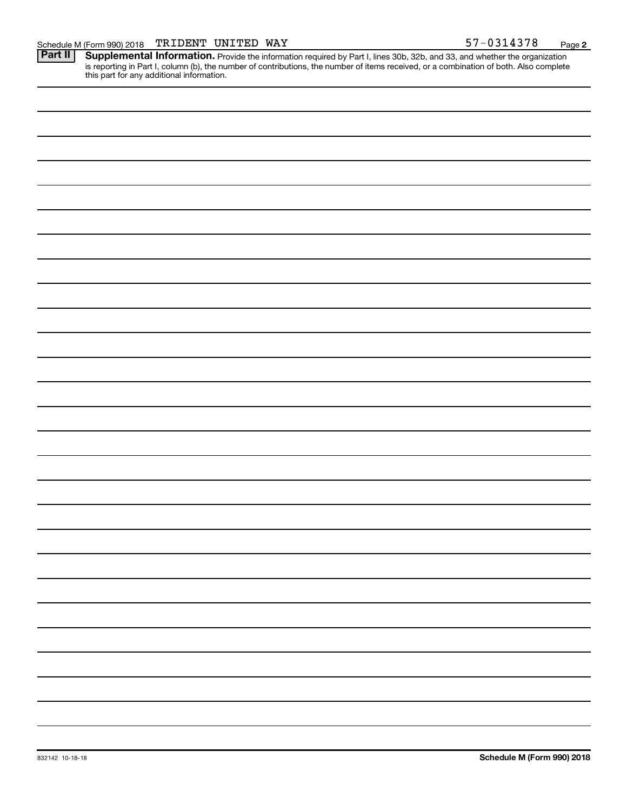Provide the information required by Part I, lines 30b, 32b, and 33, and whether the organization is reporting in Part I, column (b), the number of contributions, the number of items received, or a combination of both. Also complete this part for any additional information. **Part II Supplemental Information.**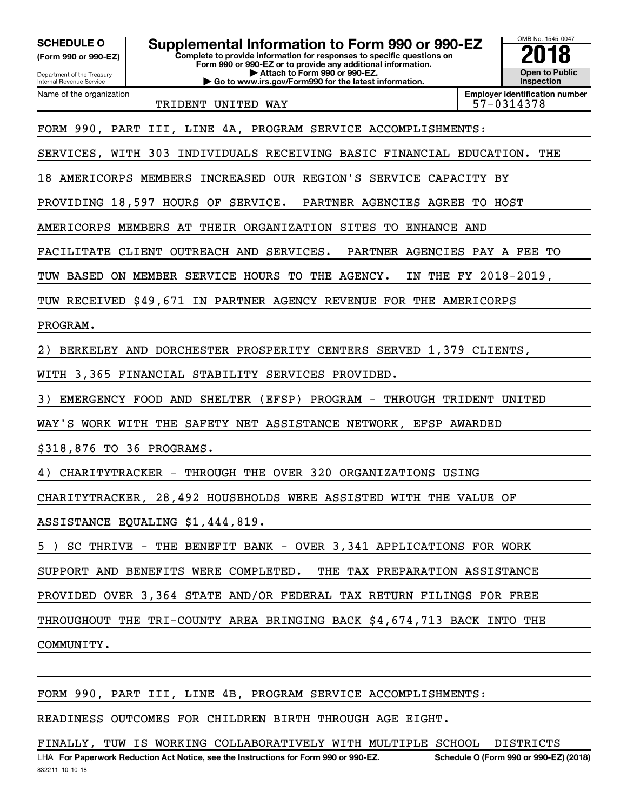Department of the Treasury **(Form 990 or 990-EZ)**

Name of the organization

Internal Revenue Service

**Complete to provide information for responses to specific questions on Form 990 or 990-EZ or to provide any additional information. | Attach to Form 990 or 990-EZ. | Go to www.irs.gov/Form990 for the latest information.** SCHEDULE O **Supplemental Information to Form 990 or 990-EZ 2018**<br>(Form 990 or 990-EZ) Complete to provide information for responses to specific questions on

**Open to Public Inspection**

TRIDENT UNITED WAY TRIDENT 197-0314378

**Employer identification number**

OMB No. 1545-0047

FORM 990, PART III, LINE 4A, PROGRAM SERVICE ACCOMPLISHMENTS:

SERVICES, WITH 303 INDIVIDUALS RECEIVING BASIC FINANCIAL EDUCATION. THE

18 AMERICORPS MEMBERS INCREASED OUR REGION'S SERVICE CAPACITY BY

PROVIDING 18,597 HOURS OF SERVICE. PARTNER AGENCIES AGREE TO HOST

AMERICORPS MEMBERS AT THEIR ORGANIZATION SITES TO ENHANCE AND

FACILITATE CLIENT OUTREACH AND SERVICES. PARTNER AGENCIES PAY A FEE TO

TUW BASED ON MEMBER SERVICE HOURS TO THE AGENCY. IN THE FY 2018-2019,

TUW RECEIVED \$49,671 IN PARTNER AGENCY REVENUE FOR THE AMERICORPS

## PROGRAM.

2) BERKELEY AND DORCHESTER PROSPERITY CENTERS SERVED 1,379 CLIENTS,

WITH 3,365 FINANCIAL STABILITY SERVICES PROVIDED.

3) EMERGENCY FOOD AND SHELTER (EFSP) PROGRAM - THROUGH TRIDENT UNITED

WAY'S WORK WITH THE SAFETY NET ASSISTANCE NETWORK, EFSP AWARDED

\$318,876 TO 36 PROGRAMS.

4) CHARITYTRACKER - THROUGH THE OVER 320 ORGANIZATIONS USING

CHARITYTRACKER, 28,492 HOUSEHOLDS WERE ASSISTED WITH THE VALUE OF

ASSISTANCE EQUALING \$1,444,819.

5 ) SC THRIVE - THE BENEFIT BANK - OVER 3,341 APPLICATIONS FOR WORK

SUPPORT AND BENEFITS WERE COMPLETED. THE TAX PREPARATION ASSISTANCE

PROVIDED OVER 3,364 STATE AND/OR FEDERAL TAX RETURN FILINGS FOR FREE

THROUGHOUT THE TRI-COUNTY AREA BRINGING BACK \$4,674,713 BACK INTO THE

COMMUNITY.

FORM 990, PART III, LINE 4B, PROGRAM SERVICE ACCOMPLISHMENTS:

## READINESS OUTCOMES FOR CHILDREN BIRTH THROUGH AGE EIGHT.

FINALLY, TUW IS WORKING COLLABORATIVELY WITH MULTIPLE SCHOOL DISTRICTS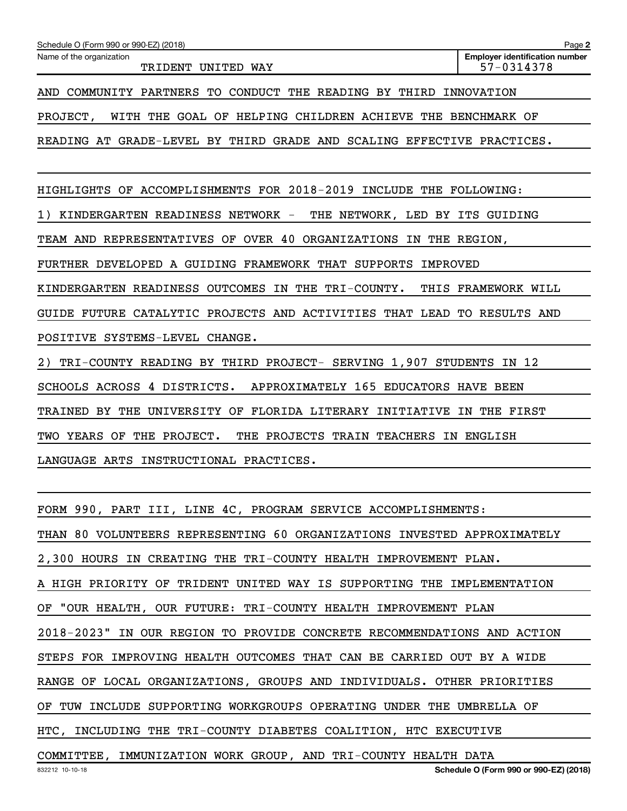| Name of the organization<br>TRIDENT UNITED WAY                                    | <b>Employer identification number</b><br>57-0314378 |  |  |  |  |
|-----------------------------------------------------------------------------------|-----------------------------------------------------|--|--|--|--|
| AND COMMUNITY PARTNERS TO CONDUCT THE READING BY THIRD<br>INNOVATION              |                                                     |  |  |  |  |
| WITH THE GOAL OF HELPING CHILDREN ACHIEVE THE BENCHMARK OF<br>PROJECT,            |                                                     |  |  |  |  |
| READING AT GRADE-LEVEL BY THIRD GRADE AND SCALING EFFECTIVE PRACTICES.            |                                                     |  |  |  |  |
|                                                                                   |                                                     |  |  |  |  |
| ACCOMPLISHMENTS FOR 2018-2019<br>HIGHLIGHTS OF<br>INCLUDE THE FOLLOWING:          |                                                     |  |  |  |  |
| KINDERGARTEN READINESS NETWORK -<br>THE NETWORK, LED BY ITS GUIDING               |                                                     |  |  |  |  |
| TEAM AND REPRESENTATIVES OF OVER 40 ORGANIZATIONS IN THE REGION,                  |                                                     |  |  |  |  |
| FURTHER DEVELOPED A GUIDING FRAMEWORK THAT SUPPORTS<br><b>IMPROVED</b>            |                                                     |  |  |  |  |
| KINDERGARTEN READINESS OUTCOMES IN<br>THE TRI-COUNTY.                             | THIS FRAMEWORK WILL                                 |  |  |  |  |
| GUIDE FUTURE CATALYTIC PROJECTS AND ACTIVITIES THAT LEAD TO RESULTS AND           |                                                     |  |  |  |  |
| POSITIVE SYSTEMS-LEVEL<br>CHANGE.                                                 |                                                     |  |  |  |  |
| TRI-COUNTY READING BY THIRD PROJECT- SERVING 1,907 STUDENTS IN 12<br>2)           |                                                     |  |  |  |  |
| APPROXIMATELY 165 EDUCATORS HAVE BEEN<br>SCHOOLS ACROSS 4 DISTRICTS.              |                                                     |  |  |  |  |
| TRAINED<br>THE<br>UNIVERSITY<br>FLORIDA LITERARY<br><b>INITIATIVE</b><br>BY<br>OF | IN<br>THE FIRST                                     |  |  |  |  |
| THE PROJECT.<br>THE PROJECTS TRAIN TEACHERS IN ENGLISH<br>TWO YEARS OF            |                                                     |  |  |  |  |

LANGUAGE ARTS INSTRUCTIONAL PRACTICES.

Schedule O (Form 990 or 990-EZ) (2018)

| FORM 990, PART III, LINE 4C, PROGRAM SERVICE ACCOMPLISHMENTS:           |
|-------------------------------------------------------------------------|
| THAN 80 VOLUNTEERS REPRESENTING 60 ORGANIZATIONS INVESTED APPROXIMATELY |
| 2,300 HOURS IN CREATING THE TRI-COUNTY HEALTH IMPROVEMENT PLAN.         |
| A HIGH PRIORITY OF TRIDENT UNITED WAY IS SUPPORTING THE IMPLEMENTATION  |
| OF "OUR HEALTH, OUR FUTURE: TRI-COUNTY HEALTH IMPROVEMENT PLAN          |
| 2018-2023" IN OUR REGION TO PROVIDE CONCRETE RECOMMENDATIONS AND ACTION |
| STEPS FOR IMPROVING HEALTH OUTCOMES THAT CAN BE CARRIED OUT BY A WIDE   |
| RANGE OF LOCAL ORGANIZATIONS, GROUPS AND INDIVIDUALS. OTHER PRIORITIES  |
| OF TUW INCLUDE SUPPORTING WORKGROUPS OPERATING UNDER THE UMBRELLA OF    |
| HTC, INCLUDING THE TRI-COUNTY DIABETES COALITION, HTC EXECUTIVE         |
|                                                                         |

COMMITTEE, IMMUNIZATION WORK GROUP, AND TRI-COUNTY HEALTH DATA

**Schedule O (Form 990 or 990-EZ) (2018)**

**2**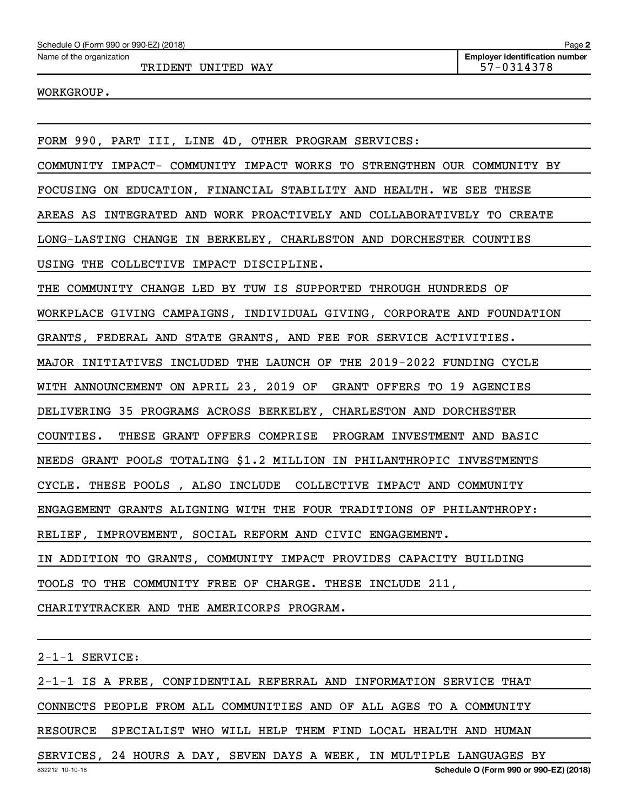TRIDENT UNITED WAY 57-0314378

## WORKGROUP.

FORM 990, PART III, LINE 4D, OTHER PROGRAM SERVICES: COMMUNITY IMPACT- COMMUNITY IMPACT WORKS TO STRENGTHEN OUR COMMUNITY BY FOCUSING ON EDUCATION, FINANCIAL STABILITY AND HEALTH. WE SEE THESE AREAS AS INTEGRATED AND WORK PROACTIVELY AND COLLABORATIVELY TO CREATE LONG-LASTING CHANGE IN BERKELEY, CHARLESTON AND DORCHESTER COUNTIES USING THE COLLECTIVE IMPACT DISCIPLINE. THE COMMUNITY CHANGE LED BY TUW IS SUPPORTED THROUGH HUNDREDS OF WORKPLACE GIVING CAMPAIGNS, INDIVIDUAL GIVING, CORPORATE AND FOUNDATION GRANTS, FEDERAL AND STATE GRANTS, AND FEE FOR SERVICE ACTIVITIES. MAJOR INITIATIVES INCLUDED THE LAUNCH OF THE 2019-2022 FUNDING CYCLE WITH ANNOUNCEMENT ON APRIL 23, 2019 OF GRANT OFFERS TO 19 AGENCIES DELIVERING 35 PROGRAMS ACROSS BERKELEY, CHARLESTON AND DORCHESTER COUNTIES. THESE GRANT OFFERS COMPRISE PROGRAM INVESTMENT AND BASIC NEEDS GRANT POOLS TOTALING \$1.2 MILLION IN PHILANTHROPIC INVESTMENTS CYCLE. THESE POOLS , ALSO INCLUDE COLLECTIVE IMPACT AND COMMUNITY ENGAGEMENT GRANTS ALIGNING WITH THE FOUR TRADITIONS OF PHILANTHROPY: RELIEF, IMPROVEMENT, SOCIAL REFORM AND CIVIC ENGAGEMENT. IN ADDITION TO GRANTS, COMMUNITY IMPACT PROVIDES CAPACITY BUILDING TOOLS TO THE COMMUNITY FREE OF CHARGE. THESE INCLUDE 211, CHARITYTRACKER AND THE AMERICORPS PROGRAM.

2-1-1 SERVICE:

2-1-1 IS A FREE, CONFIDENTIAL REFERRAL AND INFORMATION SERVICE THAT CONNECTS PEOPLE FROM ALL COMMUNITIES AND OF ALL AGES TO A COMMUNITY RESOURCE SPECIALIST WHO WILL HELP THEM FIND LOCAL HEALTH AND HUMAN SERVICES, 24 HOURS A DAY, SEVEN DAYS A WEEK, IN MULTIPLE LANGUAGES BY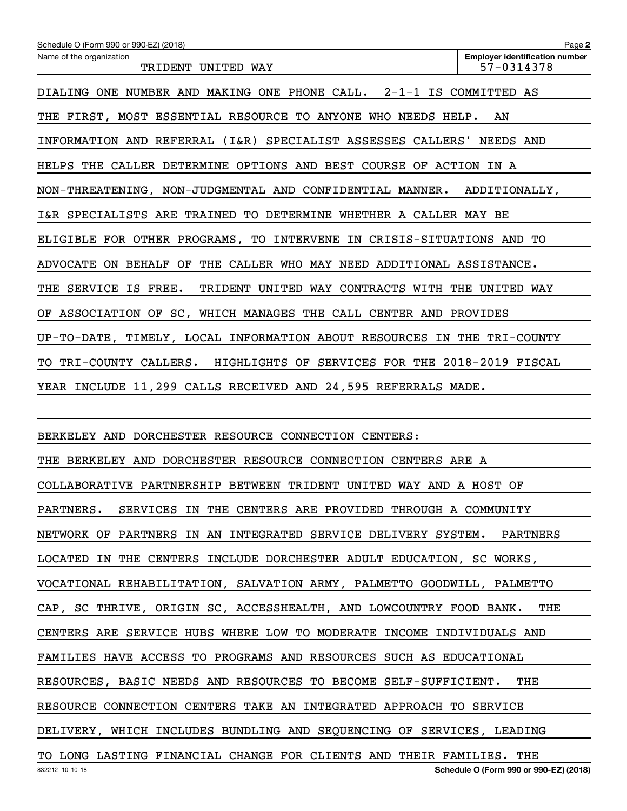| Schedule O (Form 990 or 990-EZ) (2018)                                  | Page 2                                              |  |  |  |
|-------------------------------------------------------------------------|-----------------------------------------------------|--|--|--|
| Name of the organization<br>TRIDENT UNITED WAY                          | <b>Employer identification number</b><br>57-0314378 |  |  |  |
| DIALING ONE NUMBER AND MAKING ONE PHONE CALL. 2-1-1 IS COMMITTED AS     |                                                     |  |  |  |
| THE FIRST, MOST ESSENTIAL RESOURCE TO ANYONE WHO NEEDS HELP.<br>AN      |                                                     |  |  |  |
| INFORMATION AND REFERRAL (I&R) SPECIALIST ASSESSES CALLERS' NEEDS AND   |                                                     |  |  |  |
| HELPS THE CALLER DETERMINE OPTIONS AND BEST COURSE OF ACTION IN A       |                                                     |  |  |  |
| NON-THREATENING, NON-JUDGMENTAL AND CONFIDENTIAL MANNER. ADDITIONALLY,  |                                                     |  |  |  |
| I&R SPECIALISTS ARE TRAINED TO DETERMINE WHETHER A CALLER MAY BE        |                                                     |  |  |  |
| ELIGIBLE FOR OTHER PROGRAMS, TO INTERVENE IN CRISIS-SITUATIONS AND TO   |                                                     |  |  |  |
| ADVOCATE ON BEHALF OF THE CALLER WHO MAY NEED ADDITIONAL ASSISTANCE.    |                                                     |  |  |  |
| THE SERVICE IS FREE. TRIDENT UNITED WAY CONTRACTS WITH THE UNITED WAY   |                                                     |  |  |  |
| OF ASSOCIATION OF SC, WHICH MANAGES THE CALL CENTER AND PROVIDES        |                                                     |  |  |  |
| UP-TO-DATE, TIMELY, LOCAL INFORMATION ABOUT RESOURCES IN THE TRI-COUNTY |                                                     |  |  |  |
| TO TRI-COUNTY CALLERS. HIGHLIGHTS OF SERVICES FOR THE 2018-2019 FISCAL  |                                                     |  |  |  |
| YEAR INCLUDE 11,299 CALLS RECEIVED AND 24,595 REFERRALS MADE.           |                                                     |  |  |  |
|                                                                         |                                                     |  |  |  |
| BERKELEY AND DORCHESTER RESOURCE CONNECTION CENTERS:                    |                                                     |  |  |  |
| THE BERKELEY AND DORCHESTER RESOURCE CONNECTION CENTERS ARE A           |                                                     |  |  |  |
| COLLABORATIVE PARTNERSHIP BETWEEN TRIDENT UNITED WAY AND A HOST OF      |                                                     |  |  |  |
| PARTNERS. SERVICES IN THE CENTERS ARE PROVIDED THROUGH A COMMUNITY      |                                                     |  |  |  |
| NETWORK OF PARTNERS IN AN INTEGRATED SERVICE DELIVERY SYSTEM.           | PARTNERS                                            |  |  |  |
| LOCATED IN THE CENTERS INCLUDE DORCHESTER ADULT EDUCATION, SC WORKS,    |                                                     |  |  |  |
| VOCATIONAL REHABILITATION, SALVATION ARMY, PALMETTO GOODWILL, PALMETTO  |                                                     |  |  |  |
| CAP, SC THRIVE, ORIGIN SC, ACCESSHEALTH, AND LOWCOUNTRY FOOD BANK.      | THE                                                 |  |  |  |
| CENTERS ARE SERVICE HUBS WHERE LOW TO MODERATE INCOME INDIVIDUALS AND   |                                                     |  |  |  |
| FAMILIES HAVE ACCESS TO PROGRAMS AND RESOURCES SUCH AS EDUCATIONAL      |                                                     |  |  |  |
| RESOURCES, BASIC NEEDS AND RESOURCES TO BECOME SELF-SUFFICIENT.         | THE                                                 |  |  |  |
| RESOURCE CONNECTION CENTERS TAKE AN INTEGRATED APPROACH TO SERVICE      |                                                     |  |  |  |
| DELIVERY, WHICH INCLUDES BUNDLING AND SEQUENCING OF SERVICES, LEADING   |                                                     |  |  |  |
|                                                                         |                                                     |  |  |  |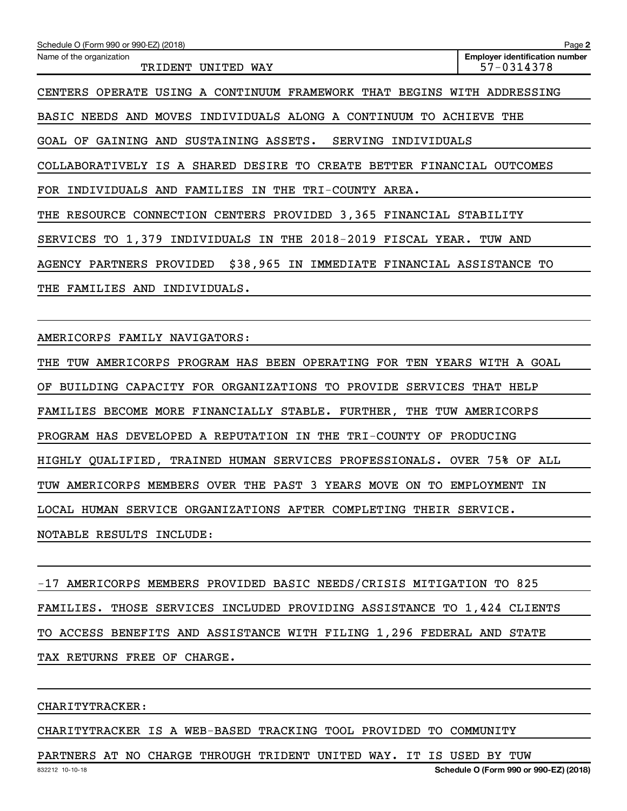| Schedule O (Form 990 or 990-EZ) (2018)                                           | Page 2                                              |
|----------------------------------------------------------------------------------|-----------------------------------------------------|
| Name of the organization<br>TRIDENT<br>UNITED WAY                                | <b>Employer identification number</b><br>57-0314378 |
| A CONTINUUM FRAMEWORK THAT BEGINS<br>OPERATE<br>USING<br>CENTERS                 | WITH ADDRESSING                                     |
| BASIC NEEDS AND MOVES INDIVIDUALS ALONG A CONTINUUM TO ACHIEVE THE               |                                                     |
| GOAL OF<br>GAINING<br>AND<br>SUSTAINING ASSETS.<br><b>SERVING</b><br>INDIVIDUALS |                                                     |
| COLLABORATIVELY IS A SHARED DESIRE TO CREATE BETTER FINANCIAL                    | <b>OUTCOMES</b>                                     |
| FOR INDIVIDUALS AND FAMILIES IN<br>THE TRI-COUNTY AREA.                          |                                                     |
| THE RESOURCE CONNECTION CENTERS PROVIDED 3,365 FINANCIAL STABILITY               |                                                     |
| SERVICES TO 1,379 INDIVIDUALS IN THE 2018-2019 FISCAL YEAR.                      | TUW AND                                             |
| \$38,965 IN IMMEDIATE FINANCIAL ASSISTANCE TO<br>AGENCY PARTNERS PROVIDED        |                                                     |
| INDIVIDUALS.<br>THE<br><b>FAMILIES AND</b>                                       |                                                     |
|                                                                                  |                                                     |

AMERICORPS FAMILY NAVIGATORS:

THE TUW AMERICORPS PROGRAM HAS BEEN OPERATING FOR TEN YEARS WITH A GOAL OF BUILDING CAPACITY FOR ORGANIZATIONS TO PROVIDE SERVICES THAT HELP FAMILIES BECOME MORE FINANCIALLY STABLE. FURTHER, THE TUW AMERICORPS PROGRAM HAS DEVELOPED A REPUTATION IN THE TRI-COUNTY OF PRODUCING HIGHLY QUALIFIED, TRAINED HUMAN SERVICES PROFESSIONALS. OVER 75% OF ALL TUW AMERICORPS MEMBERS OVER THE PAST 3 YEARS MOVE ON TO EMPLOYMENT IN LOCAL HUMAN SERVICE ORGANIZATIONS AFTER COMPLETING THEIR SERVICE. NOTABLE RESULTS INCLUDE:

-17 AMERICORPS MEMBERS PROVIDED BASIC NEEDS/CRISIS MITIGATION TO 825 FAMILIES. THOSE SERVICES INCLUDED PROVIDING ASSISTANCE TO 1,424 CLIENTS TO ACCESS BENEFITS AND ASSISTANCE WITH FILING 1,296 FEDERAL AND STATE TAX RETURNS FREE OF CHARGE.

CHARITYTRACKER:

CHARITYTRACKER IS A WEB-BASED TRACKING TOOL PROVIDED TO COMMUNITY

832212 10-10-18 PARTNERS AT NO CHARGE THROUGH TRIDENT UNITED WAY. IT IS USED BY TUW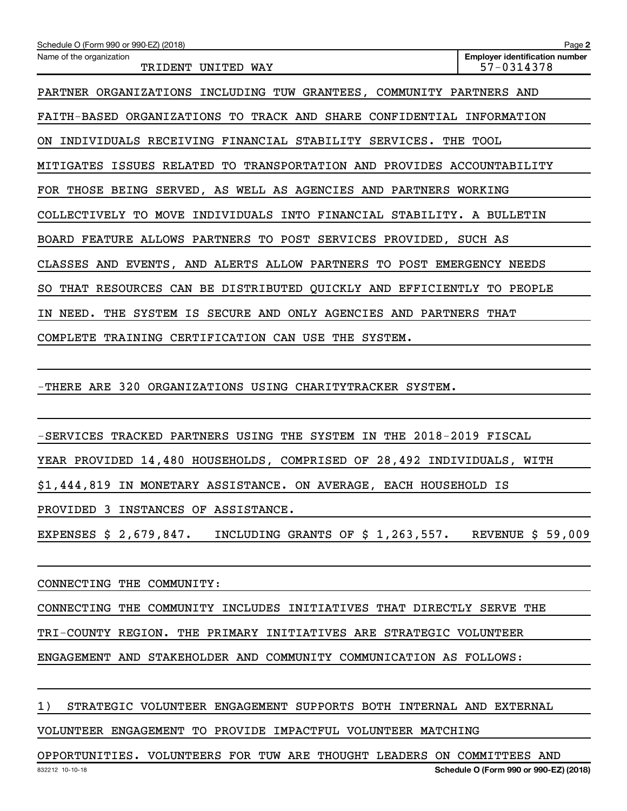| Schedule O (Form 990 or 990-EZ) (2018)                                       | Page 2                                              |
|------------------------------------------------------------------------------|-----------------------------------------------------|
| Name of the organization<br>TRIDENT<br>UNITED WAY                            | <b>Employer identification number</b><br>57-0314378 |
| PARTNER ORGANIZATIONS INCLUDING TUW GRANTEES, COMMUNITY PARTNERS AND         |                                                     |
| FAITH-BASED ORGANIZATIONS TO TRACK AND SHARE CONFIDENTIAL INFORMATION        |                                                     |
| INDIVIDUALS RECEIVING FINANCIAL STABILITY SERVICES.<br>ON.                   | THE TOOL                                            |
| ISSUES RELATED TO<br>TRANSPORTATION AND PROVIDES ACCOUNTABILITY<br>MITIGATES |                                                     |
| FOR THOSE BEING SERVED, AS WELL AS AGENCIES AND PARTNERS WORKING             |                                                     |
| COLLECTIVELY TO MOVE INDIVIDUALS INTO FINANCIAL STABILITY. A BULLETIN        |                                                     |
| BOARD FEATURE ALLOWS PARTNERS TO POST SERVICES PROVIDED, SUCH AS             |                                                     |
| CLASSES AND EVENTS, AND ALERTS ALLOW PARTNERS TO POST EMERGENCY NEEDS        |                                                     |
| THAT RESOURCES CAN BE DISTRIBUTED QUICKLY AND EFFICIENTLY TO PEOPLE<br>SO.   |                                                     |
| THE SYSTEM IS SECURE AND<br>ONLY AGENCIES AND PARTNERS<br>NEED.<br>IN        | THAT                                                |
| COMPLETE TRAINING CERTIFICATION CAN USE THE SYSTEM.                          |                                                     |

-THERE ARE 320 ORGANIZATIONS USING CHARITYTRACKER SYSTEM.

-SERVICES TRACKED PARTNERS USING THE SYSTEM IN THE 2018-2019 FISCAL

YEAR PROVIDED 14,480 HOUSEHOLDS, COMPRISED OF 28,492 INDIVIDUALS, WITH

\$1,444,819 IN MONETARY ASSISTANCE. ON AVERAGE, EACH HOUSEHOLD IS

PROVIDED 3 INSTANCES OF ASSISTANCE.

EXPENSES \$ 2,679,847. INCLUDING GRANTS OF \$ 1,263,557. REVENUE \$ 59,009

CONNECTING THE COMMUNITY:

CONNECTING THE COMMUNITY INCLUDES INITIATIVES THAT DIRECTLY SERVE THE

TRI-COUNTY REGION. THE PRIMARY INITIATIVES ARE STRATEGIC VOLUNTEER

ENGAGEMENT AND STAKEHOLDER AND COMMUNITY COMMUNICATION AS FOLLOWS:

## 1) STRATEGIC VOLUNTEER ENGAGEMENT SUPPORTS BOTH INTERNAL AND EXTERNAL

VOLUNTEER ENGAGEMENT TO PROVIDE IMPACTFUL VOLUNTEER MATCHING

OPPORTUNITIES. VOLUNTEERS FOR TUW ARE THOUGHT LEADERS ON COMMITTEES AND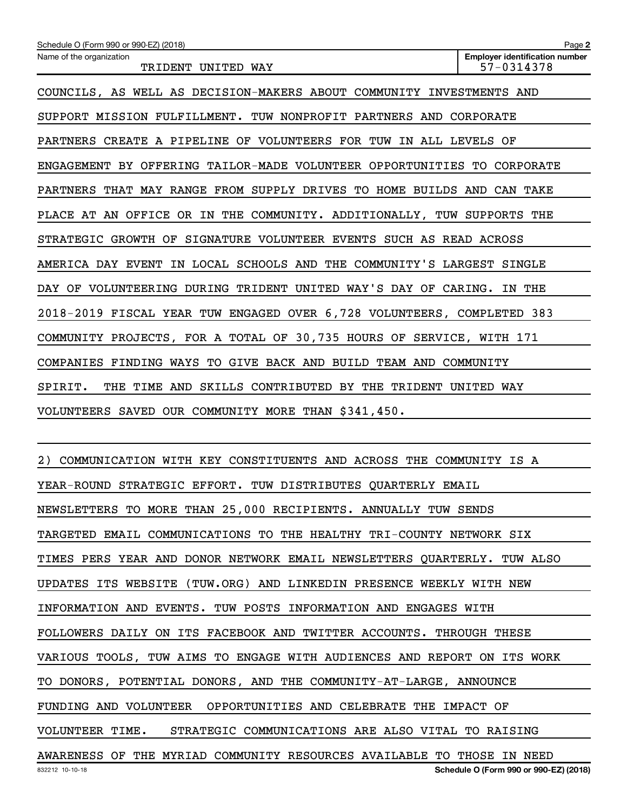| Schedule O (Form 990 or 990-EZ) (2018)                                  | Page 2                                              |  |  |  |
|-------------------------------------------------------------------------|-----------------------------------------------------|--|--|--|
| Name of the organization<br>TRIDENT UNITED WAY                          | <b>Employer identification number</b><br>57-0314378 |  |  |  |
| COUNCILS, AS WELL AS DECISION-MAKERS ABOUT COMMUNITY INVESTMENTS AND    |                                                     |  |  |  |
| SUPPORT MISSION FULFILLMENT. TUW NONPROFIT PARTNERS AND CORPORATE       |                                                     |  |  |  |
| PARTNERS CREATE A PIPELINE OF VOLUNTEERS FOR TUW IN ALL LEVELS OF       |                                                     |  |  |  |
| ENGAGEMENT BY OFFERING TAILOR-MADE VOLUNTEER OPPORTUNITIES TO CORPORATE |                                                     |  |  |  |
| PARTNERS THAT MAY RANGE FROM SUPPLY DRIVES TO HOME BUILDS AND CAN TAKE  |                                                     |  |  |  |
| PLACE AT AN OFFICE OR IN THE COMMUNITY. ADDITIONALLY, TUW SUPPORTS THE  |                                                     |  |  |  |
| STRATEGIC GROWTH OF SIGNATURE VOLUNTEER EVENTS SUCH AS READ ACROSS      |                                                     |  |  |  |
| AMERICA DAY EVENT IN LOCAL SCHOOLS AND THE COMMUNITY'S LARGEST SINGLE   |                                                     |  |  |  |
| DAY OF VOLUNTEERING DURING TRIDENT UNITED WAY'S DAY OF CARING. IN THE   |                                                     |  |  |  |
| 2018-2019 FISCAL YEAR TUW ENGAGED OVER 6,728 VOLUNTEERS, COMPLETED 383  |                                                     |  |  |  |
| COMMUNITY PROJECTS, FOR A TOTAL OF 30,735 HOURS OF SERVICE, WITH 171    |                                                     |  |  |  |
| COMPANIES FINDING WAYS TO GIVE BACK AND BUILD TEAM AND COMMUNITY        |                                                     |  |  |  |
| SPIRIT.<br>THE TIME<br>AND SKILLS CONTRIBUTED BY THE TRIDENT UNITED WAY |                                                     |  |  |  |
| VOLUNTEERS SAVED OUR COMMUNITY MORE THAN \$341,450.                     |                                                     |  |  |  |

832212 10-10-18 **Schedule O (Form 990 or 990-EZ) (2018)** 2) COMMUNICATION WITH KEY CONSTITUENTS AND ACROSS THE COMMUNITY IS A YEAR-ROUND STRATEGIC EFFORT. TUW DISTRIBUTES QUARTERLY EMAIL NEWSLETTERS TO MORE THAN 25,000 RECIPIENTS. ANNUALLY TUW SENDS TARGETED EMAIL COMMUNICATIONS TO THE HEALTHY TRI-COUNTY NETWORK SIX TIMES PERS YEAR AND DONOR NETWORK EMAIL NEWSLETTERS QUARTERLY. TUW ALSO UPDATES ITS WEBSITE (TUW.ORG) AND LINKEDIN PRESENCE WEEKLY WITH NEW INFORMATION AND EVENTS. TUW POSTS INFORMATION AND ENGAGES WITH FOLLOWERS DAILY ON ITS FACEBOOK AND TWITTER ACCOUNTS. THROUGH THESE VARIOUS TOOLS, TUW AIMS TO ENGAGE WITH AUDIENCES AND REPORT ON ITS WORK TO DONORS, POTENTIAL DONORS, AND THE COMMUNITY-AT-LARGE, ANNOUNCE FUNDING AND VOLUNTEER OPPORTUNITIES AND CELEBRATE THE IMPACT OF VOLUNTEER TIME. STRATEGIC COMMUNICATIONS ARE ALSO VITAL TO RAISING AWARENESS OF THE MYRIAD COMMUNITY RESOURCES AVAILABLE TO THOSE IN NEED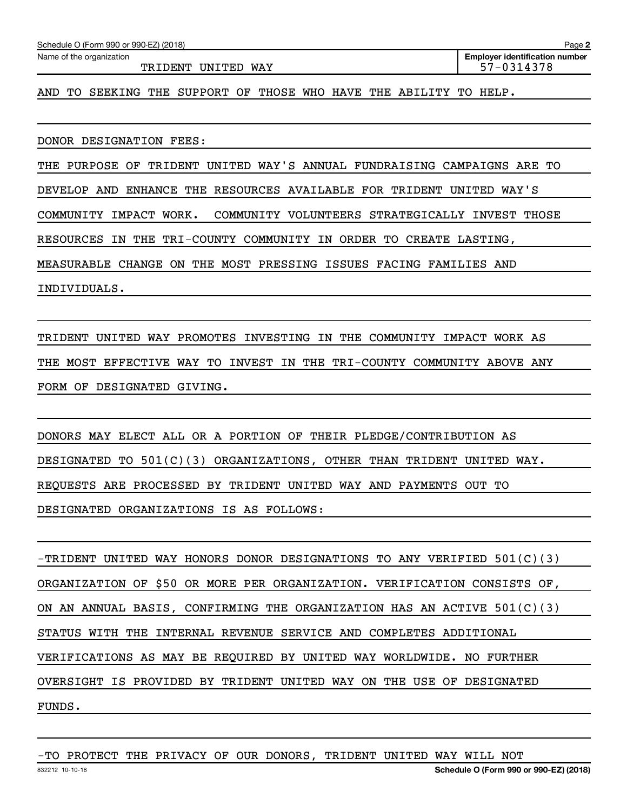| Schedule O (Form 990 or 990-EZ) (2018) | Page 2                                |  |  |
|----------------------------------------|---------------------------------------|--|--|
| Name of the organization               | <b>Emplover identification number</b> |  |  |
| <b>WAY</b><br>.DENT<br>UNITED          | $-0.314379$                           |  |  |

AND TO SEEKING THE SUPPORT OF THOSE WHO HAVE THE ABILITY TO HELP.

DONOR DESIGNATION FEES:

THE PURPOSE OF TRIDENT UNITED WAY'S ANNUAL FUNDRAISING CAMPAIGNS ARE TO DEVELOP AND ENHANCE THE RESOURCES AVAILABLE FOR TRIDENT UNITED WAY'S COMMUNITY IMPACT WORK. COMMUNITY VOLUNTEERS STRATEGICALLY INVEST THOSE RESOURCES IN THE TRI-COUNTY COMMUNITY IN ORDER TO CREATE LASTING, MEASURABLE CHANGE ON THE MOST PRESSING ISSUES FACING FAMILIES AND INDIVIDUALS.

TRIDENT UNITED WAY PROMOTES INVESTING IN THE COMMUNITY IMPACT WORK AS THE MOST EFFECTIVE WAY TO INVEST IN THE TRI-COUNTY COMMUNITY ABOVE ANY FORM OF DESIGNATED GIVING.

DONORS MAY ELECT ALL OR A PORTION OF THEIR PLEDGE/CONTRIBUTION AS DESIGNATED TO 501(C)(3) ORGANIZATIONS, OTHER THAN TRIDENT UNITED WAY. REQUESTS ARE PROCESSED BY TRIDENT UNITED WAY AND PAYMENTS OUT TO DESIGNATED ORGANIZATIONS IS AS FOLLOWS:

-TRIDENT UNITED WAY HONORS DONOR DESIGNATIONS TO ANY VERIFIED 501(C)(3) ORGANIZATION OF \$50 OR MORE PER ORGANIZATION. VERIFICATION CONSISTS OF, ON AN ANNUAL BASIS, CONFIRMING THE ORGANIZATION HAS AN ACTIVE  $501(C)(3)$ STATUS WITH THE INTERNAL REVENUE SERVICE AND COMPLETES ADDITIONAL VERIFICATIONS AS MAY BE REQUIRED BY UNITED WAY WORLDWIDE. NO FURTHER OVERSIGHT IS PROVIDED BY TRIDENT UNITED WAY ON THE USE OF DESIGNATED FUNDS.

-TO PROTECT THE PRIVACY OF OUR DONORS, TRIDENT UNITED WAY WILL NOT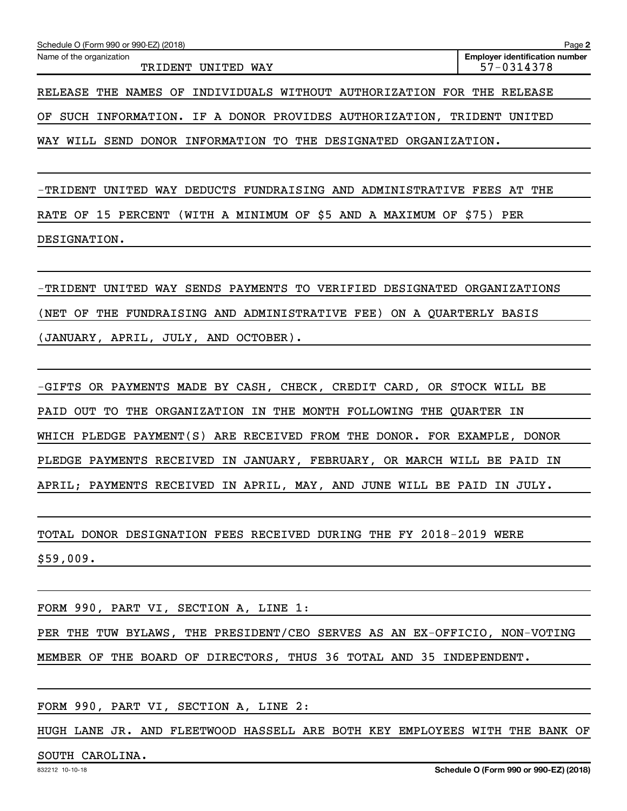-TRIDENT UNITED WAY DEDUCTS FUNDRAISING AND ADMINISTRATIVE FEES AT THE RATE OF 15 PERCENT (WITH A MINIMUM OF \$5 AND A MAXIMUM OF \$75) PER DESIGNATION.

-TRIDENT UNITED WAY SENDS PAYMENTS TO VERIFIED DESIGNATED ORGANIZATIONS (NET OF THE FUNDRAISING AND ADMINISTRATIVE FEE) ON A QUARTERLY BASIS (JANUARY, APRIL, JULY, AND OCTOBER).

-GIFTS OR PAYMENTS MADE BY CASH, CHECK, CREDIT CARD, OR STOCK WILL BE PAID OUT TO THE ORGANIZATION IN THE MONTH FOLLOWING THE QUARTER IN WHICH PLEDGE PAYMENT(S) ARE RECEIVED FROM THE DONOR. FOR EXAMPLE, DONOR PLEDGE PAYMENTS RECEIVED IN JANUARY, FEBRUARY, OR MARCH WILL BE PAID IN APRIL; PAYMENTS RECEIVED IN APRIL, MAY, AND JUNE WILL BE PAID IN JULY.

TOTAL DONOR DESIGNATION FEES RECEIVED DURING THE FY 2018-2019 WERE \$59,009.

FORM 990, PART VI, SECTION A, LINE 1: PER THE TUW BYLAWS, THE PRESIDENT/CEO SERVES AS AN EX-OFFICIO, NON-VOTING MEMBER OF THE BOARD OF DIRECTORS, THUS 36 TOTAL AND 35 INDEPENDENT.

FORM 990, PART VI, SECTION A, LINE 2:

HUGH LANE JR. AND FLEETWOOD HASSELL ARE BOTH KEY EMPLOYEES WITH THE BANK OF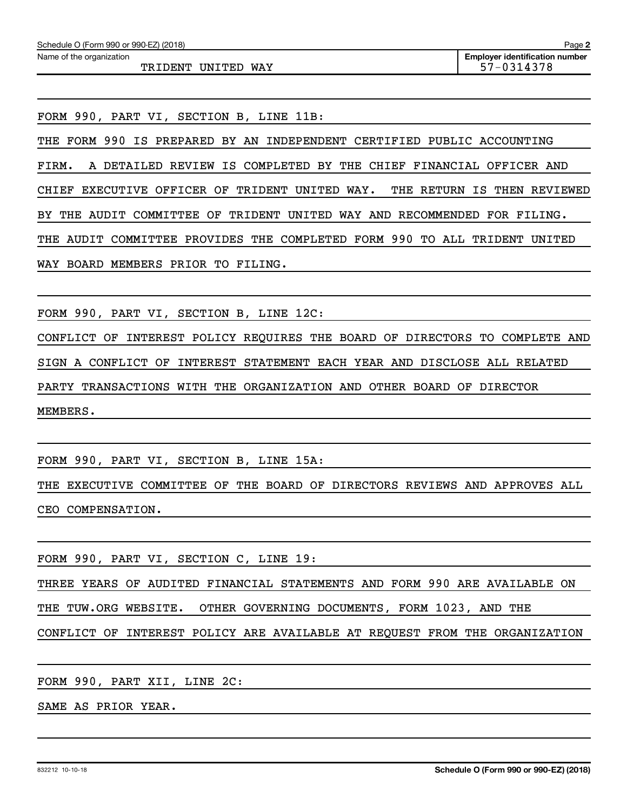TRIDENT UNITED WAY 57-0314378

FORM 990, PART VI, SECTION B, LINE 11B:

THE FORM 990 IS PREPARED BY AN INDEPENDENT CERTIFIED PUBLIC ACCOUNTING FIRM. A DETAILED REVIEW IS COMPLETED BY THE CHIEF FINANCIAL OFFICER AND CHIEF EXECUTIVE OFFICER OF TRIDENT UNITED WAY. THE RETURN IS THEN REVIEWED BY THE AUDIT COMMITTEE OF TRIDENT UNITED WAY AND RECOMMENDED FOR FILING. THE AUDIT COMMITTEE PROVIDES THE COMPLETED FORM 990 TO ALL TRIDENT UNITED WAY BOARD MEMBERS PRIOR TO FILING.

FORM 990, PART VI, SECTION B, LINE 12C:

CONFLICT OF INTEREST POLICY REQUIRES THE BOARD OF DIRECTORS TO COMPLETE AND SIGN A CONFLICT OF INTEREST STATEMENT EACH YEAR AND DISCLOSE ALL RELATED PARTY TRANSACTIONS WITH THE ORGANIZATION AND OTHER BOARD OF DIRECTOR MEMBERS.

FORM 990, PART VI, SECTION B, LINE 15A:

THE EXECUTIVE COMMITTEE OF THE BOARD OF DIRECTORS REVIEWS AND APPROVES ALL CEO COMPENSATION.

FORM 990, PART VI, SECTION C, LINE 19:

THREE YEARS OF AUDITED FINANCIAL STATEMENTS AND FORM 990 ARE AVAILABLE ON THE TUW.ORG WEBSITE. OTHER GOVERNING DOCUMENTS, FORM 1023, AND THE CONFLICT OF INTEREST POLICY ARE AVAILABLE AT REQUEST FROM THE ORGANIZATION

FORM 990, PART XII, LINE 2C:

SAME AS PRIOR YEAR.